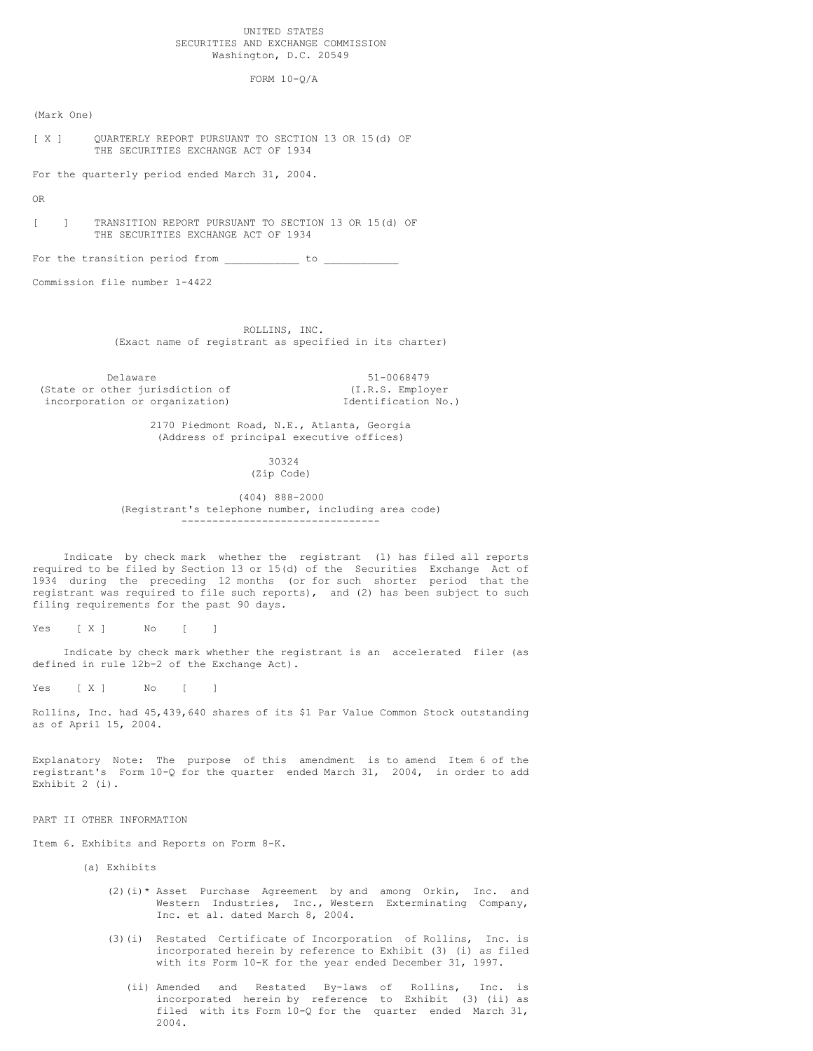#### UNITED STATES SECURITIES AND EXCHANGE COMMISSION Washington, D.C. 20549

FORM  $10 - 0/\text{A}$ 

(Mark One)

[ X ] QUARTERLY REPORT PURSUANT TO SECTION 13 OR 15(d) OF THE SECURITIES EXCHANGE ACT OF 1934

For the quarterly period ended March 31, 2004.

OR

[ ] TRANSITION REPORT PURSUANT TO SECTION 13 OR 15(d) OF THE SECURITIES EXCHANGE ACT OF 1934

For the transition period from  $\frac{1}{\sqrt{1-\frac{1}{2}}}\cos \frac{\pi \sqrt{1-\frac{1}{2}}}{\sqrt{1-\frac{1}{2}}\sin \frac{\pi \sqrt{1-\frac{1}{2}}}{\sqrt{1-\frac{1}{2}}\sin \frac{\pi \sqrt{1-\frac{1}{2}}}{\sqrt{1-\frac{1}{2}}\sin \frac{\pi \sqrt{1-\frac{1}{2}}}{\sqrt{1-\frac{1}{2}}\sin \frac{\pi \sqrt{1-\frac{1}{2}}}{\sqrt{1-\frac{1}{2}}\sin \frac{\pi \sqrt{1-\frac{1}{2}}}{\sqrt{1-\frac{1}{2$ 

Commission file number 1-4422

ROLLINS, INC. (Exact name of registrant as specified in its charter)

Delaware 51-0068479<br>bther jurisdiction of  $(1.R.S.$  Employer (State or other jurisdiction of incorporation or organization) and identification No.)

> 2170 Piedmont Road, N.E., Atlanta, Georgia (Address of principal executive offices)

> > 30324 (Zip Code)

(404) 888-2000 (Registrant's telephone number, including area code) --------------------------------

Indicate by check mark whether the registrant (1) has filed all reports required to be filed by Section 13 or 15(d) of the Securities Exchange Act of 1934 during the preceding 12 months (or for such shorter period that the registrant was required to file such reports), and (2) has been subject to such filing requirements for the past 90 days.

Yes [ X ] No [

Indicate by check mark whether the registrant is an accelerated filer (as defined in rule 12b-2 of the Exchange Act).

Yes [ X ] No [ ]

Rollins, Inc. had 45,439,640 shares of its \$1 Par Value Common Stock outstanding as of April 15, 2004.

Explanatory Note: The purpose of this amendment is to amend Item 6 of the registrant's Form 10-Q for the quarter ended March 31, 2004, in order to add Exhibit 2 (i).

## PART II OTHER INFORMATION

Item 6. Exhibits and Reports on Form 8-K.

(a) Exhibits

- (2)(i)\* Asset Purchase Agreement by and among Orkin, Inc. and Western Industries, Inc., Western Exterminating Company, Inc. et al. dated March 8, 2004.
- (3)(i) Restated Certificate of Incorporation of Rollins, Inc. is incorporated herein by reference to Exhibit (3) (i) as filed with its Form 10-K for the year ended December 31, 1997.
	- (ii) Amended and Restated By-laws of Rollins, Inc. is incorporated herein by reference to Exhibit (3) (ii) as filed with its Form 10-Q for the quarter ended March 31, 2004.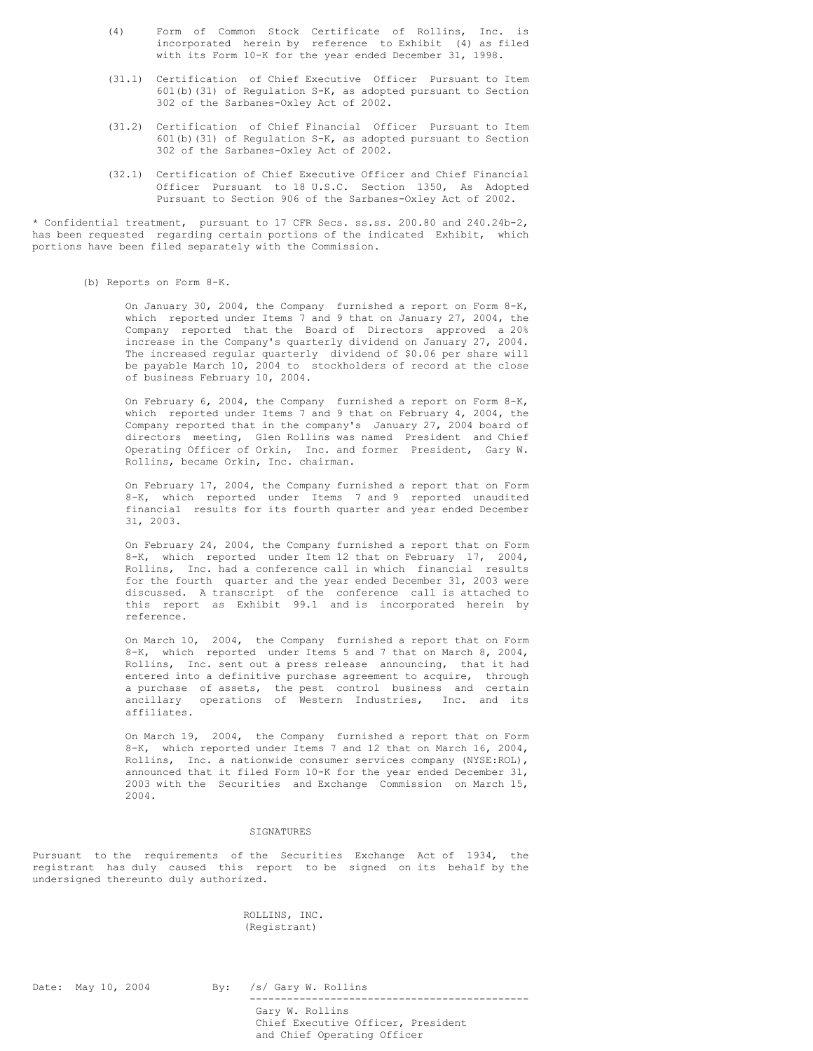- (4) Form of Common Stock Certificate of Rollins, Inc. is incorporated herein by reference to Exhibit (4) as filed with its Form 10-K for the year ended December 31, 1998.
- (31.1) Certification of Chief Executive Officer Pursuant to Item 601(b)(31) of Regulation S-K, as adopted pursuant to Section 302 of the Sarbanes-Oxley Act of 2002.
- (31.2) Certification of Chief Financial Officer Pursuant to Item 601(b)(31) of Regulation S-K, as adopted pursuant to Section 302 of the Sarbanes-Oxley Act of 2002.
- (32.1) Certification of Chief Executive Officer and Chief Financial Officer Pursuant to 18 U.S.C. Section 1350, As Adopted Pursuant to Section 906 of the Sarbanes-Oxley Act of 2002.

\* Confidential treatment, pursuant to 17 CFR Secs. ss.ss. 200.80 and 240.24b-2, has been requested regarding certain portions of the indicated Exhibit, which portions have been filed separately with the Commission.

(b) Reports on Form 8-K.

On January 30, 2004, the Company furnished a report on Form 8-K, which reported under Items 7 and 9 that on January 27, 2004, the Company reported that the Board of Directors approved a 20% increase in the Company's quarterly dividend on January 27, 2004. The increased regular quarterly dividend of \$0.06 per share will be payable March 10, 2004 to stockholders of record at the close of business February 10, 2004.

On February 6, 2004, the Company furnished a report on Form 8-K, which reported under Items 7 and 9 that on February 4, 2004, the Company reported that in the company's January 27, 2004 board of directors meeting, Glen Rollins was named President and Chief Operating Officer of Orkin, Inc. and former President, Gary W. Rollins, became Orkin, Inc. chairman.

On February 17, 2004, the Company furnished a report that on Form 8-K, which reported under Items 7 and 9 reported unaudited financial results for its fourth quarter and year ended December 31, 2003.

On February 24, 2004, the Company furnished a report that on Form 8-K, which reported under Item 12 that on February 17, 2004, Rollins, Inc. had a conference call in which financial results for the fourth quarter and the year ended December 31, 2003 were discussed. A transcript of the conference call is attached to this report as Exhibit 99.1 and is incorporated herein by reference.

On March 10, 2004, the Company furnished a report that on Form 8-K, which reported under Items 5 and 7 that on March 8, 2004, Rollins, Inc. sent out a press release announcing, that it had entered into a definitive purchase agreement to acquire, through a purchase of assets, the pest control business and certain ancillary operations of Western Industries, Inc. and its affiliates.

On March 19, 2004, the Company furnished a report that on Form 8-K, which reported under Items 7 and 12 that on March 16, 2004, Rollins, Inc. a nationwide consumer services company (NYSE:ROL), announced that it filed Form 10-K for the year ended December 31, 2003 with the Securities and Exchange Commission on March 15, 2004.

## **SIGNATURES**

Pursuant to the requirements of the Securities Exchange Act of 1934, the registrant has duly caused this report to be signed on its behalf by the undersigned thereunto duly authorized.

> ROLLINS, INC. (Registrant)

Date: May 10, 2004 By: /s/ Gary W. Rollins ---------------------------------------------

> Gary W. Rollins Chief Executive Officer, President and Chief Operating Officer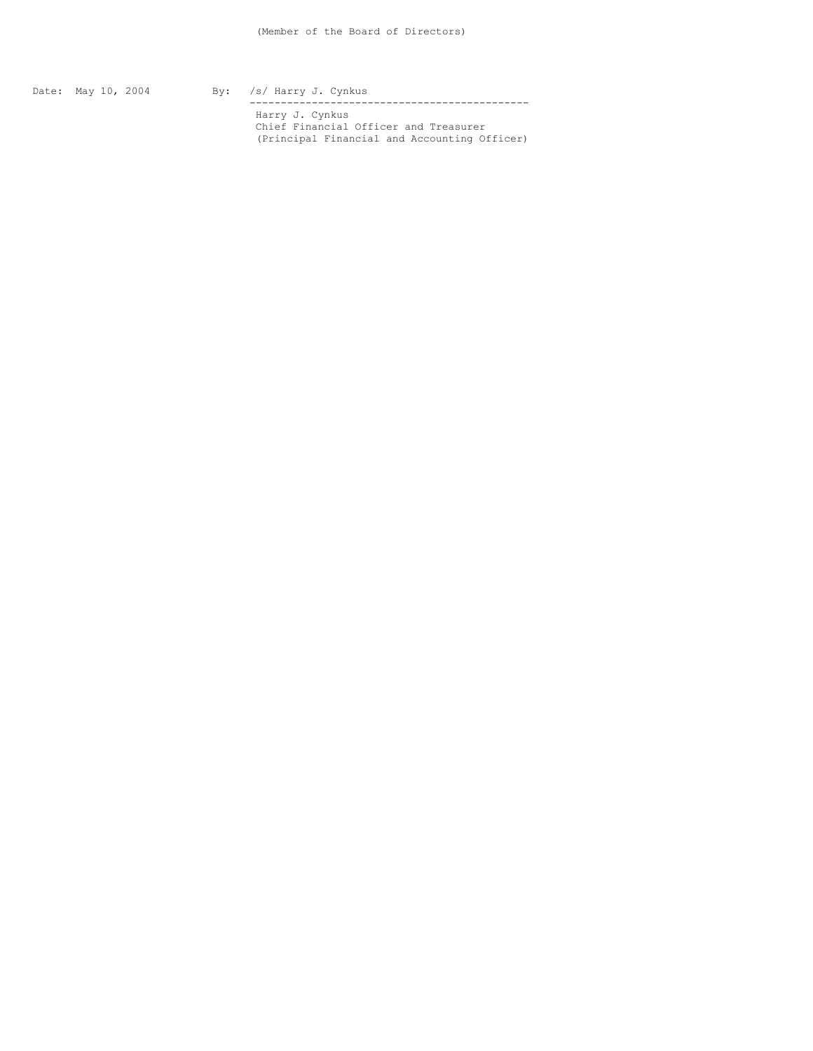Date: May 10, 2004 By: /s/ Harry J. Cynkus --------------------------------------------- Harry J. Cynkus Chief Financial Officer and Treasurer (Principal Financial and Accounting Officer)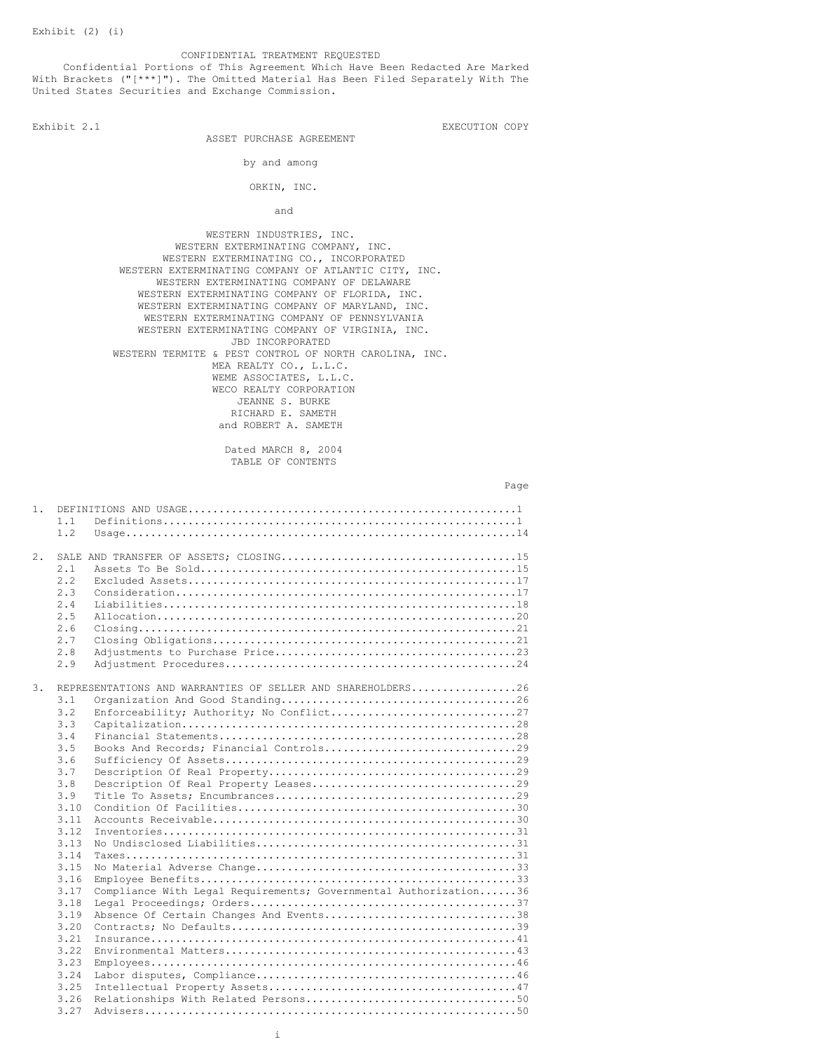## CONFIDENTIAL TREATMENT REQUESTED

Confidential Portions of This Agreement Which Have Been Redacted Are Marked With Brackets ("[\*\*\*]"). The Omitted Material Has Been Filed Separately With The United States Securities and Exchange Commission.

Exhibit 2.1 EXECUTION COPY

## ASSET PURCHASE AGREEMENT

```
by and among
```
ORKIN, INC.

and

| WESTERN INDUSTRIES, INC.                               |
|--------------------------------------------------------|
| WESTERN EXTERMINATING COMPANY, INC.                    |
| WESTERN EXTERMINATING CO., INCORPORATED                |
| WESTERN EXTERMINATING COMPANY OF ATLANTIC CITY, INC.   |
| WESTERN EXTERMINATING COMPANY OF DELAWARE              |
| WESTERN EXTERMINATING COMPANY OF FLORIDA, INC.         |
| WESTERN EXTERMINATING COMPANY OF MARYLAND, INC.        |
| WESTERN EXTERMINATING COMPANY OF PENNSYLVANIA          |
| WESTERN EXTERMINATING COMPANY OF VIRGINIA, INC.        |
| JBD INCORPORATED                                       |
| WESTERN TERMITE & PEST CONTROL OF NORTH CAROLINA, INC. |
| MEA REALTY CO., L.L.C.                                 |
| WEME ASSOCIATES, L.L.C.                                |
| WECO REALTY CORPORATION                                |
| JEANNE S. BURKE                                        |
| RICHARD E. SAMETH                                      |
| and ROBERT A. SAMETH                                   |
|                                                        |

Dated MARCH 8, 2004 TABLE OF CONTENTS

| ۰.<br>. . |
|-----------|
|-----------|

| 1. |      |                                                                  |
|----|------|------------------------------------------------------------------|
|    | 1.1  |                                                                  |
|    | 1.2  |                                                                  |
|    |      |                                                                  |
| 2. |      |                                                                  |
|    | 2.1  |                                                                  |
|    | 2.2  |                                                                  |
|    | 2.3  |                                                                  |
|    | 2.4  |                                                                  |
|    | 2.5  |                                                                  |
|    | 2.6  |                                                                  |
|    | 2.7  |                                                                  |
|    | 2.8  |                                                                  |
|    | 2.9  |                                                                  |
|    |      |                                                                  |
| 3. |      | REPRESENTATIONS AND WARRANTIES OF SELLER AND SHAREHOLDERS26      |
|    | 3.1  |                                                                  |
|    | 3.2  |                                                                  |
|    | 3.3  |                                                                  |
|    | 3.4  |                                                                  |
|    | 3.5  | Books And Records; Financial Controls29                          |
|    | 3.6  |                                                                  |
|    | 3.7  |                                                                  |
|    | 3.8  |                                                                  |
|    | 3.9  |                                                                  |
|    | 3.10 |                                                                  |
|    | 3.11 |                                                                  |
|    | 3.12 |                                                                  |
|    | 3.13 |                                                                  |
|    | 3.14 |                                                                  |
|    | 3.15 |                                                                  |
|    | 3.16 |                                                                  |
|    | 3.17 | Compliance With Legal Requirements; Governmental Authorization36 |
|    | 3.18 |                                                                  |
|    | 3.19 | Absence Of Certain Changes And Events38                          |
|    | 3.20 |                                                                  |
|    | 3.21 |                                                                  |
|    | 3.22 |                                                                  |
|    | 3.23 |                                                                  |
|    | 3.24 |                                                                  |
|    | 3.25 |                                                                  |
|    | 3.26 |                                                                  |
|    | 3.27 |                                                                  |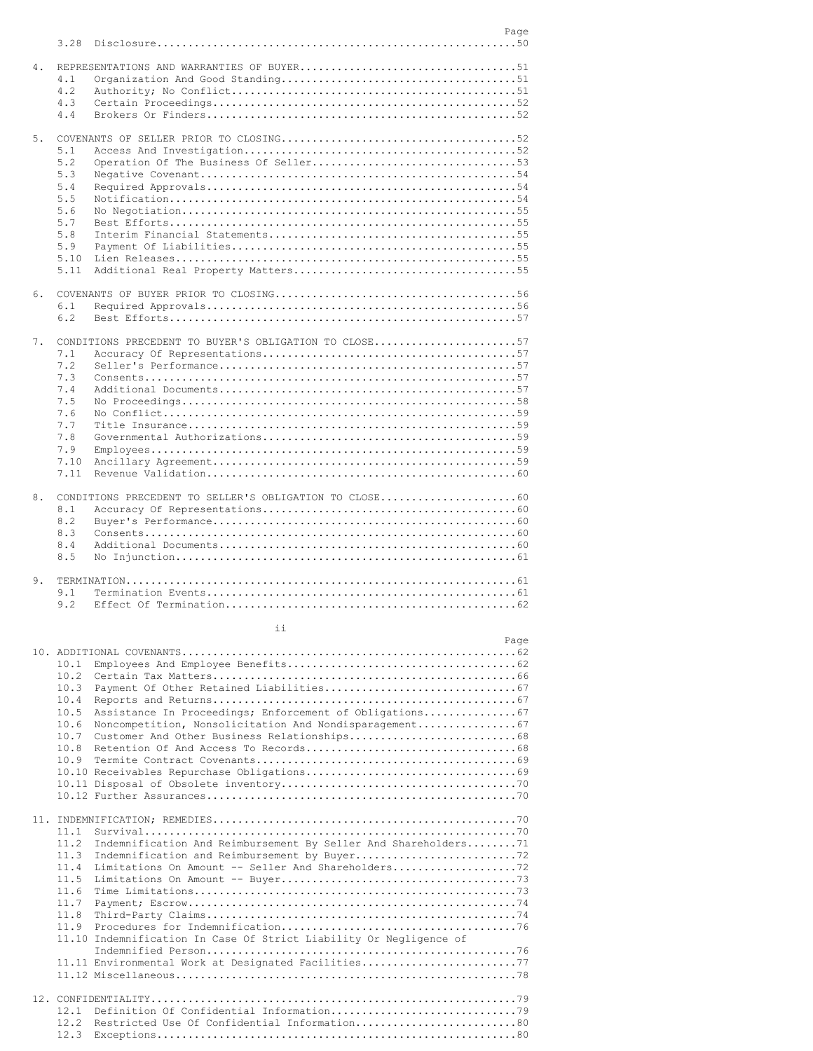|    | 3.28                                                                        | Page                                                                                                                                                                                        |
|----|-----------------------------------------------------------------------------|---------------------------------------------------------------------------------------------------------------------------------------------------------------------------------------------|
| 4. | 4.1                                                                         |                                                                                                                                                                                             |
|    | 4.2<br>4.3<br>4.4                                                           |                                                                                                                                                                                             |
| 5. | 5.1<br>5.2<br>5.3<br>5.4                                                    |                                                                                                                                                                                             |
|    | 5.5<br>5.6<br>5.7<br>5.8<br>5.9<br>5.10<br>5.11                             |                                                                                                                                                                                             |
| 6. | 6.1<br>6.2                                                                  |                                                                                                                                                                                             |
| 7. | 7.1<br>7.2<br>7.3<br>7.4<br>7.5<br>7.6<br>7.7<br>7.8<br>7.9<br>7.10<br>7.11 | CONDITIONS PRECEDENT TO BUYER'S OBLIGATION TO CLOSE57                                                                                                                                       |
| 8. | 8.1<br>8.2<br>8.3<br>8.4<br>8.5                                             | CONDITIONS PRECEDENT TO SELLER'S OBLIGATION TO CLOSE60                                                                                                                                      |
| 9. | 9.1<br>9.2                                                                  |                                                                                                                                                                                             |
|    |                                                                             | ii<br>Page                                                                                                                                                                                  |
|    | 10.1<br>10.2<br>10.3<br>10.4<br>10.5<br>10.6<br>10.7<br>10.8<br>10.9        | Assistance In Proceedings; Enforcement of Obligations 67                                                                                                                                    |
|    | 11.1<br>11.2<br>11.3<br>11.4<br>11.5<br>11.6<br>11.7<br>11.8<br>11.9        | Indemnification And Reimbursement By Seller And Shareholders71<br>11.10 Indemnification In Case Of Strict Liability Or Negligence of<br>11.11 Environmental Work at Designated Facilities77 |
|    | 12.1<br>12.2<br>12.3                                                        | Restricted Use Of Confidential Information80                                                                                                                                                |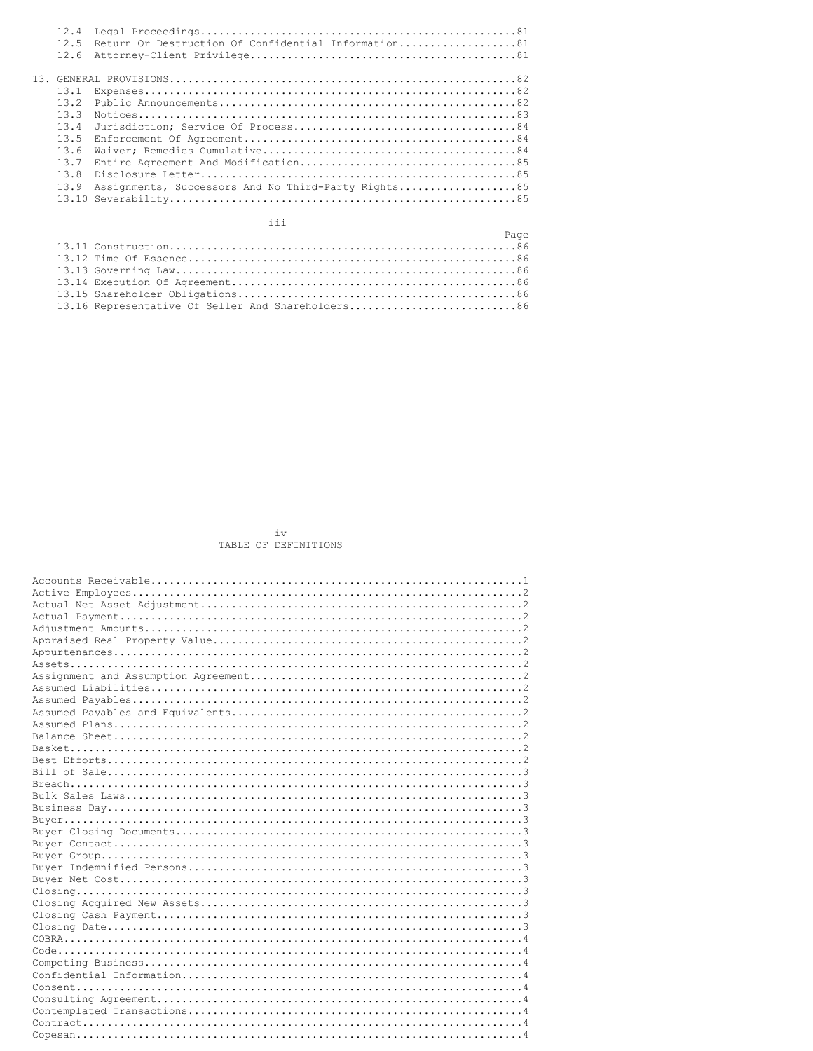| 12.4 |                                                   |  |
|------|---------------------------------------------------|--|
| 12.5 |                                                   |  |
| 12.6 |                                                   |  |
|      |                                                   |  |
| 13.1 |                                                   |  |
| 13.2 |                                                   |  |
| 13.3 |                                                   |  |
| 13.4 |                                                   |  |
| 13.5 |                                                   |  |
| 13.6 |                                                   |  |
| 13.7 |                                                   |  |
| 13.8 |                                                   |  |
| 13.9 | Assignments, Successors And No Third-Party Rights |  |
|      |                                                   |  |
|      |                                                   |  |

|  | ٠ |  |
|--|---|--|

| <u>no seu control de la propia de la propia de la propia de la propia de la propia de la propia de la propia de l</u> |  |
|-----------------------------------------------------------------------------------------------------------------------|--|
|                                                                                                                       |  |
|                                                                                                                       |  |
|                                                                                                                       |  |
|                                                                                                                       |  |
|                                                                                                                       |  |
| 13.16 Representative Of Seller And Shareholders                                                                       |  |

# iv<br>TABLE OF DEFINITIONS

| $\frac{2}{3}$ |
|---------------|
|               |
|               |
|               |
|               |
|               |
|               |
|               |
|               |
|               |
|               |
|               |
|               |
|               |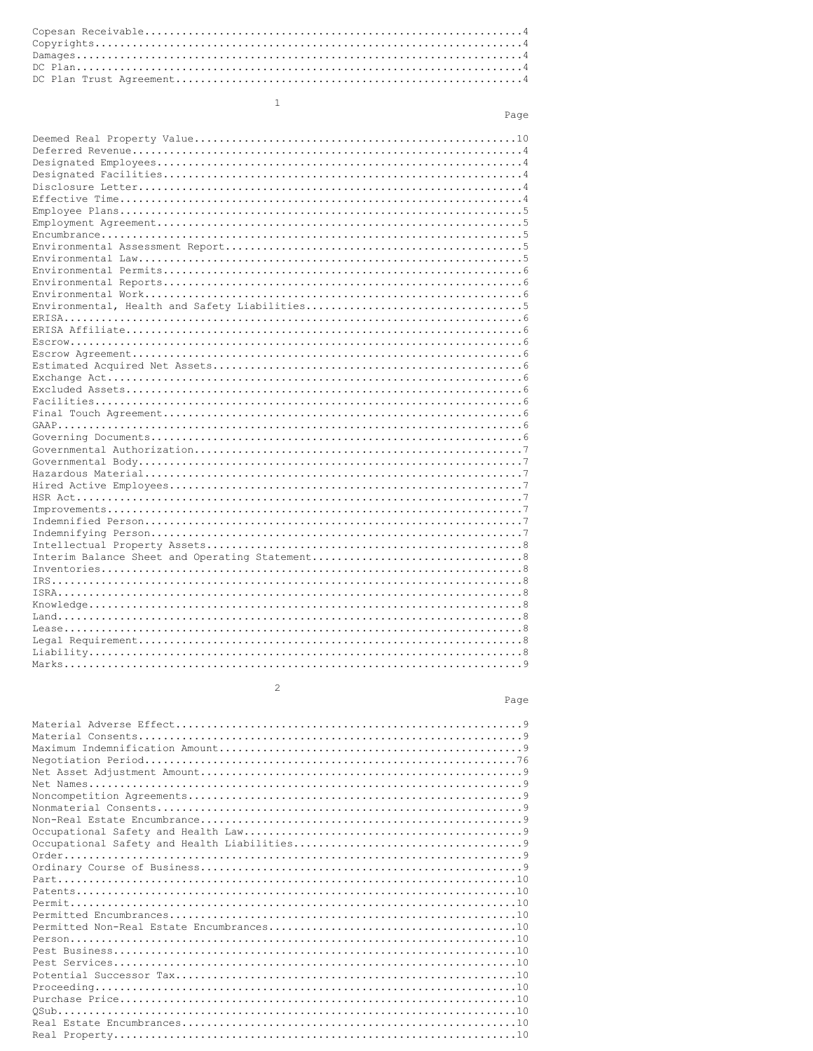| $\mathbf{1}$ |
|--------------|
| Page         |
|              |
|              |
|              |
|              |
|              |
|              |
|              |
|              |
|              |
|              |
|              |
|              |
|              |
|              |
|              |
|              |
|              |
|              |
|              |
|              |
|              |
|              |
|              |
|              |
|              |
|              |
|              |
|              |
|              |
|              |
|              |
|              |
|              |
|              |
|              |
|              |
|              |
|              |
|              |
|              |
|              |
|              |
|              |
|              |

 $\overline{c}$ 

Page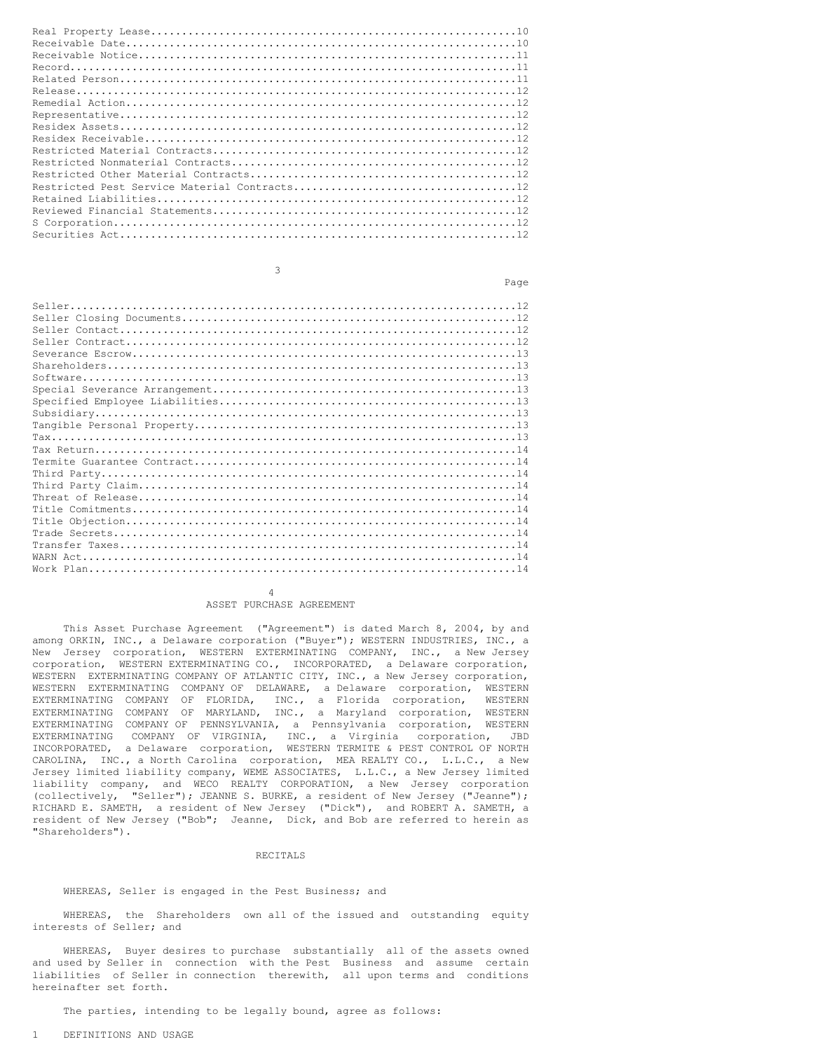3

Page

#### 4 ASSET PURCHASE AGREEMENT

This Asset Purchase Agreement ("Agreement") is dated March 8, 2004, by and among ORKIN, INC., a Delaware corporation ("Buyer"); WESTERN INDUSTRIES, INC., a New Jersey corporation, WESTERN EXTERMINATING COMPANY, INC., a New Jersey corporation, WESTERN EXTERMINATING CO., INCORPORATED, a Delaware corporation, WESTERN EXTERMINATING COMPANY OF ATLANTIC CITY, INC., a New Jersey corporation, WESTERN EXTERMINATING COMPANY OF DELAWARE, a Delaware corporation, WESTERN EXTERMINATING COMPANY OF FLORIDA, INC., a Florida corporation, WESTERN EXTERMINATING COMPANY OF MARYLAND, INC., a Maryland corporation, WESTERN EXTERMINATING COMPANY OF PENNSYLVANIA, a Pennsylvania corporation, WESTERN EXTERMINATING COMPANY OF VIRGINIA, INC., a Virginia corporation, JBD INCORPORATED, a Delaware corporation, WESTERN TERMITE & PEST CONTROL OF NORTH CAROLINA, INC., a North Carolina corporation, MEA REALTY CO., L.L.C., a New Jersey limited liability company, WEME ASSOCIATES, L.L.C., a New Jersey limited liability company, and WECO REALTY CORPORATION, a New Jersey corporation (collectively, "Seller"); JEANNE S. BURKE, a resident of New Jersey ("Jeanne"); RICHARD E. SAMETH, a resident of New Jersey ("Dick"), and ROBERT A. SAMETH, a resident of New Jersey ("Bob"; Jeanne, Dick, and Bob are referred to herein as "Shareholders").

## RECITALS

## WHEREAS, Seller is engaged in the Pest Business; and

WHEREAS, the Shareholders own all of the issued and outstanding equity interests of Seller; and

WHEREAS, Buyer desires to purchase substantially all of the assets owned and used by Seller in connection with the Pest Business and assume certain liabilities of Seller in connection therewith, all upon terms and conditions hereinafter set forth.

The parties, intending to be legally bound, agree as follows: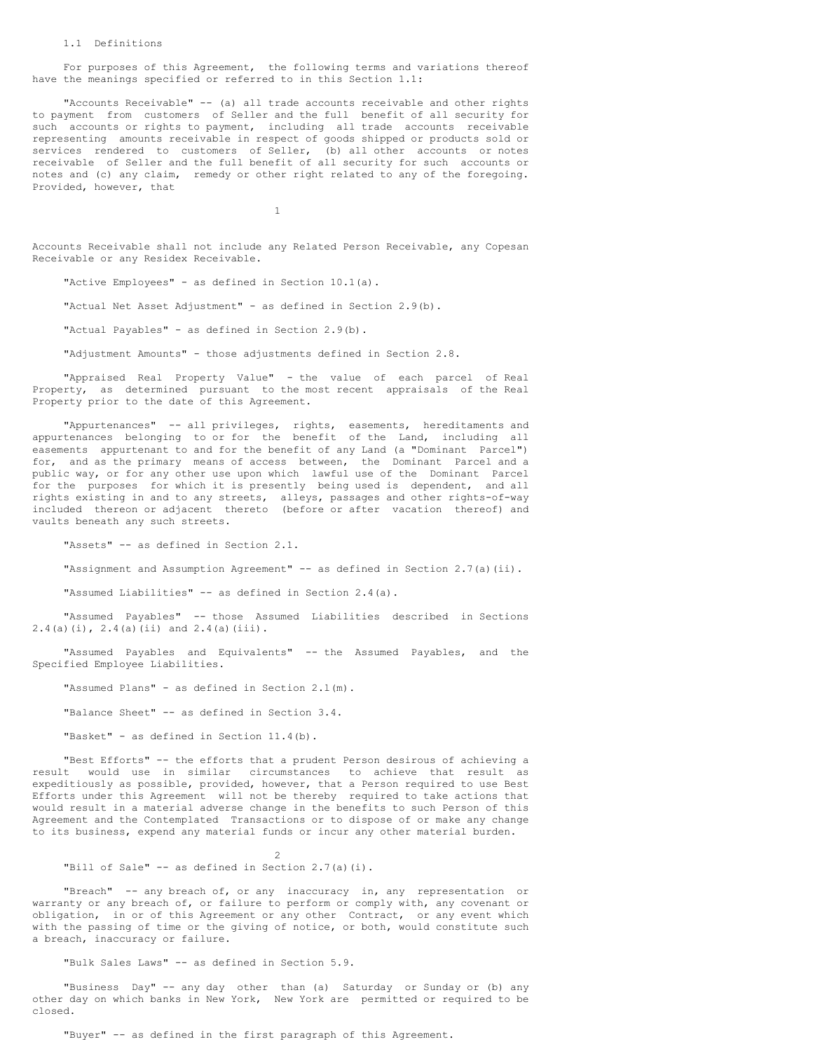## 1.1 Definitions

For purposes of this Agreement, the following terms and variations thereof have the meanings specified or referred to in this Section 1.1:

"Accounts Receivable" -- (a) all trade accounts receivable and other rights to payment from customers of Seller and the full benefit of all security for such accounts or rights to payment, including all trade accounts receivable representing amounts receivable in respect of goods shipped or products sold or services rendered to customers of Seller, (b) all other accounts or notes receivable of Seller and the full benefit of all security for such accounts or notes and (c) any claim, remedy or other right related to any of the foregoing. Provided, however, that

1

Accounts Receivable shall not include any Related Person Receivable, any Copesan Receivable or any Residex Receivable.

"Active Employees" - as defined in Section 10.1(a).

"Actual Net Asset Adjustment" - as defined in Section 2.9(b).

"Actual Payables" - as defined in Section 2.9(b).

"Adjustment Amounts" - those adjustments defined in Section 2.8.

"Appraised Real Property Value" - the value of each parcel of Real Property, as determined pursuant to the most recent appraisals of the Real Property prior to the date of this Agreement.

"Appurtenances" -- all privileges, rights, easements, hereditaments and appurtenances belonging to or for the benefit of the Land, including all easements appurtenant to and for the benefit of any Land (a "Dominant Parcel") for, and as the primary means of access between, the Dominant Parcel and a public way, or for any other use upon which lawful use of the Dominant Parcel for the purposes for which it is presently being used is dependent, and all rights existing in and to any streets, alleys, passages and other rights-of-way included thereon or adjacent thereto (before or after vacation thereof) and vaults beneath any such streets.

"Assets" -- as defined in Section 2.1.

"Assignment and Assumption Agreement"  $--$  as defined in Section 2.7(a)(ii).

"Assumed Liabilities" -- as defined in Section 2.4(a).

"Assumed Payables" -- those Assumed Liabilities described in Sections 2.4(a)(i), 2.4(a)(ii) and 2.4(a)(iii).

"Assumed Payables and Equivalents" -- the Assumed Payables, and the Specified Employee Liabilities.

"Assumed Plans" - as defined in Section 2.l(m).

"Balance Sheet" -- as defined in Section 3.4.

"Basket" - as defined in Section 11.4(b).

"Best Efforts" -- the efforts that a prudent Person desirous of achieving a result would use in similar circumstances to achieve that result as expeditiously as possible, provided, however, that a Person required to use Best Efforts under this Agreement will not be thereby required to take actions that would result in a material adverse change in the benefits to such Person of this Agreement and the Contemplated Transactions or to dispose of or make any change to its business, expend any material funds or incur any other material burden.

#### 2

"Bill of Sale" -- as defined in Section 2.7(a)(i).

"Breach" -- any breach of, or any inaccuracy in, any representation or warranty or any breach of, or failure to perform or comply with, any covenant or obligation, in or of this Agreement or any other Contract, or any event which with the passing of time or the giving of notice, or both, would constitute such a breach, inaccuracy or failure.

"Bulk Sales Laws" -- as defined in Section 5.9.

"Business Day" -- any day other than (a) Saturday or Sunday or (b) any other day on which banks in New York, New York are permitted or required to be closed.

"Buyer" -- as defined in the first paragraph of this Agreement.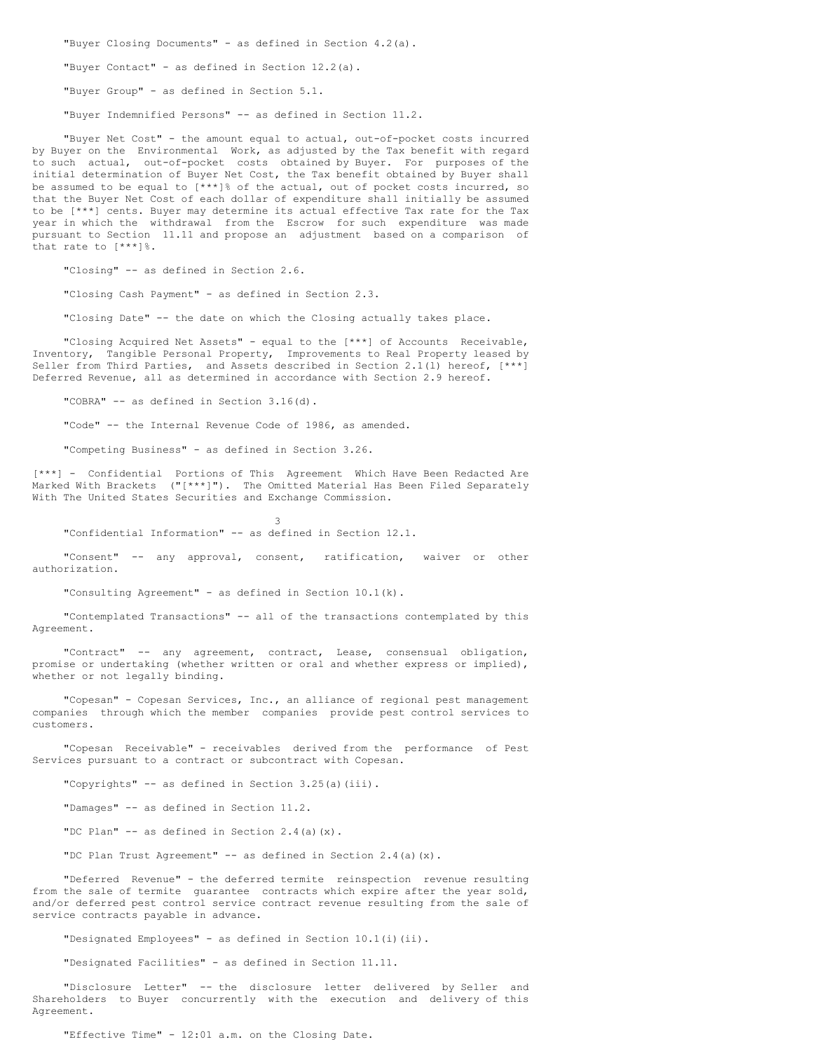"Buyer Closing Documents" - as defined in Section 4.2(a).

"Buyer Contact" - as defined in Section 12.2(a).

"Buyer Group" - as defined in Section 5.1.

"Buyer Indemnified Persons" -- as defined in Section 11.2.

"Buyer Net Cost" - the amount equal to actual, out-of-pocket costs incurred by Buyer on the Environmental Work, as adjusted by the Tax benefit with regard to such actual, out-of-pocket costs obtained by Buyer. For purposes of the initial determination of Buyer Net Cost, the Tax benefit obtained by Buyer shall be assumed to be equal to  $\left[\frac{1}{x}x + \frac{1}{x}\right]$  of the actual, out of pocket costs incurred, so that the Buyer Net Cost of each dollar of expenditure shall initially be assumed to be [\*\*\*] cents. Buyer may determine its actual effective Tax rate for the Tax year in which the withdrawal from the Escrow for such expenditure was made pursuant to Section 11.11 and propose an adjustment based on a comparison of that rate to  $[***]$  %.

"Closing" -- as defined in Section 2.6.

"Closing Cash Payment" - as defined in Section 2.3.

"Closing Date" -- the date on which the Closing actually takes place.

"Closing Acquired Net Assets" - equal to the [\*\*\*] of Accounts Receivable, Inventory, Tangible Personal Property, Improvements to Real Property leased by Seller from Third Parties, and Assets described in Section 2.1(l) hereof, [\*\*\*] Deferred Revenue, all as determined in accordance with Section 2.9 hereof.

"COBRA" -- as defined in Section 3.16(d).

"Code" -- the Internal Revenue Code of 1986, as amended.

"Competing Business" - as defined in Section 3.26.

[\*\*\*] - Confidential Portions of This Agreement Which Have Been Redacted Are Marked With Brackets ("[\*\*\*]"). The Omitted Material Has Been Filed Separately With The United States Securities and Exchange Commission.

3 "Confidential Information" -- as defined in Section 12.1.

"Consent" -- any approval, consent, ratification, waiver or other authorization.

"Consulting Agreement" - as defined in Section 10.1(k).

"Contemplated Transactions" -- all of the transactions contemplated by this Agreement.

"Contract" -- any agreement, contract, Lease, consensual obligation, promise or undertaking (whether written or oral and whether express or implied), whether or not legally binding.

"Copesan" - Copesan Services, Inc., an alliance of regional pest management companies through which the member companies provide pest control services to customers.

"Copesan Receivable" - receivables derived from the performance of Pest Services pursuant to a contract or subcontract with Copesan.

"Copyrights" -- as defined in Section 3.25(a)(iii).

"Damages" -- as defined in Section 11.2.

"DC Plan"  $--$  as defined in Section 2.4(a)(x).

"DC Plan Trust Agreement" -- as defined in Section 2.4(a)(x).

"Deferred Revenue" - the deferred termite reinspection revenue resulting from the sale of termite guarantee contracts which expire after the year sold, and/or deferred pest control service contract revenue resulting from the sale of service contracts payable in advance.

"Designated Employees" - as defined in Section 10.1(i)(ii).

"Designated Facilities" - as defined in Section 11.11.

"Disclosure Letter" -- the disclosure letter delivered by Seller and Shareholders to Buyer concurrently with the execution and delivery of this Agreement.

"Effective Time" - 12:01 a.m. on the Closing Date.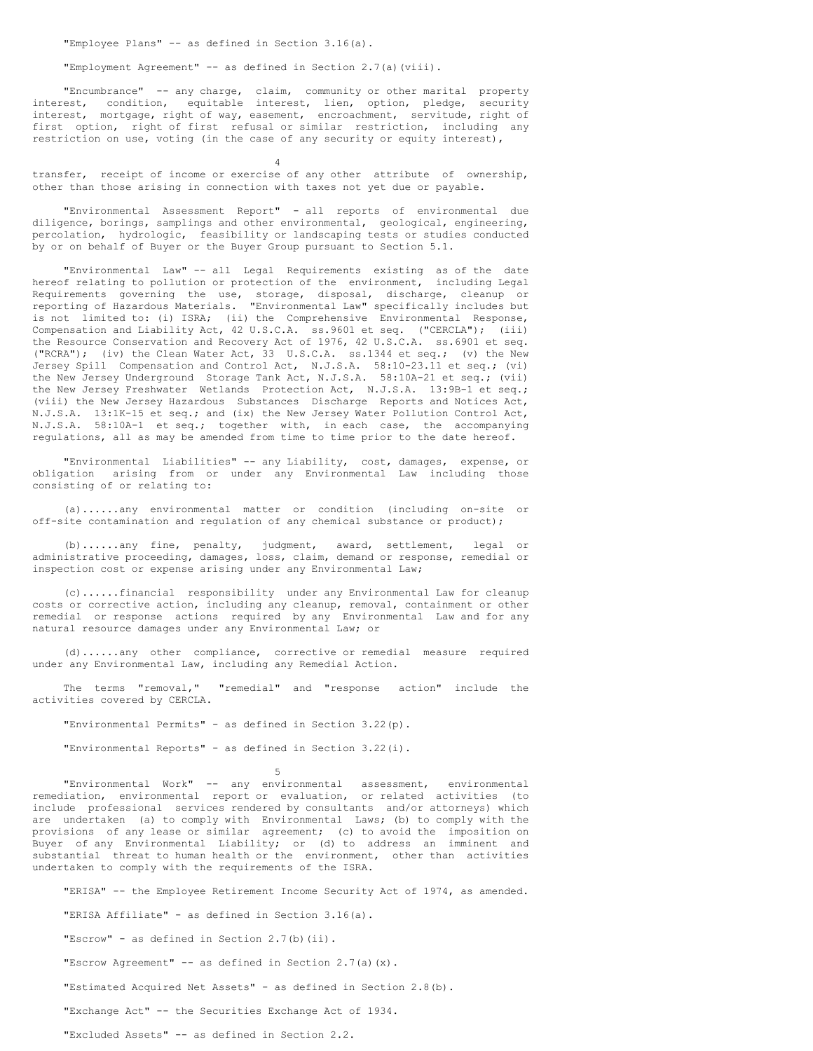"Employee Plans" -- as defined in Section 3.16(a).

"Employment Agreement" -- as defined in Section 2.7(a)(viii).

"Encumbrance" -- any charge, claim, community or other marital property interest, condition, equitable interest, lien, option, pledge, security interest, mortgage, right of way, easement, encroachment, servitude, right of first option, right of first refusal or similar restriction, including any restriction on use, voting (in the case of any security or equity interest),

4 transfer, receipt of income or exercise of any other attribute of ownership, other than those arising in connection with taxes not yet due or payable.

"Environmental Assessment Report" - all reports of environmental due diligence, borings, samplings and other environmental, geological, engineering, percolation, hydrologic, feasibility or landscaping tests or studies conducted by or on behalf of Buyer or the Buyer Group pursuant to Section 5.1.

"Environmental Law" -- all Legal Requirements existing as of the date hereof relating to pollution or protection of the environment, including Legal Requirements governing the use, storage, disposal, discharge, cleanup or reporting of Hazardous Materials. "Environmental Law" specifically includes but is not limited to: (i) ISRA; (ii) the Comprehensive Environmental Response, Compensation and Liability Act, 42 U.S.C.A. ss.9601 et seq. ("CERCLA"); (iii) the Resource Conservation and Recovery Act of 1976, 42 U.S.C.A. ss.6901 et seq. ("RCRA"); (iv) the Clean Water Act, 33 U.S.C.A. ss.1344 et seq.; (v) the New Jersey Spill Compensation and Control Act, N.J.S.A. 58:10-23.11 et seq.; (vi) the New Jersey Underground Storage Tank Act, N.J.S.A. 58:10A-21 et seq.; (vii) the New Jersey Freshwater Wetlands Protection Act, N.J.S.A. 13:9B-1 et seq.; (viii) the New Jersey Hazardous Substances Discharge Reports and Notices Act, N.J.S.A. 13:1K-15 et seq.; and (ix) the New Jersey Water Pollution Control Act, N.J.S.A. 58:10A-1 et seq.; together with, in each case, the accompanying regulations, all as may be amended from time to time prior to the date hereof.

"Environmental Liabilities" -- any Liability, cost, damages, expense, or obligation arising from or under any Environmental Law including those consisting of or relating to:

(a)......any environmental matter or condition (including on-site or off-site contamination and regulation of any chemical substance or product);

(b)......any fine, penalty, judgment, award, settlement, legal or administrative proceeding, damages, loss, claim, demand or response, remedial or inspection cost or expense arising under any Environmental Law;

(c)......financial responsibility under any Environmental Law for cleanup costs or corrective action, including any cleanup, removal, containment or other remedial or response actions required by any Environmental Law and for any natural resource damages under any Environmental Law; or

(d)......any other compliance, corrective or remedial measure required under any Environmental Law, including any Remedial Action.

The terms "removal," "remedial" and "response action" include the activities covered by CERCLA.

"Environmental Permits" - as defined in Section 3.22(p).

"Environmental Reports" - as defined in Section 3.22(i).

5

"Environmental Work" -- any environmental assessment, environmental remediation, environmental report or evaluation, or related activities (to include professional services rendered by consultants and/or attorneys) which are undertaken (a) to comply with Environmental Laws; (b) to comply with the provisions of any lease or similar agreement; (c) to avoid the imposition on Buyer of any Environmental Liability; or (d) to address an imminent and substantial threat to human health or the environment, other than activities undertaken to comply with the requirements of the ISRA.

"ERISA" -- the Employee Retirement Income Security Act of 1974, as amended.

"ERISA Affiliate" - as defined in Section 3.16(a).

"Escrow" - as defined in Section 2.7(b)(ii).

"Escrow Agreement" -- as defined in Section 2.7(a)(x).

"Estimated Acquired Net Assets" - as defined in Section 2.8(b).

"Exchange Act" -- the Securities Exchange Act of 1934.

"Excluded Assets" -- as defined in Section 2.2.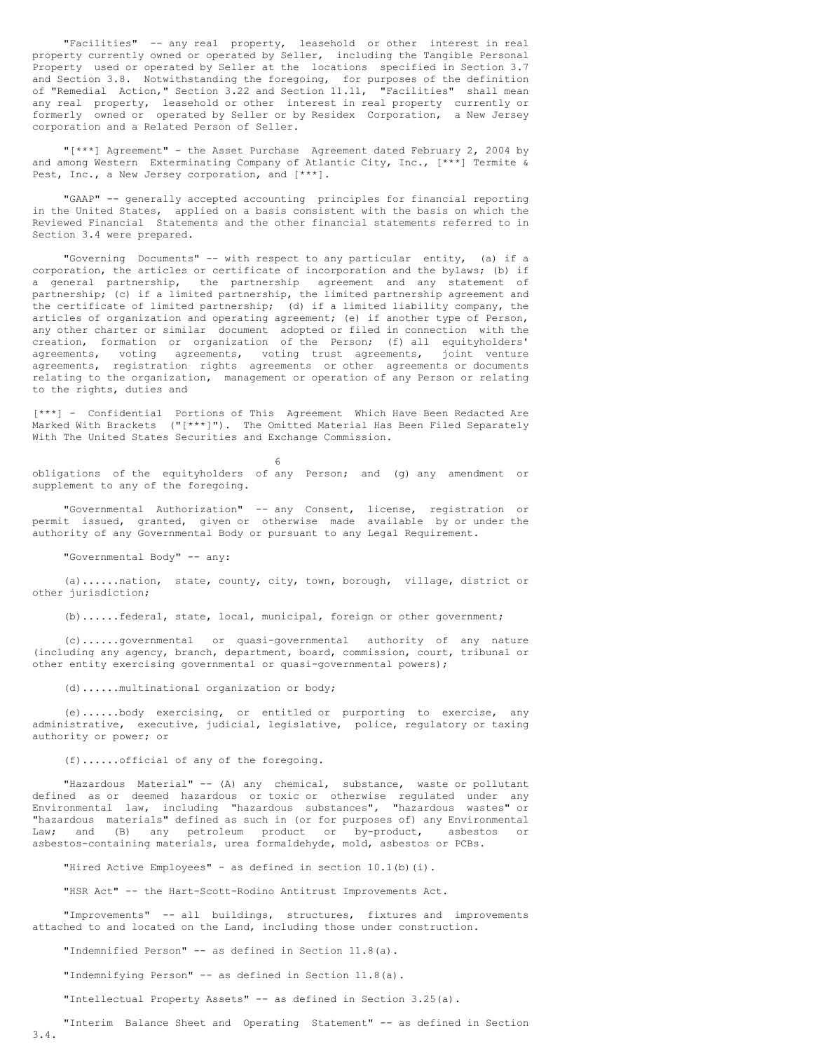"Facilities" -- any real property, leasehold or other interest in real property currently owned or operated by Seller, including the Tangible Personal Property used or operated by Seller at the locations specified in Section 3.7 and Section 3.8. Notwithstanding the foregoing, for purposes of the definition of "Remedial Action," Section 3.22 and Section 11.11, "Facilities" shall mean any real property, leasehold or other interest in real property currently or formerly owned or operated by Seller or by Residex Corporation, a New Jersey corporation and a Related Person of Seller.

"[\*\*\*] Agreement" - the Asset Purchase Agreement dated February 2, 2004 by and among Western Exterminating Company of Atlantic City, Inc., [\*\*\*] Termite & Pest, Inc., a New Jersey corporation, and [\*\*\*].

"GAAP" -- generally accepted accounting principles for financial reporting in the United States, applied on a basis consistent with the basis on which the Reviewed Financial Statements and the other financial statements referred to in Section 3.4 were prepared.

"Governing Documents" -- with respect to any particular entity, (a) if a corporation, the articles or certificate of incorporation and the bylaws; (b) if a general partnership, the partnership agreement and any statement of partnership; (c) if a limited partnership, the limited partnership agreement and the certificate of limited partnership; (d) if a limited liability company, the articles of organization and operating agreement; (e) if another type of Person, any other charter or similar document adopted or filed in connection with the creation, formation or organization of the Person; (f) all equityholders' agreements, voting agreements, voting trust agreements, joint venture agreements, registration rights agreements or other agreements or documents relating to the organization, management or operation of any Person or relating to the rights, duties and

[\*\*\*] - Confidential Portions of This Agreement Which Have Been Redacted Are Marked With Brackets ("[\*\*\*]"). The Omitted Material Has Been Filed Separately With The United States Securities and Exchange Commission.

6 obligations of the equityholders of any Person; and (g) any amendment or supplement to any of the foregoing.

"Governmental Authorization" -- any Consent, license, registration or permit issued, granted, given or otherwise made available by or under the authority of any Governmental Body or pursuant to any Legal Requirement.

#### "Governmental Body" -- any:

(a)......nation, state, county, city, town, borough, village, district or other jurisdiction;

(b)......federal, state, local, municipal, foreign or other government;

(c)......governmental or quasi-governmental authority of any nature (including any agency, branch, department, board, commission, court, tribunal or other entity exercising governmental or quasi-governmental powers);

#### (d)......multinational organization or body;

(e)......body exercising, or entitled or purporting to exercise, any administrative, executive, judicial, legislative, police, regulatory or taxing authority or power; or

## (f)......official of any of the foregoing.

"Hazardous Material" -- (A) any chemical, substance, waste or pollutant defined as or deemed hazardous or toxic or otherwise regulated under any Environmental law, including "hazardous substances", "hazardous wastes" or "hazardous materials" defined as such in (or for purposes of) any Environmental Law; and (B) any petroleum product or by-product, asbestos or asbestos-containing materials, urea formaldehyde, mold, asbestos or PCBs.

"Hired Active Employees" - as defined in section 10.1(b)(i).

"HSR Act" -- the Hart-Scott-Rodino Antitrust Improvements Act.

"Improvements" -- all buildings, structures, fixtures and improvements attached to and located on the Land, including those under construction.

"Indemnified Person" -- as defined in Section 11.8(a).

"Indemnifying Person" -- as defined in Section 11.8(a).

"Intellectual Property Assets" -- as defined in Section 3.25(a).

"Interim Balance Sheet and Operating Statement" -- as defined in Section

3.4.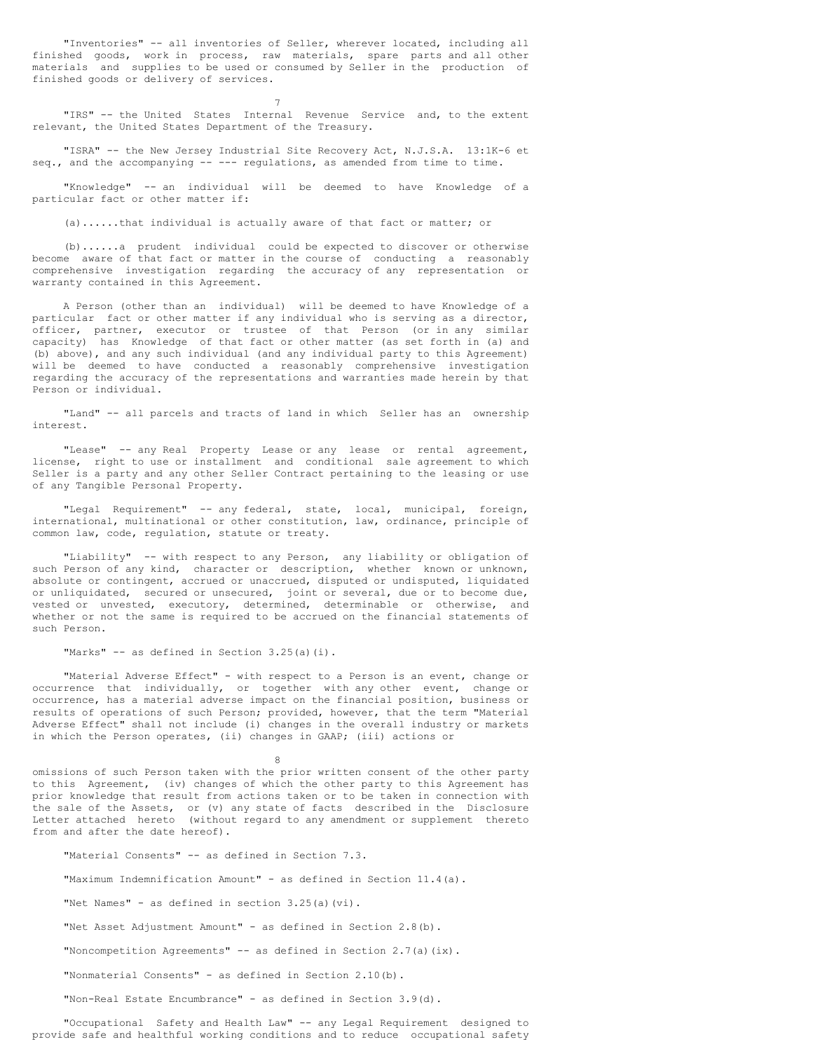"Inventories" -- all inventories of Seller, wherever located, including all finished goods, work in process, raw materials, spare parts and all other materials and supplies to be used or consumed by Seller in the production of finished goods or delivery of services.

7

"IRS" -- the United States Internal Revenue Service and, to the extent relevant, the United States Department of the Treasury.

"ISRA" -- the New Jersey Industrial Site Recovery Act, N.J.S.A. 13:1K-6 et seq., and the accompanying -- --- regulations, as amended from time to time.

"Knowledge" -- an individual will be deemed to have Knowledge of a particular fact or other matter if:

(a)......that individual is actually aware of that fact or matter; or

(b)......a prudent individual could be expected to discover or otherwise become aware of that fact or matter in the course of conducting a reasonably comprehensive investigation regarding the accuracy of any representation or warranty contained in this Agreement.

A Person (other than an individual) will be deemed to have Knowledge of a particular fact or other matter if any individual who is serving as a director, officer, partner, executor or trustee of that Person (or in any similar capacity) has Knowledge of that fact or other matter (as set forth in (a) and (b) above), and any such individual (and any individual party to this Agreement) will be deemed to have conducted a reasonably comprehensive investigation regarding the accuracy of the representations and warranties made herein by that Person or individual.

"Land" -- all parcels and tracts of land in which Seller has an ownership interest.

"Lease" -- any Real Property Lease or any lease or rental agreement, license, right to use or installment and conditional sale agreement to which Seller is a party and any other Seller Contract pertaining to the leasing or use of any Tangible Personal Property.

"Legal Requirement" -- any federal, state, local, municipal, foreign, international, multinational or other constitution, law, ordinance, principle of common law, code, regulation, statute or treaty.

"Liability" -- with respect to any Person, any liability or obligation of such Person of any kind, character or description, whether known or unknown, absolute or contingent, accrued or unaccrued, disputed or undisputed, liquidated or unliquidated, secured or unsecured, joint or several, due or to become due, vested or unvested, executory, determined, determinable or otherwise, and whether or not the same is required to be accrued on the financial statements of such Person.

"Marks" -- as defined in Section 3.25(a)(i).

"Material Adverse Effect" - with respect to a Person is an event, change or occurrence that individually, or together with any other event, change or occurrence, has a material adverse impact on the financial position, business or results of operations of such Person; provided, however, that the term "Material Adverse Effect" shall not include (i) changes in the overall industry or markets in which the Person operates, (ii) changes in GAAP; (iii) actions or

8 omissions of such Person taken with the prior written consent of the other party to this Agreement, (iv) changes of which the other party to this Agreement has prior knowledge that result from actions taken or to be taken in connection with the sale of the Assets, or (v) any state of facts described in the Disclosure Letter attached hereto (without regard to any amendment or supplement thereto from and after the date hereof).

"Material Consents" -- as defined in Section 7.3.

"Maximum Indemnification Amount" - as defined in Section 11.4(a).

"Net Names" - as defined in section 3.25(a)(vi).

"Net Asset Adjustment Amount" - as defined in Section 2.8(b).

"Noncompetition Agreements" -- as defined in Section 2.7(a)(ix).

"Nonmaterial Consents" - as defined in Section 2.10(b).

"Non-Real Estate Encumbrance" - as defined in Section 3.9(d).

"Occupational Safety and Health Law" -- any Legal Requirement designed to provide safe and healthful working conditions and to reduce occupational safety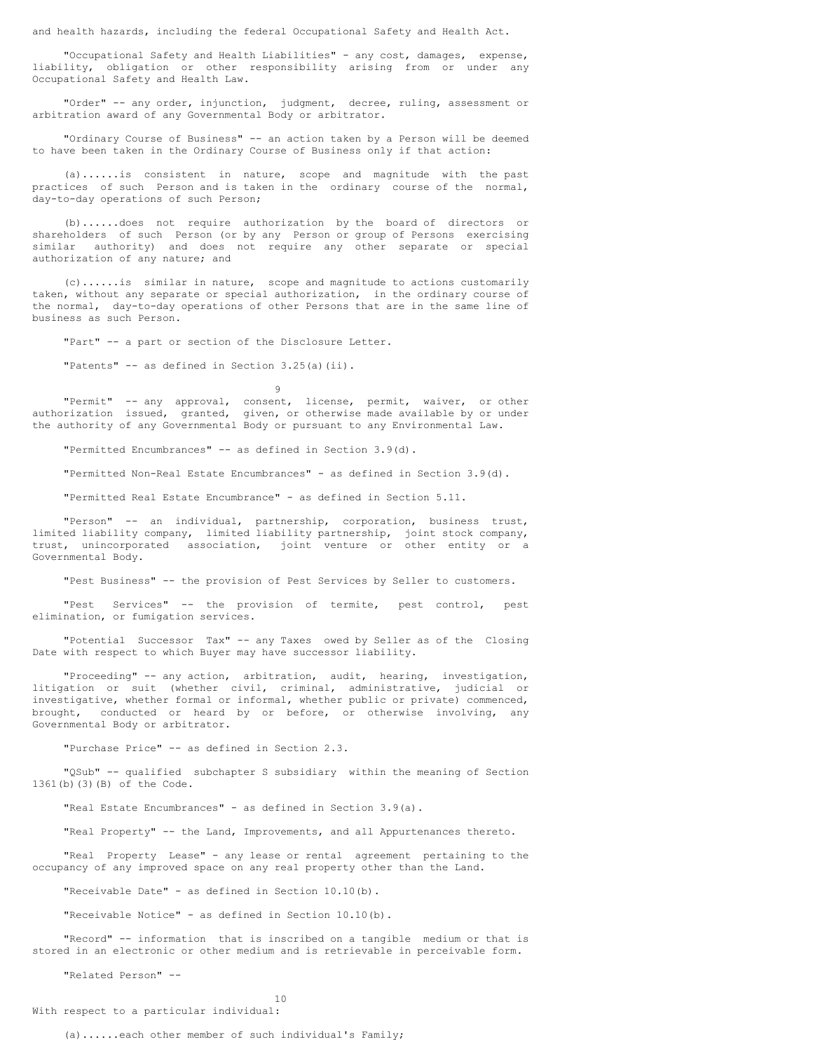and health hazards, including the federal Occupational Safety and Health Act.

"Occupational Safety and Health Liabilities" - any cost, damages, expense, liability, obligation or other responsibility arising from or under any Occupational Safety and Health Law.

"Order" -- any order, injunction, judgment, decree, ruling, assessment or arbitration award of any Governmental Body or arbitrator.

"Ordinary Course of Business" -- an action taken by a Person will be deemed to have been taken in the Ordinary Course of Business only if that action:

(a)......is consistent in nature, scope and magnitude with the past practices of such Person and is taken in the ordinary course of the normal, day-to-day operations of such Person;

(b)......does not require authorization by the board of directors or shareholders of such Person (or by any Person or group of Persons exercising similar authority) and does not require any other separate or special authorization of any nature; and

(c)......is similar in nature, scope and magnitude to actions customarily taken, without any separate or special authorization, in the ordinary course of the normal, day-to-day operations of other Persons that are in the same line of business as such Person.

"Part" -- a part or section of the Disclosure Letter.

"Patents" -- as defined in Section 3.25(a)(ii).

"Permit" -- any approval, consent, license, permit, waiver, or other authorization issued, granted, given, or otherwise made available by or under the authority of any Governmental Body or pursuant to any Environmental Law.

9

"Permitted Encumbrances" -- as defined in Section 3.9(d).

"Permitted Non-Real Estate Encumbrances" - as defined in Section 3.9(d).

"Permitted Real Estate Encumbrance" - as defined in Section 5.11.

"Person" -- an individual, partnership, corporation, business trust, limited liability company, limited liability partnership, joint stock company, trust, unincorporated association, joint venture or other entity or a Governmental Body.

"Pest Business" -- the provision of Pest Services by Seller to customers.

"Pest Services" -- the provision of termite, pest control, pest elimination, or fumigation services.

"Potential Successor Tax" -- any Taxes owed by Seller as of the Closing Date with respect to which Buyer may have successor liability.

"Proceeding" -- any action, arbitration, audit, hearing, investigation, litigation or suit (whether civil, criminal, administrative, judicial or investigative, whether formal or informal, whether public or private) commenced, brought, conducted or heard by or before, or otherwise involving, any Governmental Body or arbitrator.

"Purchase Price" -- as defined in Section 2.3.

"QSub" -- qualified subchapter S subsidiary within the meaning of Section 1361(b)(3)(B) of the Code.

"Real Estate Encumbrances" - as defined in Section 3.9(a).

"Real Property" -- the Land, Improvements, and all Appurtenances thereto.

"Real Property Lease" - any lease or rental agreement pertaining to the occupancy of any improved space on any real property other than the Land.

"Receivable Date" - as defined in Section 10.10(b).

"Receivable Notice" - as defined in Section 10.10(b).

"Record" -- information that is inscribed on a tangible medium or that is stored in an electronic or other medium and is retrievable in perceivable form.

"Related Person" --

10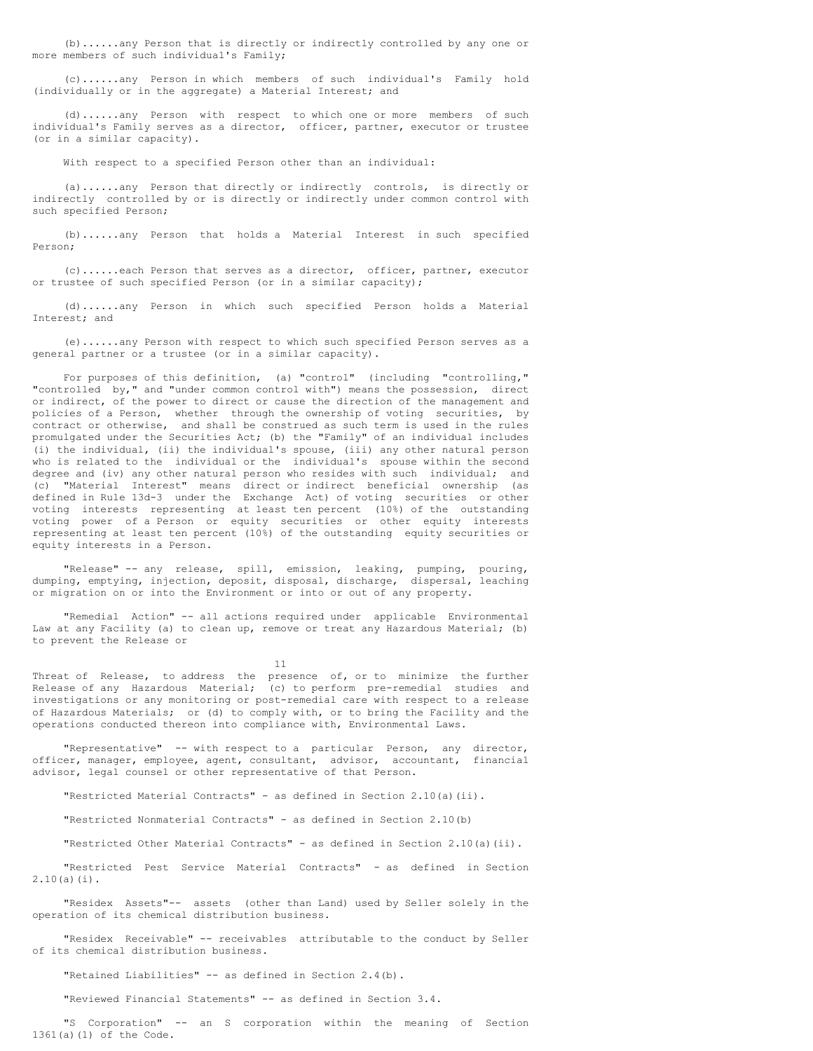(b)......any Person that is directly or indirectly controlled by any one or more members of such individual's Family;

(c)......any Person in which members of such individual's Family hold (individually or in the aggregate) a Material Interest; and

(d)......any Person with respect to which one or more members of such individual's Family serves as a director, officer, partner, executor or trustee (or in a similar capacity).

With respect to a specified Person other than an individual:

(a)......any Person that directly or indirectly controls, is directly or indirectly controlled by or is directly or indirectly under common control with such specified Person;

(b)......any Person that holds a Material Interest in such specified Person;

(c)......each Person that serves as a director, officer, partner, executor or trustee of such specified Person (or in a similar capacity);

(d)......any Person in which such specified Person holds a Material Interest; and

(e)......any Person with respect to which such specified Person serves as a general partner or a trustee (or in a similar capacity).

For purposes of this definition, (a) "control" (including "controlling," "controlled by," and "under common control with") means the possession, direct or indirect, of the power to direct or cause the direction of the management and policies of a Person, whether through the ownership of voting securities, by contract or otherwise, and shall be construed as such term is used in the rules promulgated under the Securities Act; (b) the "Family" of an individual includes (i) the individual, (ii) the individual's spouse, (iii) any other natural person who is related to the individual or the individual's spouse within the second degree and (iv) any other natural person who resides with such individual; and (c) "Material Interest" means direct or indirect beneficial ownership (as defined in Rule 13d-3 under the Exchange Act) of voting securities or other voting interests representing at least ten percent (10%) of the outstanding voting power of a Person or equity securities or other equity interests representing at least ten percent (10%) of the outstanding equity securities or equity interests in a Person.

"Release" -- any release, spill, emission, leaking, pumping, pouring, dumping, emptying, injection, deposit, disposal, discharge, dispersal, leaching or migration on or into the Environment or into or out of any property.

"Remedial Action" -- all actions required under applicable Environmental Law at any Facility (a) to clean up, remove or treat any Hazardous Material; (b) to prevent the Release or

11

Threat of Release, to address the presence of, or to minimize the further Release of any Hazardous Material; (c) to perform pre-remedial studies and investigations or any monitoring or post-remedial care with respect to a release of Hazardous Materials; or (d) to comply with, or to bring the Facility and the operations conducted thereon into compliance with, Environmental Laws.

"Representative" -- with respect to a particular Person, any director, officer, manager, employee, agent, consultant, advisor, accountant, financial advisor, legal counsel or other representative of that Person.

"Restricted Material Contracts" - as defined in Section  $2.10(a)(ii)$ .

"Restricted Nonmaterial Contracts" - as defined in Section 2.10(b)

"Restricted Other Material Contracts" - as defined in Section 2.10(a)(ii).

"Restricted Pest Service Material Contracts" - as defined in Section  $2.10(a)(i)$ .

"Residex Assets"-- assets (other than Land) used by Seller solely in the operation of its chemical distribution business.

"Residex Receivable" -- receivables attributable to the conduct by Seller of its chemical distribution business.

"Retained Liabilities" -- as defined in Section 2.4(b).

"Reviewed Financial Statements" -- as defined in Section 3.4.

"S Corporation" -- an S corporation within the meaning of Section 1361(a)(1) of the Code.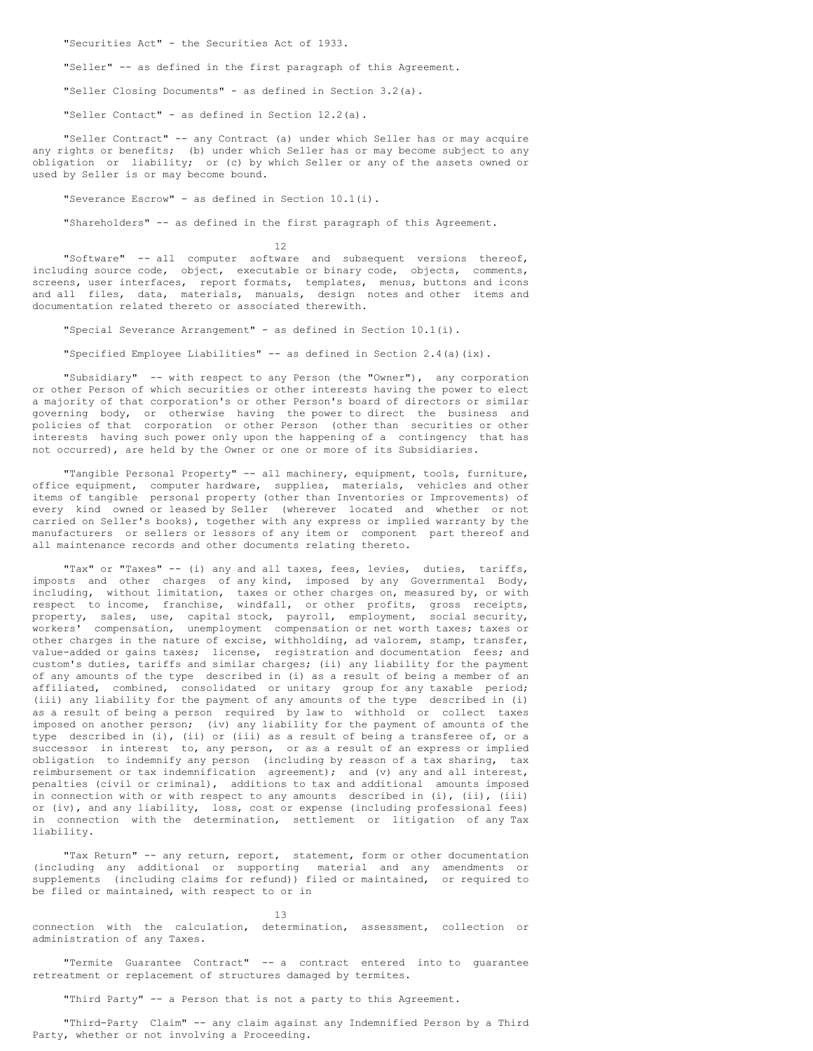"Securities Act" - the Securities Act of 1933.

"Seller" -- as defined in the first paragraph of this Agreement.

"Seller Closing Documents" - as defined in Section 3.2(a).

"Seller Contact" - as defined in Section 12.2(a).

"Seller Contract" -- any Contract (a) under which Seller has or may acquire any rights or benefits; (b) under which Seller has or may become subject to any obligation or liability; or (c) by which Seller or any of the assets owned or used by Seller is or may become bound.

"Severance Escrow" - as defined in Section 10.1(i).

"Shareholders" -- as defined in the first paragraph of this Agreement.

12

"Software" -- all computer software and subsequent versions thereof, including source code, object, executable or binary code, objects, comments, screens, user interfaces, report formats, templates, menus, buttons and icons and all files, data, materials, manuals, design notes and other items and documentation related thereto or associated therewith.

"Special Severance Arrangement" - as defined in Section 10.1(i).

"Specified Employee Liabilities"  $-$  as defined in Section 2.4(a)(ix).

"Subsidiary" -- with respect to any Person (the "Owner"), any corporation or other Person of which securities or other interests having the power to elect a majority of that corporation's or other Person's board of directors or similar governing body, or otherwise having the power to direct the business and policies of that corporation or other Person (other than securities or other interests having such power only upon the happening of a contingency that has not occurred), are held by the Owner or one or more of its Subsidiaries.

"Tangible Personal Property" -- all machinery, equipment, tools, furniture, office equipment, computer hardware, supplies, materials, vehicles and other items of tangible personal property (other than Inventories or Improvements) of every kind owned or leased by Seller (wherever located and whether or not carried on Seller's books), together with any express or implied warranty by the manufacturers or sellers or lessors of any item or component part thereof and all maintenance records and other documents relating thereto.

"Tax" or "Taxes" -- (i) any and all taxes, fees, levies, duties, tariffs, imposts and other charges of any kind, imposed by any Governmental Body, including, without limitation, taxes or other charges on, measured by, or with respect to income, franchise, windfall, or other profits, gross receipts, property, sales, use, capital stock, payroll, employment, social security, workers' compensation, unemployment compensation or net worth taxes; taxes or other charges in the nature of excise, withholding, ad valorem, stamp, transfer, value-added or gains taxes; license, registration and documentation fees; and custom's duties, tariffs and similar charges; (ii) any liability for the payment of any amounts of the type described in (i) as a result of being a member of an affiliated, combined, consolidated or unitary group for any taxable period; (iii) any liability for the payment of any amounts of the type described in (i) as a result of being a person required by law to withhold or collect taxes imposed on another person; (iv) any liability for the payment of amounts of the type described in (i), (ii) or (iii) as a result of being a transferee of, or a successor in interest to, any person, or as a result of an express or implied obligation to indemnify any person (including by reason of a tax sharing, tax reimbursement or tax indemnification agreement); and (v) any and all interest, penalties (civil or criminal), additions to tax and additional amounts imposed in connection with or with respect to any amounts described in (i), (ii), (iii) or (iv), and any liability, loss, cost or expense (including professional fees) in connection with the determination, settlement or litigation of any Tax liability.

"Tax Return" -- any return, report, statement, form or other documentation (including any additional or supporting material and any amendments or supplements (including claims for refund)) filed or maintained, or required to be filed or maintained, with respect to or in

13 connection with the calculation, determination, assessment, collection or administration of any Taxes.

"Termite Guarantee Contract" -- a contract entered into to guarantee retreatment or replacement of structures damaged by termites.

"Third Party" -- a Person that is not a party to this Agreement.

"Third-Party Claim" -- any claim against any Indemnified Person by a Third Party, whether or not involving a Proceeding.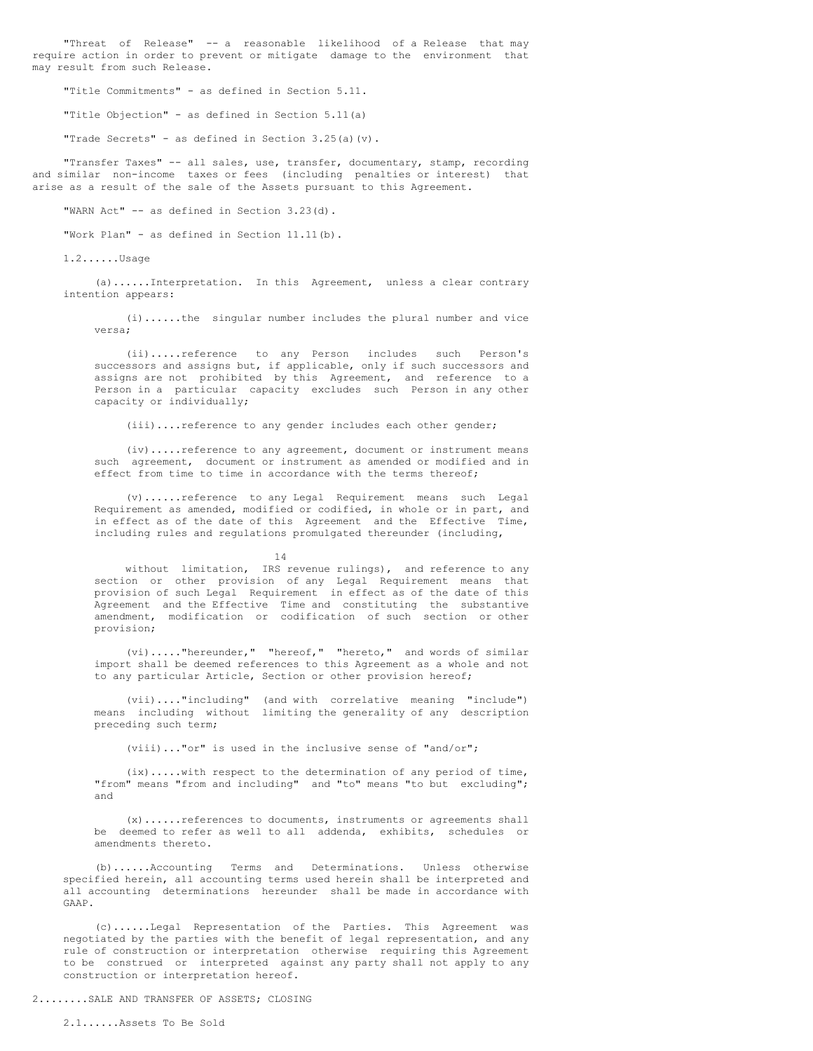"Threat of Release" -- a reasonable likelihood of a Release that may require action in order to prevent or mitigate damage to the environment that may result from such Release.

"Title Commitments" - as defined in Section 5.11.

"Title Objection" - as defined in Section 5.11(a)

"Trade Secrets" - as defined in Section 3.25(a)(v).

"Transfer Taxes" -- all sales, use, transfer, documentary, stamp, recording and similar non-income taxes or fees (including penalties or interest) that arise as a result of the sale of the Assets pursuant to this Agreement.

"WARN Act" -- as defined in Section 3.23(d).

"Work Plan" - as defined in Section 11.11(b).

1.2......Usage

(a)......Interpretation. In this Agreement, unless a clear contrary intention appears:

(i)......the singular number includes the plural number and vice versa;

(ii).....reference to any Person includes such Person's successors and assigns but, if applicable, only if such successors and assigns are not prohibited by this Agreement, and reference to a Person in a particular capacity excludes such Person in any other capacity or individually;

(iii)....reference to any gender includes each other gender;

(iv).....reference to any agreement, document or instrument means such agreement, document or instrument as amended or modified and in effect from time to time in accordance with the terms thereof;

(v)......reference to any Legal Requirement means such Legal Requirement as amended, modified or codified, in whole or in part, and in effect as of the date of this Agreement and the Effective Time, including rules and regulations promulgated thereunder (including,

14

without limitation, IRS revenue rulings), and reference to any section or other provision of any Legal Requirement means that provision of such Legal Requirement in effect as of the date of this Agreement and the Effective Time and constituting the substantive amendment, modification or codification of such section or other provision;

(vi)....."hereunder," "hereof," "hereto," and words of similar import shall be deemed references to this Agreement as a whole and not to any particular Article, Section or other provision hereof;

(vii)...."including" (and with correlative meaning "include") means including without limiting the generality of any description preceding such term;

(viii)..."or" is used in the inclusive sense of "and/or";

(ix).....with respect to the determination of any period of time, "from" means "from and including" and "to" means "to but excluding"; and

 $(x)$ ......references to documents, instruments or agreements shall be deemed to refer as well to all addenda, exhibits, schedules or amendments thereto.

(b)......Accounting Terms and Determinations. Unless otherwise specified herein, all accounting terms used herein shall be interpreted and all accounting determinations hereunder shall be made in accordance with GAAP.

(c)......Legal Representation of the Parties. This Agreement was negotiated by the parties with the benefit of legal representation, and any rule of construction or interpretation otherwise requiring this Agreement to be construed or interpreted against any party shall not apply to any construction or interpretation hereof.

2........SALE AND TRANSFER OF ASSETS; CLOSING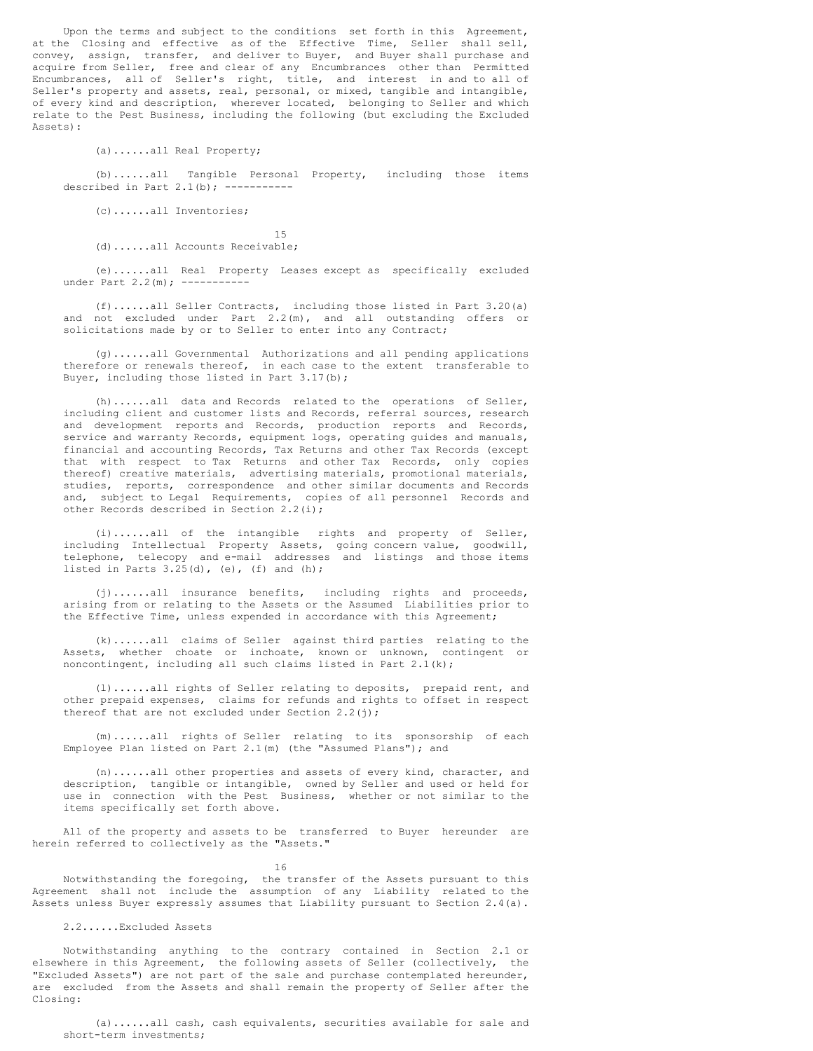Upon the terms and subject to the conditions set forth in this Agreement, at the Closing and effective as of the Effective Time, Seller shall sell, convey, assign, transfer, and deliver to Buyer, and Buyer shall purchase and acquire from Seller, free and clear of any Encumbrances other than Permitted Encumbrances, all of Seller's right, title, and interest in and to all of Seller's property and assets, real, personal, or mixed, tangible and intangible, of every kind and description, wherever located, belonging to Seller and which relate to the Pest Business, including the following (but excluding the Excluded Assets):

(a)......all Real Property;

(b)......all Tangible Personal Property, including those items described in Part 2.1(b); -----------

(c)......all Inventories;

15 (d)......all Accounts Receivable;

(e)......all Real Property Leases except as specifically excluded under Part 2.2(m); -----------

(f)......all Seller Contracts, including those listed in Part 3.20(a) and not excluded under Part 2.2(m), and all outstanding offers or solicitations made by or to Seller to enter into any Contract;

(g)......all Governmental Authorizations and all pending applications therefore or renewals thereof, in each case to the extent transferable to Buyer, including those listed in Part 3.17(b);

(h)......all data and Records related to the operations of Seller, including client and customer lists and Records, referral sources, research and development reports and Records, production reports and Records, service and warranty Records, equipment logs, operating guides and manuals, financial and accounting Records, Tax Returns and other Tax Records (except that with respect to Tax Returns and other Tax Records, only copies thereof) creative materials, advertising materials, promotional materials, studies, reports, correspondence and other similar documents and Records and, subject to Legal Requirements, copies of all personnel Records and other Records described in Section 2.2(i);

(i)......all of the intangible rights and property of Seller, including Intellectual Property Assets, going concern value, goodwill, telephone, telecopy and e-mail addresses and listings and those items listed in Parts  $3.25(d)$ , (e), (f) and (h);

(j)......all insurance benefits, including rights and proceeds, arising from or relating to the Assets or the Assumed Liabilities prior to the Effective Time, unless expended in accordance with this Agreement;

(k)......all claims of Seller against third parties relating to the Assets, whether choate or inchoate, known or unknown, contingent or noncontingent, including all such claims listed in Part 2.1(k);

(l)......all rights of Seller relating to deposits, prepaid rent, and other prepaid expenses, claims for refunds and rights to offset in respect thereof that are not excluded under Section  $2.2(j)$ ;

(m)......all rights of Seller relating to its sponsorship of each Employee Plan listed on Part 2.1(m) (the "Assumed Plans"); and

(n)......all other properties and assets of every kind, character, and description, tangible or intangible, owned by Seller and used or held for use in connection with the Pest Business, whether or not similar to the items specifically set forth above.

All of the property and assets to be transferred to Buyer hereunder are herein referred to collectively as the "Assets."

16

Notwithstanding the foregoing, the transfer of the Assets pursuant to this Agreement shall not include the assumption of any Liability related to the Assets unless Buyer expressly assumes that Liability pursuant to Section 2.4(a).

#### 2.2......Excluded Assets

Notwithstanding anything to the contrary contained in Section 2.1 or elsewhere in this Agreement, the following assets of Seller (collectively, the "Excluded Assets") are not part of the sale and purchase contemplated hereunder, are excluded from the Assets and shall remain the property of Seller after the Closing:

(a)......all cash, cash equivalents, securities available for sale and short-term investments;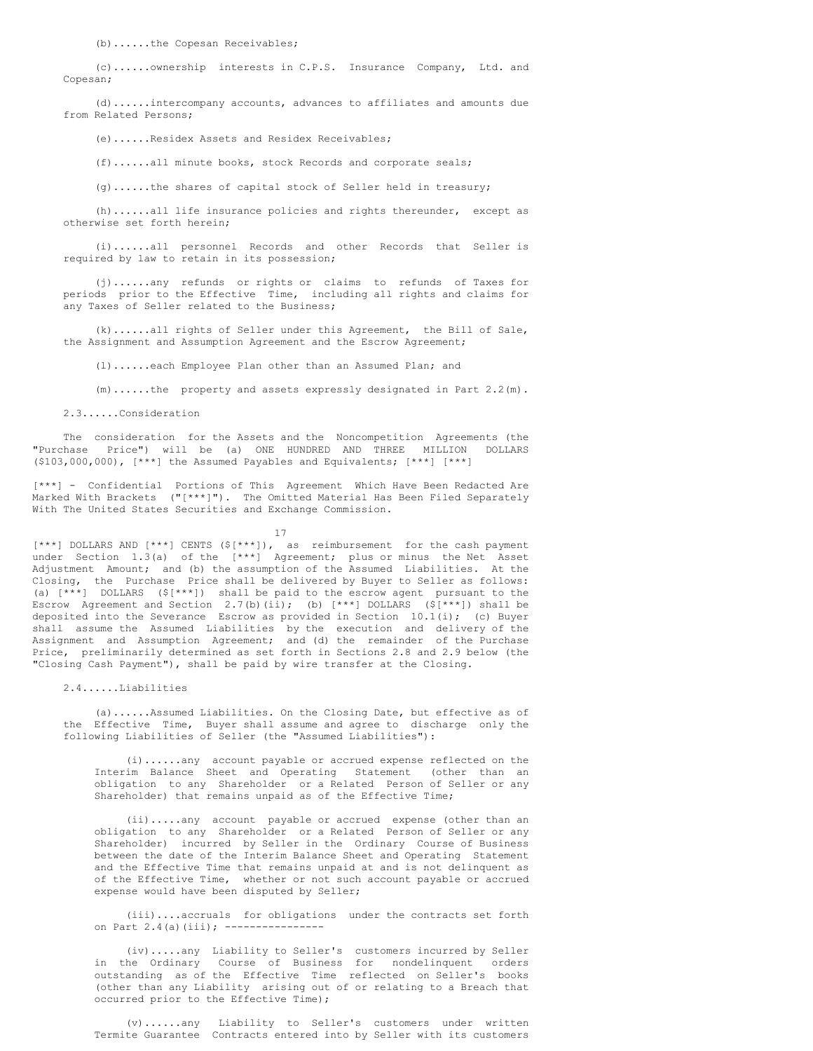(b)......the Copesan Receivables;

(c)......ownership interests in C.P.S. Insurance Company, Ltd. and Copesan;

(d)......intercompany accounts, advances to affiliates and amounts due from Related Persons;

(e)......Residex Assets and Residex Receivables;

(f)......all minute books, stock Records and corporate seals;

(g)......the shares of capital stock of Seller held in treasury;

(h)......all life insurance policies and rights thereunder, except as otherwise set forth herein;

(i)......all personnel Records and other Records that Seller is required by law to retain in its possession;

(j)......any refunds or rights or claims to refunds of Taxes for periods prior to the Effective Time, including all rights and claims for any Taxes of Seller related to the Business;

(k)......all rights of Seller under this Agreement, the Bill of Sale, the Assignment and Assumption Agreement and the Escrow Agreement;

(l)......each Employee Plan other than an Assumed Plan; and

 $(m)$ .....the property and assets expressly designated in Part 2.2 $(m)$ .

## 2.3......Consideration

The consideration for the Assets and the Noncompetition Agreements (the "Purchase Price") will be (a) ONE HUNDRED AND THREE MILLION DOLLARS (\$103,000,000), [\*\*\*] the Assumed Payables and Equivalents; [\*\*\*] [\*\*\*]

[\*\*\*] - Confidential Portions of This Agreement Which Have Been Redacted Are Marked With Brackets ("[\*\*\*]"). The Omitted Material Has Been Filed Separately With The United States Securities and Exchange Commission.

17

[\*\*\*] DOLLARS AND [\*\*\*] CENTS (\$[\*\*\*]), as reimbursement for the cash payment under Section 1.3(a) of the [\*\*\*] Agreement; plus or minus the Net Asset Adjustment Amount; and (b) the assumption of the Assumed Liabilities. At the Closing, the Purchase Price shall be delivered by Buyer to Seller as follows: (a) [\*\*\*] DOLLARS (\$[\*\*\*]) shall be paid to the escrow agent pursuant to the Escrow Agreement and Section 2.7(b)(ii); (b) [\*\*\*] DOLLARS (\$[\*\*\*]) shall be deposited into the Severance Escrow as provided in Section 10.1(i); (c) Buyer shall assume the Assumed Liabilities by the execution and delivery of the Assignment and Assumption Agreement; and (d) the remainder of the Purchase Price, preliminarily determined as set forth in Sections 2.8 and 2.9 below (the "Closing Cash Payment"), shall be paid by wire transfer at the Closing.

2.4......Liabilities

(a)......Assumed Liabilities. On the Closing Date, but effective as of the Effective Time, Buyer shall assume and agree to discharge only the following Liabilities of Seller (the "Assumed Liabilities"):

(i)......any account payable or accrued expense reflected on the Interim Balance Sheet and Operating Statement (other than an obligation to any Shareholder or a Related Person of Seller or any Shareholder) that remains unpaid as of the Effective Time;

(ii).....any account payable or accrued expense (other than an obligation to any Shareholder or a Related Person of Seller or any Shareholder) incurred by Seller in the Ordinary Course of Business between the date of the Interim Balance Sheet and Operating Statement and the Effective Time that remains unpaid at and is not delinquent as of the Effective Time, whether or not such account payable or accrued expense would have been disputed by Seller;

(iii)....accruals for obligations under the contracts set forth on Part 2.4(a)(iii); ----------------

(iv).....any Liability to Seller's customers incurred by Seller in the Ordinary Course of Business for nondelinquent orders outstanding as of the Effective Time reflected on Seller's books (other than any Liability arising out of or relating to a Breach that occurred prior to the Effective Time);

(v)......any Liability to Seller's customers under written Termite Guarantee Contracts entered into by Seller with its customers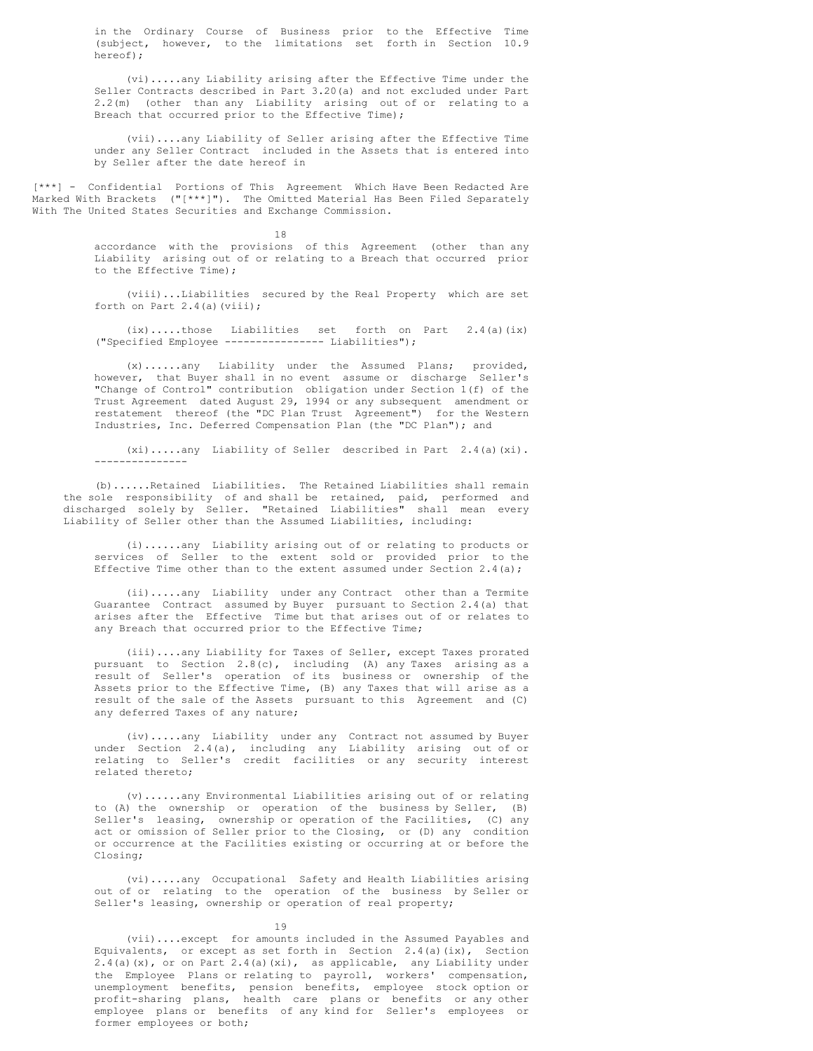in the Ordinary Course of Business prior to the Effective Time (subject, however, to the limitations set forth in Section 10.9 hereof);

(vi).....any Liability arising after the Effective Time under the Seller Contracts described in Part 3.20(a) and not excluded under Part 2.2(m) (other than any Liability arising out of or relating to a Breach that occurred prior to the Effective Time);

(vii)....any Liability of Seller arising after the Effective Time under any Seller Contract included in the Assets that is entered into by Seller after the date hereof in

[\*\*\*] - Confidential Portions of This Agreement Which Have Been Redacted Are Marked With Brackets ("[\*\*\*]"). The Omitted Material Has Been Filed Separately With The United States Securities and Exchange Commission.

> 18 accordance with the provisions of this Agreement (other than any Liability arising out of or relating to a Breach that occurred prior to the Effective Time);

> (viii)...Liabilities secured by the Real Property which are set forth on Part  $2.4$  (a) (viii);

> $(ix) \ldots$ .those Liabilities set forth on Part 2.4(a)(ix) ("Specified Employee ---------------- Liabilities");

> (x)......any Liability under the Assumed Plans; provided, however, that Buyer shall in no event assume or discharge Seller's "Change of Control" contribution obligation under Section 1(f) of the Trust Agreement dated August 29, 1994 or any subsequent amendment or restatement thereof (the "DC Plan Trust Agreement") for the Western Industries, Inc. Deferred Compensation Plan (the "DC Plan"); and

> $(xi)$ ....any Liability of Seller described in Part  $2.4(a)(xi)$ . ---------------

(b)......Retained Liabilities. The Retained Liabilities shall remain the sole responsibility of and shall be retained, paid, performed and discharged solely by Seller. "Retained Liabilities" shall mean every Liability of Seller other than the Assumed Liabilities, including:

(i)......any Liability arising out of or relating to products or services of Seller to the extent sold or provided prior to the Effective Time other than to the extent assumed under Section 2.4(a);

(ii).....any Liability under any Contract other than a Termite Guarantee Contract assumed by Buyer pursuant to Section 2.4(a) that arises after the Effective Time but that arises out of or relates to any Breach that occurred prior to the Effective Time;

(iii)....any Liability for Taxes of Seller, except Taxes prorated pursuant to Section 2.8(c), including (A) any Taxes arising as a result of Seller's operation of its business or ownership of the Assets prior to the Effective Time, (B) any Taxes that will arise as a result of the sale of the Assets pursuant to this Agreement and (C) any deferred Taxes of any nature;

(iv).....any Liability under any Contract not assumed by Buyer under Section 2.4(a), including any Liability arising out of or relating to Seller's credit facilities or any security interest related thereto;

(v)......any Environmental Liabilities arising out of or relating to (A) the ownership or operation of the business by Seller, (B) Seller's leasing, ownership or operation of the Facilities, (C) any act or omission of Seller prior to the Closing, or (D) any condition or occurrence at the Facilities existing or occurring at or before the Closing;

(vi).....any Occupational Safety and Health Liabilities arising out of or relating to the operation of the business by Seller or Seller's leasing, ownership or operation of real property;

19

(vii)....except for amounts included in the Assumed Payables and Equivalents, or except as set forth in Section 2.4(a)(ix), Section 2.4(a)(x), or on Part 2.4(a)(xi), as applicable, any Liability under the Employee Plans or relating to payroll, workers' compensation, unemployment benefits, pension benefits, employee stock option or profit-sharing plans, health care plans or benefits or any other employee plans or benefits of any kind for Seller's employees or former employees or both;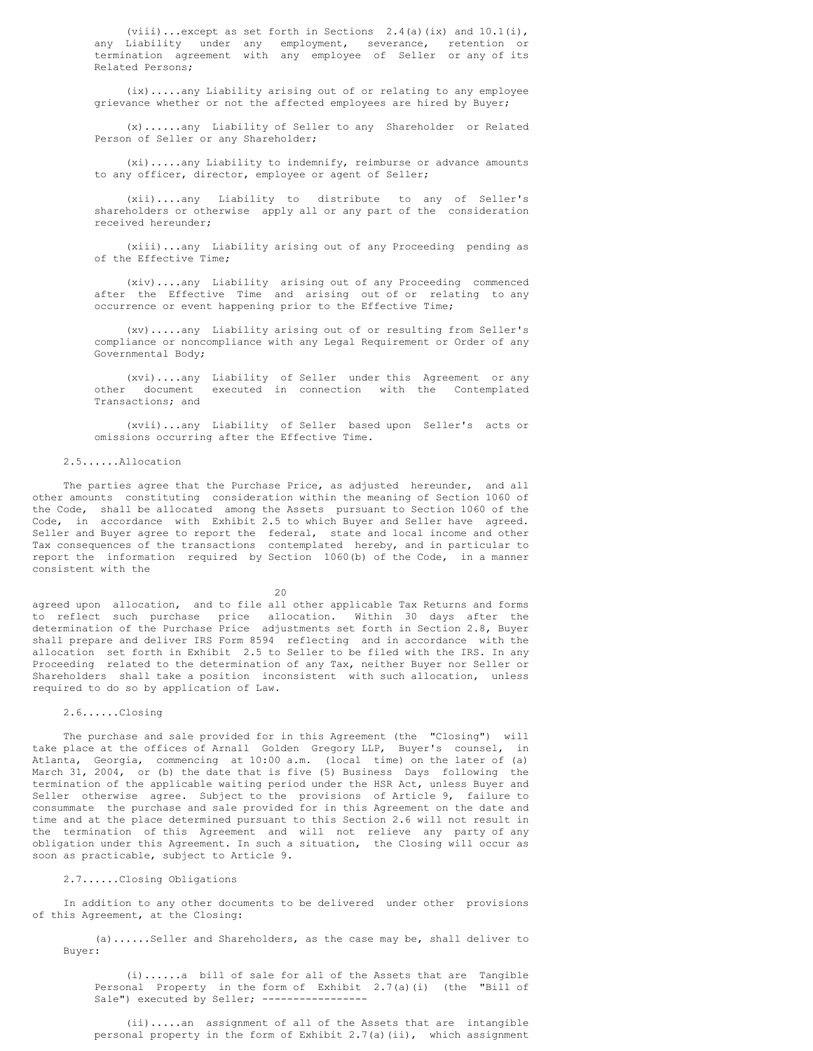(viii)...except as set forth in Sections  $2.4(a)(ix)$  and  $10.1(i)$ , any Liability under any employment, severance, retention or termination agreement with any employee of Seller or any of its Related Persons;

(ix).....any Liability arising out of or relating to any employee grievance whether or not the affected employees are hired by Buyer;

(x)......any Liability of Seller to any Shareholder or Related Person of Seller or any Shareholder;

(xi).....any Liability to indemnify, reimburse or advance amounts to any officer, director, employee or agent of Seller;

(xii)....any Liability to distribute to any of Seller's shareholders or otherwise apply all or any part of the consideration received hereunder;

(xiii)...any Liability arising out of any Proceeding pending as of the Effective Time;

(xiv)....any Liability arising out of any Proceeding commenced after the Effective Time and arising out of or relating to any occurrence or event happening prior to the Effective Time;

(xv).....any Liability arising out of or resulting from Seller's compliance or noncompliance with any Legal Requirement or Order of any Governmental Body;

(xvi)....any Liability of Seller under this Agreement or any other document executed in connection with the Contemplated Transactions; and

(xvii)...any Liability of Seller based upon Seller's acts or omissions occurring after the Effective Time.

2.5......Allocation

The parties agree that the Purchase Price, as adjusted hereunder, and all other amounts constituting consideration within the meaning of Section 1060 of the Code, shall be allocated among the Assets pursuant to Section 1060 of the Code, in accordance with Exhibit 2.5 to which Buyer and Seller have agreed. Seller and Buyer agree to report the federal, state and local income and other Tax consequences of the transactions contemplated hereby, and in particular to report the information required by Section 1060(b) of the Code, in a manner consistent with the

 $20$ agreed upon allocation, and to file all other applicable Tax Returns and forms to reflect such purchase price allocation. Within 30 days after the determination of the Purchase Price adjustments set forth in Section 2.8, Buyer shall prepare and deliver IRS Form 8594 reflecting and in accordance with the allocation set forth in Exhibit 2.5 to Seller to be filed with the IRS. In any Proceeding related to the determination of any Tax, neither Buyer nor Seller or Shareholders shall take a position inconsistent with such allocation, unless required to do so by application of Law.

2.6......Closing

The purchase and sale provided for in this Agreement (the "Closing") will take place at the offices of Arnall Golden Gregory LLP, Buyer's counsel, in Atlanta, Georgia, commencing at 10:00 a.m. (local time) on the later of (a) March 31, 2004, or (b) the date that is five (5) Business Days following the termination of the applicable waiting period under the HSR Act, unless Buyer and Seller otherwise agree. Subject to the provisions of Article 9, failure to consummate the purchase and sale provided for in this Agreement on the date and time and at the place determined pursuant to this Section 2.6 will not result in the termination of this Agreement and will not relieve any party of any obligation under this Agreement. In such a situation, the Closing will occur as soon as practicable, subject to Article 9.

2.7......Closing Obligations

In addition to any other documents to be delivered under other provisions of this Agreement, at the Closing:

(a)......Seller and Shareholders, as the case may be, shall deliver to Buyer:

(i)......a bill of sale for all of the Assets that are Tangible Personal Property in the form of Exhibit 2.7(a)(i) (the "Bill of Sale") executed by Seller; -----------------

(ii).....an assignment of all of the Assets that are intangible personal property in the form of Exhibit 2.7(a)(ii), which assignment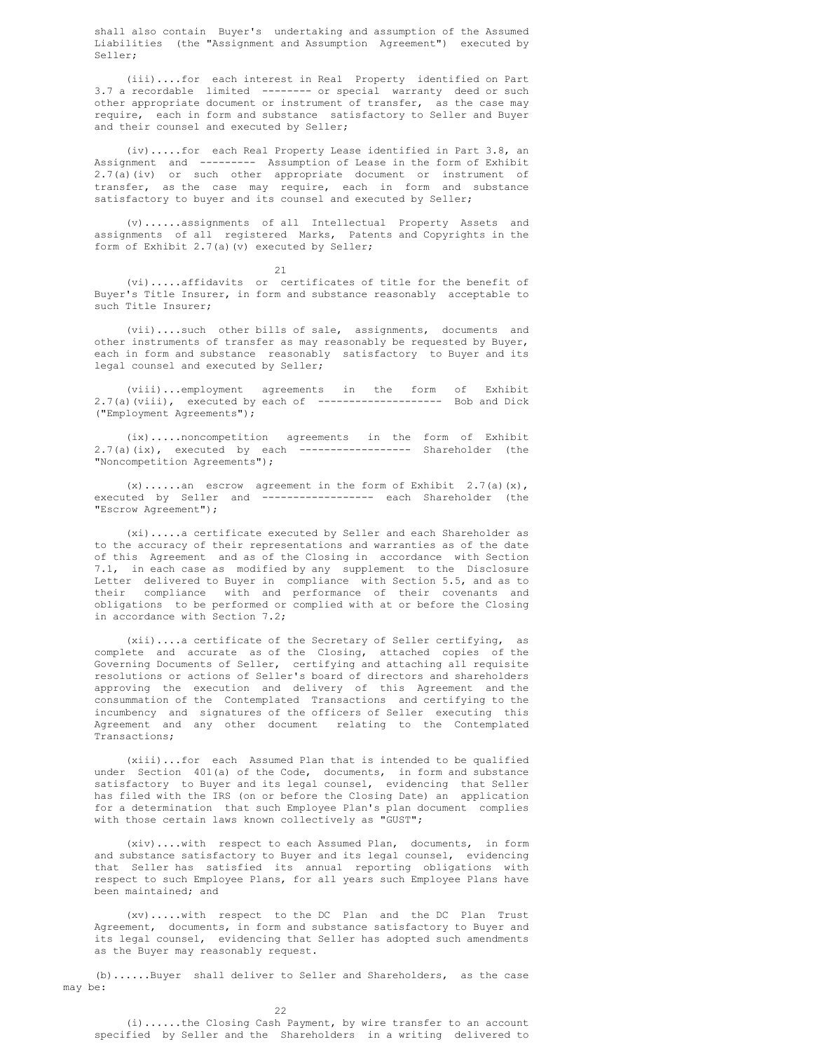shall also contain Buyer's undertaking and assumption of the Assumed Liabilities (the "Assignment and Assumption Agreement") executed by Seller;

(iii)....for each interest in Real Property identified on Part 3.7 a recordable limited -------- or special warranty deed or such other appropriate document or instrument of transfer, as the case may require, each in form and substance satisfactory to Seller and Buyer and their counsel and executed by Seller;

(iv).....for each Real Property Lease identified in Part 3.8, an Assignment and --------- Assumption of Lease in the form of Exhibit 2.7(a)(iv) or such other appropriate document or instrument of transfer, as the case may require, each in form and substance satisfactory to buyer and its counsel and executed by Seller;

(v)......assignments of all Intellectual Property Assets and assignments of all registered Marks, Patents and Copyrights in the form of Exhibit 2.7(a)(v) executed by Seller;

21

(vi).....affidavits or certificates of title for the benefit of Buyer's Title Insurer, in form and substance reasonably acceptable to such Title Insurer;

(vii)....such other bills of sale, assignments, documents and other instruments of transfer as may reasonably be requested by Buyer, each in form and substance reasonably satisfactory to Buyer and its legal counsel and executed by Seller;

(viii)...employment agreements in the form of Exhibit 2.7(a)(viii), executed by each of -------------------- Bob and Dick ("Employment Agreements");

(ix).....noncompetition agreements in the form of Exhibit  $2.7(a)$  (ix), executed by each ------------------ Shareholder (the "Noncompetition Agreements");

 $(x)$ .....an escrow agreement in the form of Exhibit 2.7(a)(x), executed by Seller and ------------------ each Shareholder (the "Escrow Agreement");

(xi).....a certificate executed by Seller and each Shareholder as to the accuracy of their representations and warranties as of the date of this Agreement and as of the Closing in accordance with Section 7.1, in each case as modified by any supplement to the Disclosure Letter delivered to Buyer in compliance with Section 5.5, and as to their compliance with and performance of their covenants and obligations to be performed or complied with at or before the Closing in accordance with Section 7.2;

(xii)....a certificate of the Secretary of Seller certifying, as complete and accurate as of the Closing, attached copies of the Governing Documents of Seller, certifying and attaching all requisite resolutions or actions of Seller's board of directors and shareholders approving the execution and delivery of this Agreement and the consummation of the Contemplated Transactions and certifying to the incumbency and signatures of the officers of Seller executing this Agreement and any other document relating to the Contemplated Transactions;

(xiii)...for each Assumed Plan that is intended to be qualified under Section 401(a) of the Code, documents, in form and substance satisfactory to Buyer and its legal counsel, evidencing that Seller has filed with the IRS (on or before the Closing Date) an application for a determination that such Employee Plan's plan document complies with those certain laws known collectively as "GUST";

(xiv)....with respect to each Assumed Plan, documents, in form and substance satisfactory to Buyer and its legal counsel, evidencing that Seller has satisfied its annual reporting obligations with respect to such Employee Plans, for all years such Employee Plans have been maintained; and

(xv).....with respect to the DC Plan and the DC Plan Trust Agreement, documents, in form and substance satisfactory to Buyer and its legal counsel, evidencing that Seller has adopted such amendments as the Buyer may reasonably request.

(b)......Buyer shall deliver to Seller and Shareholders, as the case may be:

22

(i)......the Closing Cash Payment, by wire transfer to an account specified by Seller and the Shareholders in a writing delivered to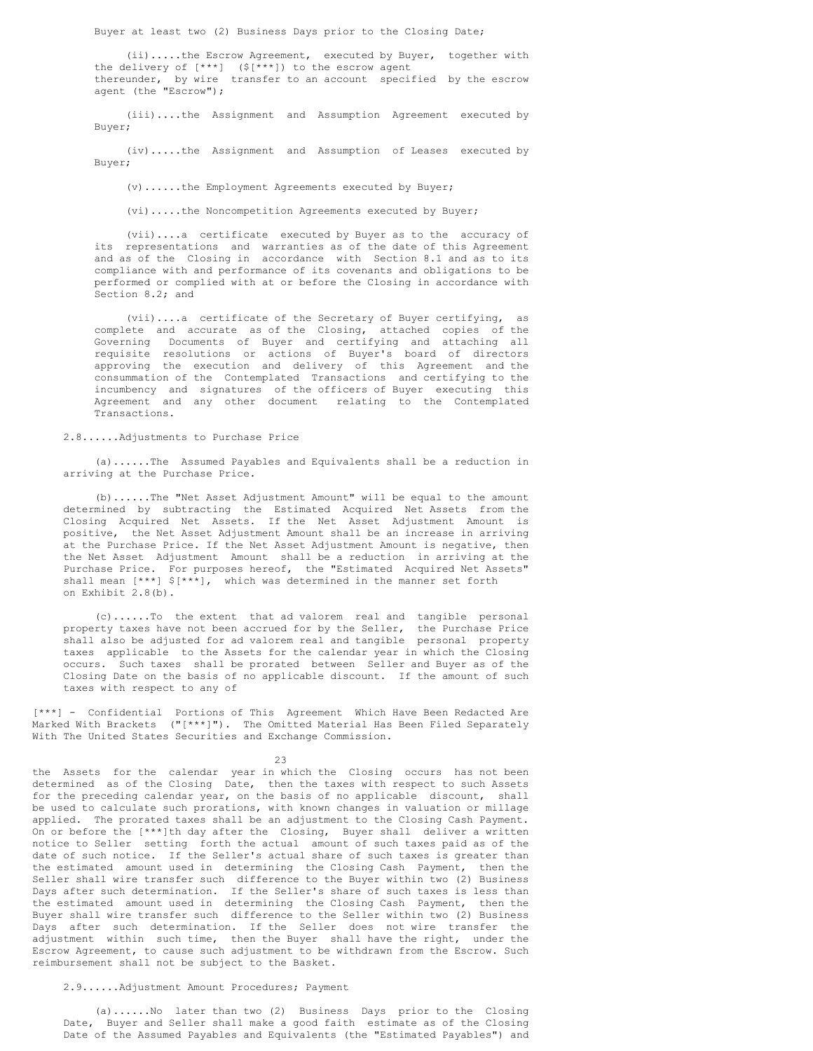Buyer at least two (2) Business Days prior to the Closing Date;

(ii).....the Escrow Agreement, executed by Buyer, together with the delivery of [\*\*\*] (\$[\*\*\*]) to the escrow agent thereunder, by wire transfer to an account specified by the escrow agent (the "Escrow");

(iii)....the Assignment and Assumption Agreement executed by Buyer;

(iv).....the Assignment and Assumption of Leases executed by Buyer;

(v)......the Employment Agreements executed by Buyer;

(vi).....the Noncompetition Agreements executed by Buyer;

(vii)....a certificate executed by Buyer as to the accuracy of its representations and warranties as of the date of this Agreement and as of the Closing in accordance with Section 8.1 and as to its compliance with and performance of its covenants and obligations to be performed or complied with at or before the Closing in accordance with Section 8.2; and

(vii)....a certificate of the Secretary of Buyer certifying, as complete and accurate as of the Closing, attached copies of the Governing Documents of Buyer and certifying and attaching all requisite resolutions or actions of Buyer's board of directors approving the execution and delivery of this Agreement and the consummation of the Contemplated Transactions and certifying to the incumbency and signatures of the officers of Buyer executing this Agreement and any other document relating to the Contemplated Transactions.

## 2.8......Adjustments to Purchase Price

(a)......The Assumed Payables and Equivalents shall be a reduction in arriving at the Purchase Price.

(b)......The "Net Asset Adjustment Amount" will be equal to the amount determined by subtracting the Estimated Acquired Net Assets from the Closing Acquired Net Assets. If the Net Asset Adjustment Amount is positive, the Net Asset Adjustment Amount shall be an increase in arriving at the Purchase Price. If the Net Asset Adjustment Amount is negative, then the Net Asset Adjustment Amount shall be a reduction in arriving at the Purchase Price. For purposes hereof, the "Estimated Acquired Net Assets" shall mean [\*\*\*] \$[\*\*\*], which was determined in the manner set forth on Exhibit 2.8(b).

(c)......To the extent that ad valorem real and tangible personal property taxes have not been accrued for by the Seller, the Purchase Price shall also be adjusted for ad valorem real and tangible personal property taxes applicable to the Assets for the calendar year in which the Closing occurs. Such taxes shall be prorated between Seller and Buyer as of the Closing Date on the basis of no applicable discount. If the amount of such taxes with respect to any of

[\*\*\*] - Confidential Portions of This Agreement Which Have Been Redacted Are Marked With Brackets ("[\*\*\*]"). The Omitted Material Has Been Filed Separately With The United States Securities and Exchange Commission.

23

the Assets for the calendar year in which the Closing occurs has not been determined as of the Closing Date, then the taxes with respect to such Assets for the preceding calendar year, on the basis of no applicable discount, shall be used to calculate such prorations, with known changes in valuation or millage applied. The prorated taxes shall be an adjustment to the Closing Cash Payment. On or before the [\*\*\*]th day after the Closing, Buyer shall deliver a written notice to Seller setting forth the actual amount of such taxes paid as of the date of such notice. If the Seller's actual share of such taxes is greater than the estimated amount used in determining the Closing Cash Payment, then the Seller shall wire transfer such difference to the Buyer within two (2) Business Days after such determination. If the Seller's share of such taxes is less than the estimated amount used in determining the Closing Cash Payment, then the Buyer shall wire transfer such difference to the Seller within two (2) Business Days after such determination. If the Seller does not wire transfer the adjustment within such time, then the Buyer shall have the right, under the Escrow Agreement, to cause such adjustment to be withdrawn from the Escrow. Such reimbursement shall not be subject to the Basket.

#### 2.9......Adjustment Amount Procedures; Payment

(a)......No later than two (2) Business Days prior to the Closing Date, Buyer and Seller shall make a good faith estimate as of the Closing Date of the Assumed Payables and Equivalents (the "Estimated Payables") and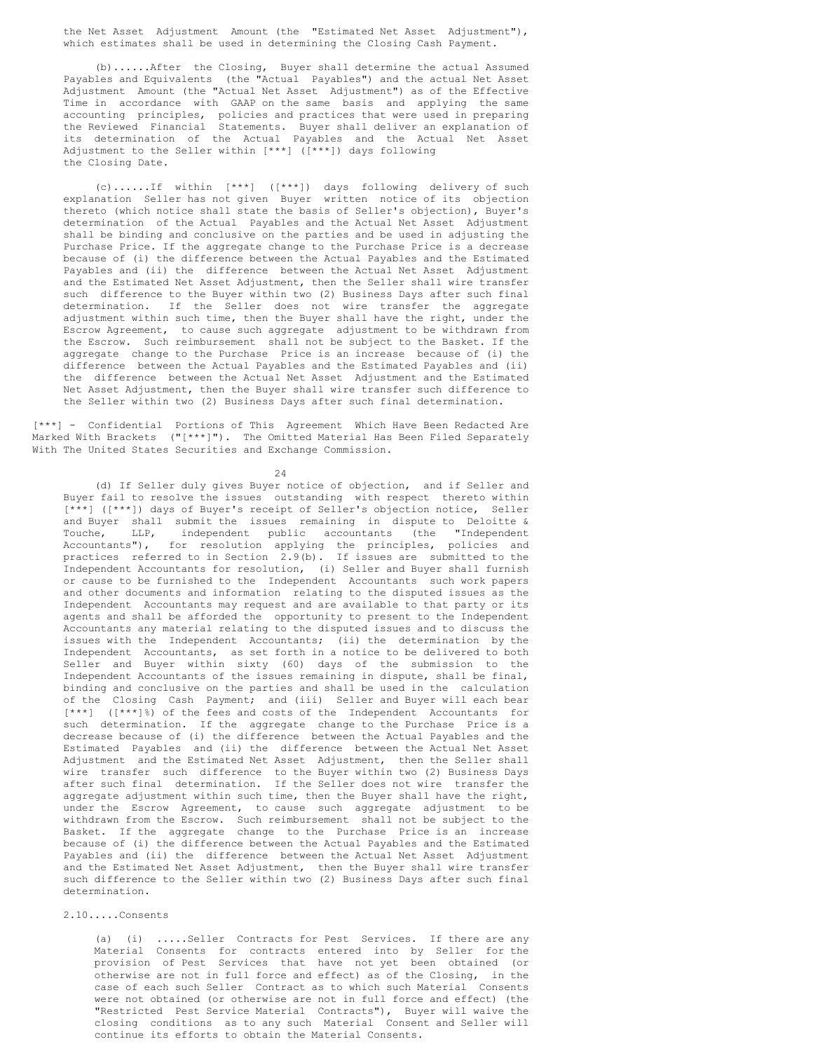the Net Asset Adjustment Amount (the "Estimated Net Asset Adjustment"), which estimates shall be used in determining the Closing Cash Payment.

(b)......After the Closing, Buyer shall determine the actual Assumed Payables and Equivalents (the "Actual Payables") and the actual Net Asset Adjustment Amount (the "Actual Net Asset Adjustment") as of the Effective Time in accordance with GAAP on the same basis and applying the same accounting principles, policies and practices that were used in preparing the Reviewed Financial Statements. Buyer shall deliver an explanation of its determination of the Actual Payables and the Actual Net Asset Adjustment to the Seller within [\*\*\*] ([\*\*\*]) days following the Closing Date.

(c)......If within [\*\*\*] ([\*\*\*]) days following delivery of such explanation Seller has not given Buyer written notice of its objection thereto (which notice shall state the basis of Seller's objection), Buyer's determination of the Actual Payables and the Actual Net Asset Adjustment shall be binding and conclusive on the parties and be used in adjusting the Purchase Price. If the aggregate change to the Purchase Price is a decrease because of (i) the difference between the Actual Payables and the Estimated Payables and (ii) the difference between the Actual Net Asset Adjustment and the Estimated Net Asset Adjustment, then the Seller shall wire transfer such difference to the Buyer within two (2) Business Days after such final determination. If the Seller does not wire transfer the aggregate adjustment within such time, then the Buyer shall have the right, under the Escrow Agreement, to cause such aggregate adjustment to be withdrawn from the Escrow. Such reimbursement shall not be subject to the Basket. If the aggregate change to the Purchase Price is an increase because of (i) the difference between the Actual Payables and the Estimated Payables and (ii) the difference between the Actual Net Asset Adjustment and the Estimated Net Asset Adjustment, then the Buyer shall wire transfer such difference to the Seller within two (2) Business Days after such final determination.

[\*\*\*] - Confidential Portions of This Agreement Which Have Been Redacted Are Marked With Brackets ("[\*\*\*]"). The Omitted Material Has Been Filed Separately With The United States Securities and Exchange Commission.

24

(d) If Seller duly gives Buyer notice of objection, and if Seller and Buyer fail to resolve the issues outstanding with respect thereto within [\*\*\*] ([\*\*\*]) days of Buyer's receipt of Seller's objection notice, Seller and Buyer shall submit the issues remaining in dispute to Deloitte & Touche, LLP, independent public accountants (the "Independent Accountants"), for resolution applying the principles, policies and practices referred to in Section 2.9(b). If issues are submitted to the Independent Accountants for resolution, (i) Seller and Buyer shall furnish or cause to be furnished to the Independent Accountants such work papers and other documents and information relating to the disputed issues as the Independent Accountants may request and are available to that party or its agents and shall be afforded the opportunity to present to the Independent Accountants any material relating to the disputed issues and to discuss the issues with the Independent Accountants; (ii) the determination by the Independent Accountants, as set forth in a notice to be delivered to both Seller and Buyer within sixty (60) days of the submission to the Independent Accountants of the issues remaining in dispute, shall be final, binding and conclusive on the parties and shall be used in the calculation of the Closing Cash Payment; and (iii) Seller and Buyer will each bear [\*\*\*] ([\*\*\*]%) of the fees and costs of the Independent Accountants for such determination. If the aggregate change to the Purchase Price is a decrease because of (i) the difference between the Actual Payables and the Estimated Payables and (ii) the difference between the Actual Net Asset Adjustment and the Estimated Net Asset Adjustment, then the Seller shall wire transfer such difference to the Buyer within two (2) Business Days after such final determination. If the Seller does not wire transfer the aggregate adjustment within such time, then the Buyer shall have the right, under the Escrow Agreement, to cause such aggregate adjustment to be withdrawn from the Escrow. Such reimbursement shall not be subject to the Basket. If the aggregate change to the Purchase Price is an increase because of (i) the difference between the Actual Payables and the Estimated Payables and (ii) the difference between the Actual Net Asset Adjustment and the Estimated Net Asset Adjustment, then the Buyer shall wire transfer such difference to the Seller within two (2) Business Days after such final determination.

#### 2.10.....Consents

(a) (i) .....Seller Contracts for Pest Services. If there are any Material Consents for contracts entered into by Seller for the provision of Pest Services that have not yet been obtained (or otherwise are not in full force and effect) as of the Closing, in the case of each such Seller Contract as to which such Material Consents were not obtained (or otherwise are not in full force and effect) (the "Restricted Pest Service Material Contracts"), Buyer will waive the closing conditions as to any such Material Consent and Seller will continue its efforts to obtain the Material Consents.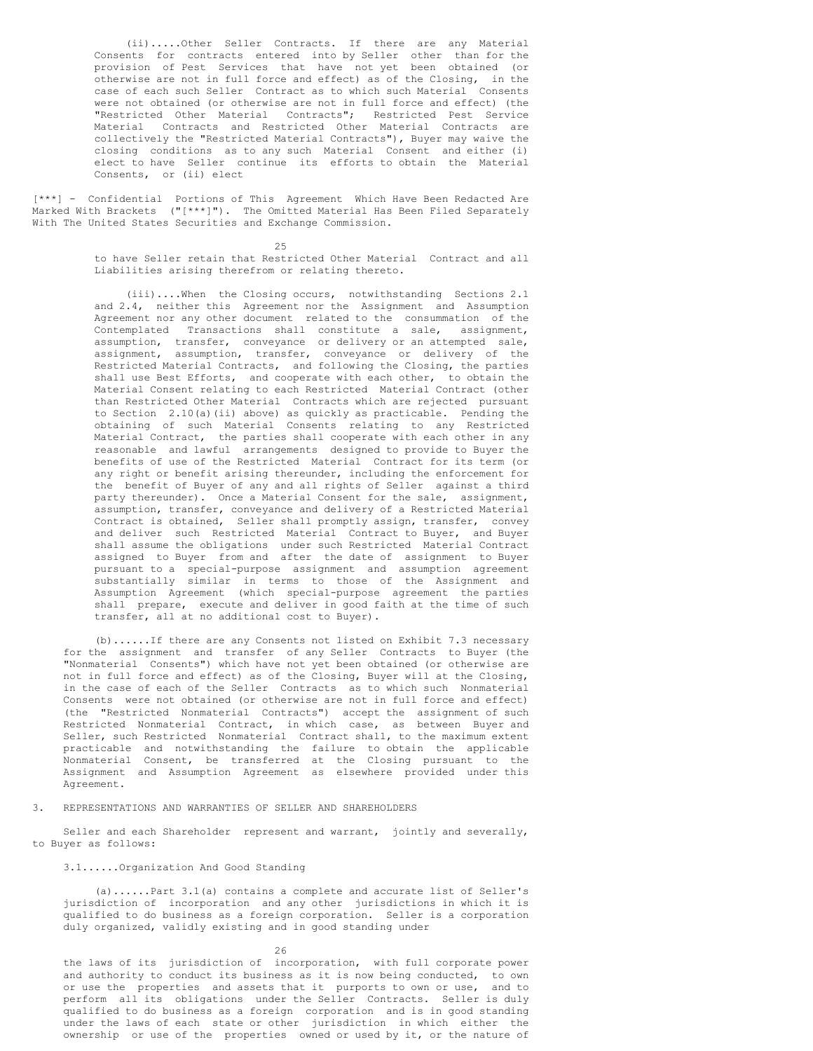(ii).....Other Seller Contracts. If there are any Material Consents for contracts entered into by Seller other than for the provision of Pest Services that have not yet been obtained (or otherwise are not in full force and effect) as of the Closing, in the case of each such Seller Contract as to which such Material Consents were not obtained (or otherwise are not in full force and effect) (the "Restricted Other Material Contracts"; Restricted Pest Service Material Contracts and Restricted Other Material Contracts are collectively the "Restricted Material Contracts"), Buyer may waive the closing conditions as to any such Material Consent and either (i) elect to have Seller continue its efforts to obtain the Material Consents, or (ii) elect

[\*\*\*] - Confidential Portions of This Agreement Which Have Been Redacted Are Marked With Brackets ("[\*\*\*]"). The Omitted Material Has Been Filed Separately With The United States Securities and Exchange Commission.

25

to have Seller retain that Restricted Other Material Contract and all Liabilities arising therefrom or relating thereto.

(iii)....When the Closing occurs, notwithstanding Sections 2.1 and 2.4, neither this Agreement nor the Assignment and Assumption Agreement nor any other document related to the consummation of the Contemplated Transactions shall constitute a sale, assignment, assumption, transfer, conveyance or delivery or an attempted sale, assignment, assumption, transfer, conveyance or delivery of the Restricted Material Contracts, and following the Closing, the parties shall use Best Efforts, and cooperate with each other, to obtain the Material Consent relating to each Restricted Material Contract (other than Restricted Other Material Contracts which are rejected pursuant to Section 2.10(a)(ii) above) as quickly as practicable. Pending the obtaining of such Material Consents relating to any Restricted Material Contract, the parties shall cooperate with each other in any reasonable and lawful arrangements designed to provide to Buyer the benefits of use of the Restricted Material Contract for its term (or any right or benefit arising thereunder, including the enforcement for the benefit of Buyer of any and all rights of Seller against a third party thereunder). Once a Material Consent for the sale, assignment, assumption, transfer, conveyance and delivery of a Restricted Material Contract is obtained, Seller shall promptly assign, transfer, convey and deliver such Restricted Material Contract to Buyer, and Buyer shall assume the obligations under such Restricted Material Contract assigned to Buyer from and after the date of assignment to Buyer pursuant to a special-purpose assignment and assumption agreement substantially similar in terms to those of the Assignment and Assumption Agreement (which special-purpose agreement the parties shall prepare, execute and deliver in good faith at the time of such transfer, all at no additional cost to Buyer).

(b)......If there are any Consents not listed on Exhibit 7.3 necessary for the assignment and transfer of any Seller Contracts to Buyer (the "Nonmaterial Consents") which have not yet been obtained (or otherwise are not in full force and effect) as of the Closing, Buyer will at the Closing, in the case of each of the Seller Contracts as to which such Nonmaterial Consents were not obtained (or otherwise are not in full force and effect) (the "Restricted Nonmaterial Contracts") accept the assignment of such Restricted Nonmaterial Contract, in which case, as between Buyer and Seller, such Restricted Nonmaterial Contract shall, to the maximum extent practicable and notwithstanding the failure to obtain the applicable Nonmaterial Consent, be transferred at the Closing pursuant to the Assignment and Assumption Agreement as elsewhere provided under this Agreement.

## 3. REPRESENTATIONS AND WARRANTIES OF SELLER AND SHAREHOLDERS

Seller and each Shareholder represent and warrant, jointly and severally, to Buyer as follows:

#### 3.1......Organization And Good Standing

(a)......Part 3.1(a) contains a complete and accurate list of Seller's jurisdiction of incorporation and any other jurisdictions in which it is qualified to do business as a foreign corporation. Seller is a corporation duly organized, validly existing and in good standing under

26

the laws of its jurisdiction of incorporation, with full corporate power and authority to conduct its business as it is now being conducted, to own or use the properties and assets that it purports to own or use, and to perform all its obligations under the Seller Contracts. Seller is duly qualified to do business as a foreign corporation and is in good standing under the laws of each state or other jurisdiction in which either the ownership or use of the properties owned or used by it, or the nature of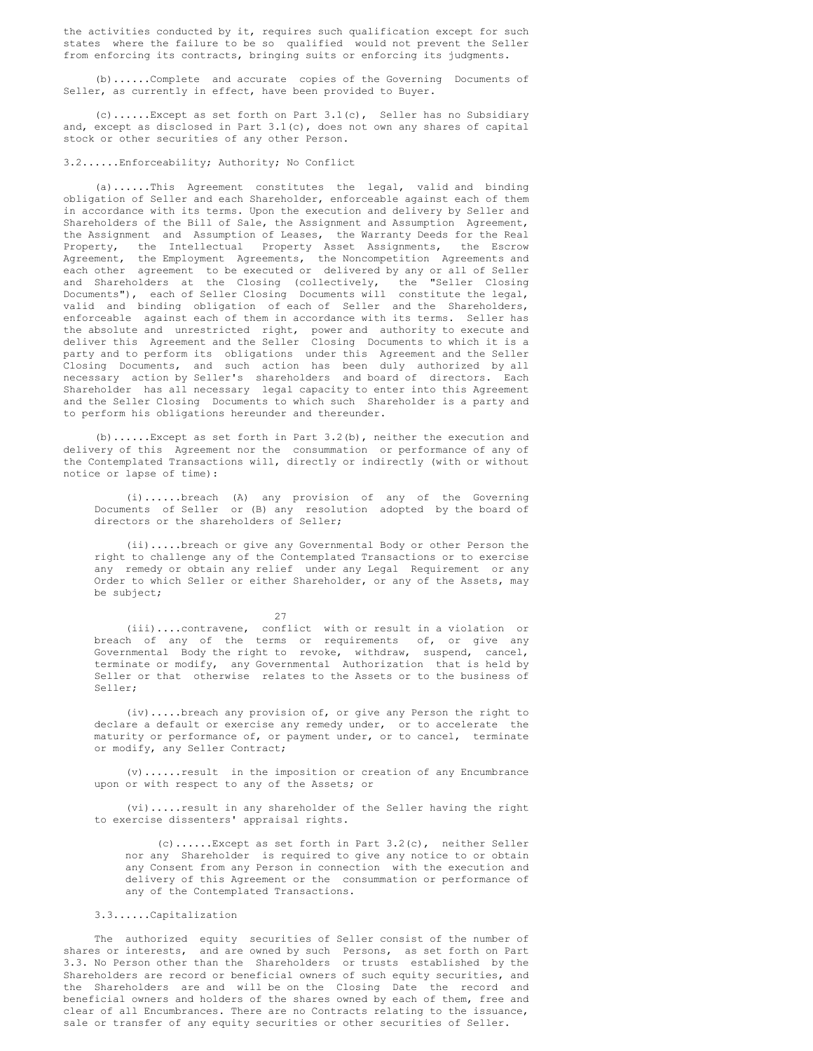the activities conducted by it, requires such qualification except for such states where the failure to be so qualified would not prevent the Seller from enforcing its contracts, bringing suits or enforcing its judgments.

(b)......Complete and accurate copies of the Governing Documents of Seller, as currently in effect, have been provided to Buyer.

(c)......Except as set forth on Part 3.1(c), Seller has no Subsidiary and, except as disclosed in Part 3.1(c), does not own any shares of capital stock or other securities of any other Person.

#### 3.2......Enforceability; Authority; No Conflict

(a)......This Agreement constitutes the legal, valid and binding obligation of Seller and each Shareholder, enforceable against each of them in accordance with its terms. Upon the execution and delivery by Seller and Shareholders of the Bill of Sale, the Assignment and Assumption Agreement, the Assignment and Assumption of Leases, the Warranty Deeds for the Real Property, the Intellectual Property Asset Assignments, the Escrow Agreement, the Employment Agreements, the Noncompetition Agreements and each other agreement to be executed or delivered by any or all of Seller and Shareholders at the Closing (collectively, the "Seller Closing Documents"), each of Seller Closing Documents will constitute the legal, valid and binding obligation of each of Seller and the Shareholders, enforceable against each of them in accordance with its terms. Seller has the absolute and unrestricted right, power and authority to execute and deliver this Agreement and the Seller Closing Documents to which it is a party and to perform its obligations under this Agreement and the Seller Closing Documents, and such action has been duly authorized by all necessary action by Seller's shareholders and board of directors. Each Shareholder has all necessary legal capacity to enter into this Agreement and the Seller Closing Documents to which such Shareholder is a party and to perform his obligations hereunder and thereunder.

(b)......Except as set forth in Part 3.2(b), neither the execution and delivery of this Agreement nor the consummation or performance of any of the Contemplated Transactions will, directly or indirectly (with or without notice or lapse of time):

(i)......breach (A) any provision of any of the Governing Documents of Seller or (B) any resolution adopted by the board of directors or the shareholders of Seller;

(ii).....breach or give any Governmental Body or other Person the right to challenge any of the Contemplated Transactions or to exercise any remedy or obtain any relief under any Legal Requirement or any Order to which Seller or either Shareholder, or any of the Assets, may be subject;

27

(iii)....contravene, conflict with or result in a violation or breach of any of the terms or requirements of, or give any Governmental Body the right to revoke, withdraw, suspend, cancel, terminate or modify, any Governmental Authorization that is held by Seller or that otherwise relates to the Assets or to the business of Seller;

(iv).....breach any provision of, or give any Person the right to declare a default or exercise any remedy under, or to accelerate the maturity or performance of, or payment under, or to cancel, terminate or modify, any Seller Contract;

(v)......result in the imposition or creation of any Encumbrance upon or with respect to any of the Assets; or

(vi).....result in any shareholder of the Seller having the right to exercise dissenters' appraisal rights.

(c)......Except as set forth in Part 3.2(c), neither Seller nor any Shareholder is required to give any notice to or obtain any Consent from any Person in connection with the execution and delivery of this Agreement or the consummation or performance of any of the Contemplated Transactions.

#### 3.3......Capitalization

The authorized equity securities of Seller consist of the number of shares or interests, and are owned by such Persons, as set forth on Part 3.3. No Person other than the Shareholders or trusts established by the Shareholders are record or beneficial owners of such equity securities, and the Shareholders are and will be on the Closing Date the record and beneficial owners and holders of the shares owned by each of them, free and clear of all Encumbrances. There are no Contracts relating to the issuance, sale or transfer of any equity securities or other securities of Seller.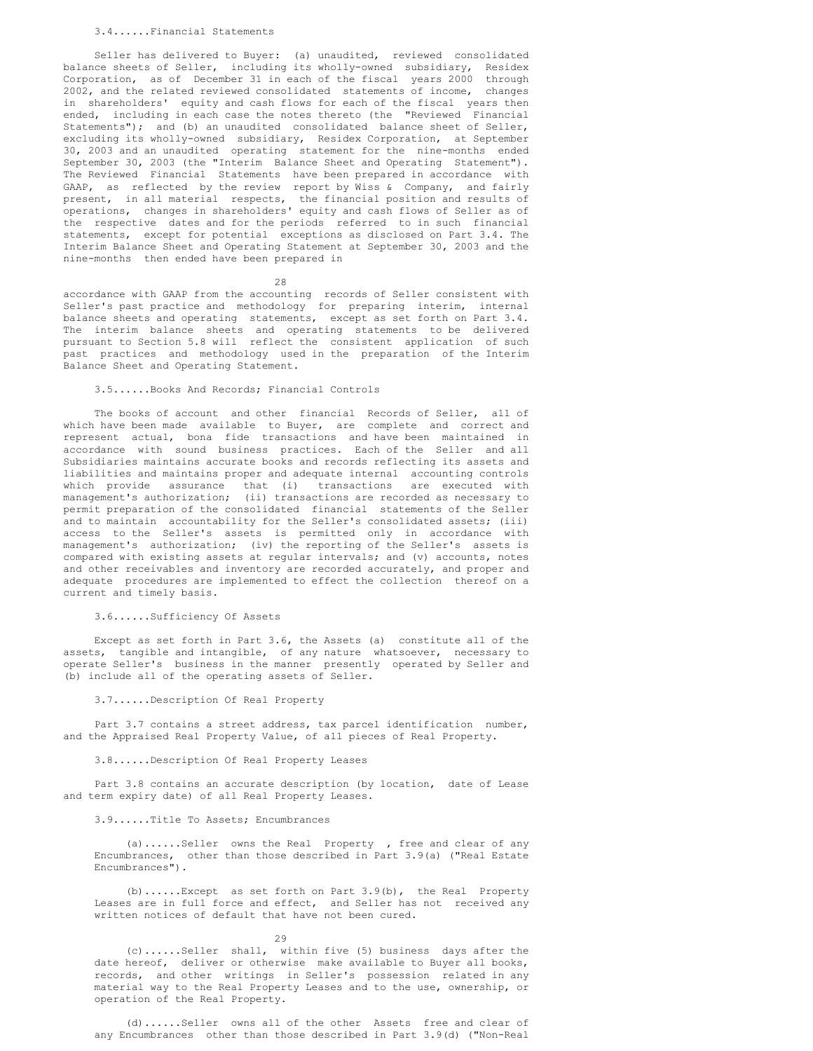#### 3.4......Financial Statements

Seller has delivered to Buyer: (a) unaudited, reviewed consolidated balance sheets of Seller, including its wholly-owned subsidiary, Residex Corporation, as of December 31 in each of the fiscal years 2000 through 2002, and the related reviewed consolidated statements of income, changes in shareholders' equity and cash flows for each of the fiscal years then ended, including in each case the notes thereto (the "Reviewed Financial Statements"); and (b) an unaudited consolidated balance sheet of Seller, excluding its wholly-owned subsidiary, Residex Corporation, at September 30, 2003 and an unaudited operating statement for the nine-months ended September 30, 2003 (the "Interim Balance Sheet and Operating Statement"). The Reviewed Financial Statements have been prepared in accordance with GAAP, as reflected by the review report by Wiss & Company, and fairly present, in all material respects, the financial position and results of operations, changes in shareholders' equity and cash flows of Seller as of the respective dates and for the periods referred to in such financial statements, except for potential exceptions as disclosed on Part 3.4. The Interim Balance Sheet and Operating Statement at September 30, 2003 and the nine-months then ended have been prepared in

28

accordance with GAAP from the accounting records of Seller consistent with Seller's past practice and methodology for preparing interim, internal balance sheets and operating statements, except as set forth on Part 3.4. The interim balance sheets and operating statements to be delivered pursuant to Section 5.8 will reflect the consistent application of such past practices and methodology used in the preparation of the Interim Balance Sheet and Operating Statement.

## 3.5......Books And Records; Financial Controls

The books of account and other financial Records of Seller, all of which have been made available to Buyer, are complete and correct and represent actual, bona fide transactions and have been maintained in accordance with sound business practices. Each of the Seller and all Subsidiaries maintains accurate books and records reflecting its assets and liabilities and maintains proper and adequate internal accounting controls which provide assurance that (i) transactions are executed with management's authorization; (ii) transactions are recorded as necessary to permit preparation of the consolidated financial statements of the Seller and to maintain accountability for the Seller's consolidated assets; (iii) access to the Seller's assets is permitted only in accordance with management's authorization; (iv) the reporting of the Seller's assets is compared with existing assets at regular intervals; and (v) accounts, notes and other receivables and inventory are recorded accurately, and proper and adequate procedures are implemented to effect the collection thereof on a current and timely basis.

3.6......Sufficiency Of Assets

Except as set forth in Part 3.6, the Assets (a) constitute all of the assets, tangible and intangible, of any nature whatsoever, necessary to operate Seller's business in the manner presently operated by Seller and (b) include all of the operating assets of Seller.

3.7......Description Of Real Property

Part 3.7 contains a street address, tax parcel identification number, and the Appraised Real Property Value, of all pieces of Real Property.

3.8......Description Of Real Property Leases

Part 3.8 contains an accurate description (by location, date of Lease and term expiry date) of all Real Property Leases.

3.9......Title To Assets; Encumbrances

(a)......Seller owns the Real Property , free and clear of any Encumbrances, other than those described in Part 3.9(a) ("Real Estate Encumbrances").

(b)......Except as set forth on Part 3.9(b), the Real Property Leases are in full force and effect, and Seller has not received any written notices of default that have not been cured.

29

(c)......Seller shall, within five (5) business days after the date hereof, deliver or otherwise make available to Buyer all books, records, and other writings in Seller's possession related in any material way to the Real Property Leases and to the use, ownership, or operation of the Real Property.

(d)......Seller owns all of the other Assets free and clear of any Encumbrances other than those described in Part 3.9(d) ("Non-Real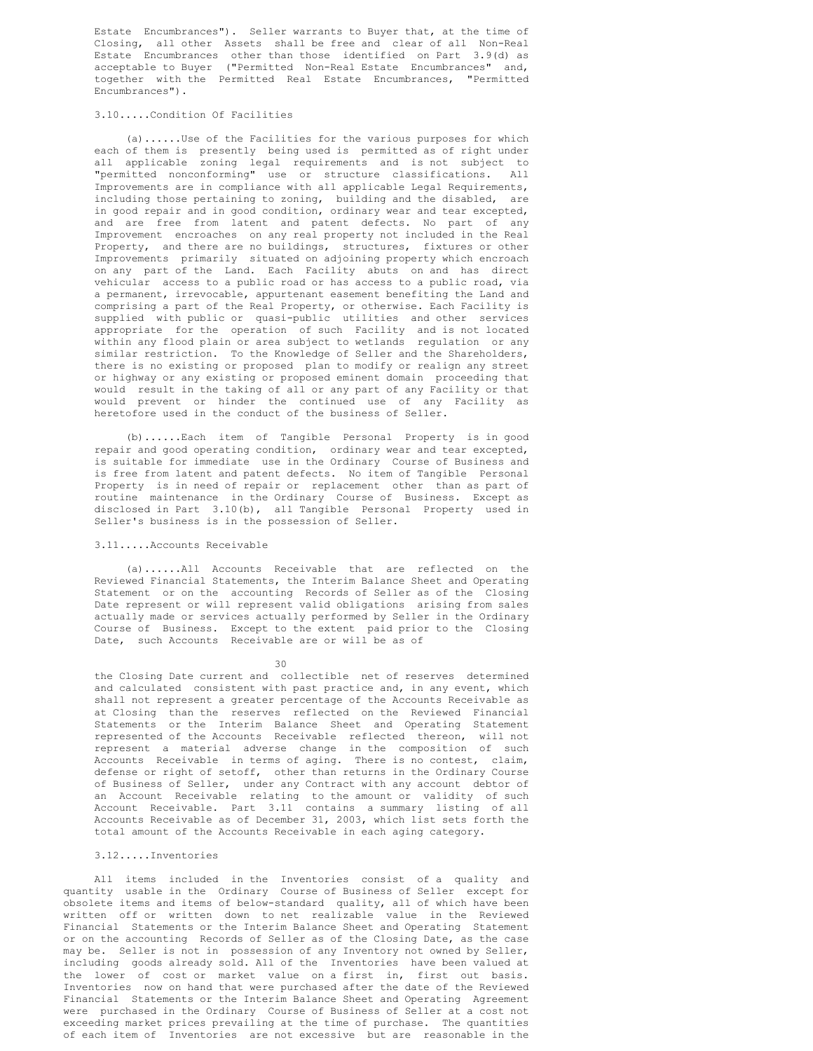Estate Encumbrances"). Seller warrants to Buyer that, at the time of Closing, all other Assets shall be free and clear of all Non-Real Estate Encumbrances other than those identified on Part 3.9(d) as acceptable to Buyer ("Permitted Non-Real Estate Encumbrances" and, together with the Permitted Real Estate Encumbrances, "Permitted Encumbrances").

## 3.10.....Condition Of Facilities

(a)......Use of the Facilities for the various purposes for which each of them is presently being used is permitted as of right under all applicable zoning legal requirements and is not subject to "permitted nonconforming" use or structure classifications. All Improvements are in compliance with all applicable Legal Requirements, including those pertaining to zoning, building and the disabled, are in good repair and in good condition, ordinary wear and tear excepted, and are free from latent and patent defects. No part of any Improvement encroaches on any real property not included in the Real Property, and there are no buildings, structures, fixtures or other Improvements primarily situated on adjoining property which encroach on any part of the Land. Each Facility abuts on and has direct vehicular access to a public road or has access to a public road, via a permanent, irrevocable, appurtenant easement benefiting the Land and comprising a part of the Real Property, or otherwise. Each Facility is supplied with public or quasi-public utilities and other services appropriate for the operation of such Facility and is not located within any flood plain or area subject to wetlands regulation or any similar restriction. To the Knowledge of Seller and the Shareholders, there is no existing or proposed plan to modify or realign any street or highway or any existing or proposed eminent domain proceeding that would result in the taking of all or any part of any Facility or that would prevent or hinder the continued use of any Facility as heretofore used in the conduct of the business of Seller.

(b)......Each item of Tangible Personal Property is in good repair and good operating condition, ordinary wear and tear excepted, is suitable for immediate use in the Ordinary Course of Business and is free from latent and patent defects. No item of Tangible Personal Property is in need of repair or replacement other than as part of routine maintenance in the Ordinary Course of Business. Except as disclosed in Part 3.10(b), all Tangible Personal Property used in Seller's business is in the possession of Seller.

#### 3.11.....Accounts Receivable

(a)......All Accounts Receivable that are reflected on the Reviewed Financial Statements, the Interim Balance Sheet and Operating Statement or on the accounting Records of Seller as of the Closing Date represent or will represent valid obligations arising from sales actually made or services actually performed by Seller in the Ordinary Course of Business. Except to the extent paid prior to the Closing Date, such Accounts Receivable are or will be as of

#### 30

the Closing Date current and collectible net of reserves determined and calculated consistent with past practice and, in any event, which shall not represent a greater percentage of the Accounts Receivable as at Closing than the reserves reflected on the Reviewed Financial Statements or the Interim Balance Sheet and Operating Statement represented of the Accounts Receivable reflected thereon, will not represent a material adverse change in the composition of such Accounts Receivable in terms of aging. There is no contest, claim, defense or right of setoff, other than returns in the Ordinary Course of Business of Seller, under any Contract with any account debtor of an Account Receivable relating to the amount or validity of such Account Receivable. Part 3.11 contains a summary listing of all Accounts Receivable as of December 31, 2003, which list sets forth the total amount of the Accounts Receivable in each aging category.

#### 3.12.....Inventories

All items included in the Inventories consist of a quality and quantity usable in the Ordinary Course of Business of Seller except for obsolete items and items of below-standard quality, all of which have been written off or written down to net realizable value in the Reviewed Financial Statements or the Interim Balance Sheet and Operating Statement or on the accounting Records of Seller as of the Closing Date, as the case may be. Seller is not in possession of any Inventory not owned by Seller, including goods already sold. All of the Inventories have been valued at the lower of cost or market value on a first in, first out basis. Inventories now on hand that were purchased after the date of the Reviewed Financial Statements or the Interim Balance Sheet and Operating Agreement were purchased in the Ordinary Course of Business of Seller at a cost not exceeding market prices prevailing at the time of purchase. The quantities of each item of Inventories are not excessive but are reasonable in the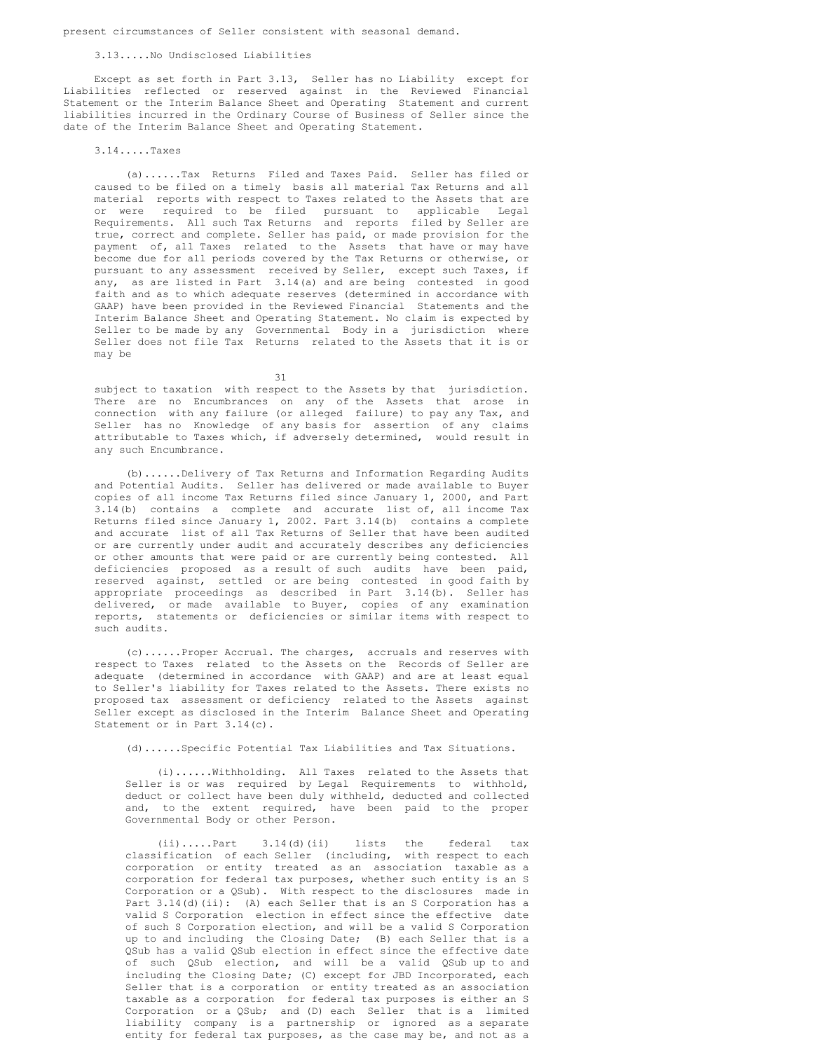present circumstances of Seller consistent with seasonal demand.

#### 3.13.....No Undisclosed Liabilities

Except as set forth in Part 3.13, Seller has no Liability except for Liabilities reflected or reserved against in the Reviewed Financial Statement or the Interim Balance Sheet and Operating Statement and current liabilities incurred in the Ordinary Course of Business of Seller since the date of the Interim Balance Sheet and Operating Statement.

## 3.14.....Taxes

(a)......Tax Returns Filed and Taxes Paid. Seller has filed or caused to be filed on a timely basis all material Tax Returns and all material reports with respect to Taxes related to the Assets that are or were required to be filed pursuant to applicable Legal Requirements. All such Tax Returns and reports filed by Seller are true, correct and complete. Seller has paid, or made provision for the payment of, all Taxes related to the Assets that have or may have become due for all periods covered by the Tax Returns or otherwise, or pursuant to any assessment received by Seller, except such Taxes, if any, as are listed in Part 3.14(a) and are being contested in good faith and as to which adequate reserves (determined in accordance with GAAP) have been provided in the Reviewed Financial Statements and the Interim Balance Sheet and Operating Statement. No claim is expected by Seller to be made by any Governmental Body in a jurisdiction where Seller does not file Tax Returns related to the Assets that it is or may be

31

subject to taxation with respect to the Assets by that jurisdiction. There are no Encumbrances on any of the Assets that arose in connection with any failure (or alleged failure) to pay any Tax, and Seller has no Knowledge of any basis for assertion of any claims attributable to Taxes which, if adversely determined, would result in any such Encumbrance.

(b)......Delivery of Tax Returns and Information Regarding Audits and Potential Audits. Seller has delivered or made available to Buyer copies of all income Tax Returns filed since January 1, 2000, and Part 3.14(b) contains a complete and accurate list of, all income Tax Returns filed since January 1, 2002. Part 3.14(b) contains a complete and accurate list of all Tax Returns of Seller that have been audited or are currently under audit and accurately describes any deficiencies or other amounts that were paid or are currently being contested. All deficiencies proposed as a result of such audits have been paid, reserved against, settled or are being contested in good faith by appropriate proceedings as described in Part 3.14(b). Seller has delivered, or made available to Buyer, copies of any examination reports, statements or deficiencies or similar items with respect to such audits.

(c)......Proper Accrual. The charges, accruals and reserves with respect to Taxes related to the Assets on the Records of Seller are adequate (determined in accordance with GAAP) and are at least equal to Seller's liability for Taxes related to the Assets. There exists no proposed tax assessment or deficiency related to the Assets against Seller except as disclosed in the Interim Balance Sheet and Operating Statement or in Part 3.14(c).

(d)......Specific Potential Tax Liabilities and Tax Situations.

(i)......Withholding. All Taxes related to the Assets that Seller is or was required by Legal Requirements to withhold, deduct or collect have been duly withheld, deducted and collected and, to the extent required, have been paid to the proper Governmental Body or other Person.

(ii).....Part 3.14(d)(ii) lists the federal tax classification of each Seller (including, with respect to each corporation or entity treated as an association taxable as a corporation for federal tax purposes, whether such entity is an S Corporation or a QSub). With respect to the disclosures made in Part 3.14(d)(ii): (A) each Seller that is an S Corporation has a valid S Corporation election in effect since the effective date of such S Corporation election, and will be a valid S Corporation up to and including the Closing Date; (B) each Seller that is a QSub has a valid QSub election in effect since the effective date of such QSub election, and will be a valid QSub up to and including the Closing Date; (C) except for JBD Incorporated, each Seller that is a corporation or entity treated as an association taxable as a corporation for federal tax purposes is either an S Corporation or a QSub; and (D) each Seller that is a limited liability company is a partnership or ignored as a separate entity for federal tax purposes, as the case may be, and not as a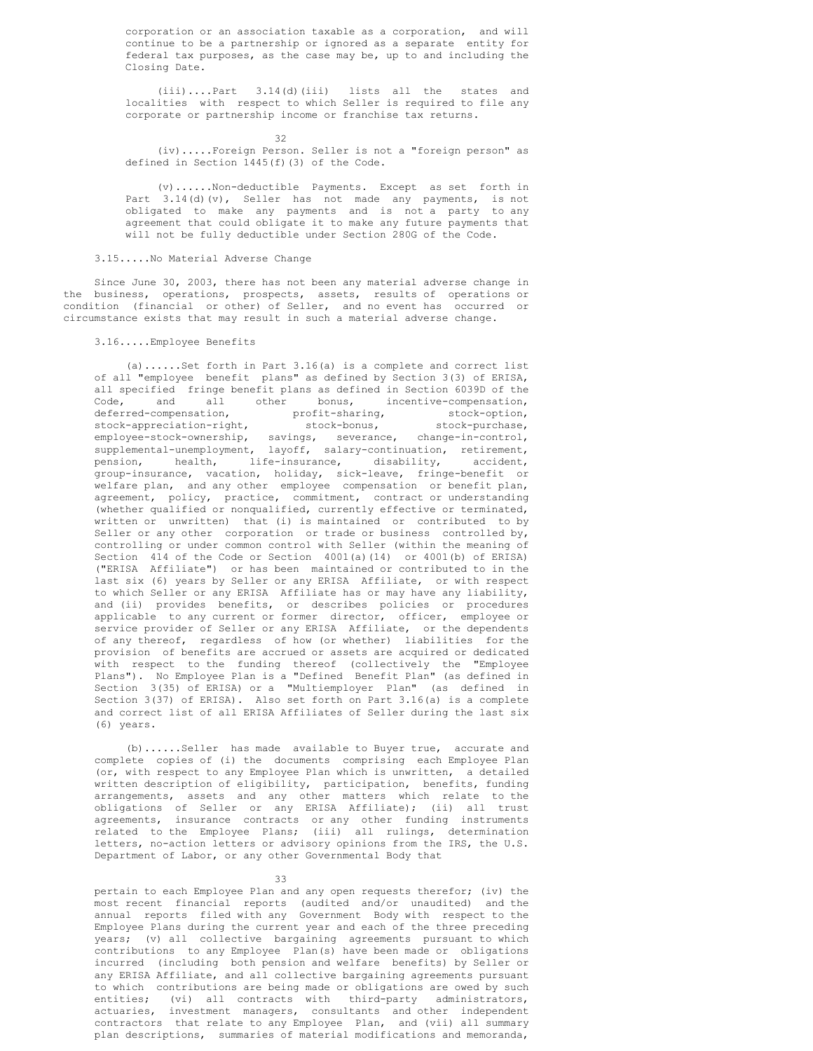corporation or an association taxable as a corporation, and will continue to be a partnership or ignored as a separate entity for federal tax purposes, as the case may be, up to and including the Closing Date.

(iii)....Part 3.14(d)(iii) lists all the states and localities with respect to which Seller is required to file any corporate or partnership income or franchise tax returns.

32

(iv).....Foreign Person. Seller is not a "foreign person" as defined in Section 1445(f)(3) of the Code.

(v)......Non-deductible Payments. Except as set forth in Part 3.14(d)(v), Seller has not made any payments, is not obligated to make any payments and is not a party to any agreement that could obligate it to make any future payments that will not be fully deductible under Section 280G of the Code.

#### 3.15.....No Material Adverse Change

Since June 30, 2003, there has not been any material adverse change in the business, operations, prospects, assets, results of operations or condition (financial or other) of Seller, and no event has occurred or circumstance exists that may result in such a material adverse change.

#### 3.16.....Employee Benefits

(a)......Set forth in Part 3.16(a) is a complete and correct list of all "employee benefit plans" as defined by Section 3(3) of ERISA, all specified fringe benefit plans as defined in Section 6039D of the Code, and all other bonus, incentive-compensation, deferred-compensation, profit-sharing, stock-option, profit-sharing, stock-option,<br>stock-bonus, stock-purchase, stock-appreciation-right, stock-bonus, stock-purchase, employee-stock-ownership, savings, severance, change-in-control, supplemental-unemployment, layoff, salary-continuation, retirement, pension, health, life-insurance, disability, accident, group-insurance, vacation, holiday, sick-leave, fringe-benefit or welfare plan, and any other employee compensation or benefit plan, agreement, policy, practice, commitment, contract or understanding (whether qualified or nonqualified, currently effective or terminated, written or unwritten) that (i) is maintained or contributed to by Seller or any other corporation or trade or business controlled by, controlling or under common control with Seller (within the meaning of Section 414 of the Code or Section 4001(a)(14) or 4001(b) of ERISA) ("ERISA Affiliate") or has been maintained or contributed to in the last six (6) years by Seller or any ERISA Affiliate, or with respect to which Seller or any ERISA Affiliate has or may have any liability, and (ii) provides benefits, or describes policies or procedures applicable to any current or former director, officer, employee or service provider of Seller or any ERISA Affiliate, or the dependents of any thereof, regardless of how (or whether) liabilities for the provision of benefits are accrued or assets are acquired or dedicated with respect to the funding thereof (collectively the "Employee Plans"). No Employee Plan is a "Defined Benefit Plan" (as defined in Section 3(35) of ERISA) or a "Multiemployer Plan" (as defined in Section 3(37) of ERISA). Also set forth on Part 3.16(a) is a complete and correct list of all ERISA Affiliates of Seller during the last six (6) years.

(b)......Seller has made available to Buyer true, accurate and complete copies of (i) the documents comprising each Employee Plan (or, with respect to any Employee Plan which is unwritten, a detailed written description of eligibility, participation, benefits, funding arrangements, assets and any other matters which relate to the obligations of Seller or any ERISA Affiliate); (ii) all trust agreements, insurance contracts or any other funding instruments related to the Employee Plans; (iii) all rulings, determination letters, no-action letters or advisory opinions from the IRS, the U.S. Department of Labor, or any other Governmental Body that

33

pertain to each Employee Plan and any open requests therefor; (iv) the most recent financial reports (audited and/or unaudited) and the annual reports filed with any Government Body with respect to the Employee Plans during the current year and each of the three preceding years; (v) all collective bargaining agreements pursuant to which contributions to any Employee Plan(s) have been made or obligations incurred (including both pension and welfare benefits) by Seller or any ERISA Affiliate, and all collective bargaining agreements pursuant to which contributions are being made or obligations are owed by such entities; (vi) all contracts with third-party administrators, actuaries, investment managers, consultants and other independent contractors that relate to any Employee Plan, and (vii) all summary plan descriptions, summaries of material modifications and memoranda,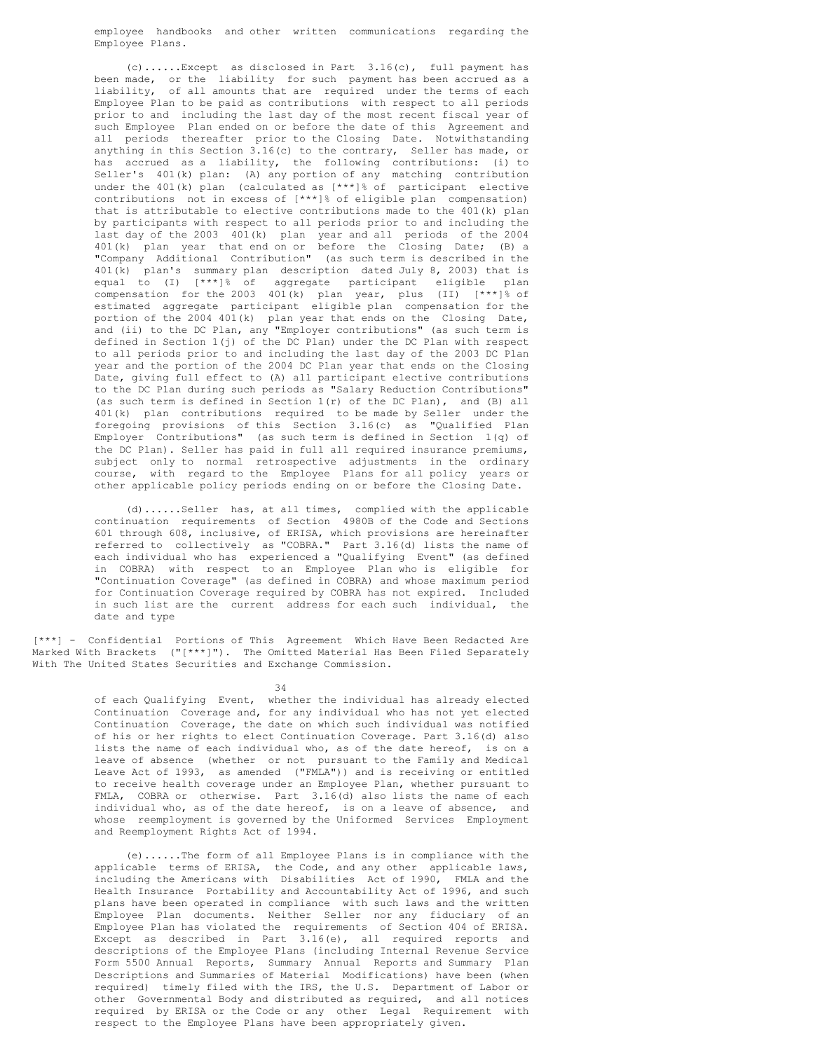employee handbooks and other written communications regarding the Employee Plans.

(c)......Except as disclosed in Part 3.16(c), full payment has been made, or the liability for such payment has been accrued as a liability, of all amounts that are required under the terms of each Employee Plan to be paid as contributions with respect to all periods prior to and including the last day of the most recent fiscal year of such Employee Plan ended on or before the date of this Agreement and all periods thereafter prior to the Closing Date. Notwithstanding anything in this Section 3.16(c) to the contrary, Seller has made, or has accrued as a liability, the following contributions: (i) to Seller's 401(k) plan: (A) any portion of any matching contribution under the 401(k) plan (calculated as  $[***]$ <sup>8</sup> of participant elective contributions not in excess of [\*\*\*]% of eligible plan compensation) that is attributable to elective contributions made to the 401(k) plan by participants with respect to all periods prior to and including the last day of the 2003 401(k) plan year and all periods of the 2004 401(k) plan year that end on or before the Closing Date; (B) a "Company Additional Contribution" (as such term is described in the 401(k) plan's summary plan description dated July 8, 2003) that is equal to (I) [\*\*\*]% of aggregate participant eligible plan compensation for the 2003 401(k) plan year, plus (II) [\*\*\*]% of estimated aggregate participant eligible plan compensation for the portion of the 2004 401(k) plan year that ends on the Closing Date, and (ii) to the DC Plan, any "Employer contributions" (as such term is defined in Section 1(j) of the DC Plan) under the DC Plan with respect to all periods prior to and including the last day of the 2003 DC Plan year and the portion of the 2004 DC Plan year that ends on the Closing Date, giving full effect to (A) all participant elective contributions to the DC Plan during such periods as "Salary Reduction Contributions" (as such term is defined in Section  $1(r)$  of the DC Plan), and (B) all 401(k) plan contributions required to be made by Seller under the foregoing provisions of this Section 3.16(c) as "Qualified Plan Employer Contributions" (as such term is defined in Section 1(q) of the DC Plan). Seller has paid in full all required insurance premiums, subject only to normal retrospective adjustments in the ordinary course, with regard to the Employee Plans for all policy years or other applicable policy periods ending on or before the Closing Date.

(d)......Seller has, at all times, complied with the applicable continuation requirements of Section 4980B of the Code and Sections 601 through 608, inclusive, of ERISA, which provisions are hereinafter referred to collectively as "COBRA." Part 3.16(d) lists the name of each individual who has experienced a "Qualifying Event" (as defined in COBRA) with respect to an Employee Plan who is eligible for "Continuation Coverage" (as defined in COBRA) and whose maximum period for Continuation Coverage required by COBRA has not expired. Included in such list are the current address for each such individual, the date and type

[\*\*\*] - Confidential Portions of This Agreement Which Have Been Redacted Are Marked With Brackets ("[\*\*\*]"). The Omitted Material Has Been Filed Separately With The United States Securities and Exchange Commission.

34

of each Qualifying Event, whether the individual has already elected Continuation Coverage and, for any individual who has not yet elected Continuation Coverage, the date on which such individual was notified of his or her rights to elect Continuation Coverage. Part 3.16(d) also lists the name of each individual who, as of the date hereof, is on a leave of absence (whether or not pursuant to the Family and Medical Leave Act of 1993, as amended ("FMLA")) and is receiving or entitled to receive health coverage under an Employee Plan, whether pursuant to FMLA, COBRA or otherwise. Part 3.16(d) also lists the name of each individual who, as of the date hereof, is on a leave of absence, and whose reemployment is governed by the Uniformed Services Employment and Reemployment Rights Act of 1994.

(e)......The form of all Employee Plans is in compliance with the applicable terms of ERISA, the Code, and any other applicable laws, including the Americans with Disabilities Act of 1990, FMLA and the Health Insurance Portability and Accountability Act of 1996, and such plans have been operated in compliance with such laws and the written Employee Plan documents. Neither Seller nor any fiduciary of an Employee Plan has violated the requirements of Section 404 of ERISA. Except as described in Part  $3.16(e)$ , all required reports and descriptions of the Employee Plans (including Internal Revenue Service Form 5500 Annual Reports, Summary Annual Reports and Summary Plan Descriptions and Summaries of Material Modifications) have been (when required) timely filed with the IRS, the U.S. Department of Labor or other Governmental Body and distributed as required, and all notices required by ERISA or the Code or any other Legal Requirement with respect to the Employee Plans have been appropriately given.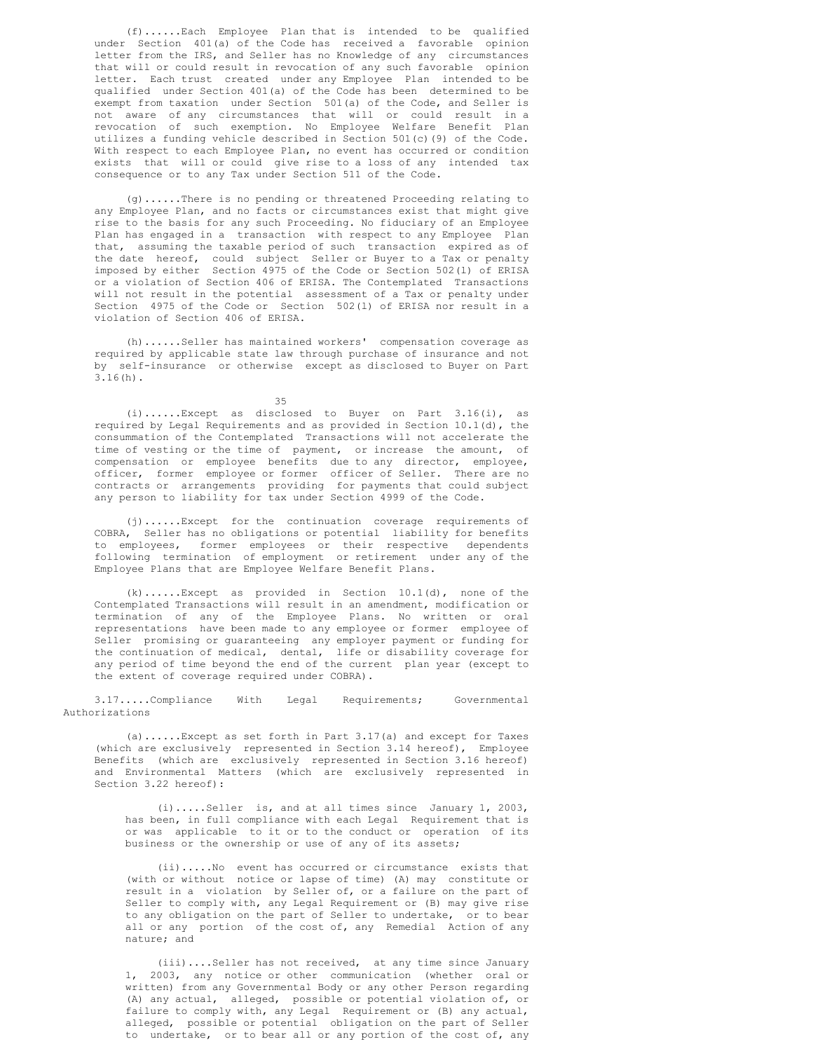(f)......Each Employee Plan that is intended to be qualified under Section 401(a) of the Code has received a favorable opinion letter from the IRS, and Seller has no Knowledge of any circumstances that will or could result in revocation of any such favorable opinion letter. Each trust created under any Employee Plan intended to be qualified under Section 401(a) of the Code has been determined to be exempt from taxation under Section 501(a) of the Code, and Seller is not aware of any circumstances that will or could result in a revocation of such exemption. No Employee Welfare Benefit Plan utilizes a funding vehicle described in Section 501(c)(9) of the Code. With respect to each Employee Plan, no event has occurred or condition exists that will or could give rise to a loss of any intended tax consequence or to any Tax under Section 511 of the Code.

(g)......There is no pending or threatened Proceeding relating to any Employee Plan, and no facts or circumstances exist that might give rise to the basis for any such Proceeding. No fiduciary of an Employee Plan has engaged in a transaction with respect to any Employee Plan that, assuming the taxable period of such transaction expired as of the date hereof, could subject Seller or Buyer to a Tax or penalty imposed by either Section 4975 of the Code or Section 502(l) of ERISA or a violation of Section 406 of ERISA. The Contemplated Transactions will not result in the potential assessment of a Tax or penalty under Section 4975 of the Code or Section 502(l) of ERISA nor result in a violation of Section 406 of ERISA.

(h)......Seller has maintained workers' compensation coverage as required by applicable state law through purchase of insurance and not by self-insurance or otherwise except as disclosed to Buyer on Part 3.16(h).

35

(i)......Except as disclosed to Buyer on Part 3.16(i), as required by Legal Requirements and as provided in Section 10.1(d), the consummation of the Contemplated Transactions will not accelerate the time of vesting or the time of payment, or increase the amount, of compensation or employee benefits due to any director, employee, officer, former employee or former officer of Seller. There are no contracts or arrangements providing for payments that could subject any person to liability for tax under Section 4999 of the Code.

 $(j)$ ...... $Except$  for the continuation coverage requirements of COBRA, Seller has no obligations or potential liability for benefits to employees, former employees or their respective dependents following termination of employment or retirement under any of the Employee Plans that are Employee Welfare Benefit Plans.

(k)......Except as provided in Section 10.1(d), none of the Contemplated Transactions will result in an amendment, modification or termination of any of the Employee Plans. No written or oral representations have been made to any employee or former employee of Seller promising or guaranteeing any employer payment or funding for the continuation of medical, dental, life or disability coverage for any period of time beyond the end of the current plan year (except to the extent of coverage required under COBRA).

3.17.....Compliance With Legal Requirements; Governmental Authorizations

(a)......Except as set forth in Part  $3.17(a)$  and except for Taxes (which are exclusively represented in Section 3.14 hereof), Employee Benefits (which are exclusively represented in Section 3.16 hereof) and Environmental Matters (which are exclusively represented in Section 3.22 hereof):

(i).....Seller is, and at all times since January 1, 2003, has been, in full compliance with each Legal Requirement that is or was applicable to it or to the conduct or operation of its business or the ownership or use of any of its assets;

(ii).....No event has occurred or circumstance exists that (with or without notice or lapse of time) (A) may constitute or result in a violation by Seller of, or a failure on the part of Seller to comply with, any Legal Requirement or (B) may give rise to any obligation on the part of Seller to undertake, or to bear all or any portion of the cost of, any Remedial Action of any nature; and

(iii)....Seller has not received, at any time since January 1, 2003, any notice or other communication (whether oral or written) from any Governmental Body or any other Person regarding (A) any actual, alleged, possible or potential violation of, or failure to comply with, any Legal Requirement or (B) any actual, alleged, possible or potential obligation on the part of Seller to undertake, or to bear all or any portion of the cost of, any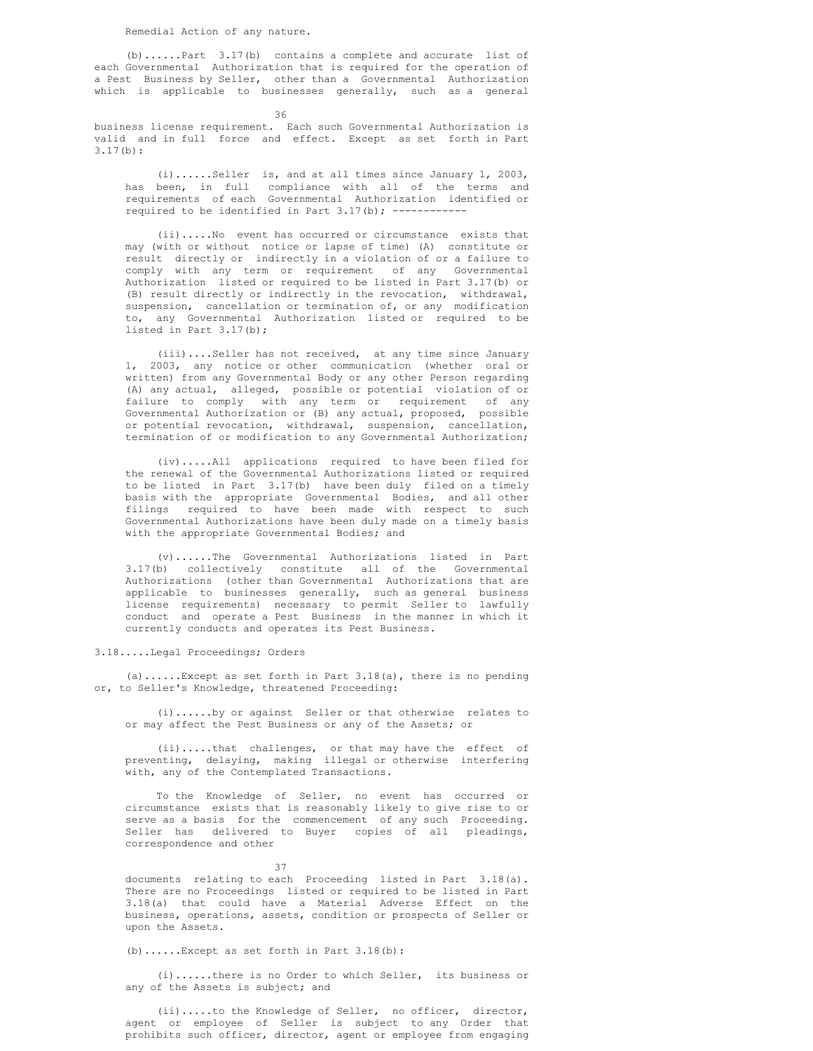#### Remedial Action of any nature.

(b)......Part 3.17(b) contains a complete and accurate list of each Governmental Authorization that is required for the operation of a Pest Business by Seller, other than a Governmental Authorization which is applicable to businesses generally, such as a general

36 business license requirement. Each such Governmental Authorization is valid and in full force and effect. Except as set forth in Part  $3.17(h):$ 

(i)......Seller is, and at all times since January 1, 2003, has been, in full compliance with all of the terms and requirements of each Governmental Authorization identified or required to be identified in Part 3.17(b); ------------

(ii).....No event has occurred or circumstance exists that may (with or without notice or lapse of time) (A) constitute or result directly or indirectly in a violation of or a failure to comply with any term or requirement of any Governmental Authorization listed or required to be listed in Part 3.17(b) or (B) result directly or indirectly in the revocation, withdrawal, suspension, cancellation or termination of, or any modification to, any Governmental Authorization listed or required to be listed in Part 3.17(b);

(iii)....Seller has not received, at any time since January 1, 2003, any notice or other communication (whether oral or written) from any Governmental Body or any other Person regarding (A) any actual, alleged, possible or potential violation of or failure to comply with any term or requirement of any Governmental Authorization or (B) any actual, proposed, possible or potential revocation, withdrawal, suspension, cancellation, termination of or modification to any Governmental Authorization;

(iv).....All applications required to have been filed for the renewal of the Governmental Authorizations listed or required to be listed in Part 3.17(b) have been duly filed on a timely basis with the appropriate Governmental Bodies, and all other filings required to have been made with respect to such Governmental Authorizations have been duly made on a timely basis with the appropriate Governmental Bodies; and

(v)......The Governmental Authorizations listed in Part 3.17(b) collectively constitute all of the Governmental Authorizations (other than Governmental Authorizations that are applicable to businesses generally, such as general business license requirements) necessary to permit Seller to lawfully conduct and operate a Pest Business in the manner in which it currently conducts and operates its Pest Business.

## 3.18.....Legal Proceedings; Orders

(a)......Except as set forth in Part  $3.18(a)$ , there is no pending or, to Seller's Knowledge, threatened Proceeding:

(i)......by or against Seller or that otherwise relates to or may affect the Pest Business or any of the Assets; or

(ii).....that challenges, or that may have the effect of preventing, delaying, making illegal or otherwise interfering with, any of the Contemplated Transactions.

To the Knowledge of Seller, no event has occurred or circumstance exists that is reasonably likely to give rise to or serve as a basis for the commencement of any such Proceeding. Seller has delivered to Buyer copies of all pleadings, correspondence and other

37

documents relating to each Proceeding listed in Part 3.18(a). There are no Proceedings listed or required to be listed in Part 3.18(a) that could have a Material Adverse Effect on the business, operations, assets, condition or prospects of Seller or upon the Assets.

## (b)......Except as set forth in Part 3.18(b):

(i)......there is no Order to which Seller, its business or any of the Assets is subject; and

(ii).....to the Knowledge of Seller, no officer, director, agent or employee of Seller is subject to any Order that prohibits such officer, director, agent or employee from engaging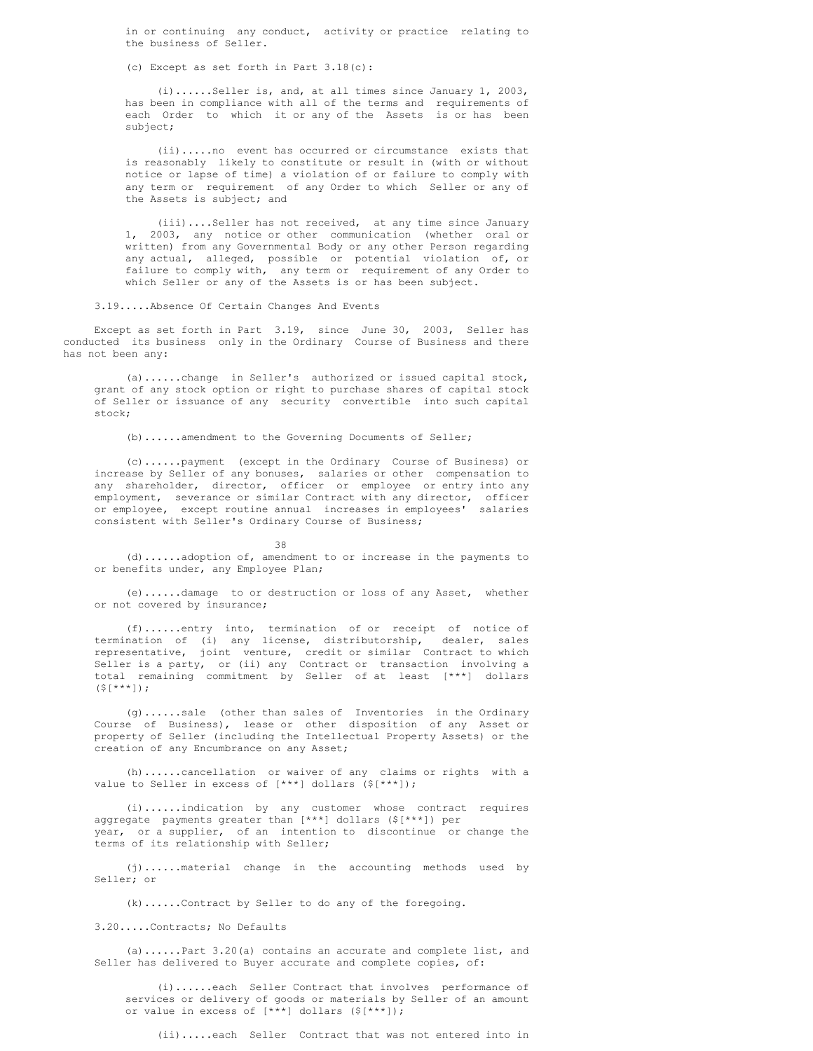in or continuing any conduct, activity or practice relating to the business of Seller.

(c) Except as set forth in Part 3.18(c):

(i)......Seller is, and, at all times since January 1, 2003, has been in compliance with all of the terms and requirements of each Order to which it or any of the Assets is or has been subject;

(ii).....no event has occurred or circumstance exists that is reasonably likely to constitute or result in (with or without notice or lapse of time) a violation of or failure to comply with any term or requirement of any Order to which Seller or any of the Assets is subject; and

(iii)....Seller has not received, at any time since January 1, 2003, any notice or other communication (whether oral or written) from any Governmental Body or any other Person regarding any actual, alleged, possible or potential violation of, or failure to comply with, any term or requirement of any Order to which Seller or any of the Assets is or has been subject.

3.19.....Absence Of Certain Changes And Events

Except as set forth in Part 3.19, since June 30, 2003, Seller has conducted its business only in the Ordinary Course of Business and there has not been any:

(a)......change in Seller's authorized or issued capital stock, grant of any stock option or right to purchase shares of capital stock of Seller or issuance of any security convertible into such capital stock;

(b)......amendment to the Governing Documents of Seller;

(c)......payment (except in the Ordinary Course of Business) or increase by Seller of any bonuses, salaries or other compensation to any shareholder, director, officer or employee or entry into any employment, severance or similar Contract with any director, officer or employee, except routine annual increases in employees' salaries consistent with Seller's Ordinary Course of Business;

38

(d)......adoption of, amendment to or increase in the payments to or benefits under, any Employee Plan;

(e)......damage to or destruction or loss of any Asset, whether or not covered by insurance;

(f)......entry into, termination of or receipt of notice of termination of (i) any license, distributorship, dealer, sales representative, joint venture, credit or similar Contract to which Seller is a party, or (ii) any Contract or transaction involving a total remaining commitment by Seller of at least [\*\*\*] dollars  $($   $\frac{5}{5}$ [  $\frac{***}{"}$ ]);

(g)......sale (other than sales of Inventories in the Ordinary Course of Business), lease or other disposition of any Asset or property of Seller (including the Intellectual Property Assets) or the creation of any Encumbrance on any Asset;

(h)......cancellation or waiver of any claims or rights with a value to Seller in excess of [\*\*\*] dollars (\$[\*\*\*]);

(i)......indication by any customer whose contract requires aggregate payments greater than [\*\*\*] dollars (\$[\*\*\*]) per year, or a supplier, of an intention to discontinue or change the terms of its relationship with Seller;

(j)......material change in the accounting methods used by Seller; or

(k)......Contract by Seller to do any of the foregoing.

3.20.....Contracts; No Defaults

(a)......Part 3.20(a) contains an accurate and complete list, and Seller has delivered to Buyer accurate and complete copies, of:

(i)......each Seller Contract that involves performance of services or delivery of goods or materials by Seller of an amount or value in excess of [\*\*\*] dollars (\$[\*\*\*]);

(ii).....each Seller Contract that was not entered into in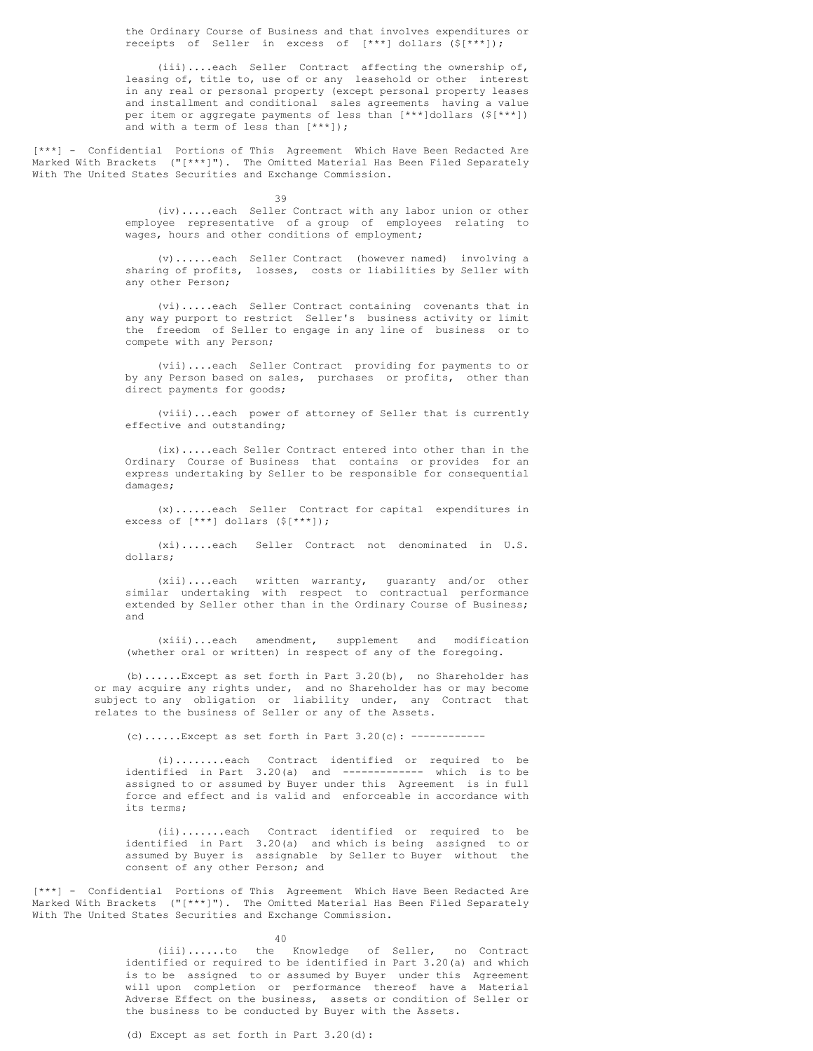the Ordinary Course of Business and that involves expenditures or receipts of Seller in excess of [\*\*\*] dollars (\$[\*\*\*]);

(iii)....each Seller Contract affecting the ownership of, leasing of, title to, use of or any leasehold or other interest in any real or personal property (except personal property leases and installment and conditional sales agreements having a value per item or aggregate payments of less than [\*\*\*]dollars (\$[\*\*\*]) and with a term of less than  $[***]$ );

[\*\*\*] - Confidential Portions of This Agreement Which Have Been Redacted Are Marked With Brackets ("[\*\*\*]"). The Omitted Material Has Been Filed Separately With The United States Securities and Exchange Commission.

39

(iv).....each Seller Contract with any labor union or other employee representative of a group of employees relating to wages, hours and other conditions of employment;

(v)......each Seller Contract (however named) involving a sharing of profits, losses, costs or liabilities by Seller with any other Person;

(vi).....each Seller Contract containing covenants that in any way purport to restrict Seller's business activity or limit the freedom of Seller to engage in any line of business or to compete with any Person;

(vii)....each Seller Contract providing for payments to or by any Person based on sales, purchases or profits, other than direct payments for goods;

(viii)...each power of attorney of Seller that is currently effective and outstanding;

(ix).....each Seller Contract entered into other than in the Ordinary Course of Business that contains or provides for an express undertaking by Seller to be responsible for consequential damages;

(x)......each Seller Contract for capital expenditures in excess of [\*\*\*] dollars (\$[\*\*\*]);

(xi).....each Seller Contract not denominated in U.S. dollars;

(xii)....each written warranty, guaranty and/or other similar undertaking with respect to contractual performance extended by Seller other than in the Ordinary Course of Business; and

(xiii)...each amendment, supplement and modification (whether oral or written) in respect of any of the foregoing.

(b)......Except as set forth in Part 3.20(b), no Shareholder has or may acquire any rights under, and no Shareholder has or may become subject to any obligation or liability under, any Contract that relates to the business of Seller or any of the Assets.

 $(c)$ ......Except as set forth in Part  $3.20(c)$ : ------------

(i)........each Contract identified or required to be identified in Part 3.20(a) and ------------- which is to be assigned to or assumed by Buyer under this Agreement is in full force and effect and is valid and enforceable in accordance with its terms;

(ii).......each Contract identified or required to be identified in Part 3.20(a) and which is being assigned to or assumed by Buyer is assignable by Seller to Buyer without the consent of any other Person; and

[\*\*\*] - Confidential Portions of This Agreement Which Have Been Redacted Are Marked With Brackets ("[\*\*\*]"). The Omitted Material Has Been Filed Separately With The United States Securities and Exchange Commission.

 $40$ 

(iii)......to the Knowledge of Seller, no Contract identified or required to be identified in Part 3.20(a) and which is to be assigned to or assumed by Buyer under this Agreement will upon completion or performance thereof have a Material Adverse Effect on the business, assets or condition of Seller or the business to be conducted by Buyer with the Assets.

(d) Except as set forth in Part 3.20(d):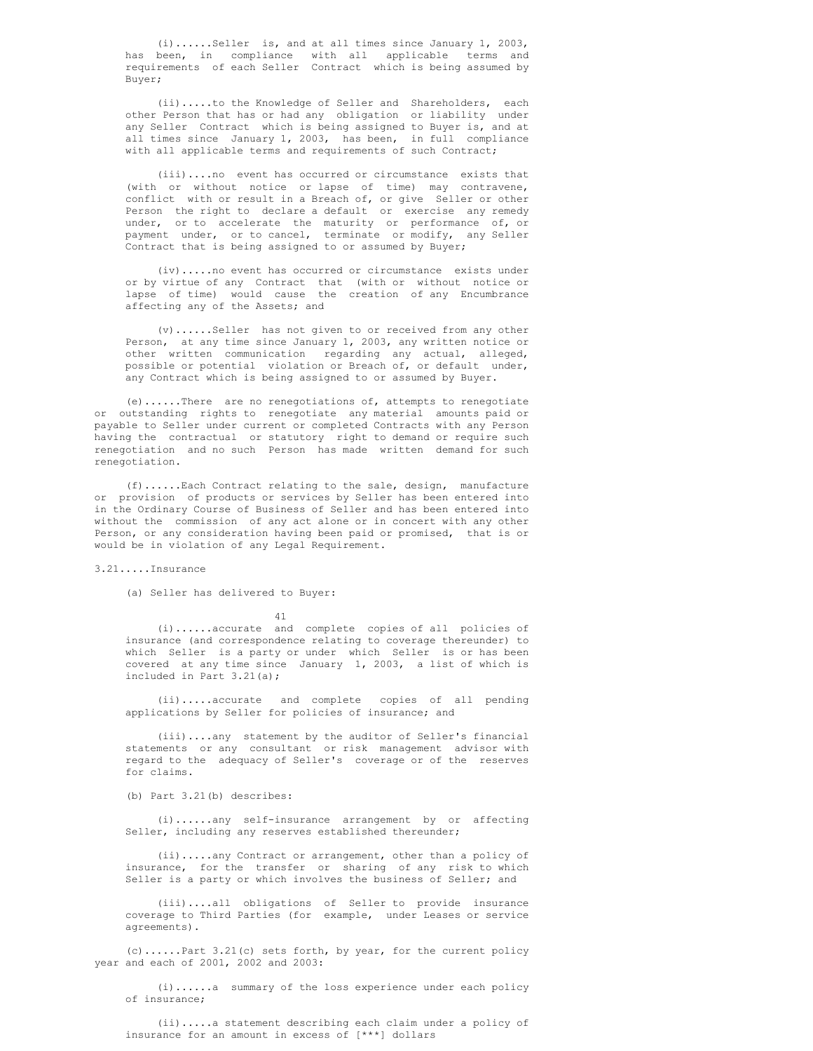(i)......Seller is, and at all times since January 1, 2003, has been, in compliance with all applicable terms and requirements of each Seller Contract which is being assumed by Buyer;

(ii).....to the Knowledge of Seller and Shareholders, each other Person that has or had any obligation or liability under any Seller Contract which is being assigned to Buyer is, and at all times since January 1, 2003, has been, in full compliance with all applicable terms and requirements of such Contract;

(iii)....no event has occurred or circumstance exists that (with or without notice or lapse of time) may contravene, conflict with or result in a Breach of, or give Seller or other Person the right to declare a default or exercise any remedy under, or to accelerate the maturity or performance of, or payment under, or to cancel, terminate or modify, any Seller Contract that is being assigned to or assumed by Buyer;

(iv).....no event has occurred or circumstance exists under or by virtue of any Contract that (with or without notice or lapse of time) would cause the creation of any Encumbrance affecting any of the Assets; and

(v)......Seller has not given to or received from any other Person, at any time since January 1, 2003, any written notice or other written communication regarding any actual, alleged, possible or potential violation or Breach of, or default under, any Contract which is being assigned to or assumed by Buyer.

(e)......There are no renegotiations of, attempts to renegotiate or outstanding rights to renegotiate any material amounts paid or payable to Seller under current or completed Contracts with any Person having the contractual or statutory right to demand or require such renegotiation and no such Person has made written demand for such renegotiation.

(f)......Each Contract relating to the sale, design, manufacture or provision of products or services by Seller has been entered into in the Ordinary Course of Business of Seller and has been entered into without the commission of any act alone or in concert with any other Person, or any consideration having been paid or promised, that is or would be in violation of any Legal Requirement.

3.21.....Insurance

(a) Seller has delivered to Buyer:

41

(i)......accurate and complete copies of all policies of insurance (and correspondence relating to coverage thereunder) to which Seller is a party or under which Seller is or has been covered at any time since January 1, 2003, a list of which is included in Part 3.21(a);

(ii).....accurate and complete copies of all pending applications by Seller for policies of insurance; and

(iii)....any statement by the auditor of Seller's financial statements or any consultant or risk management advisor with regard to the adequacy of Seller's coverage or of the reserves for claims.

(b) Part 3.21(b) describes:

(i)......any self-insurance arrangement by or affecting Seller, including any reserves established thereunder;

(ii).....any Contract or arrangement, other than a policy of insurance, for the transfer or sharing of any risk to which Seller is a party or which involves the business of Seller; and

(iii)....all obligations of Seller to provide insurance coverage to Third Parties (for example, under Leases or service agreements).

(c)......Part 3.21(c) sets forth, by year, for the current policy year and each of 2001, 2002 and 2003:

(i)......a summary of the loss experience under each policy of insurance;

(ii).....a statement describing each claim under a policy of insurance for an amount in excess of [\*\*\*] dollars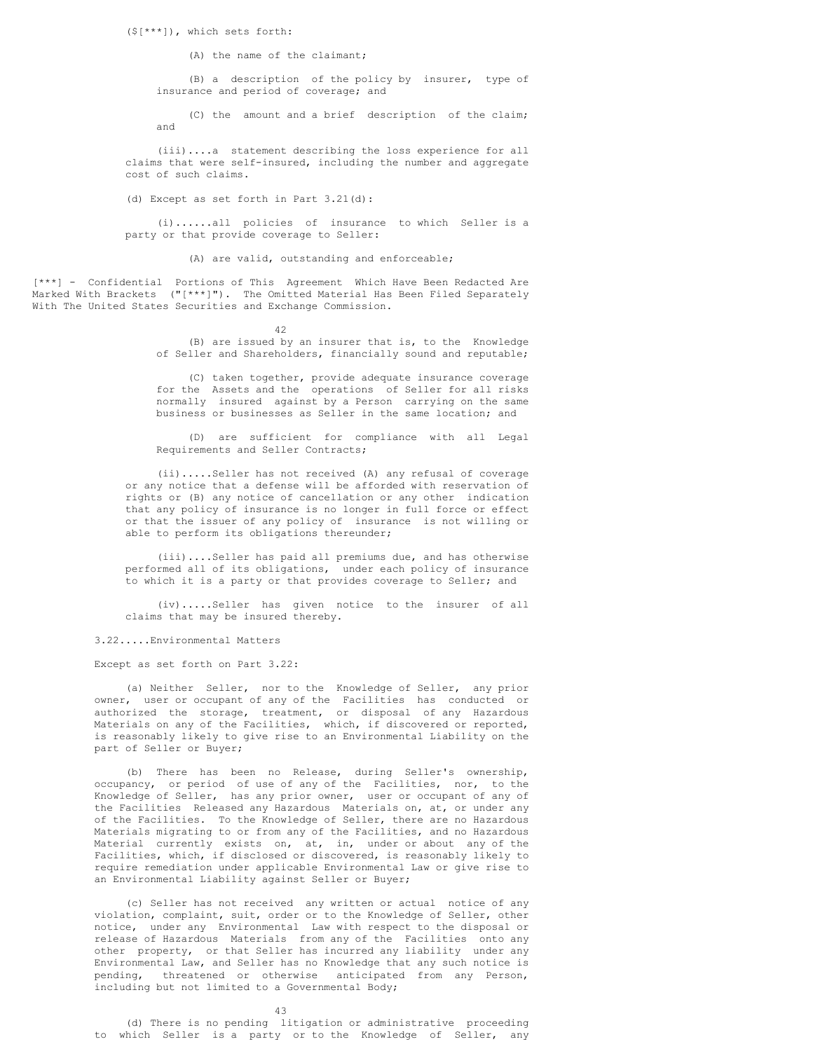(\$[\*\*\*]), which sets forth:

(A) the name of the claimant;

(B) a description of the policy by insurer, type of insurance and period of coverage; and

(C) the amount and a brief description of the claim; and

(iii)....a statement describing the loss experience for all claims that were self-insured, including the number and aggregate cost of such claims.

(d) Except as set forth in Part 3.21(d):

(i)......all policies of insurance to which Seller is a party or that provide coverage to Seller:

(A) are valid, outstanding and enforceable;

[\*\*\*] - Confidential Portions of This Agreement Which Have Been Redacted Are Marked With Brackets ("[\*\*\*]"). The Omitted Material Has Been Filed Separately With The United States Securities and Exchange Commission.

> 42 (B) are issued by an insurer that is, to the Knowledge of Seller and Shareholders, financially sound and reputable;

> (C) taken together, provide adequate insurance coverage for the Assets and the operations of Seller for all risks normally insured against by a Person carrying on the same business or businesses as Seller in the same location; and

> (D) are sufficient for compliance with all Legal Requirements and Seller Contracts;

(ii).....Seller has not received (A) any refusal of coverage or any notice that a defense will be afforded with reservation of rights or (B) any notice of cancellation or any other indication that any policy of insurance is no longer in full force or effect or that the issuer of any policy of insurance is not willing or able to perform its obligations thereunder;

(iii)....Seller has paid all premiums due, and has otherwise performed all of its obligations, under each policy of insurance to which it is a party or that provides coverage to Seller; and

(iv).....Seller has given notice to the insurer of all claims that may be insured thereby.

3.22.....Environmental Matters

Except as set forth on Part 3.22:

(a) Neither Seller, nor to the Knowledge of Seller, any prior owner, user or occupant of any of the Facilities has conducted or authorized the storage, treatment, or disposal of any Hazardous Materials on any of the Facilities, which, if discovered or reported, is reasonably likely to give rise to an Environmental Liability on the part of Seller or Buyer;

(b) There has been no Release, during Seller's ownership, occupancy, or period of use of any of the Facilities, nor, to the Knowledge of Seller, has any prior owner, user or occupant of any of the Facilities Released any Hazardous Materials on, at, or under any of the Facilities. To the Knowledge of Seller, there are no Hazardous Materials migrating to or from any of the Facilities, and no Hazardous Material currently exists on, at, in, under or about any of the Facilities, which, if disclosed or discovered, is reasonably likely to require remediation under applicable Environmental Law or give rise to an Environmental Liability against Seller or Buyer;

(c) Seller has not received any written or actual notice of any violation, complaint, suit, order or to the Knowledge of Seller, other notice, under any Environmental Law with respect to the disposal or release of Hazardous Materials from any of the Facilities onto any other property, or that Seller has incurred any liability under any Environmental Law, and Seller has no Knowledge that any such notice is pending, threatened or otherwise anticipated from any Person, including but not limited to a Governmental Body;

43

(d) There is no pending litigation or administrative proceeding to which Seller is a party or to the Knowledge of Seller, any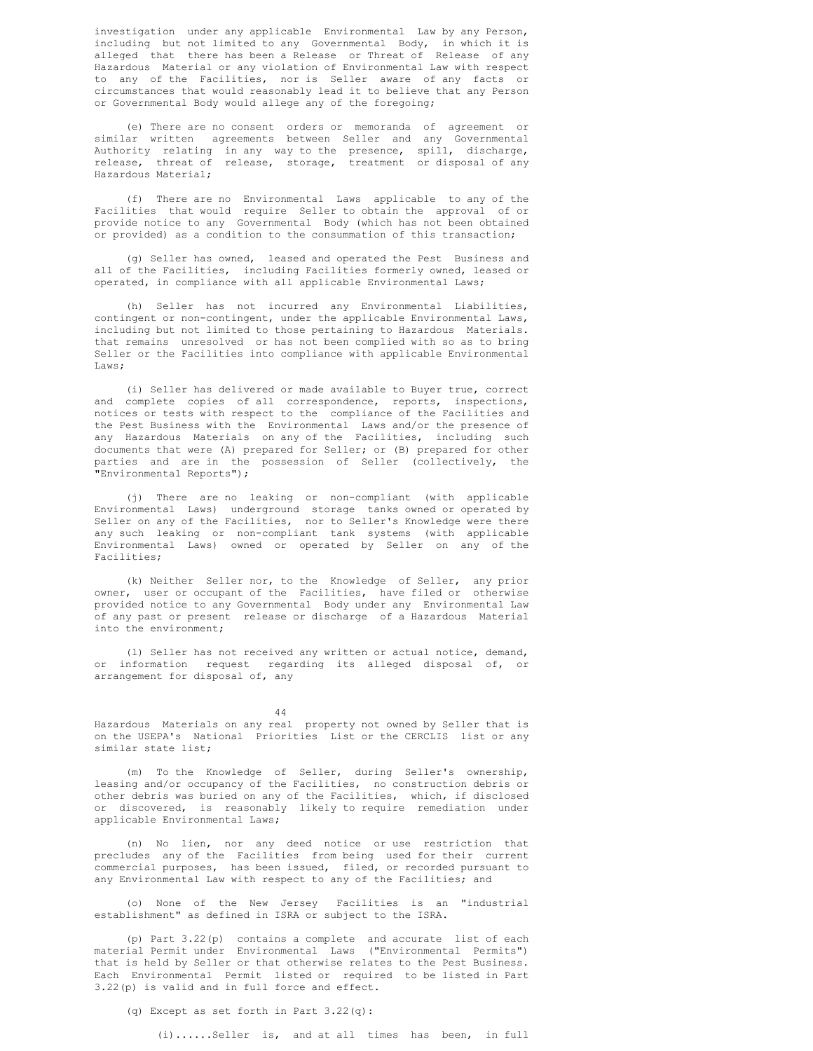investigation under any applicable Environmental Law by any Person, including but not limited to any Governmental Body, in which it is alleged that there has been a Release or Threat of Release of any Hazardous Material or any violation of Environmental Law with respect to any of the Facilities, nor is Seller aware of any facts or circumstances that would reasonably lead it to believe that any Person or Governmental Body would allege any of the foregoing;

(e) There are no consent orders or memoranda of agreement or similar written agreements between Seller and any Governmental Authority relating in any way to the presence, spill, discharge, release, threat of release, storage, treatment or disposal of any Hazardous Material;

(f) There are no Environmental Laws applicable to any of the Facilities that would require Seller to obtain the approval of or provide notice to any Governmental Body (which has not been obtained or provided) as a condition to the consummation of this transaction;

(g) Seller has owned, leased and operated the Pest Business and all of the Facilities, including Facilities formerly owned, leased or operated, in compliance with all applicable Environmental Laws;

(h) Seller has not incurred any Environmental Liabilities, contingent or non-contingent, under the applicable Environmental Laws, including but not limited to those pertaining to Hazardous Materials. that remains unresolved or has not been complied with so as to bring Seller or the Facilities into compliance with applicable Environmental Laws;

(i) Seller has delivered or made available to Buyer true, correct and complete copies of all correspondence, reports, inspections, notices or tests with respect to the compliance of the Facilities and the Pest Business with the Environmental Laws and/or the presence of any Hazardous Materials on any of the Facilities, including such documents that were (A) prepared for Seller; or (B) prepared for other parties and are in the possession of Seller (collectively, the "Environmental Reports");

(j) There are no leaking or non-compliant (with applicable Environmental Laws) underground storage tanks owned or operated by Seller on any of the Facilities, nor to Seller's Knowledge were there any such leaking or non-compliant tank systems (with applicable Environmental Laws) owned or operated by Seller on any of the Facilities;

(k) Neither Seller nor, to the Knowledge of Seller, any prior owner, user or occupant of the Facilities, have filed or otherwise provided notice to any Governmental Body under any Environmental Law of any past or present release or discharge of a Hazardous Material into the environment;

(l) Seller has not received any written or actual notice, demand, or information request regarding its alleged disposal of, or arrangement for disposal of, any

44

Hazardous Materials on any real property not owned by Seller that is on the USEPA's National Priorities List or the CERCLIS list or any similar state list;

(m) To the Knowledge of Seller, during Seller's ownership, leasing and/or occupancy of the Facilities, no construction debris or other debris was buried on any of the Facilities, which, if disclosed or discovered, is reasonably likely to require remediation under applicable Environmental Laws;

(n) No lien, nor any deed notice or use restriction that precludes any of the Facilities from being used for their current commercial purposes, has been issued, filed, or recorded pursuant to any Environmental Law with respect to any of the Facilities; and

(o) None of the New Jersey Facilities is an "industrial establishment" as defined in ISRA or subject to the ISRA.

(p) Part 3.22(p) contains a complete and accurate list of each material Permit under Environmental Laws ("Environmental Permits") that is held by Seller or that otherwise relates to the Pest Business. Each Environmental Permit listed or required to be listed in Part 3.22(p) is valid and in full force and effect.

(q) Except as set forth in Part 3.22(q):

(i)......Seller is, and at all times has been, in full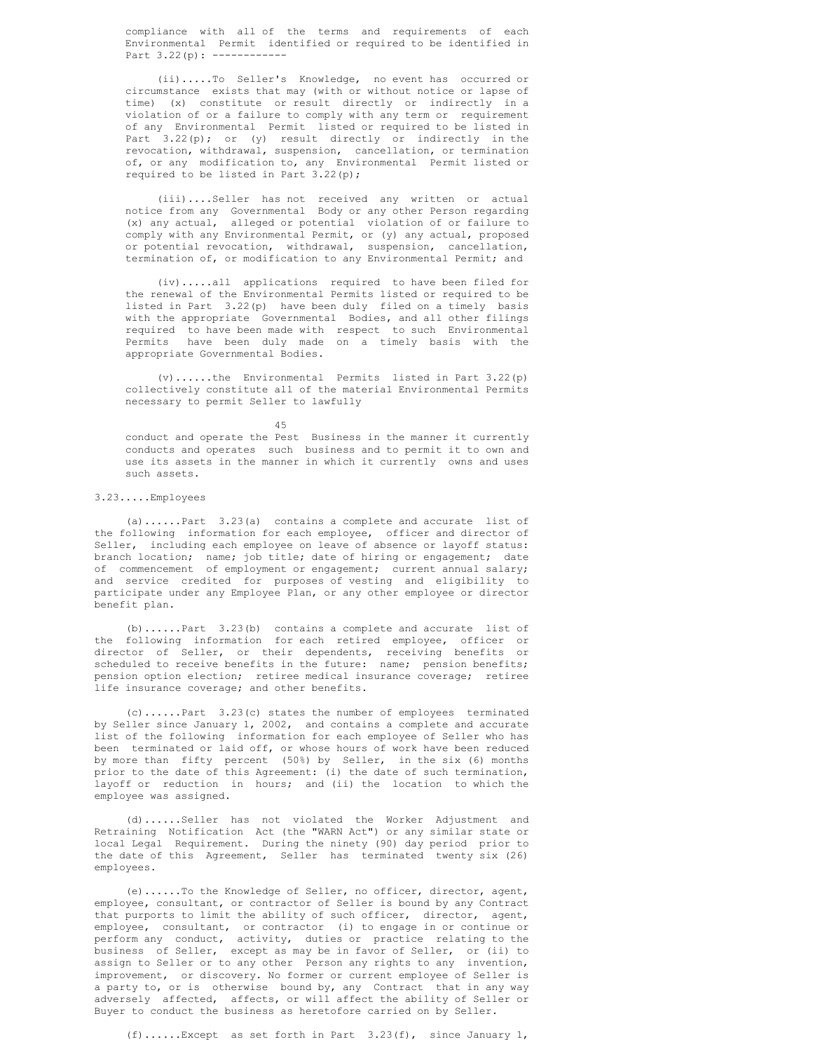compliance with all of the terms and requirements of each Environmental Permit identified or required to be identified in Part 3.22(p): -----------

(ii).....To Seller's Knowledge, no event has occurred or circumstance exists that may (with or without notice or lapse of time) (x) constitute or result directly or indirectly in a violation of or a failure to comply with any term or requirement of any Environmental Permit listed or required to be listed in Part 3.22(p); or (y) result directly or indirectly in the revocation, withdrawal, suspension, cancellation, or termination of, or any modification to, any Environmental Permit listed or required to be listed in Part 3.22(p);

(iii)....Seller has not received any written or actual notice from any Governmental Body or any other Person regarding (x) any actual, alleged or potential violation of or failure to comply with any Environmental Permit, or (y) any actual, proposed or potential revocation, withdrawal, suspension, cancellation, termination of, or modification to any Environmental Permit; and

(iv).....all applications required to have been filed for the renewal of the Environmental Permits listed or required to be listed in Part 3.22(p) have been duly filed on a timely basis with the appropriate Governmental Bodies, and all other filings required to have been made with respect to such Environmental Permits have been duly made on a timely basis with the appropriate Governmental Bodies.

(v)......the Environmental Permits listed in Part 3.22(p) collectively constitute all of the material Environmental Permits necessary to permit Seller to lawfully

45

conduct and operate the Pest Business in the manner it currently conducts and operates such business and to permit it to own and use its assets in the manner in which it currently owns and uses such assets.

### 3.23.....Employees

(a)......Part 3.23(a) contains a complete and accurate list of the following information for each employee, officer and director of Seller, including each employee on leave of absence or layoff status: branch location; name; job title; date of hiring or engagement; date of commencement of employment or engagement; current annual salary; and service credited for purposes of vesting and eligibility to participate under any Employee Plan, or any other employee or director benefit plan.

(b)......Part 3.23(b) contains a complete and accurate list of the following information for each retired employee, officer or director of Seller, or their dependents, receiving benefits or scheduled to receive benefits in the future: name; pension benefits; pension option election; retiree medical insurance coverage; retiree life insurance coverage; and other benefits.

(c)......Part 3.23(c) states the number of employees terminated by Seller since January 1, 2002, and contains a complete and accurate list of the following information for each employee of Seller who has been terminated or laid off, or whose hours of work have been reduced by more than fifty percent (50%) by Seller, in the six (6) months prior to the date of this Agreement: (i) the date of such termination, layoff or reduction in hours; and (ii) the location to which the employee was assigned.

(d)......Seller has not violated the Worker Adjustment and Retraining Notification Act (the "WARN Act") or any similar state or local Legal Requirement. During the ninety (90) day period prior to the date of this Agreement, Seller has terminated twenty six (26) employees.

(e)......To the Knowledge of Seller, no officer, director, agent, employee, consultant, or contractor of Seller is bound by any Contract that purports to limit the ability of such officer, director, agent, employee, consultant, or contractor (i) to engage in or continue or perform any conduct, activity, duties or practice relating to the business of Seller, except as may be in favor of Seller, or (ii) to assign to Seller or to any other Person any rights to any invention, improvement, or discovery. No former or current employee of Seller is a party to, or is otherwise bound by, any Contract that in any way adversely affected, affects, or will affect the ability of Seller or Buyer to conduct the business as heretofore carried on by Seller.

(f)......Except as set forth in Part 3.23(f), since January 1,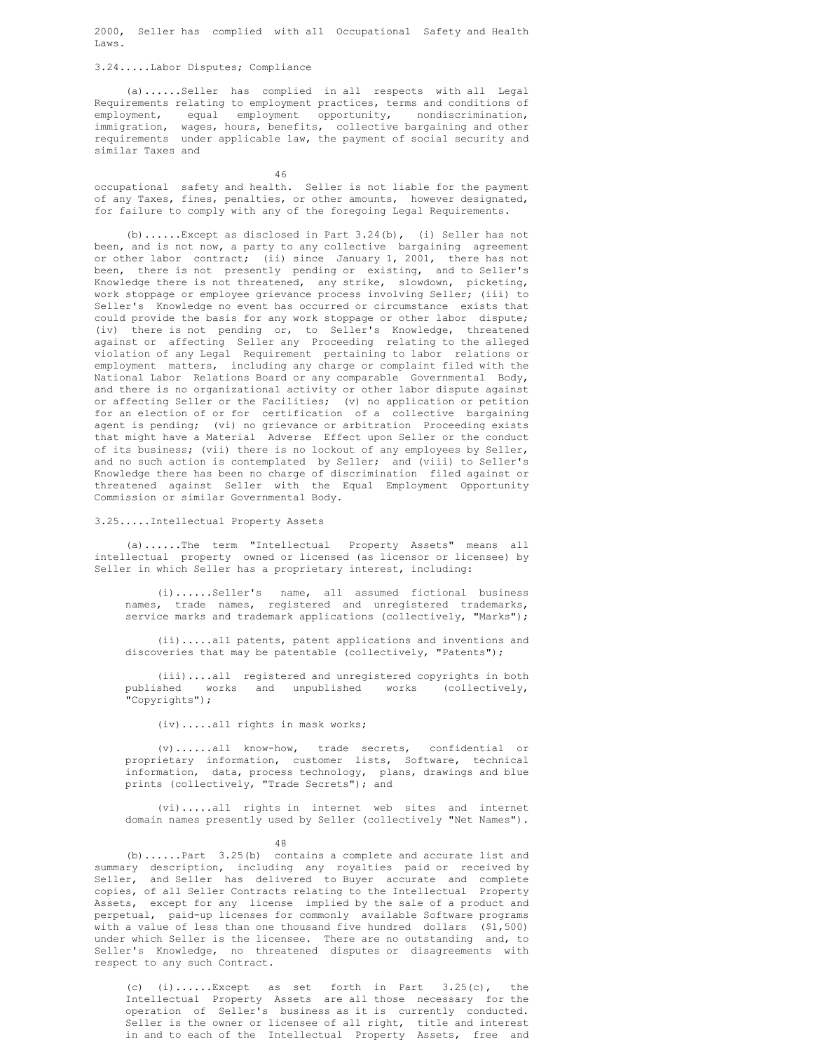2000, Seller has complied with all Occupational Safety and Health Laws.

# 3.24.....Labor Disputes; Compliance

(a)......Seller has complied in all respects with all Legal Requirements relating to employment practices, terms and conditions of employment, equal employment opportunity, nondiscrimination, immigration, wages, hours, benefits, collective bargaining and other requirements under applicable law, the payment of social security and similar Taxes and

46

occupational safety and health. Seller is not liable for the payment of any Taxes, fines, penalties, or other amounts, however designated, for failure to comply with any of the foregoing Legal Requirements.

(b)......Except as disclosed in Part 3.24(b), (i) Seller has not been, and is not now, a party to any collective bargaining agreement or other labor contract; (ii) since January 1, 2001, there has not been, there is not presently pending or existing, and to Seller's Knowledge there is not threatened, any strike, slowdown, picketing, work stoppage or employee grievance process involving Seller; (iii) to Seller's Knowledge no event has occurred or circumstance exists that could provide the basis for any work stoppage or other labor dispute; (iv) there is not pending or, to Seller's Knowledge, threatened against or affecting Seller any Proceeding relating to the alleged violation of any Legal Requirement pertaining to labor relations or employment matters, including any charge or complaint filed with the National Labor Relations Board or any comparable Governmental Body, and there is no organizational activity or other labor dispute against or affecting Seller or the Facilities; (v) no application or petition for an election of or for certification of a collective bargaining agent is pending; (vi) no grievance or arbitration Proceeding exists that might have a Material Adverse Effect upon Seller or the conduct of its business; (vii) there is no lockout of any employees by Seller, and no such action is contemplated by Seller; and (viii) to Seller's Knowledge there has been no charge of discrimination filed against or threatened against Seller with the Equal Employment Opportunity Commission or similar Governmental Body.

### 3.25.....Intellectual Property Assets

(a)......The term "Intellectual Property Assets" means all intellectual property owned or licensed (as licensor or licensee) by Seller in which Seller has a proprietary interest, including:

(i)......Seller's name, all assumed fictional business names, trade names, registered and unregistered trademarks, service marks and trademark applications (collectively, "Marks");

(ii).....all patents, patent applications and inventions and discoveries that may be patentable (collectively, "Patents");

(iii)....all registered and unregistered copyrights in both published works and unpublished works (collectively, "Copyrights");

(iv).....all rights in mask works;

(v)......all know-how, trade secrets, confidential or proprietary information, customer lists, Software, technical information, data, process technology, plans, drawings and blue prints (collectively, "Trade Secrets"); and

(vi).....all rights in internet web sites and internet domain names presently used by Seller (collectively "Net Names").

48

(b)......Part 3.25(b) contains a complete and accurate list and summary description, including any royalties paid or received by Seller, and Seller has delivered to Buyer accurate and complete copies, of all Seller Contracts relating to the Intellectual Property Assets, except for any license implied by the sale of a product and perpetual, paid-up licenses for commonly available Software programs with a value of less than one thousand five hundred dollars (\$1,500) under which Seller is the licensee. There are no outstanding and, to Seller's Knowledge, no threatened disputes or disagreements with respect to any such Contract.

(c)  $(i)$ ......Except as set forth in Part  $3.25(c)$ , the Intellectual Property Assets are all those necessary for the operation of Seller's business as it is currently conducted. Seller is the owner or licensee of all right, title and interest in and to each of the Intellectual Property Assets, free and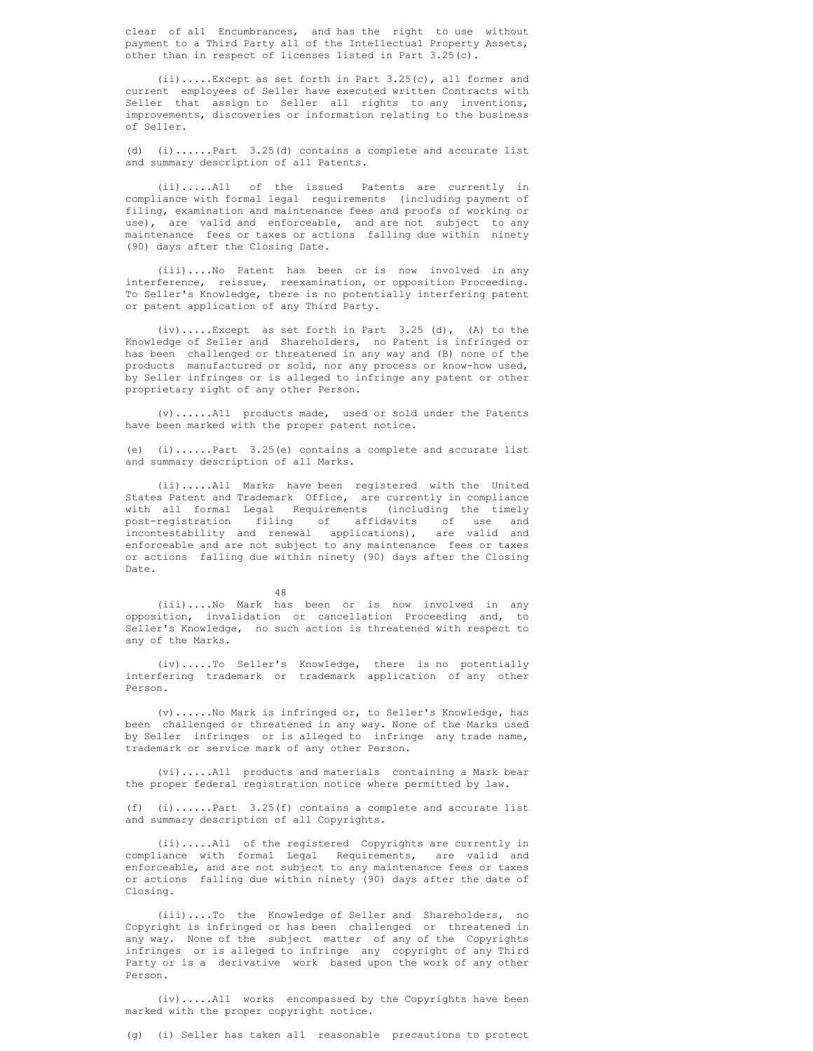clear of all Encumbrances, and has the right to use without payment to a Third Party all of the Intellectual Property Assets, other than in respect of licenses listed in Part 3.25(c).

(ii).....Except as set forth in Part 3.25(c), all former and current employees of Seller have executed written Contracts with Seller that assign to Seller all rights to any inventions, improvements, discoveries or information relating to the business of Seller.

(d)  $(i)$ ......Part 3.25(d) contains a complete and accurate list and summary description of all Patents.

(ii).....All of the issued Patents are currently in compliance with formal legal requirements (including payment of filing, examination and maintenance fees and proofs of working or use), are valid and enforceable, and are not subject to any maintenance fees or taxes or actions falling due within ninety (90) days after the Closing Date.

(iii)....No Patent has been or is now involved in any interference, reissue, reexamination, or opposition Proceeding. To Seller's Knowledge, there is no potentially interfering patent or patent application of any Third Party.

(iv).....Except as set forth in Part  $3.25$  (d), (A) to the Knowledge of Seller and Shareholders, no Patent is infringed or has been challenged or threatened in any way and (B) none of the products manufactured or sold, nor any process or know-how used, by Seller infringes or is alleged to infringe any patent or other proprietary right of any other Person.

(v)......All products made, used or sold under the Patents have been marked with the proper patent notice.

(e)  $(i)$ ......Part 3.25(e) contains a complete and accurate list and summary description of all Marks.

(ii).....All Marks have been registered with the United States Patent and Trademark Office, are currently in compliance with all formal Legal Requirements (including the timely post-registration filing of affidavits of use and incontestability and renewal applications), are valid and enforceable and are not subject to any maintenance fees or taxes or actions falling due within ninety (90) days after the Closing Date.

48

(iii)....No Mark has been or is now involved in any opposition, invalidation or cancellation Proceeding and, to Seller's Knowledge, no such action is threatened with respect to any of the Marks.

(iv).....To Seller's Knowledge, there is no potentially interfering trademark or trademark application of any other Person.

(v)......No Mark is infringed or, to Seller's Knowledge, has been challenged or threatened in any way. None of the Marks used by Seller infringes or is alleged to infringe any trade name, trademark or service mark of any other Person.

(vi).....All products and materials containing a Mark bear the proper federal registration notice where permitted by law.

(f) (i)......Part 3.25(f) contains a complete and accurate list and summary description of all Copyrights.

(ii).....All of the registered Copyrights are currently in compliance with formal Legal Requirements, are valid and enforceable, and are not subject to any maintenance fees or taxes or actions falling due within ninety (90) days after the date of Closing.

(iii)....To the Knowledge of Seller and Shareholders, no Copyright is infringed or has been challenged or threatened in any way. None of the subject matter of any of the Copyrights infringes or is alleged to infringe any copyright of any Third Party or is a derivative work based upon the work of any other Person.

(iv).....All works encompassed by the Copyrights have been marked with the proper copyright notice.

(g) (i) Seller has taken all reasonable precautions to protect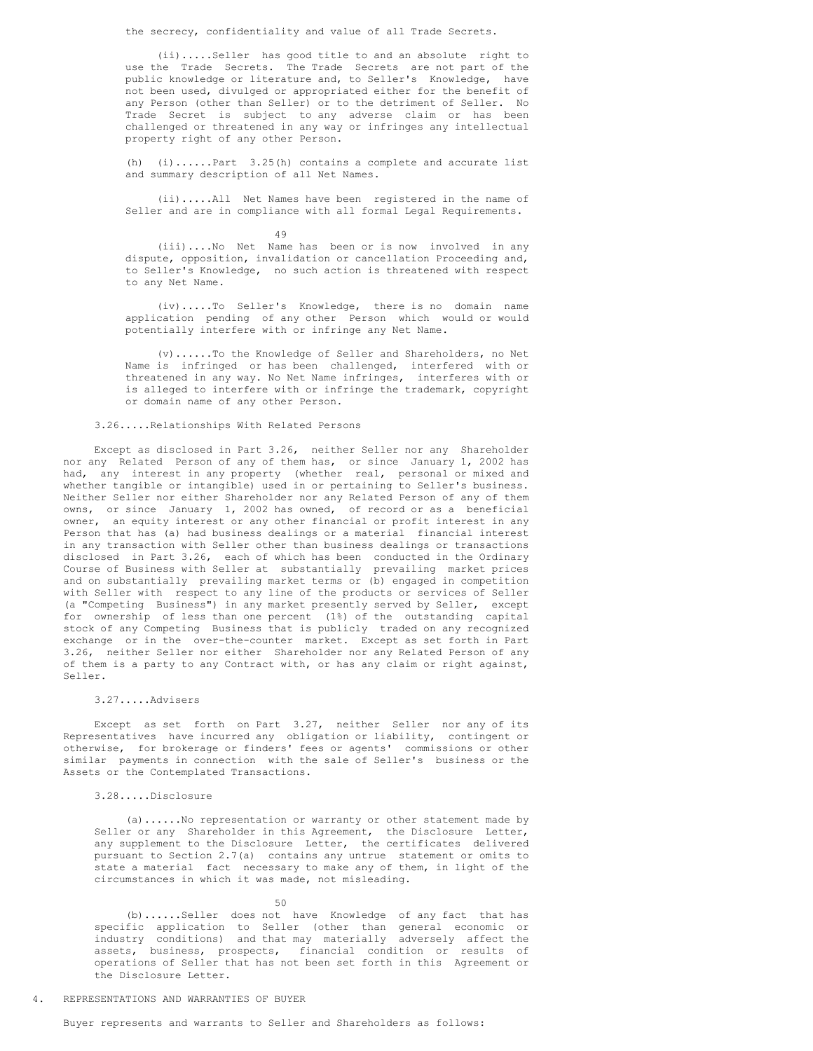the secrecy, confidentiality and value of all Trade Secrets.

(ii).....Seller has good title to and an absolute right to use the Trade Secrets. The Trade Secrets are not part of the public knowledge or literature and, to Seller's Knowledge, have not been used, divulged or appropriated either for the benefit of any Person (other than Seller) or to the detriment of Seller. No Trade Secret is subject to any adverse claim or has been challenged or threatened in any way or infringes any intellectual property right of any other Person.

(h) (i)......Part 3.25(h) contains a complete and accurate list and summary description of all Net Names.

(ii).....All Net Names have been registered in the name of Seller and are in compliance with all formal Legal Requirements.

49

(iii)....No Net Name has been or is now involved in any dispute, opposition, invalidation or cancellation Proceeding and, to Seller's Knowledge, no such action is threatened with respect to any Net Name.

(iv).....To Seller's Knowledge, there is no domain name application pending of any other Person which would or would potentially interfere with or infringe any Net Name.

(v)......To the Knowledge of Seller and Shareholders, no Net Name is infringed or has been challenged, interfered with or threatened in any way. No Net Name infringes, interferes with or is alleged to interfere with or infringe the trademark, copyright or domain name of any other Person.

#### 3.26.....Relationships With Related Persons

Except as disclosed in Part 3.26, neither Seller nor any Shareholder nor any Related Person of any of them has, or since January 1, 2002 has had, any interest in any property (whether real, personal or mixed and whether tangible or intangible) used in or pertaining to Seller's business. Neither Seller nor either Shareholder nor any Related Person of any of them owns, or since January 1, 2002 has owned, of record or as a beneficial owner, an equity interest or any other financial or profit interest in any Person that has (a) had business dealings or a material financial interest in any transaction with Seller other than business dealings or transactions disclosed in Part 3.26, each of which has been conducted in the Ordinary Course of Business with Seller at substantially prevailing market prices and on substantially prevailing market terms or (b) engaged in competition with Seller with respect to any line of the products or services of Seller (a "Competing Business") in any market presently served by Seller, except for ownership of less than one percent (1%) of the outstanding capital stock of any Competing Business that is publicly traded on any recognized exchange or in the over-the-counter market. Except as set forth in Part 3.26, neither Seller nor either Shareholder nor any Related Person of any of them is a party to any Contract with, or has any claim or right against, Seller.

### 3.27.....Advisers

Except as set forth on Part 3.27, neither Seller nor any of its Representatives have incurred any obligation or liability, contingent or otherwise, for brokerage or finders' fees or agents' commissions or other similar payments in connection with the sale of Seller's business or the Assets or the Contemplated Transactions.

### 3.28.....Disclosure

(a)......No representation or warranty or other statement made by Seller or any Shareholder in this Agreement, the Disclosure Letter, any supplement to the Disclosure Letter, the certificates delivered pursuant to Section 2.7(a) contains any untrue statement or omits to state a material fact necessary to make any of them, in light of the circumstances in which it was made, not misleading.

#### 50

(b)......Seller does not have Knowledge of any fact that has specific application to Seller (other than general economic or industry conditions) and that may materially adversely affect the assets, business, prospects, financial condition or results of operations of Seller that has not been set forth in this Agreement or the Disclosure Letter.

### 4. REPRESENTATIONS AND WARRANTIES OF BUYER

Buyer represents and warrants to Seller and Shareholders as follows: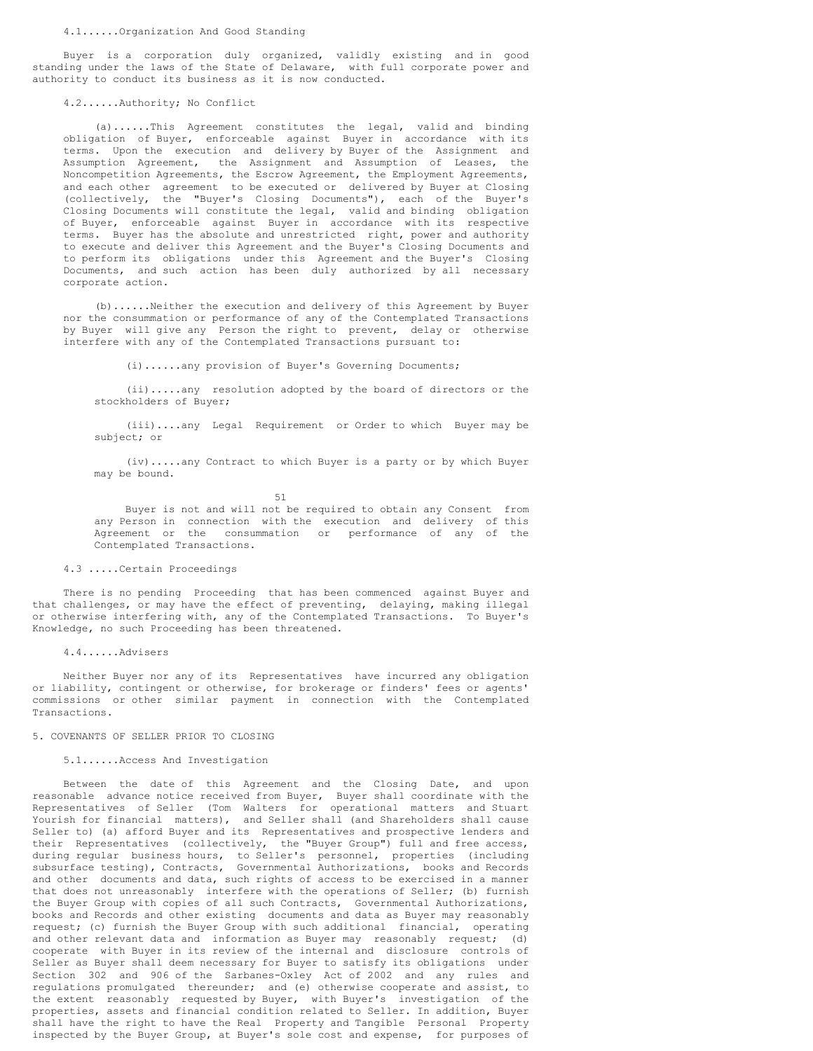#### 4.1......Organization And Good Standing

Buyer is a corporation duly organized, validly existing and in good standing under the laws of the State of Delaware, with full corporate power and authority to conduct its business as it is now conducted.

#### 4.2......Authority; No Conflict

(a)......This Agreement constitutes the legal, valid and binding obligation of Buyer, enforceable against Buyer in accordance with its terms. Upon the execution and delivery by Buyer of the Assignment and Assumption Agreement, the Assignment and Assumption of Leases, the Noncompetition Agreements, the Escrow Agreement, the Employment Agreements, and each other agreement to be executed or delivered by Buyer at Closing (collectively, the "Buyer's Closing Documents"), each of the Buyer's Closing Documents will constitute the legal, valid and binding obligation of Buyer, enforceable against Buyer in accordance with its respective terms. Buyer has the absolute and unrestricted right, power and authority to execute and deliver this Agreement and the Buyer's Closing Documents and to perform its obligations under this Agreement and the Buyer's Closing Documents, and such action has been duly authorized by all necessary corporate action.

(b)......Neither the execution and delivery of this Agreement by Buyer nor the consummation or performance of any of the Contemplated Transactions by Buyer will give any Person the right to prevent, delay or otherwise interfere with any of the Contemplated Transactions pursuant to:

(i)......any provision of Buyer's Governing Documents;

(ii).....any resolution adopted by the board of directors or the stockholders of Buyer;

(iii)....any Legal Requirement or Order to which Buyer may be subject; or

(iv).....any Contract to which Buyer is a party or by which Buyer may be bound.

51

Buyer is not and will not be required to obtain any Consent from any Person in connection with the execution and delivery of this Agreement or the consummation or performance of any of the Contemplated Transactions.

## 4.3 .....Certain Proceedings

There is no pending Proceeding that has been commenced against Buyer and that challenges, or may have the effect of preventing, delaying, making illegal or otherwise interfering with, any of the Contemplated Transactions. To Buyer's Knowledge, no such Proceeding has been threatened.

### 4.4......Advisers

Neither Buyer nor any of its Representatives have incurred any obligation or liability, contingent or otherwise, for brokerage or finders' fees or agents' commissions or other similar payment in connection with the Contemplated Transactions.

### 5. COVENANTS OF SELLER PRIOR TO CLOSING

### 5.1......Access And Investigation

Between the date of this Agreement and the Closing Date, and upon reasonable advance notice received from Buyer, Buyer shall coordinate with the Representatives of Seller (Tom Walters for operational matters and Stuart Yourish for financial matters), and Seller shall (and Shareholders shall cause Seller to) (a) afford Buyer and its Representatives and prospective lenders and their Representatives (collectively, the "Buyer Group") full and free access, during regular business hours, to Seller's personnel, properties (including subsurface testing), Contracts, Governmental Authorizations, books and Records and other documents and data, such rights of access to be exercised in a manner that does not unreasonably interfere with the operations of Seller; (b) furnish the Buyer Group with copies of all such Contracts, Governmental Authorizations, books and Records and other existing documents and data as Buyer may reasonably request; (c) furnish the Buyer Group with such additional financial, operating and other relevant data and information as Buyer may reasonably request; (d) cooperate with Buyer in its review of the internal and disclosure controls of Seller as Buyer shall deem necessary for Buyer to satisfy its obligations under Section 302 and 906 of the Sarbanes-Oxley Act of 2002 and any rules and regulations promulgated thereunder; and (e) otherwise cooperate and assist, to the extent reasonably requested by Buyer, with Buyer's investigation of the properties, assets and financial condition related to Seller. In addition, Buyer shall have the right to have the Real Property and Tangible Personal Property inspected by the Buyer Group, at Buyer's sole cost and expense, for purposes of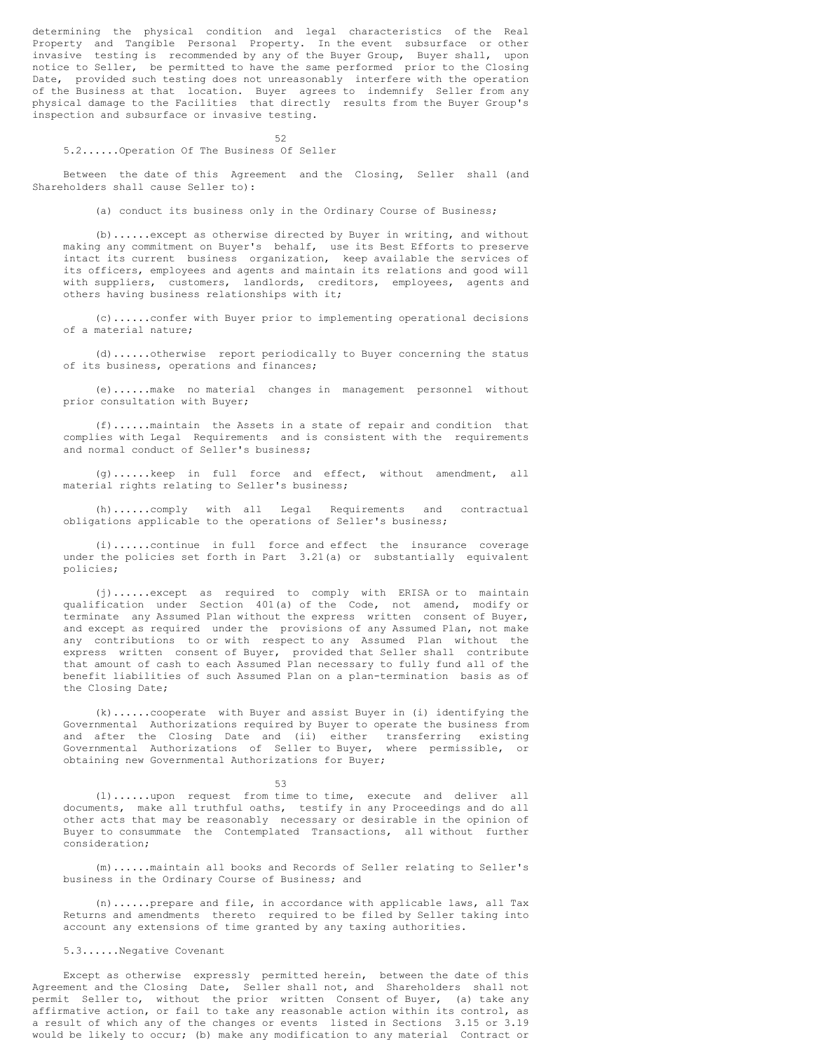determining the physical condition and legal characteristics of the Real Property and Tangible Personal Property. In the event subsurface or other invasive testing is recommended by any of the Buyer Group, Buyer shall, upon notice to Seller, be permitted to have the same performed prior to the Closing Date, provided such testing does not unreasonably interfere with the operation of the Business at that location. Buyer agrees to indemnify Seller from any physical damage to the Facilities that directly results from the Buyer Group's inspection and subsurface or invasive testing.

52

#### 5.2......Operation Of The Business Of Seller

Between the date of this Agreement and the Closing, Seller shall (and Shareholders shall cause Seller to):

(a) conduct its business only in the Ordinary Course of Business;

(b)......except as otherwise directed by Buyer in writing, and without making any commitment on Buyer's behalf, use its Best Efforts to preserve intact its current business organization, keep available the services of its officers, employees and agents and maintain its relations and good will with suppliers, customers, landlords, creditors, employees, agents and others having business relationships with it;

(c)......confer with Buyer prior to implementing operational decisions of a material nature;

(d)......otherwise report periodically to Buyer concerning the status of its business, operations and finances;

(e)......make no material changes in management personnel without prior consultation with Buyer;

(f)......maintain the Assets in a state of repair and condition that complies with Legal Requirements and is consistent with the requirements and normal conduct of Seller's business;

(g)......keep in full force and effect, without amendment, all material rights relating to Seller's business;

(h)......comply with all Legal Requirements and contractual obligations applicable to the operations of Seller's business;

(i)......continue in full force and effect the insurance coverage under the policies set forth in Part 3.21(a) or substantially equivalent policies;

(j)......except as required to comply with ERISA or to maintain qualification under Section 401(a) of the Code, not amend, modify or terminate any Assumed Plan without the express written consent of Buyer, and except as required under the provisions of any Assumed Plan, not make any contributions to or with respect to any Assumed Plan without the express written consent of Buyer, provided that Seller shall contribute that amount of cash to each Assumed Plan necessary to fully fund all of the benefit liabilities of such Assumed Plan on a plan-termination basis as of the Closing Date;

(k)......cooperate with Buyer and assist Buyer in (i) identifying the Governmental Authorizations required by Buyer to operate the business from and after the Closing Date and (ii) either transferring existing Governmental Authorizations of Seller to Buyer, where permissible, or obtaining new Governmental Authorizations for Buyer;

53

(l)......upon request from time to time, execute and deliver all documents, make all truthful oaths, testify in any Proceedings and do all other acts that may be reasonably necessary or desirable in the opinion of Buyer to consummate the Contemplated Transactions, all without further consideration;

(m)......maintain all books and Records of Seller relating to Seller's business in the Ordinary Course of Business; and

(n)......prepare and file, in accordance with applicable laws, all Tax Returns and amendments thereto required to be filed by Seller taking into account any extensions of time granted by any taxing authorities.

#### 5.3......Negative Covenant

Except as otherwise expressly permitted herein, between the date of this Agreement and the Closing Date, Seller shall not, and Shareholders shall not permit Seller to, without the prior written Consent of Buyer, (a) take any affirmative action, or fail to take any reasonable action within its control, as a result of which any of the changes or events listed in Sections 3.15 or 3.19 would be likely to occur; (b) make any modification to any material Contract or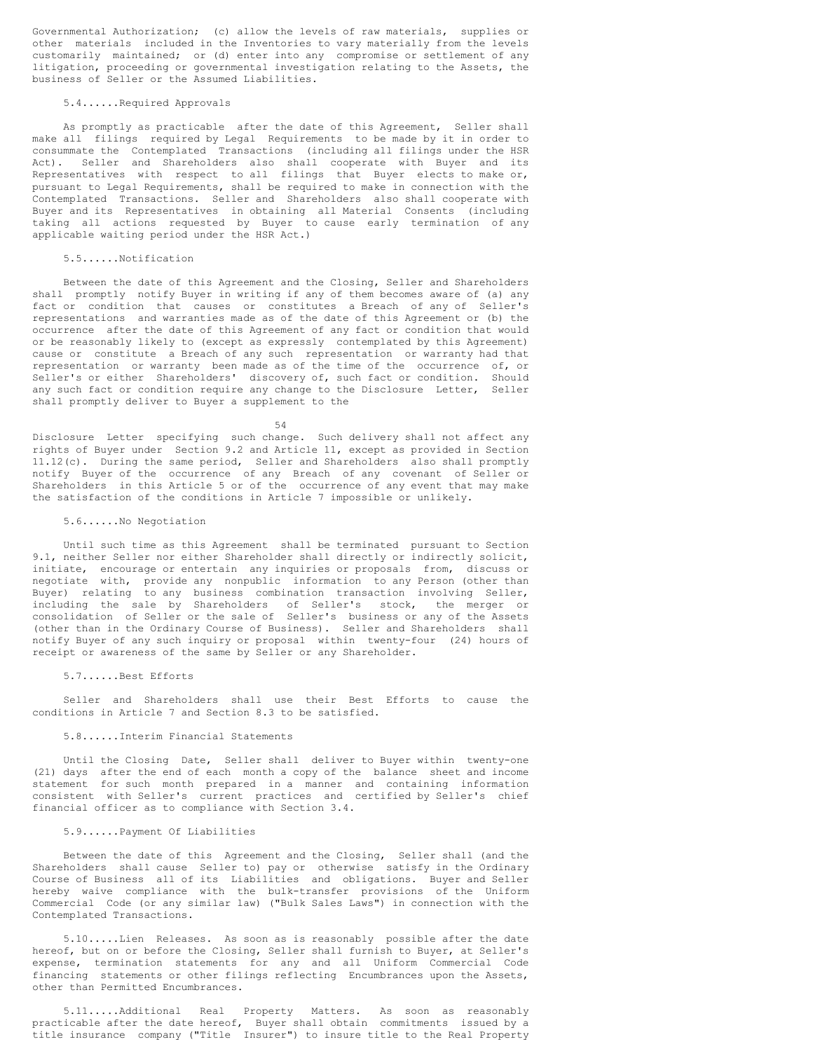Governmental Authorization; (c) allow the levels of raw materials, supplies or other materials included in the Inventories to vary materially from the levels customarily maintained; or (d) enter into any compromise or settlement of any litigation, proceeding or governmental investigation relating to the Assets, the business of Seller or the Assumed Liabilities.

### 5.4......Required Approvals

As promptly as practicable after the date of this Agreement, Seller shall make all filings required by Legal Requirements to be made by it in order to consummate the Contemplated Transactions (including all filings under the HSR Act). Seller and Shareholders also shall cooperate with Buyer and its Representatives with respect to all filings that Buyer elects to make or, pursuant to Legal Requirements, shall be required to make in connection with the Contemplated Transactions. Seller and Shareholders also shall cooperate with Buyer and its Representatives in obtaining all Material Consents (including taking all actions requested by Buyer to cause early termination of any applicable waiting period under the HSR Act.)

#### 5.5......Notification

Between the date of this Agreement and the Closing, Seller and Shareholders shall promptly notify Buyer in writing if any of them becomes aware of (a) any fact or condition that causes or constitutes a Breach of any of Seller's representations and warranties made as of the date of this Agreement or (b) the occurrence after the date of this Agreement of any fact or condition that would or be reasonably likely to (except as expressly contemplated by this Agreement) cause or constitute a Breach of any such representation or warranty had that representation or warranty been made as of the time of the occurrence of, or Seller's or either Shareholders' discovery of, such fact or condition. Should any such fact or condition require any change to the Disclosure Letter, Seller shall promptly deliver to Buyer a supplement to the

54

Disclosure Letter specifying such change. Such delivery shall not affect any rights of Buyer under Section 9.2 and Article 11, except as provided in Section 11.12(c). During the same period, Seller and Shareholders also shall promptly notify Buyer of the occurrence of any Breach of any covenant of Seller or Shareholders in this Article 5 or of the occurrence of any event that may make the satisfaction of the conditions in Article 7 impossible or unlikely.

#### 5.6......No Negotiation

Until such time as this Agreement shall be terminated pursuant to Section 9.1, neither Seller nor either Shareholder shall directly or indirectly solicit, initiate, encourage or entertain any inquiries or proposals from, discuss or negotiate with, provide any nonpublic information to any Person (other than Buyer) relating to any business combination transaction involving Seller, including the sale by Shareholders of Seller's stock, the merger or consolidation of Seller or the sale of Seller's business or any of the Assets (other than in the Ordinary Course of Business). Seller and Shareholders shall notify Buyer of any such inquiry or proposal within twenty-four (24) hours of receipt or awareness of the same by Seller or any Shareholder.

### 5.7......Best Efforts

Seller and Shareholders shall use their Best Efforts to cause the conditions in Article 7 and Section 8.3 to be satisfied.

# 5.8......Interim Financial Statements

Until the Closing Date, Seller shall deliver to Buyer within twenty-one (21) days after the end of each month a copy of the balance sheet and income statement for such month prepared in a manner and containing information consistent with Seller's current practices and certified by Seller's chief financial officer as to compliance with Section 3.4.

# 5.9......Payment Of Liabilities

Between the date of this Agreement and the Closing, Seller shall (and the Shareholders shall cause Seller to) pay or otherwise satisfy in the Ordinary Course of Business all of its Liabilities and obligations. Buyer and Seller hereby waive compliance with the bulk-transfer provisions of the Uniform Commercial Code (or any similar law) ("Bulk Sales Laws") in connection with the Contemplated Transactions.

5.10.....Lien Releases. As soon as is reasonably possible after the date hereof, but on or before the Closing, Seller shall furnish to Buyer, at Seller's expense, termination statements for any and all Uniform Commercial Code financing statements or other filings reflecting Encumbrances upon the Assets, other than Permitted Encumbrances.

5.11.....Additional Real Property Matters. As soon as reasonably practicable after the date hereof, Buyer shall obtain commitments issued by a title insurance company ("Title Insurer") to insure title to the Real Property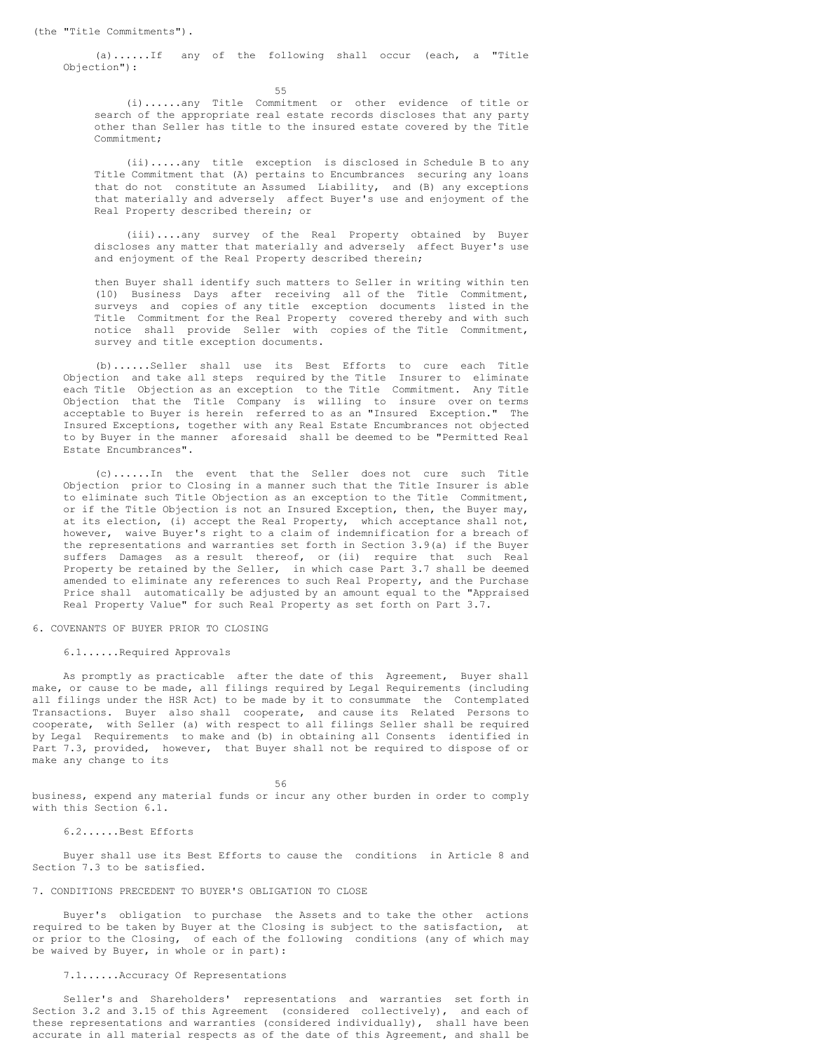(a)......If any of the following shall occur (each, a "Title Objection"):

55

(i)......any Title Commitment or other evidence of title or search of the appropriate real estate records discloses that any party other than Seller has title to the insured estate covered by the Title Commitment;

(ii).....any title exception is disclosed in Schedule B to any Title Commitment that (A) pertains to Encumbrances securing any loans that do not constitute an Assumed Liability, and (B) any exceptions that materially and adversely affect Buyer's use and enjoyment of the Real Property described therein; or

(iii)....any survey of the Real Property obtained by Buyer discloses any matter that materially and adversely affect Buyer's use and enjoyment of the Real Property described therein;

then Buyer shall identify such matters to Seller in writing within ten (10) Business Days after receiving all of the Title Commitment, surveys and copies of any title exception documents listed in the Title Commitment for the Real Property covered thereby and with such notice shall provide Seller with copies of the Title Commitment, survey and title exception documents.

(b)......Seller shall use its Best Efforts to cure each Title Objection and take all steps required by the Title Insurer to eliminate each Title Objection as an exception to the Title Commitment. Any Title Objection that the Title Company is willing to insure over on terms acceptable to Buyer is herein referred to as an "Insured Exception." The Insured Exceptions, together with any Real Estate Encumbrances not objected to by Buyer in the manner aforesaid shall be deemed to be "Permitted Real Estate Encumbrances".

(c)......In the event that the Seller does not cure such Title Objection prior to Closing in a manner such that the Title Insurer is able to eliminate such Title Objection as an exception to the Title Commitment, or if the Title Objection is not an Insured Exception, then, the Buyer may, at its election, (i) accept the Real Property, which acceptance shall not, however, waive Buyer's right to a claim of indemnification for a breach of the representations and warranties set forth in Section 3.9(a) if the Buyer suffers Damages as a result thereof, or (ii) require that such Real Property be retained by the Seller, in which case Part 3.7 shall be deemed amended to eliminate any references to such Real Property, and the Purchase Price shall automatically be adjusted by an amount equal to the "Appraised Real Property Value" for such Real Property as set forth on Part 3.7.

## 6. COVENANTS OF BUYER PRIOR TO CLOSING

6.1......Required Approvals

As promptly as practicable after the date of this Agreement, Buyer shall make, or cause to be made, all filings required by Legal Requirements (including all filings under the HSR Act) to be made by it to consummate the Contemplated Transactions. Buyer also shall cooperate, and cause its Related Persons to cooperate, with Seller (a) with respect to all filings Seller shall be required by Legal Requirements to make and (b) in obtaining all Consents identified in Part 7.3, provided, however, that Buyer shall not be required to dispose of or make any change to its

56

business, expend any material funds or incur any other burden in order to comply with this Section 6.1.

6.2......Best Efforts

Buyer shall use its Best Efforts to cause the conditions in Article 8 and Section 7.3 to be satisfied.

# 7. CONDITIONS PRECEDENT TO BUYER'S OBLIGATION TO CLOSE

Buyer's obligation to purchase the Assets and to take the other actions required to be taken by Buyer at the Closing is subject to the satisfaction, at or prior to the Closing, of each of the following conditions (any of which may be waived by Buyer, in whole or in part):

### 7.1......Accuracy Of Representations

Seller's and Shareholders' representations and warranties set forth in Section 3.2 and 3.15 of this Agreement (considered collectively), and each of these representations and warranties (considered individually), shall have been accurate in all material respects as of the date of this Agreement, and shall be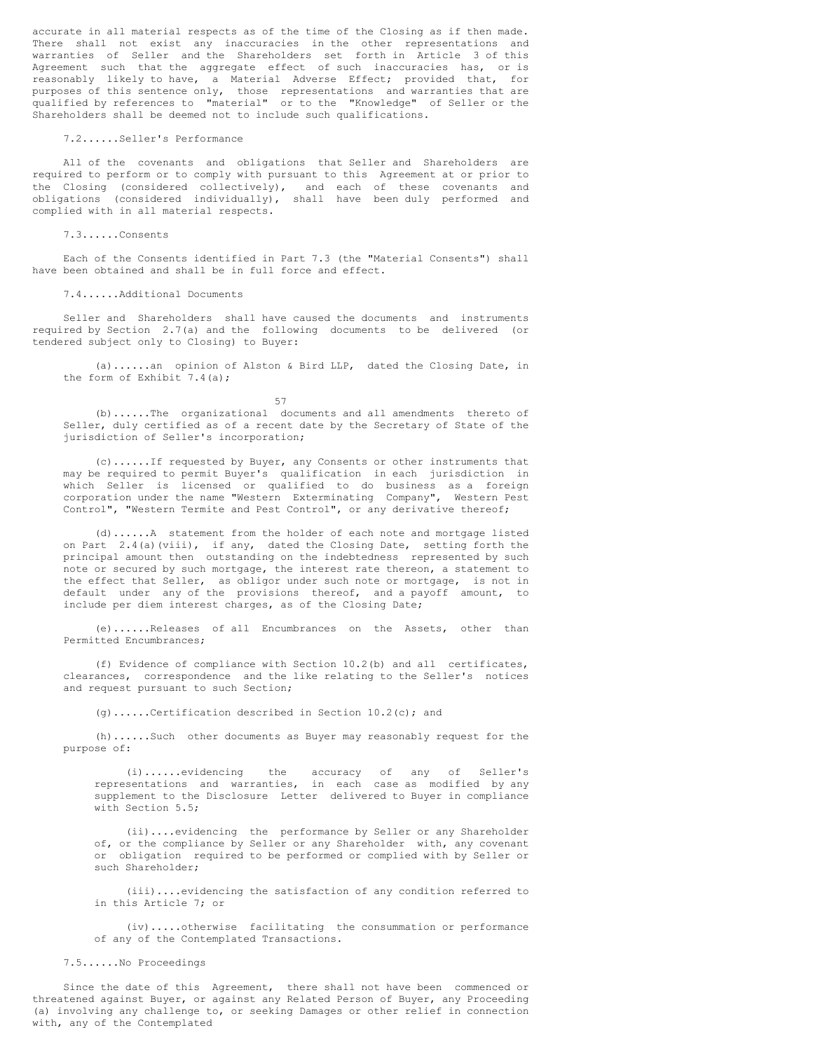accurate in all material respects as of the time of the Closing as if then made. There shall not exist any inaccuracies in the other representations and warranties of Seller and the Shareholders set forth in Article 3 of this Agreement such that the aggregate effect of such inaccuracies has, or is reasonably likely to have, a Material Adverse Effect; provided that, for purposes of this sentence only, those representations and warranties that are qualified by references to "material" or to the "Knowledge" of Seller or the Shareholders shall be deemed not to include such qualifications.

#### 7.2......Seller's Performance

All of the covenants and obligations that Seller and Shareholders are required to perform or to comply with pursuant to this Agreement at or prior to the Closing (considered collectively), and each of these covenants and obligations (considered individually), shall have been duly performed and complied with in all material respects.

### 7.3......Consents

Each of the Consents identified in Part 7.3 (the "Material Consents") shall have been obtained and shall be in full force and effect.

### 7.4......Additional Documents

Seller and Shareholders shall have caused the documents and instruments required by Section 2.7(a) and the following documents to be delivered (or tendered subject only to Closing) to Buyer:

(a)......an opinion of Alston & Bird LLP, dated the Closing Date, in the form of Exhibit 7.4(a);

57

(b)......The organizational documents and all amendments thereto of Seller, duly certified as of a recent date by the Secretary of State of the jurisdiction of Seller's incorporation;

(c)......If requested by Buyer, any Consents or other instruments that may be required to permit Buyer's qualification in each jurisdiction in which Seller is licensed or qualified to do business as a foreign corporation under the name "Western Exterminating Company", Western Pest Control", "Western Termite and Pest Control", or any derivative thereof;

(d)......A statement from the holder of each note and mortgage listed on Part 2.4(a)(viii), if any, dated the Closing Date, setting forth the principal amount then outstanding on the indebtedness represented by such note or secured by such mortgage, the interest rate thereon, a statement to the effect that Seller, as obligor under such note or mortgage, is not in default under any of the provisions thereof, and a payoff amount, to include per diem interest charges, as of the Closing Date;

(e)......Releases of all Encumbrances on the Assets, other than Permitted Encumbrances;

(f) Evidence of compliance with Section 10.2(b) and all certificates, clearances, correspondence and the like relating to the Seller's notices and request pursuant to such Section;

 $(q)$ ......Certification described in Section 10.2(c); and

(h)......Such other documents as Buyer may reasonably request for the purpose of:

(i)......evidencing the accuracy of any of Seller's representations and warranties, in each case as modified by any supplement to the Disclosure Letter delivered to Buyer in compliance with Section 5.5;

(ii)....evidencing the performance by Seller or any Shareholder of, or the compliance by Seller or any Shareholder with, any covenant or obligation required to be performed or complied with by Seller or such Shareholder;

(iii)....evidencing the satisfaction of any condition referred to in this Article 7; or

(iv).....otherwise facilitating the consummation or performance of any of the Contemplated Transactions.

### 7.5......No Proceedings

Since the date of this Agreement, there shall not have been commenced or threatened against Buyer, or against any Related Person of Buyer, any Proceeding (a) involving any challenge to, or seeking Damages or other relief in connection with, any of the Contemplated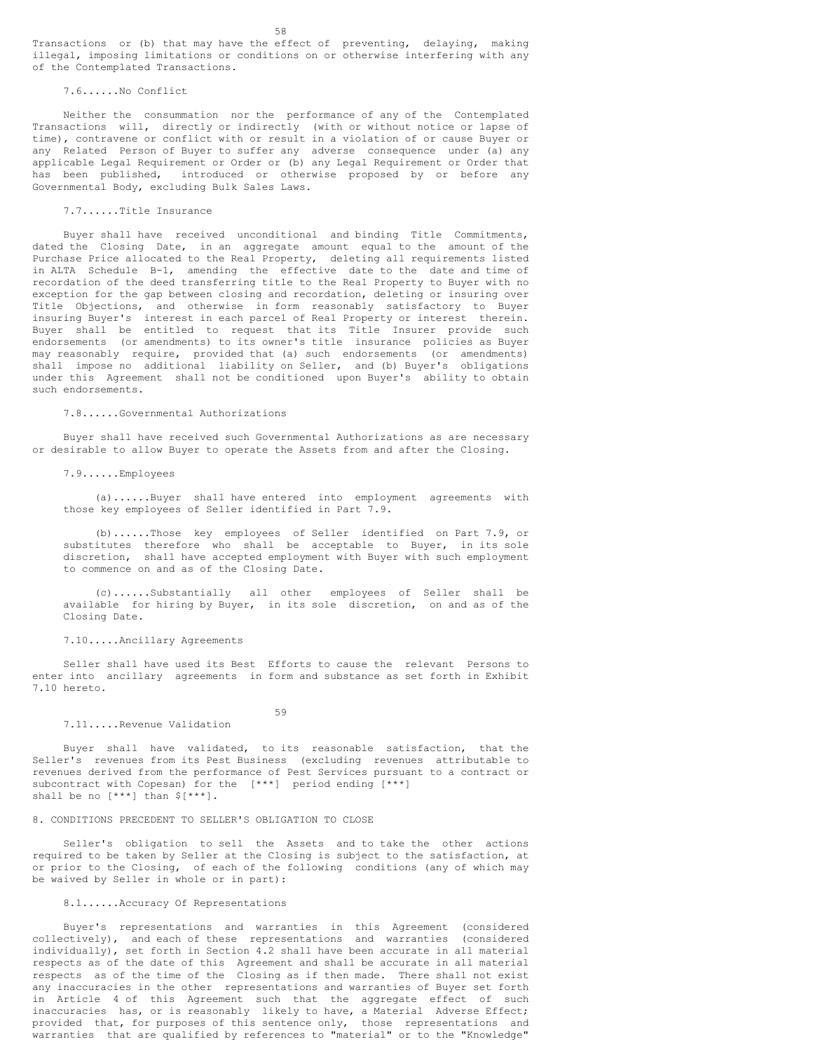Transactions or (b) that may have the effect of preventing, delaying, making illegal, imposing limitations or conditions on or otherwise interfering with any of the Contemplated Transactions.

#### 7.6......No Conflict

Neither the consummation nor the performance of any of the Contemplated Transactions will, directly or indirectly (with or without notice or lapse of time), contravene or conflict with or result in a violation of or cause Buyer or any Related Person of Buyer to suffer any adverse consequence under (a) any applicable Legal Requirement or Order or (b) any Legal Requirement or Order that has been published, introduced or otherwise proposed by or before any Governmental Body, excluding Bulk Sales Laws.

### 7.7......Title Insurance

Buyer shall have received unconditional and binding Title Commitments, dated the Closing Date, in an aggregate amount equal to the amount of the Purchase Price allocated to the Real Property, deleting all requirements listed in ALTA Schedule B-1, amending the effective date to the date and time of recordation of the deed transferring title to the Real Property to Buyer with no exception for the gap between closing and recordation, deleting or insuring over Title Objections, and otherwise in form reasonably satisfactory to Buyer insuring Buyer's interest in each parcel of Real Property or interest therein. Buyer shall be entitled to request that its Title Insurer provide such endorsements (or amendments) to its owner's title insurance policies as Buyer may reasonably require, provided that (a) such endorsements (or amendments) shall impose no additional liability on Seller, and (b) Buyer's obligations under this Agreement shall not be conditioned upon Buyer's ability to obtain such endorsements.

### 7.8......Governmental Authorizations

Buyer shall have received such Governmental Authorizations as are necessary or desirable to allow Buyer to operate the Assets from and after the Closing.

#### 7.9......Employees

(a)......Buyer shall have entered into employment agreements with those key employees of Seller identified in Part 7.9.

(b)......Those key employees of Seller identified on Part 7.9, or substitutes therefore who shall be acceptable to Buyer, in its sole discretion, shall have accepted employment with Buyer with such employment to commence on and as of the Closing Date.

(c)......Substantially all other employees of Seller shall be available for hiring by Buyer, in its sole discretion, on and as of the Closing Date.

# 7.10.....Ancillary Agreements

Seller shall have used its Best Efforts to cause the relevant Persons to enter into ancillary agreements in form and substance as set forth in Exhibit 7.10 hereto.

59

### 7.11.....Revenue Validation

Buyer shall have validated, to its reasonable satisfaction, that the Seller's revenues from its Pest Business (excluding revenues attributable to revenues derived from the performance of Pest Services pursuant to a contract or subcontract with Copesan) for the [\*\*\*] period ending [\*\*\*] shall be no [\*\*\*] than \$[\*\*\*].

### 8. CONDITIONS PRECEDENT TO SELLER'S OBLIGATION TO CLOSE

Seller's obligation to sell the Assets and to take the other actions required to be taken by Seller at the Closing is subject to the satisfaction, at or prior to the Closing, of each of the following conditions (any of which may be waived by Seller in whole or in part):

# 8.1......Accuracy Of Representations

Buyer's representations and warranties in this Agreement (considered collectively), and each of these representations and warranties (considered individually), set forth in Section 4.2 shall have been accurate in all material respects as of the date of this Agreement and shall be accurate in all material respects as of the time of the Closing as if then made. There shall not exist any inaccuracies in the other representations and warranties of Buyer set forth in Article 4 of this Agreement such that the aggregate effect of such inaccuracies has, or is reasonably likely to have, a Material Adverse Effect; provided that, for purposes of this sentence only, those representations and warranties that are qualified by references to "material" or to the "Knowledge"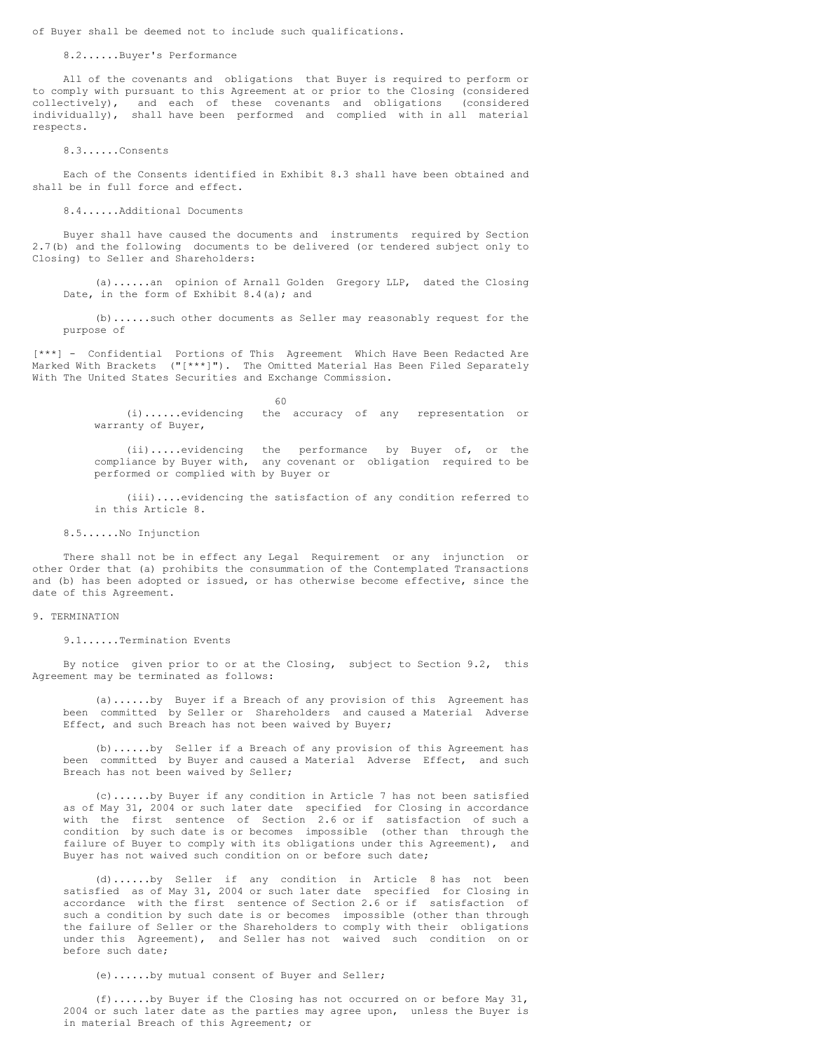of Buyer shall be deemed not to include such qualifications.

#### 8.2......Buyer's Performance

All of the covenants and obligations that Buyer is required to perform or to comply with pursuant to this Agreement at or prior to the Closing (considered collectively), and each of these covenants and obligations (considered individually), shall have been performed and complied with in all material respects.

### 8.3......Consents

Each of the Consents identified in Exhibit 8.3 shall have been obtained and shall be in full force and effect.

8.4......Additional Documents

Buyer shall have caused the documents and instruments required by Section 2.7(b) and the following documents to be delivered (or tendered subject only to Closing) to Seller and Shareholders:

(a)......an opinion of Arnall Golden Gregory LLP, dated the Closing Date, in the form of Exhibit  $8.4(a)$ ; and

(b)......such other documents as Seller may reasonably request for the purpose of

[\*\*\*] - Confidential Portions of This Agreement Which Have Been Redacted Are Marked With Brackets ("[\*\*\*]"). The Omitted Material Has Been Filed Separately With The United States Securities and Exchange Commission.

> 60 (i)......evidencing the accuracy of any representation or warranty of Buyer,

> (ii).....evidencing the performance by Buyer of, or the compliance by Buyer with, any covenant or obligation required to be performed or complied with by Buyer or

> (iii)....evidencing the satisfaction of any condition referred to in this Article 8.

### 8.5......No Injunction

There shall not be in effect any Legal Requirement or any injunction or other Order that (a) prohibits the consummation of the Contemplated Transactions and (b) has been adopted or issued, or has otherwise become effective, since the date of this Agreement.

#### 9. TERMINATION

9.1......Termination Events

By notice given prior to or at the Closing, subject to Section 9.2, this Agreement may be terminated as follows:

(a)......by Buyer if a Breach of any provision of this Agreement has been committed by Seller or Shareholders and caused a Material Adverse Effect, and such Breach has not been waived by Buyer;

(b)......by Seller if a Breach of any provision of this Agreement has been committed by Buyer and caused a Material Adverse Effect, and such Breach has not been waived by Seller;

(c)......by Buyer if any condition in Article 7 has not been satisfied as of May 31, 2004 or such later date specified for Closing in accordance with the first sentence of Section 2.6 or if satisfaction of such a condition by such date is or becomes impossible (other than through the failure of Buyer to comply with its obligations under this Agreement), and Buyer has not waived such condition on or before such date;

(d)......by Seller if any condition in Article 8 has not been satisfied as of May 31, 2004 or such later date specified for Closing in accordance with the first sentence of Section 2.6 or if satisfaction of such a condition by such date is or becomes impossible (other than through the failure of Seller or the Shareholders to comply with their obligations under this Agreement), and Seller has not waived such condition on or before such date;

### (e)......by mutual consent of Buyer and Seller;

(f)......by Buyer if the Closing has not occurred on or before May 31, 2004 or such later date as the parties may agree upon, unless the Buyer is in material Breach of this Agreement; or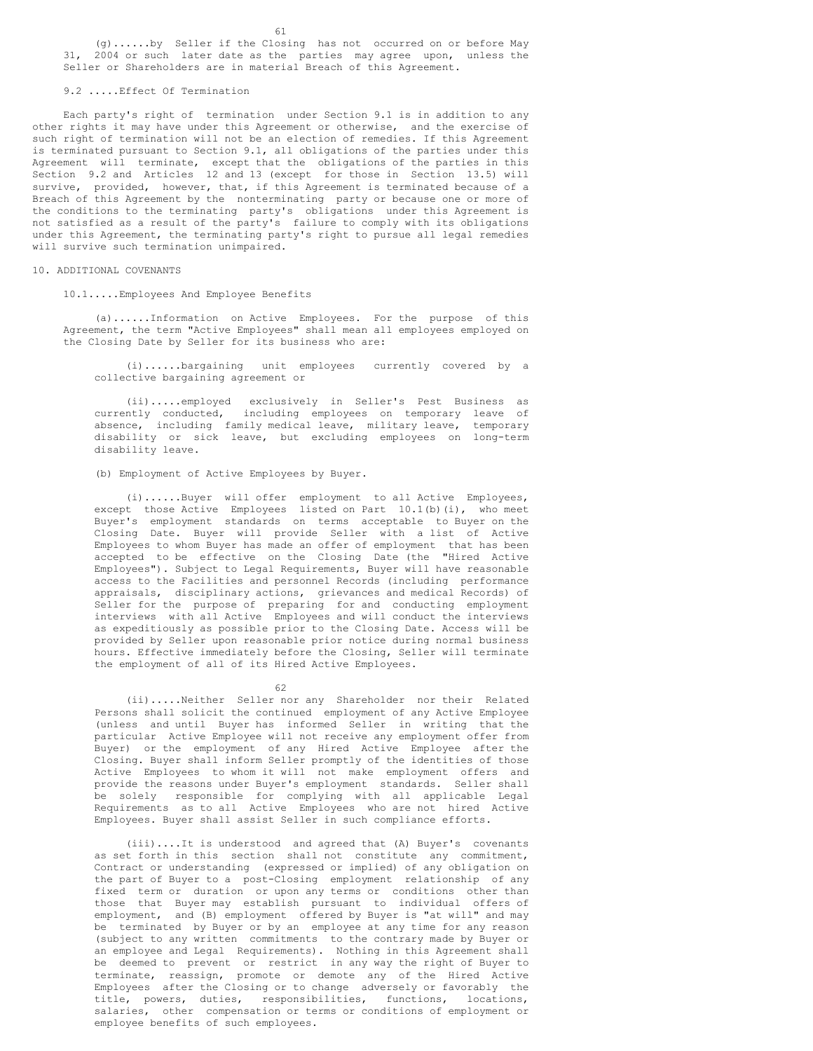(g)......by Seller if the Closing has not occurred on or before May 31, 2004 or such later date as the parties may agree upon, unless the Seller or Shareholders are in material Breach of this Agreement.

### 9.2 ..... Effect Of Termination

Each party's right of termination under Section 9.1 is in addition to any other rights it may have under this Agreement or otherwise, and the exercise of such right of termination will not be an election of remedies. If this Agreement is terminated pursuant to Section 9.1, all obligations of the parties under this Agreement will terminate, except that the obligations of the parties in this Section 9.2 and Articles 12 and 13 (except for those in Section 13.5) will survive, provided, however, that, if this Agreement is terminated because of a Breach of this Agreement by the nonterminating party or because one or more of the conditions to the terminating party's obligations under this Agreement is not satisfied as a result of the party's failure to comply with its obligations under this Agreement, the terminating party's right to pursue all legal remedies will survive such termination unimpaired.

#### 10. ADDITIONAL COVENANTS

10.1.....Employees And Employee Benefits

(a)......Information on Active Employees. For the purpose of this Agreement, the term "Active Employees" shall mean all employees employed on the Closing Date by Seller for its business who are:

(i)......bargaining unit employees currently covered by a collective bargaining agreement or

(ii).....employed exclusively in Seller's Pest Business as currently conducted, including employees on temporary leave of absence, including family medical leave, military leave, temporary disability or sick leave, but excluding employees on long-term disability leave.

(b) Employment of Active Employees by Buyer.

(i)......Buyer will offer employment to all Active Employees, except those Active Employees listed on Part 10.1(b)(i), who meet Buyer's employment standards on terms acceptable to Buyer on the Closing Date. Buyer will provide Seller with a list of Active Employees to whom Buyer has made an offer of employment that has been accepted to be effective on the Closing Date (the "Hired Active Employees"). Subject to Legal Requirements, Buyer will have reasonable access to the Facilities and personnel Records (including performance appraisals, disciplinary actions, grievances and medical Records) of Seller for the purpose of preparing for and conducting employment interviews with all Active Employees and will conduct the interviews as expeditiously as possible prior to the Closing Date. Access will be provided by Seller upon reasonable prior notice during normal business hours. Effective immediately before the Closing, Seller will terminate the employment of all of its Hired Active Employees.

62

(ii).....Neither Seller nor any Shareholder nor their Related Persons shall solicit the continued employment of any Active Employee (unless and until Buyer has informed Seller in writing that the particular Active Employee will not receive any employment offer from Buyer) or the employment of any Hired Active Employee after the Closing. Buyer shall inform Seller promptly of the identities of those Active Employees to whom it will not make employment offers and provide the reasons under Buyer's employment standards. Seller shall be solely responsible for complying with all applicable Legal Requirements as to all Active Employees who are not hired Active Employees. Buyer shall assist Seller in such compliance efforts.

(iii)....It is understood and agreed that (A) Buyer's covenants as set forth in this section shall not constitute any commitment, Contract or understanding (expressed or implied) of any obligation on the part of Buyer to a post-Closing employment relationship of any fixed term or duration or upon any terms or conditions other than those that Buyer may establish pursuant to individual offers of employment, and (B) employment offered by Buyer is "at will" and may be terminated by Buyer or by an employee at any time for any reason (subject to any written commitments to the contrary made by Buyer or an employee and Legal Requirements). Nothing in this Agreement shall be deemed to prevent or restrict in any way the right of Buyer to terminate, reassign, promote or demote any of the Hired Active Employees after the Closing or to change adversely or favorably the title, powers, duties, responsibilities, functions, locations, salaries, other compensation or terms or conditions of employment or employee benefits of such employees.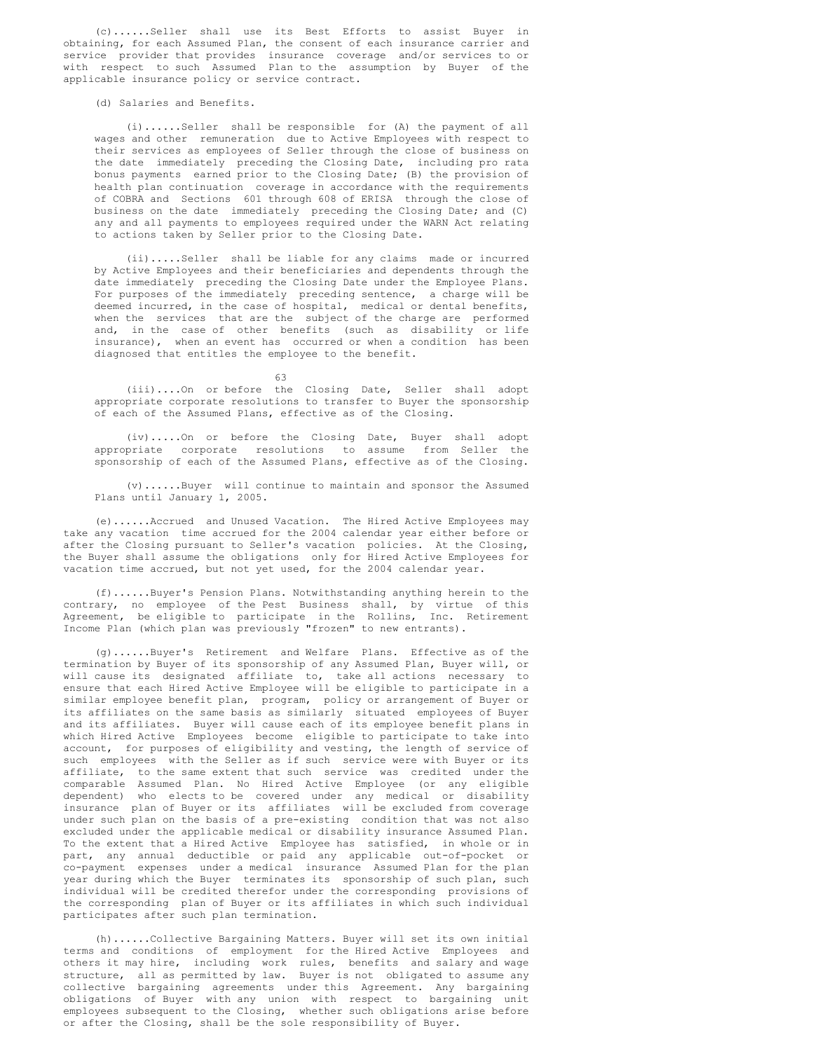(c)......Seller shall use its Best Efforts to assist Buyer in obtaining, for each Assumed Plan, the consent of each insurance carrier and service provider that provides insurance coverage and/or services to or with respect to such Assumed Plan to the assumption by Buyer of the applicable insurance policy or service contract.

### (d) Salaries and Benefits.

(i)......Seller shall be responsible for (A) the payment of all wages and other remuneration due to Active Employees with respect to their services as employees of Seller through the close of business on the date immediately preceding the Closing Date, including pro rata bonus payments earned prior to the Closing Date; (B) the provision of health plan continuation coverage in accordance with the requirements of COBRA and Sections 601 through 608 of ERISA through the close of business on the date immediately preceding the Closing Date; and (C) any and all payments to employees required under the WARN Act relating to actions taken by Seller prior to the Closing Date.

(ii).....Seller shall be liable for any claims made or incurred by Active Employees and their beneficiaries and dependents through the date immediately preceding the Closing Date under the Employee Plans. For purposes of the immediately preceding sentence, a charge will be deemed incurred, in the case of hospital, medical or dental benefits, when the services that are the subject of the charge are performed and, in the case of other benefits (such as disability or life insurance), when an event has occurred or when a condition has been diagnosed that entitles the employee to the benefit.

63

(iii)....On or before the Closing Date, Seller shall adopt appropriate corporate resolutions to transfer to Buyer the sponsorship of each of the Assumed Plans, effective as of the Closing.

(iv).....On or before the Closing Date, Buyer shall adopt appropriate corporate resolutions to assume from Seller the sponsorship of each of the Assumed Plans, effective as of the Closing.

(v)......Buyer will continue to maintain and sponsor the Assumed Plans until January 1, 2005.

(e)......Accrued and Unused Vacation. The Hired Active Employees may take any vacation time accrued for the 2004 calendar year either before or after the Closing pursuant to Seller's vacation policies. At the Closing, the Buyer shall assume the obligations only for Hired Active Employees for vacation time accrued, but not yet used, for the 2004 calendar year.

(f)......Buyer's Pension Plans. Notwithstanding anything herein to the contrary, no employee of the Pest Business shall, by virtue of this Agreement, be eligible to participate in the Rollins, Inc. Retirement Income Plan (which plan was previously "frozen" to new entrants).

(g)......Buyer's Retirement and Welfare Plans. Effective as of the termination by Buyer of its sponsorship of any Assumed Plan, Buyer will, or will cause its designated affiliate to, take all actions necessary to ensure that each Hired Active Employee will be eligible to participate in a similar employee benefit plan, program, policy or arrangement of Buyer or its affiliates on the same basis as similarly situated employees of Buyer and its affiliates. Buyer will cause each of its employee benefit plans in which Hired Active Employees become eligible to participate to take into account, for purposes of eligibility and vesting, the length of service of such employees with the Seller as if such service were with Buyer or its affiliate, to the same extent that such service was credited under the comparable Assumed Plan. No Hired Active Employee (or any eligible dependent) who elects to be covered under any medical or disability insurance plan of Buyer or its affiliates will be excluded from coverage under such plan on the basis of a pre-existing condition that was not also excluded under the applicable medical or disability insurance Assumed Plan. To the extent that a Hired Active Employee has satisfied, in whole or in part, any annual deductible or paid any applicable out-of-pocket or co-payment expenses under a medical insurance Assumed Plan for the plan year during which the Buyer terminates its sponsorship of such plan, such individual will be credited therefor under the corresponding provisions of the corresponding plan of Buyer or its affiliates in which such individual participates after such plan termination.

(h)......Collective Bargaining Matters. Buyer will set its own initial terms and conditions of employment for the Hired Active Employees and others it may hire, including work rules, benefits and salary and wage structure, all as permitted by law. Buyer is not obligated to assume any collective bargaining agreements under this Agreement. Any bargaining obligations of Buyer with any union with respect to bargaining unit employees subsequent to the Closing, whether such obligations arise before or after the Closing, shall be the sole responsibility of Buyer.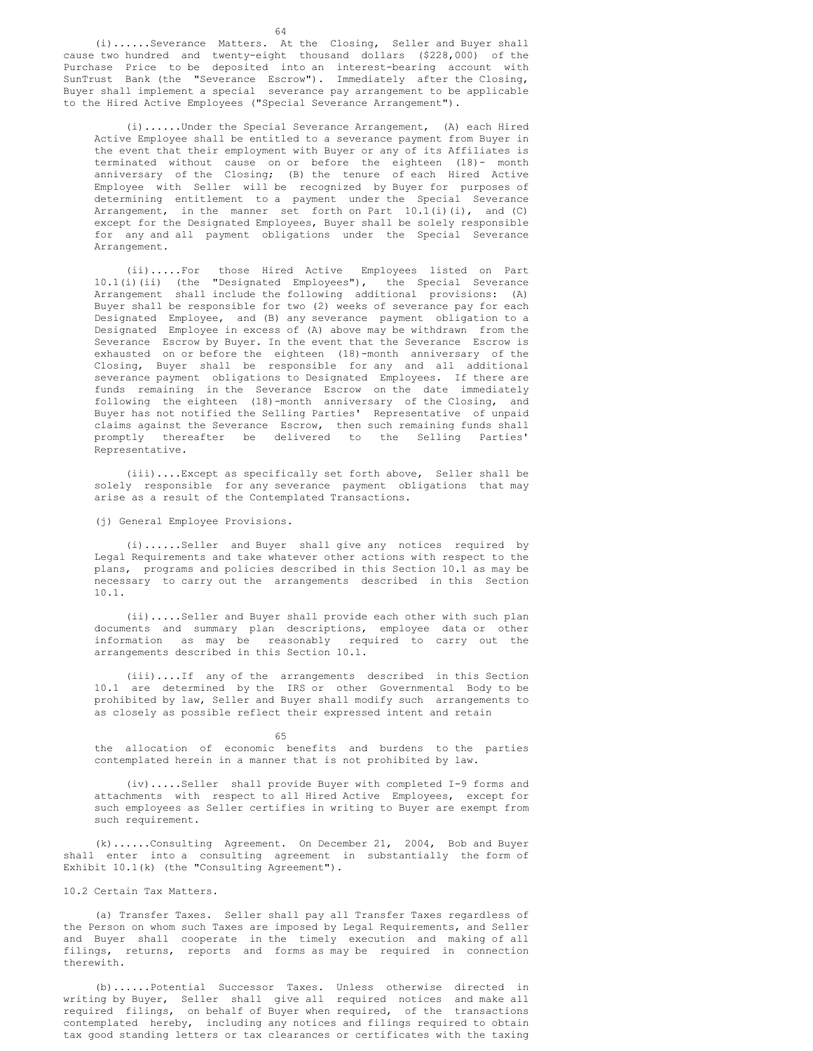(i)......Severance Matters. At the Closing, Seller and Buyer shall cause two hundred and twenty-eight thousand dollars (\$228,000) of the Purchase Price to be deposited into an interest-bearing account with SunTrust Bank (the "Severance Escrow"). Immediately after the Closing, Buyer shall implement a special severance pay arrangement to be applicable to the Hired Active Employees ("Special Severance Arrangement").

(i)......Under the Special Severance Arrangement, (A) each Hired Active Employee shall be entitled to a severance payment from Buyer in the event that their employment with Buyer or any of its Affiliates is terminated without cause on or before the eighteen (18)- month anniversary of the Closing; (B) the tenure of each Hired Active Employee with Seller will be recognized by Buyer for purposes of determining entitlement to a payment under the Special Severance Arrangement, in the manner set forth on Part  $10.1(i)$  (i), and (C) except for the Designated Employees, Buyer shall be solely responsible for any and all payment obligations under the Special Severance Arrangement.

(ii).....For those Hired Active Employees listed on Part 10.1(i)(ii) (the "Designated Employees"), the Special Severance Arrangement shall include the following additional provisions: (A) Buyer shall be responsible for two (2) weeks of severance pay for each Designated Employee, and (B) any severance payment obligation to a Designated Employee in excess of (A) above may be withdrawn from the Severance Escrow by Buyer. In the event that the Severance Escrow is exhausted on or before the eighteen (18)-month anniversary of the Closing, Buyer shall be responsible for any and all additional severance payment obligations to Designated Employees. If there are funds remaining in the Severance Escrow on the date immediately following the eighteen (18)-month anniversary of the Closing, and Buyer has not notified the Selling Parties' Representative of unpaid claims against the Severance Escrow, then such remaining funds shall promptly thereafter be delivered to the Selling Parties' Representative.

(iii)....Except as specifically set forth above, Seller shall be solely responsible for any severance payment obligations that may arise as a result of the Contemplated Transactions.

(j) General Employee Provisions.

(i)......Seller and Buyer shall give any notices required by Legal Requirements and take whatever other actions with respect to the plans, programs and policies described in this Section 10.1 as may be necessary to carry out the arrangements described in this Section 10.1.

(ii).....Seller and Buyer shall provide each other with such plan documents and summary plan descriptions, employee data or other information as may be reasonably required to carry out the arrangements described in this Section 10.1.

(iii)....If any of the arrangements described in this Section 10.1 are determined by the IRS or other Governmental Body to be prohibited by law, Seller and Buyer shall modify such arrangements to as closely as possible reflect their expressed intent and retain

65

the allocation of economic benefits and burdens to the parties contemplated herein in a manner that is not prohibited by law.

(iv).....Seller shall provide Buyer with completed I-9 forms and attachments with respect to all Hired Active Employees, except for such employees as Seller certifies in writing to Buyer are exempt from such requirement.

(k)......Consulting Agreement. On December 21, 2004, Bob and Buyer shall enter into a consulting agreement in substantially the form of Exhibit 10.1(k) (the "Consulting Agreement").

10.2 Certain Tax Matters.

(a) Transfer Taxes. Seller shall pay all Transfer Taxes regardless of the Person on whom such Taxes are imposed by Legal Requirements, and Seller and Buyer shall cooperate in the timely execution and making of all filings, returns, reports and forms as may be required in connection therewith.

(b)......Potential Successor Taxes. Unless otherwise directed in writing by Buyer, Seller shall give all required notices and make all required filings, on behalf of Buyer when required, of the transactions contemplated hereby, including any notices and filings required to obtain tax good standing letters or tax clearances or certificates with the taxing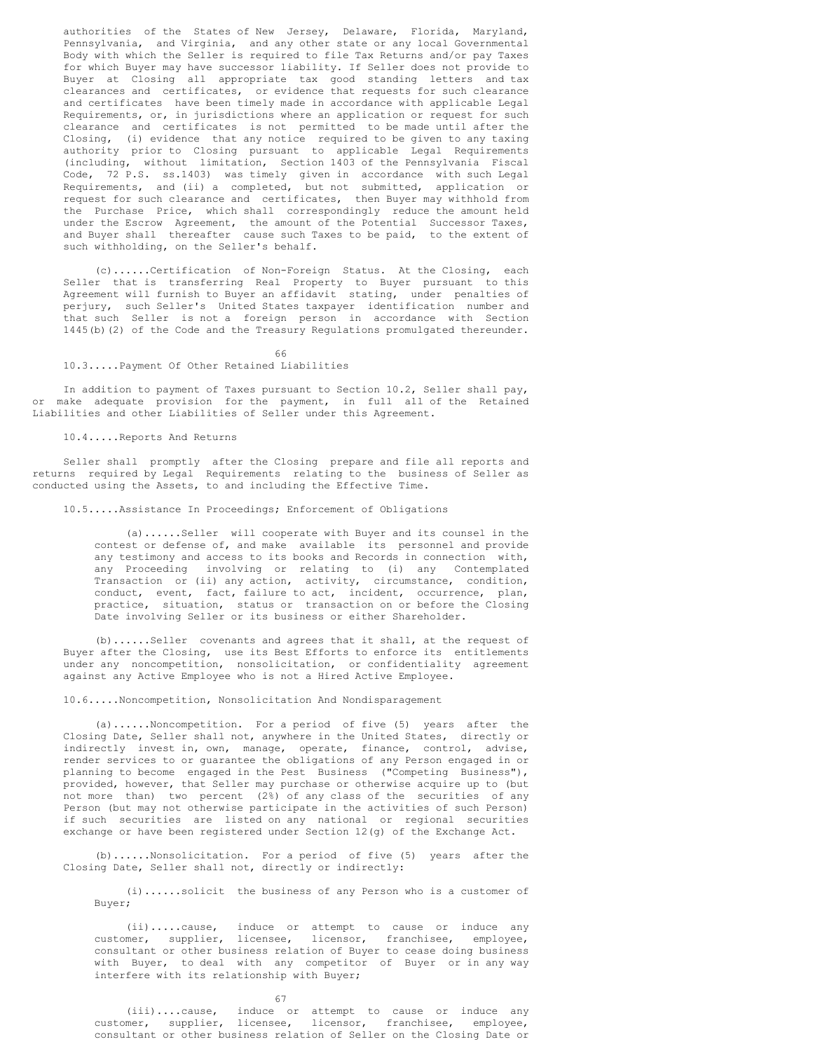authorities of the States of New Jersey, Delaware, Florida, Maryland, Pennsylvania, and Virginia, and any other state or any local Governmental Body with which the Seller is required to file Tax Returns and/or pay Taxes for which Buyer may have successor liability. If Seller does not provide to Buyer at Closing all appropriate tax good standing letters and tax clearances and certificates, or evidence that requests for such clearance and certificates have been timely made in accordance with applicable Legal Requirements, or, in jurisdictions where an application or request for such clearance and certificates is not permitted to be made until after the Closing, (i) evidence that any notice required to be given to any taxing authority prior to Closing pursuant to applicable Legal Requirements (including, without limitation, Section 1403 of the Pennsylvania Fiscal Code, 72 P.S. ss.1403) was timely given in accordance with such Legal Requirements, and (ii) a completed, but not submitted, application or request for such clearance and certificates, then Buyer may withhold from the Purchase Price, which shall correspondingly reduce the amount held under the Escrow Agreement, the amount of the Potential Successor Taxes, and Buyer shall thereafter cause such Taxes to be paid, to the extent of such withholding, on the Seller's behalf.

(c)......Certification of Non-Foreign Status. At the Closing, each Seller that is transferring Real Property to Buyer pursuant to this Agreement will furnish to Buyer an affidavit stating, under penalties of perjury, such Seller's United States taxpayer identification number and that such Seller is not a foreign person in accordance with Section 1445(b)(2) of the Code and the Treasury Regulations promulgated thereunder.

66

# 10.3.....Payment Of Other Retained Liabilities

In addition to payment of Taxes pursuant to Section 10.2, Seller shall pay, or make adequate provision for the payment, in full all of the Retained Liabilities and other Liabilities of Seller under this Agreement.

## 10.4.....Reports And Returns

Seller shall promptly after the Closing prepare and file all reports and returns required by Legal Requirements relating to the business of Seller as conducted using the Assets, to and including the Effective Time.

### 10.5.....Assistance In Proceedings; Enforcement of Obligations

(a)......Seller will cooperate with Buyer and its counsel in the contest or defense of, and make available its personnel and provide any testimony and access to its books and Records in connection with, any Proceeding involving or relating to (i) any Contemplated Transaction or (ii) any action, activity, circumstance, condition, conduct, event, fact, failure to act, incident, occurrence, plan, practice, situation, status or transaction on or before the Closing Date involving Seller or its business or either Shareholder.

(b)......Seller covenants and agrees that it shall, at the request of Buyer after the Closing, use its Best Efforts to enforce its entitlements under any noncompetition, nonsolicitation, or confidentiality agreement against any Active Employee who is not a Hired Active Employee.

## 10.6.....Noncompetition, Nonsolicitation And Nondisparagement

(a)......Noncompetition. For a period of five (5) years after the Closing Date, Seller shall not, anywhere in the United States, directly or indirectly invest in, own, manage, operate, finance, control, advise, render services to or guarantee the obligations of any Person engaged in or planning to become engaged in the Pest Business ("Competing Business"), provided, however, that Seller may purchase or otherwise acquire up to (but not more than) two percent (2%) of any class of the securities of any Person (but may not otherwise participate in the activities of such Person) if such securities are listed on any national or regional securities exchange or have been registered under Section 12(g) of the Exchange Act.

(b)......Nonsolicitation. For a period of five (5) years after the Closing Date, Seller shall not, directly or indirectly:

(i)......solicit the business of any Person who is a customer of Buyer;

(ii).....cause, induce or attempt to cause or induce any customer, supplier, licensee, licensor, franchisee, employee, consultant or other business relation of Buyer to cease doing business with Buyer, to deal with any competitor of Buyer or in any way interfere with its relationship with Buyer;

67

(iii)....cause, induce or attempt to cause or induce any customer, supplier, licensee, licensor, franchisee, employee, consultant or other business relation of Seller on the Closing Date or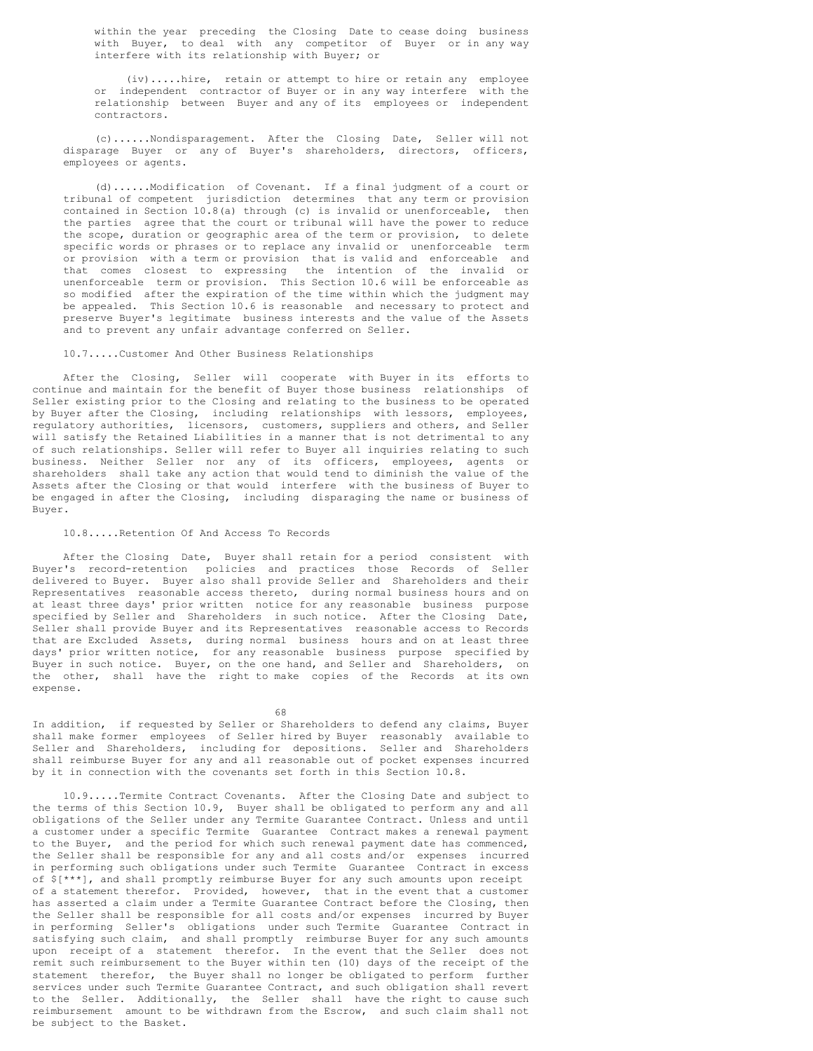within the year preceding the Closing Date to cease doing business with Buyer, to deal with any competitor of Buyer or in any way interfere with its relationship with Buyer; or

(iv).....hire, retain or attempt to hire or retain any employee or independent contractor of Buyer or in any way interfere with the relationship between Buyer and any of its employees or independent contractors.

(c)......Nondisparagement. After the Closing Date, Seller will not disparage Buyer or any of Buyer's shareholders, directors, officers, employees or agents.

(d)......Modification of Covenant. If a final judgment of a court or tribunal of competent jurisdiction determines that any term or provision contained in Section 10.8(a) through (c) is invalid or unenforceable, then the parties agree that the court or tribunal will have the power to reduce the scope, duration or geographic area of the term or provision, to delete specific words or phrases or to replace any invalid or unenforceable term or provision with a term or provision that is valid and enforceable and that comes closest to expressing the intention of the invalid or unenforceable term or provision. This Section 10.6 will be enforceable as so modified after the expiration of the time within which the judgment may be appealed. This Section 10.6 is reasonable and necessary to protect and preserve Buyer's legitimate business interests and the value of the Assets and to prevent any unfair advantage conferred on Seller.

### 10.7.....Customer And Other Business Relationships

After the Closing, Seller will cooperate with Buyer in its efforts to continue and maintain for the benefit of Buyer those business relationships of Seller existing prior to the Closing and relating to the business to be operated by Buyer after the Closing, including relationships with lessors, employees, regulatory authorities, licensors, customers, suppliers and others, and Seller will satisfy the Retained Liabilities in a manner that is not detrimental to any of such relationships. Seller will refer to Buyer all inquiries relating to such business. Neither Seller nor any of its officers, employees, agents or shareholders shall take any action that would tend to diminish the value of the Assets after the Closing or that would interfere with the business of Buyer to be engaged in after the Closing, including disparaging the name or business of Buyer.

### 10.8.....Retention Of And Access To Records

After the Closing Date, Buyer shall retain for a period consistent with Buyer's record-retention policies and practices those Records of Seller delivered to Buyer. Buyer also shall provide Seller and Shareholders and their Representatives reasonable access thereto, during normal business hours and on at least three days' prior written notice for any reasonable business purpose specified by Seller and Shareholders in such notice. After the Closing Date, Seller shall provide Buyer and its Representatives reasonable access to Records that are Excluded Assets, during normal business hours and on at least three days' prior written notice, for any reasonable business purpose specified by Buyer in such notice. Buyer, on the one hand, and Seller and Shareholders, on the other, shall have the right to make copies of the Records at its own expense.

68

In addition, if requested by Seller or Shareholders to defend any claims, Buyer shall make former employees of Seller hired by Buyer reasonably available to Seller and Shareholders, including for depositions. Seller and Shareholders shall reimburse Buyer for any and all reasonable out of pocket expenses incurred by it in connection with the covenants set forth in this Section 10.8.

10.9.....Termite Contract Covenants. After the Closing Date and subject to the terms of this Section 10.9, Buyer shall be obligated to perform any and all obligations of the Seller under any Termite Guarantee Contract. Unless and until a customer under a specific Termite Guarantee Contract makes a renewal payment to the Buyer, and the period for which such renewal payment date has commenced, the Seller shall be responsible for any and all costs and/or expenses incurred in performing such obligations under such Termite Guarantee Contract in excess of \$[\*\*\*], and shall promptly reimburse Buyer for any such amounts upon receipt of a statement therefor. Provided, however, that in the event that a customer has asserted a claim under a Termite Guarantee Contract before the Closing, then the Seller shall be responsible for all costs and/or expenses incurred by Buyer in performing Seller's obligations under such Termite Guarantee Contract in satisfying such claim, and shall promptly reimburse Buyer for any such amounts upon receipt of a statement therefor. In the event that the Seller does not remit such reimbursement to the Buyer within ten (10) days of the receipt of the statement therefor, the Buyer shall no longer be obligated to perform further services under such Termite Guarantee Contract, and such obligation shall revert to the Seller. Additionally, the Seller shall have the right to cause such reimbursement amount to be withdrawn from the Escrow, and such claim shall not be subject to the Basket.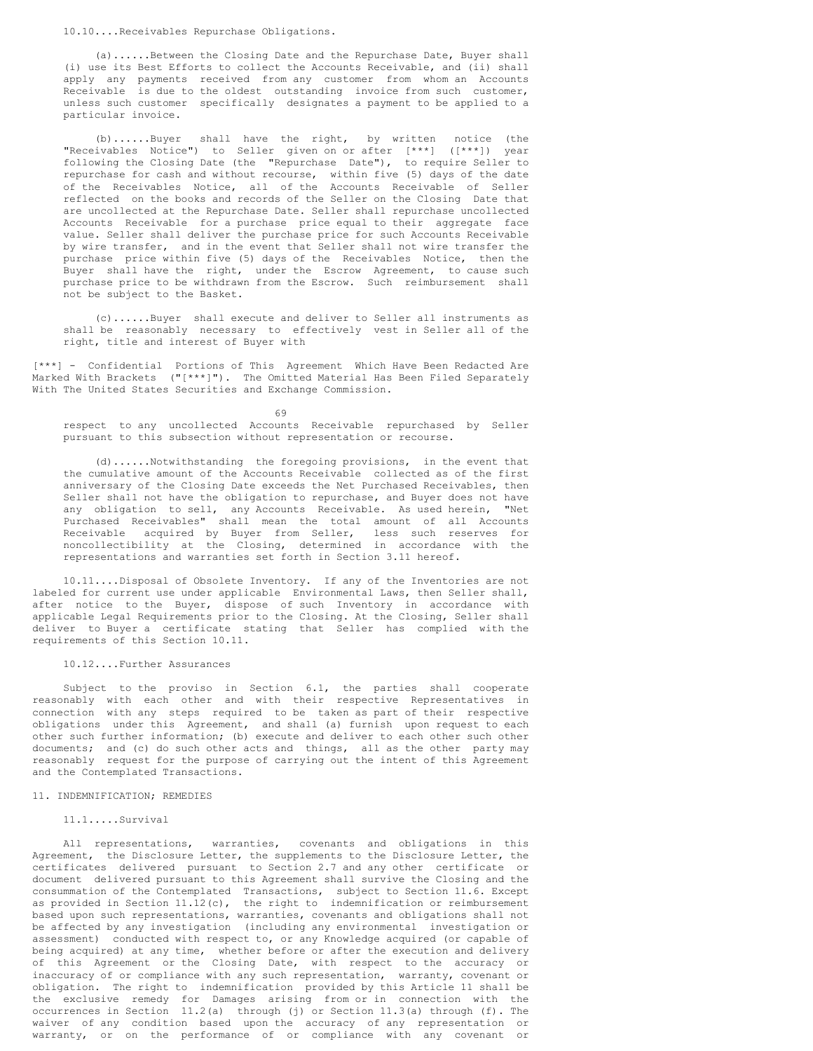10.10....Receivables Repurchase Obligations.

(a)......Between the Closing Date and the Repurchase Date, Buyer shall (i) use its Best Efforts to collect the Accounts Receivable, and (ii) shall apply any payments received from any customer from whom an Accounts Receivable is due to the oldest outstanding invoice from such customer, unless such customer specifically designates a payment to be applied to a particular invoice.

(b)......Buyer shall have the right, by written notice (the "Receivables Notice") to Seller given on or after [\*\*\*] ([\*\*\*]) year following the Closing Date (the "Repurchase Date"), to require Seller to repurchase for cash and without recourse, within five (5) days of the date of the Receivables Notice, all of the Accounts Receivable of Seller reflected on the books and records of the Seller on the Closing Date that are uncollected at the Repurchase Date. Seller shall repurchase uncollected Accounts Receivable for a purchase price equal to their aggregate face value. Seller shall deliver the purchase price for such Accounts Receivable by wire transfer, and in the event that Seller shall not wire transfer the purchase price within five (5) days of the Receivables Notice, then the Buyer shall have the right, under the Escrow Agreement, to cause such purchase price to be withdrawn from the Escrow. Such reimbursement shall not be subject to the Basket.

(c)......Buyer shall execute and deliver to Seller all instruments as shall be reasonably necessary to effectively vest in Seller all of the right, title and interest of Buyer with

[\*\*\*] - Confidential Portions of This Agreement Which Have Been Redacted Are Marked With Brackets ("[\*\*\*]"). The Omitted Material Has Been Filed Separately With The United States Securities and Exchange Commission.

69

respect to any uncollected Accounts Receivable repurchased by Seller pursuant to this subsection without representation or recourse.

(d)......Notwithstanding the foregoing provisions, in the event that the cumulative amount of the Accounts Receivable collected as of the first anniversary of the Closing Date exceeds the Net Purchased Receivables, then Seller shall not have the obligation to repurchase, and Buyer does not have any obligation to sell, any Accounts Receivable. As used herein, "Net Purchased Receivables" shall mean the total amount of all Accounts Receivable acquired by Buyer from Seller, less such reserves for noncollectibility at the Closing, determined in accordance with the representations and warranties set forth in Section 3.11 hereof.

10.11....Disposal of Obsolete Inventory. If any of the Inventories are not labeled for current use under applicable Environmental Laws, then Seller shall, after notice to the Buyer, dispose of such Inventory in accordance with applicable Legal Requirements prior to the Closing. At the Closing, Seller shall deliver to Buyer a certificate stating that Seller has complied with the requirements of this Section 10.11.

#### 10.12....Further Assurances

Subject to the proviso in Section 6.1, the parties shall cooperate reasonably with each other and with their respective Representatives in connection with any steps required to be taken as part of their respective obligations under this Agreement, and shall (a) furnish upon request to each other such further information; (b) execute and deliver to each other such other documents; and (c) do such other acts and things, all as the other party may reasonably request for the purpose of carrying out the intent of this Agreement and the Contemplated Transactions.

### 11. INDEMNIFICATION; REMEDIES

#### 11.1.....Survival

All representations, warranties, covenants and obligations in this Agreement, the Disclosure Letter, the supplements to the Disclosure Letter, the certificates delivered pursuant to Section 2.7 and any other certificate or document delivered pursuant to this Agreement shall survive the Closing and the consummation of the Contemplated Transactions, subject to Section 11.6. Except as provided in Section  $11.12(c)$ , the right to indemnification or reimbursement based upon such representations, warranties, covenants and obligations shall not be affected by any investigation (including any environmental investigation or assessment) conducted with respect to, or any Knowledge acquired (or capable of being acquired) at any time, whether before or after the execution and delivery of this Agreement or the Closing Date, with respect to the accuracy or inaccuracy of or compliance with any such representation, warranty, covenant or obligation. The right to indemnification provided by this Article 11 shall be the exclusive remedy for Damages arising from or in connection with the occurrences in Section 11.2(a) through (j) or Section 11.3(a) through (f). The waiver of any condition based upon the accuracy of any representation or warranty, or on the performance of or compliance with any covenant or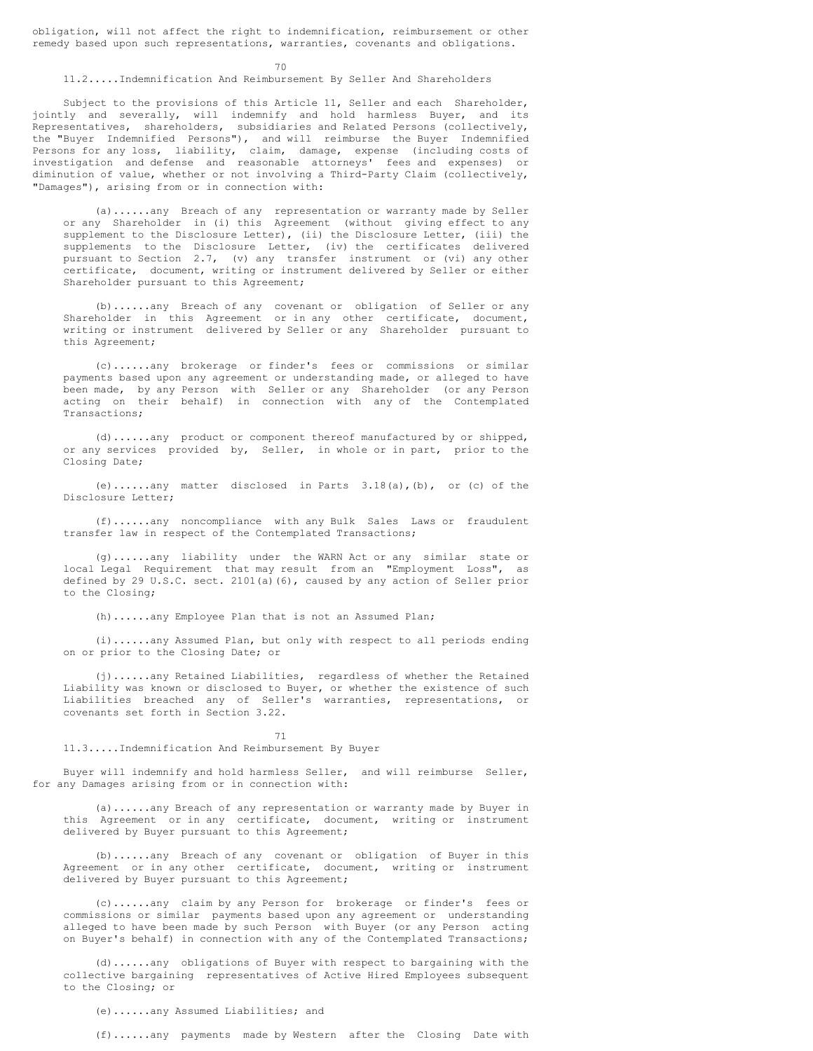obligation, will not affect the right to indemnification, reimbursement or other remedy based upon such representations, warranties, covenants and obligations.

70

11.2.....Indemnification And Reimbursement By Seller And Shareholders

Subject to the provisions of this Article 11, Seller and each Shareholder, jointly and severally, will indemnify and hold harmless Buyer, and its Representatives, shareholders, subsidiaries and Related Persons (collectively, the "Buyer Indemnified Persons"), and will reimburse the Buyer Indemnified Persons for any loss, liability, claim, damage, expense (including costs of investigation and defense and reasonable attorneys' fees and expenses) or diminution of value, whether or not involving a Third-Party Claim (collectively, "Damages"), arising from or in connection with:

(a)......any Breach of any representation or warranty made by Seller or any Shareholder in (i) this Agreement (without giving effect to any supplement to the Disclosure Letter), (ii) the Disclosure Letter, (iii) the supplements to the Disclosure Letter, (iv) the certificates delivered pursuant to Section 2.7, (v) any transfer instrument or (vi) any other certificate, document, writing or instrument delivered by Seller or either Shareholder pursuant to this Agreement;

(b)......any Breach of any covenant or obligation of Seller or any Shareholder in this Agreement or in any other certificate, document, writing or instrument delivered by Seller or any Shareholder pursuant to this Agreement;

(c)......any brokerage or finder's fees or commissions or similar payments based upon any agreement or understanding made, or alleged to have been made, by any Person with Seller or any Shareholder (or any Person acting on their behalf) in connection with any of the Contemplated Transactions;

(d)......any product or component thereof manufactured by or shipped, or any services provided by, Seller, in whole or in part, prior to the Closing Date;

(e)......any matter disclosed in Parts 3.18(a),(b), or (c) of the Disclosure Letter;

(f)......any noncompliance with any Bulk Sales Laws or fraudulent transfer law in respect of the Contemplated Transactions;

(g)......any liability under the WARN Act or any similar state or local Legal Requirement that may result from an "Employment Loss", as defined by 29 U.S.C. sect. 2101(a)(6), caused by any action of Seller prior to the Closing;

(h)......any Employee Plan that is not an Assumed Plan;

(i)......any Assumed Plan, but only with respect to all periods ending on or prior to the Closing Date; or

(j)......any Retained Liabilities, regardless of whether the Retained Liability was known or disclosed to Buyer, or whether the existence of such Liabilities breached any of Seller's warranties, representations, or covenants set forth in Section 3.22.

71 11.3.....Indemnification And Reimbursement By Buyer

Buyer will indemnify and hold harmless Seller, and will reimburse Seller, for any Damages arising from or in connection with:

(a)......any Breach of any representation or warranty made by Buyer in this Agreement or in any certificate, document, writing or instrument delivered by Buyer pursuant to this Agreement;

(b)......any Breach of any covenant or obligation of Buyer in this Agreement or in any other certificate, document, writing or instrument delivered by Buyer pursuant to this Agreement;

(c)......any claim by any Person for brokerage or finder's fees or commissions or similar payments based upon any agreement or understanding alleged to have been made by such Person with Buyer (or any Person acting on Buyer's behalf) in connection with any of the Contemplated Transactions;

(d)......any obligations of Buyer with respect to bargaining with the collective bargaining representatives of Active Hired Employees subsequent to the Closing; or

(e)......any Assumed Liabilities; and

(f)......any payments made by Western after the Closing Date with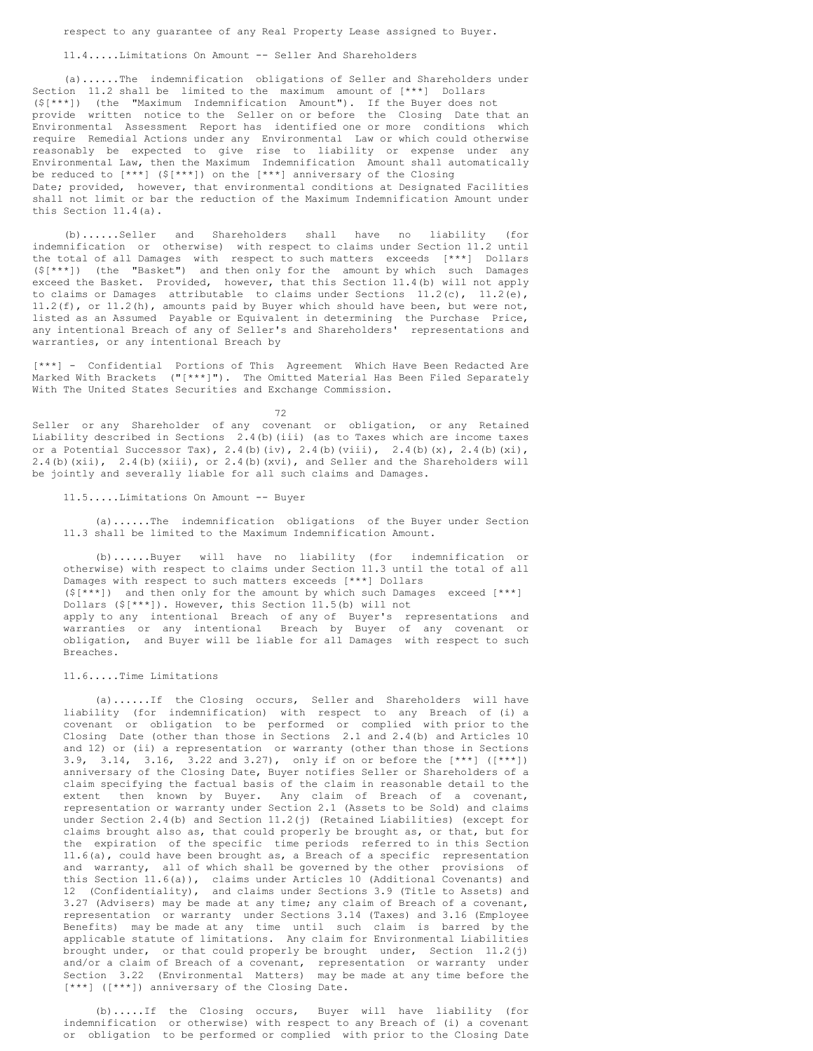respect to any guarantee of any Real Property Lease assigned to Buyer.

#### 11.4.....Limitations On Amount -- Seller And Shareholders

(a)......The indemnification obligations of Seller and Shareholders under Section 11.2 shall be limited to the maximum amount of [\*\*\*] Dollars (\$[\*\*\*]) (the "Maximum Indemnification Amount"). If the Buyer does not provide written notice to the Seller on or before the Closing Date that an Environmental Assessment Report has identified one or more conditions which require Remedial Actions under any Environmental Law or which could otherwise reasonably be expected to give rise to liability or expense under any Environmental Law, then the Maximum Indemnification Amount shall automatically be reduced to [\*\*\*] (\$[\*\*\*]) on the [\*\*\*] anniversary of the Closing Date; provided, however, that environmental conditions at Designated Facilities shall not limit or bar the reduction of the Maximum Indemnification Amount under this Section 11.4(a).

(b)......Seller and Shareholders shall have no liability (for indemnification or otherwise) with respect to claims under Section 11.2 until the total of all Damages with respect to such matters exceeds [\*\*\*] Dollars (\$[\*\*\*]) (the "Basket") and then only for the amount by which such Damages exceed the Basket. Provided, however, that this Section 11.4(b) will not apply to claims or Damages attributable to claims under Sections  $11.2(c)$ ,  $11.2(e)$ , 11.2(f), or 11.2(h), amounts paid by Buyer which should have been, but were not, listed as an Assumed Payable or Equivalent in determining the Purchase Price, any intentional Breach of any of Seller's and Shareholders' representations and warranties, or any intentional Breach by

[\*\*\*] - Confidential Portions of This Agreement Which Have Been Redacted Are Marked With Brackets ("[\*\*\*]"). The Omitted Material Has Been Filed Separately With The United States Securities and Exchange Commission.

72

Seller or any Shareholder of any covenant or obligation, or any Retained Liability described in Sections 2.4(b)(iii) (as to Taxes which are income taxes or a Potential Successor Tax),  $2.4(b)(iv)$ ,  $2.4(b)(viii)$ ,  $2.4(b)(x)$ ,  $2.4(b)(xi)$ , 2.4(b)(xii), 2.4(b)(xiii), or 2.4(b)(xvi), and Seller and the Shareholders will be jointly and severally liable for all such claims and Damages.

## 11.5.....Limitations On Amount -- Buyer

(a)......The indemnification obligations of the Buyer under Section 11.3 shall be limited to the Maximum Indemnification Amount.

(b)......Buyer will have no liability (for indemnification or otherwise) with respect to claims under Section 11.3 until the total of all Damages with respect to such matters exceeds [\*\*\*] Dollars  $(\frac{5}{k}$ <sup>\*\*\*</sup>]) and then only for the amount by which such Damages exceed [\*\*\*] Dollars (\$[\*\*\*]). However, this Section 11.5(b) will not apply to any intentional Breach of any of Buyer's representations and warranties or any intentional Breach by Buyer of any covenant or obligation, and Buyer will be liable for all Damages with respect to such Breaches.

## 11.6.....Time Limitations

(a)......If the Closing occurs, Seller and Shareholders will have liability (for indemnification) with respect to any Breach of (i) a covenant or obligation to be performed or complied with prior to the Closing Date (other than those in Sections 2.1 and 2.4(b) and Articles 10 and 12) or (ii) a representation or warranty (other than those in Sections 3.9, 3.14, 3.16, 3.22 and 3.27), only if on or before the [\*\*\*] ([\*\*\*]) anniversary of the Closing Date, Buyer notifies Seller or Shareholders of a claim specifying the factual basis of the claim in reasonable detail to the extent then known by Buyer. Any claim of Breach of a covenant, representation or warranty under Section 2.1 (Assets to be Sold) and claims under Section 2.4(b) and Section 11.2(j) (Retained Liabilities) (except for claims brought also as, that could properly be brought as, or that, but for the expiration of the specific time periods referred to in this Section 11.6(a), could have been brought as, a Breach of a specific representation and warranty, all of which shall be governed by the other provisions of this Section 11.6(a)), claims under Articles 10 (Additional Covenants) and 12 (Confidentiality), and claims under Sections 3.9 (Title to Assets) and 3.27 (Advisers) may be made at any time; any claim of Breach of a covenant, representation or warranty under Sections 3.14 (Taxes) and 3.16 (Employee Benefits) may be made at any time until such claim is barred by the applicable statute of limitations. Any claim for Environmental Liabilities brought under, or that could properly be brought under, Section 11.2(j) and/or a claim of Breach of a covenant, representation or warranty under Section 3.22 (Environmental Matters) may be made at any time before the [\*\*\*] ([\*\*\*]) anniversary of the Closing Date.

(b).....If the Closing occurs, Buyer will have liability (for indemnification or otherwise) with respect to any Breach of (i) a covenant or obligation to be performed or complied with prior to the Closing Date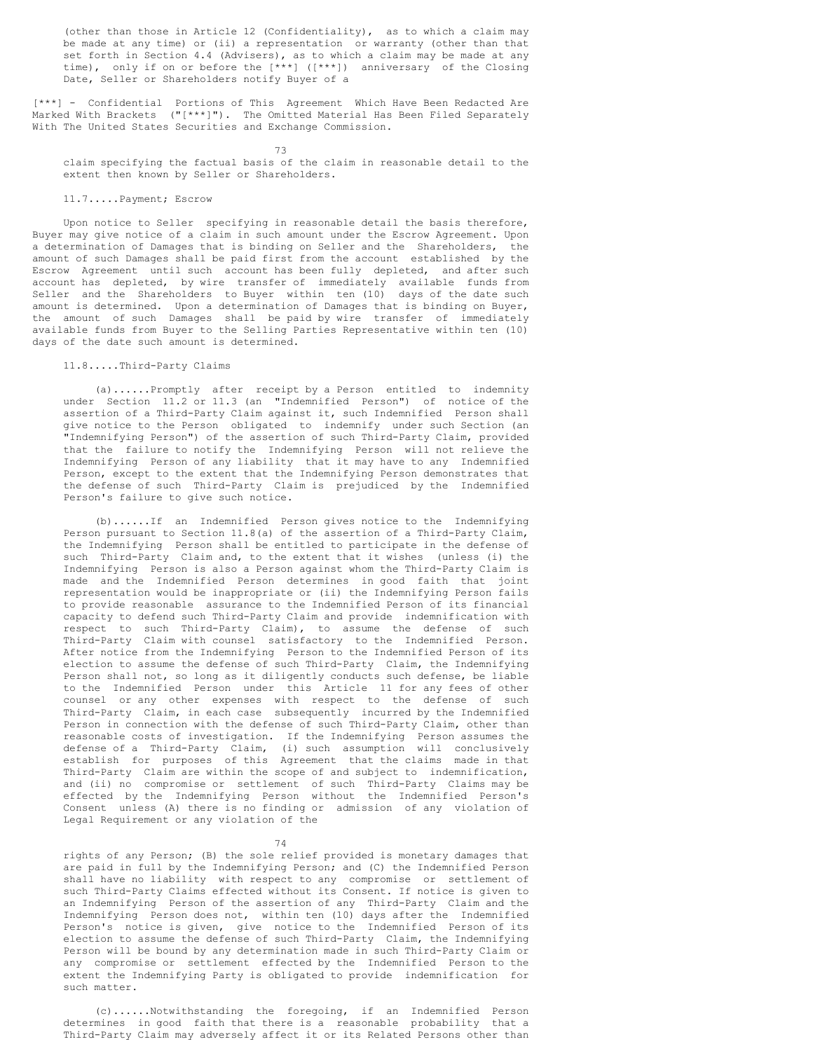(other than those in Article 12 (Confidentiality), as to which a claim may be made at any time) or (ii) a representation or warranty (other than that set forth in Section 4.4 (Advisers), as to which a claim may be made at any time), only if on or before the [\*\*\*] ([\*\*\*]) anniversary of the Closing Date, Seller or Shareholders notify Buyer of a

[\*\*\*] - Confidential Portions of This Agreement Which Have Been Redacted Are Marked With Brackets ("[\*\*\*]"). The Omitted Material Has Been Filed Separately With The United States Securities and Exchange Commission.

73

claim specifying the factual basis of the claim in reasonable detail to the extent then known by Seller or Shareholders.

### 11.7.....Payment; Escrow

Upon notice to Seller specifying in reasonable detail the basis therefore, Buyer may give notice of a claim in such amount under the Escrow Agreement. Upon a determination of Damages that is binding on Seller and the Shareholders, the amount of such Damages shall be paid first from the account established by the Escrow Agreement until such account has been fully depleted, and after such account has depleted, by wire transfer of immediately available funds from Seller and the Shareholders to Buyer within ten (10) days of the date such amount is determined. Upon a determination of Damages that is binding on Buyer, the amount of such Damages shall be paid by wire transfer of immediately available funds from Buyer to the Selling Parties Representative within ten (10) days of the date such amount is determined.

### 11.8.....Third-Party Claims

(a)......Promptly after receipt by a Person entitled to indemnity under Section 11.2 or 11.3 (an "Indemnified Person") of notice of the assertion of a Third-Party Claim against it, such Indemnified Person shall give notice to the Person obligated to indemnify under such Section (an "Indemnifying Person") of the assertion of such Third-Party Claim, provided that the failure to notify the Indemnifying Person will not relieve the Indemnifying Person of any liability that it may have to any Indemnified Person, except to the extent that the Indemnifying Person demonstrates that the defense of such Third-Party Claim is prejudiced by the Indemnified Person's failure to give such notice.

(b)......If an Indemnified Person gives notice to the Indemnifying Person pursuant to Section 11.8(a) of the assertion of a Third-Party Claim, the Indemnifying Person shall be entitled to participate in the defense of such Third-Party Claim and, to the extent that it wishes (unless (i) the Indemnifying Person is also a Person against whom the Third-Party Claim is made and the Indemnified Person determines in good faith that joint representation would be inappropriate or (ii) the Indemnifying Person fails to provide reasonable assurance to the Indemnified Person of its financial capacity to defend such Third-Party Claim and provide indemnification with respect to such Third-Party Claim), to assume the defense of such Third-Party Claim with counsel satisfactory to the Indemnified Person. After notice from the Indemnifying Person to the Indemnified Person of its election to assume the defense of such Third-Party Claim, the Indemnifying Person shall not, so long as it diligently conducts such defense, be liable to the Indemnified Person under this Article 11 for any fees of other counsel or any other expenses with respect to the defense of such Third-Party Claim, in each case subsequently incurred by the Indemnified Person in connection with the defense of such Third-Party Claim, other than reasonable costs of investigation. If the Indemnifying Person assumes the defense of a Third-Party Claim, (i) such assumption will conclusively establish for purposes of this Agreement that the claims made in that Third-Party Claim are within the scope of and subject to indemnification, and (ii) no compromise or settlement of such Third-Party Claims may be effected by the Indemnifying Person without the Indemnified Person's Consent unless (A) there is no finding or admission of any violation of Legal Requirement or any violation of the

74

rights of any Person; (B) the sole relief provided is monetary damages that are paid in full by the Indemnifying Person; and (C) the Indemnified Person shall have no liability with respect to any compromise or settlement of such Third-Party Claims effected without its Consent. If notice is given to an Indemnifying Person of the assertion of any Third-Party Claim and the Indemnifying Person does not, within ten (10) days after the Indemnified Person's notice is given, give notice to the Indemnified Person of its election to assume the defense of such Third-Party Claim, the Indemnifying Person will be bound by any determination made in such Third-Party Claim or any compromise or settlement effected by the Indemnified Person to the extent the Indemnifying Party is obligated to provide indemnification for such matter.

(c)......Notwithstanding the foregoing, if an Indemnified Person determines in good faith that there is a reasonable probability that a Third-Party Claim may adversely affect it or its Related Persons other than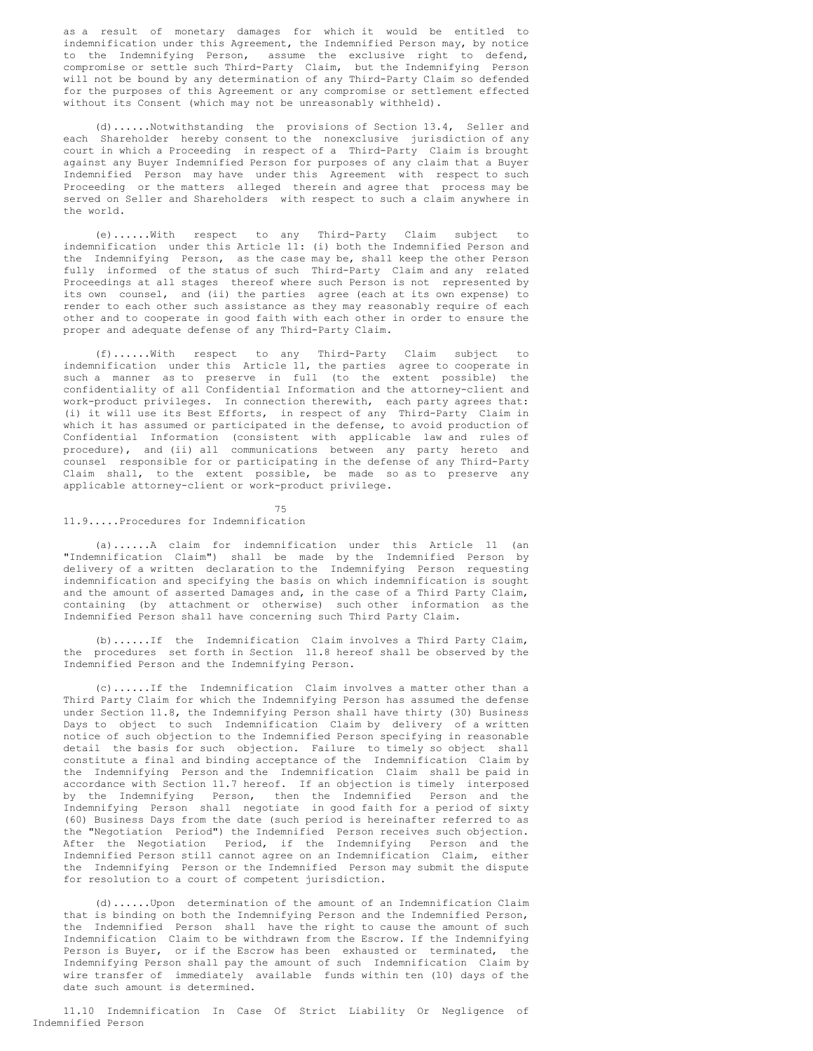as a result of monetary damages for which it would be entitled to indemnification under this Agreement, the Indemnified Person may, by notice to the Indemnifying Person, assume the exclusive right to defend, compromise or settle such Third-Party Claim, but the Indemnifying Person will not be bound by any determination of any Third-Party Claim so defended for the purposes of this Agreement or any compromise or settlement effected without its Consent (which may not be unreasonably withheld).

(d)......Notwithstanding the provisions of Section 13.4, Seller and each Shareholder hereby consent to the nonexclusive jurisdiction of any court in which a Proceeding in respect of a Third-Party Claim is brought against any Buyer Indemnified Person for purposes of any claim that a Buyer Indemnified Person may have under this Agreement with respect to such Proceeding or the matters alleged therein and agree that process may be served on Seller and Shareholders with respect to such a claim anywhere in the world.

(e)......With respect to any Third-Party Claim subject to indemnification under this Article 11: (i) both the Indemnified Person and the Indemnifying Person, as the case may be, shall keep the other Person fully informed of the status of such Third-Party Claim and any related Proceedings at all stages thereof where such Person is not represented by its own counsel, and (ii) the parties agree (each at its own expense) to render to each other such assistance as they may reasonably require of each other and to cooperate in good faith with each other in order to ensure the proper and adequate defense of any Third-Party Claim.

(f)......With respect to any Third-Party Claim subject to indemnification under this Article 11, the parties agree to cooperate in such a manner as to preserve in full (to the extent possible) the confidentiality of all Confidential Information and the attorney-client and work-product privileges. In connection therewith, each party agrees that: (i) it will use its Best Efforts, in respect of any Third-Party Claim in which it has assumed or participated in the defense, to avoid production of Confidential Information (consistent with applicable law and rules of procedure), and (ii) all communications between any party hereto and counsel responsible for or participating in the defense of any Third-Party Claim shall, to the extent possible, be made so as to preserve any applicable attorney-client or work-product privilege.

### 75

#### 11.9.....Procedures for Indemnification

(a)......A claim for indemnification under this Article 11 (an "Indemnification Claim") shall be made by the Indemnified Person by delivery of a written declaration to the Indemnifying Person requesting indemnification and specifying the basis on which indemnification is sought and the amount of asserted Damages and, in the case of a Third Party Claim, containing (by attachment or otherwise) such other information as the Indemnified Person shall have concerning such Third Party Claim.

(b)......If the Indemnification Claim involves a Third Party Claim, the procedures set forth in Section 11.8 hereof shall be observed by the Indemnified Person and the Indemnifying Person.

(c)......If the Indemnification Claim involves a matter other than a Third Party Claim for which the Indemnifying Person has assumed the defense under Section 11.8, the Indemnifying Person shall have thirty (30) Business Days to object to such Indemnification Claim by delivery of a written notice of such objection to the Indemnified Person specifying in reasonable detail the basis for such objection. Failure to timely so object shall constitute a final and binding acceptance of the Indemnification Claim by the Indemnifying Person and the Indemnification Claim shall be paid in accordance with Section 11.7 hereof. If an objection is timely interposed by the Indemnifying Person, then the Indemnified Person and the Indemnifying Person shall negotiate in good faith for a period of sixty (60) Business Days from the date (such period is hereinafter referred to as the "Negotiation Period") the Indemnified Person receives such objection. After the Negotiation Period, if the Indemnifying Person and the Indemnified Person still cannot agree on an Indemnification Claim, either the Indemnifying Person or the Indemnified Person may submit the dispute for resolution to a court of competent jurisdiction.

(d)......Upon determination of the amount of an Indemnification Claim that is binding on both the Indemnifying Person and the Indemnified Person, the Indemnified Person shall have the right to cause the amount of such Indemnification Claim to be withdrawn from the Escrow. If the Indemnifying Person is Buyer, or if the Escrow has been exhausted or terminated, the Indemnifying Person shall pay the amount of such Indemnification Claim by wire transfer of immediately available funds within ten (10) days of the date such amount is determined.

11.10 Indemnification In Case Of Strict Liability Or Negligence of Indemnified Person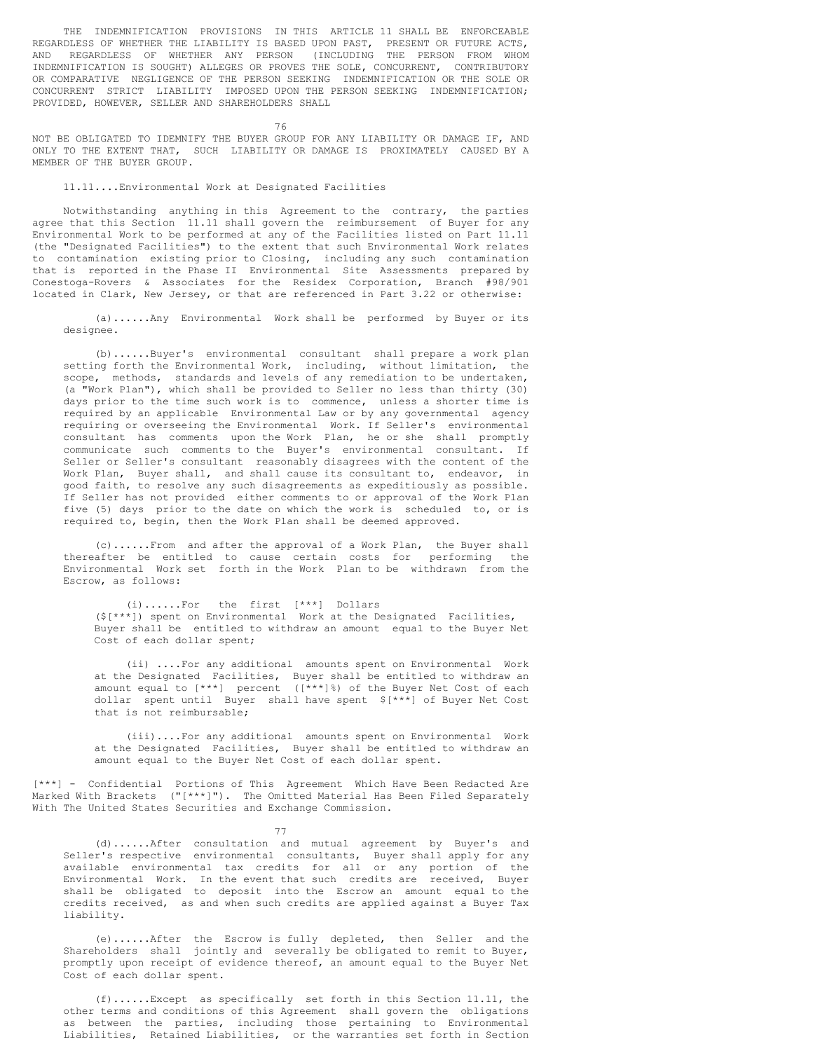THE INDEMNIFICATION PROVISIONS IN THIS ARTICLE 11 SHALL BE ENFORCEABLE REGARDLESS OF WHETHER THE LIABILITY IS BASED UPON PAST, PRESENT OR FUTURE ACTS, AND REGARDLESS OF WHETHER ANY PERSON (INCLUDING THE PERSON FROM WHOM INDEMNIFICATION IS SOUGHT) ALLEGES OR PROVES THE SOLE, CONCURRENT, CONTRIBUTORY OR COMPARATIVE NEGLIGENCE OF THE PERSON SEEKING INDEMNIFICATION OR THE SOLE OR CONCURRENT STRICT LIABILITY IMPOSED UPON THE PERSON SEEKING INDEMNIFICATION; PROVIDED, HOWEVER, SELLER AND SHAREHOLDERS SHALL

76

NOT BE OBLIGATED TO IDEMNIFY THE BUYER GROUP FOR ANY LIABILITY OR DAMAGE IF, AND ONLY TO THE EXTENT THAT, SUCH LIABILITY OR DAMAGE IS PROXIMATELY CAUSED BY A MEMBER OF THE BUYER GROUP.

### 11.11....Environmental Work at Designated Facilities

Notwithstanding anything in this Agreement to the contrary, the parties agree that this Section 11.11 shall govern the reimbursement of Buyer for any Environmental Work to be performed at any of the Facilities listed on Part 11.11 (the "Designated Facilities") to the extent that such Environmental Work relates to contamination existing prior to Closing, including any such contamination that is reported in the Phase II Environmental Site Assessments prepared by Conestoga-Rovers & Associates for the Residex Corporation, Branch #98/901 located in Clark, New Jersey, or that are referenced in Part 3.22 or otherwise:

(a)......Any Environmental Work shall be performed by Buyer or its designee.

(b)......Buyer's environmental consultant shall prepare a work plan setting forth the Environmental Work, including, without limitation, the scope, methods, standards and levels of any remediation to be undertaken, (a "Work Plan"), which shall be provided to Seller no less than thirty (30) days prior to the time such work is to commence, unless a shorter time is required by an applicable Environmental Law or by any governmental agency requiring or overseeing the Environmental Work. If Seller's environmental consultant has comments upon the Work Plan, he or she shall promptly communicate such comments to the Buyer's environmental consultant. If Seller or Seller's consultant reasonably disagrees with the content of the Work Plan, Buyer shall, and shall cause its consultant to, endeavor, in good faith, to resolve any such disagreements as expeditiously as possible. If Seller has not provided either comments to or approval of the Work Plan five (5) days prior to the date on which the work is scheduled to, or is required to, begin, then the Work Plan shall be deemed approved.

(c)......From and after the approval of a Work Plan, the Buyer shall thereafter be entitled to cause certain costs for performing the Environmental Work set forth in the Work Plan to be withdrawn from the Escrow, as follows:

(i)......For the first [\*\*\*] Dollars (\$[\*\*\*]) spent on Environmental Work at the Designated Facilities, Buyer shall be entitled to withdraw an amount equal to the Buyer Net Cost of each dollar spent;

(ii) ....For any additional amounts spent on Environmental Work at the Designated Facilities, Buyer shall be entitled to withdraw an amount equal to [\*\*\*] percent ([\*\*\*]%) of the Buyer Net Cost of each dollar spent until Buyer shall have spent \$[\*\*\*] of Buyer Net Cost that is not reimbursable;

(iii)....For any additional amounts spent on Environmental Work at the Designated Facilities, Buyer shall be entitled to withdraw an amount equal to the Buyer Net Cost of each dollar spent.

[\*\*\*] - Confidential Portions of This Agreement Which Have Been Redacted Are Marked With Brackets ("[\*\*\*]"). The Omitted Material Has Been Filed Separately With The United States Securities and Exchange Commission.

77

(d)......After consultation and mutual agreement by Buyer's and Seller's respective environmental consultants, Buyer shall apply for any available environmental tax credits for all or any portion of the Environmental Work. In the event that such credits are received, Buyer shall be obligated to deposit into the Escrow an amount equal to the credits received, as and when such credits are applied against a Buyer Tax liability.

(e)......After the Escrow is fully depleted, then Seller and the Shareholders shall jointly and severally be obligated to remit to Buyer, promptly upon receipt of evidence thereof, an amount equal to the Buyer Net Cost of each dollar spent.

(f)......Except as specifically set forth in this Section 11.11, the other terms and conditions of this Agreement shall govern the obligations as between the parties, including those pertaining to Environmental Liabilities, Retained Liabilities, or the warranties set forth in Section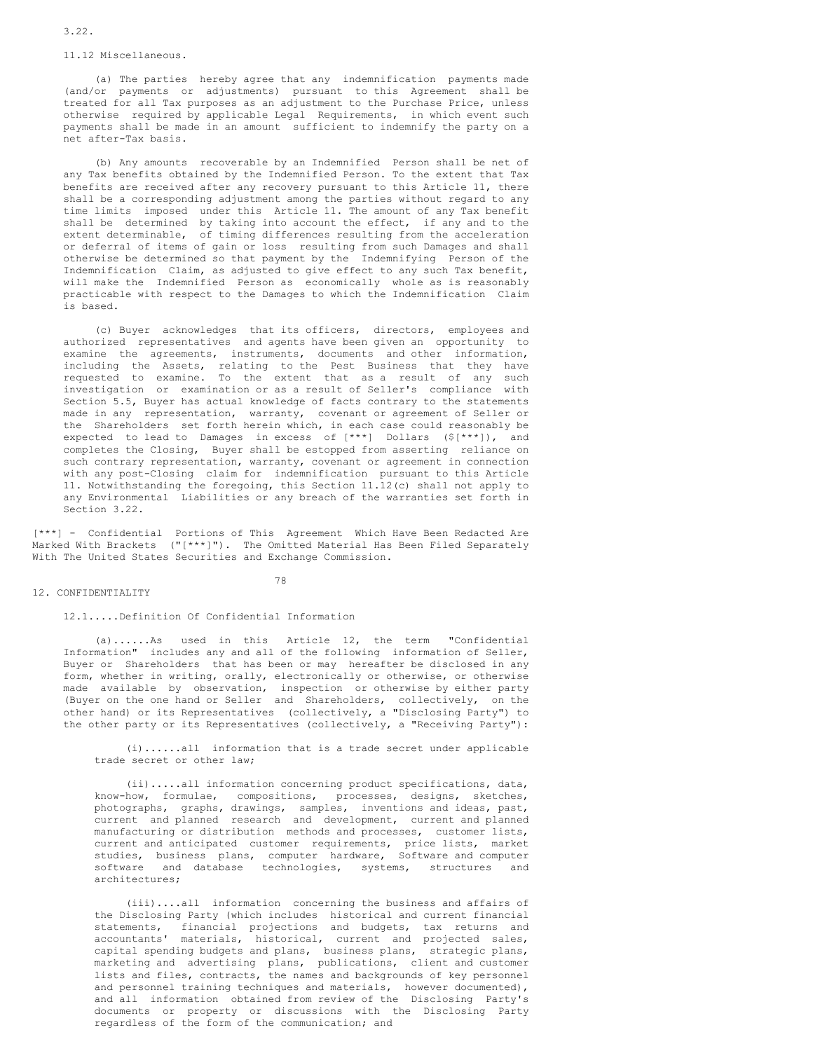3.22.

## 11.12 Miscellaneous.

(a) The parties hereby agree that any indemnification payments made (and/or payments or adjustments) pursuant to this Agreement shall be treated for all Tax purposes as an adjustment to the Purchase Price, unless otherwise required by applicable Legal Requirements, in which event such payments shall be made in an amount sufficient to indemnify the party on a net after-Tax basis.

(b) Any amounts recoverable by an Indemnified Person shall be net of any Tax benefits obtained by the Indemnified Person. To the extent that Tax benefits are received after any recovery pursuant to this Article 11, there shall be a corresponding adjustment among the parties without regard to any time limits imposed under this Article 11. The amount of any Tax benefit shall be determined by taking into account the effect, if any and to the extent determinable, of timing differences resulting from the acceleration or deferral of items of gain or loss resulting from such Damages and shall otherwise be determined so that payment by the Indemnifying Person of the Indemnification Claim, as adjusted to give effect to any such Tax benefit, will make the Indemnified Person as economically whole as is reasonably practicable with respect to the Damages to which the Indemnification Claim is based.

(c) Buyer acknowledges that its officers, directors, employees and authorized representatives and agents have been given an opportunity to examine the agreements, instruments, documents and other information, including the Assets, relating to the Pest Business that they have requested to examine. To the extent that as a result of any such investigation or examination or as a result of Seller's compliance with Section 5.5, Buyer has actual knowledge of facts contrary to the statements made in any representation, warranty, covenant or agreement of Seller or the Shareholders set forth herein which, in each case could reasonably be expected to lead to Damages in excess of [\*\*\*] Dollars (\$[\*\*\*]), and completes the Closing, Buyer shall be estopped from asserting reliance on such contrary representation, warranty, covenant or agreement in connection with any post-Closing claim for indemnification pursuant to this Article 11. Notwithstanding the foregoing, this Section 11.12(c) shall not apply to any Environmental Liabilities or any breach of the warranties set forth in Section 3.22.

[\*\*\*] - Confidential Portions of This Agreement Which Have Been Redacted Are Marked With Brackets ("[\*\*\*]"). The Omitted Material Has Been Filed Separately With The United States Securities and Exchange Commission.

78

#### 12. CONFIDENTIALITY

12.1.....Definition Of Confidential Information

(a)......As used in this Article 12, the term "Confidential Information" includes any and all of the following information of Seller, Buyer or Shareholders that has been or may hereafter be disclosed in any form, whether in writing, orally, electronically or otherwise, or otherwise made available by observation, inspection or otherwise by either party (Buyer on the one hand or Seller and Shareholders, collectively, on the other hand) or its Representatives (collectively, a "Disclosing Party") to the other party or its Representatives (collectively, a "Receiving Party"):

(i)......all information that is a trade secret under applicable trade secret or other law;

(ii).....all information concerning product specifications, data, know-how, formulae, compositions, processes, designs, sketches, photographs, graphs, drawings, samples, inventions and ideas, past, current and planned research and development, current and planned manufacturing or distribution methods and processes, customer lists, current and anticipated customer requirements, price lists, market studies, business plans, computer hardware, Software and computer software and database technologies, systems, structures and architectures;

(iii)....all information concerning the business and affairs of the Disclosing Party (which includes historical and current financial statements, financial projections and budgets, tax returns and accountants' materials, historical, current and projected sales, capital spending budgets and plans, business plans, strategic plans, marketing and advertising plans, publications, client and customer lists and files, contracts, the names and backgrounds of key personnel and personnel training techniques and materials, however documented), and all information obtained from review of the Disclosing Party's documents or property or discussions with the Disclosing Party regardless of the form of the communication; and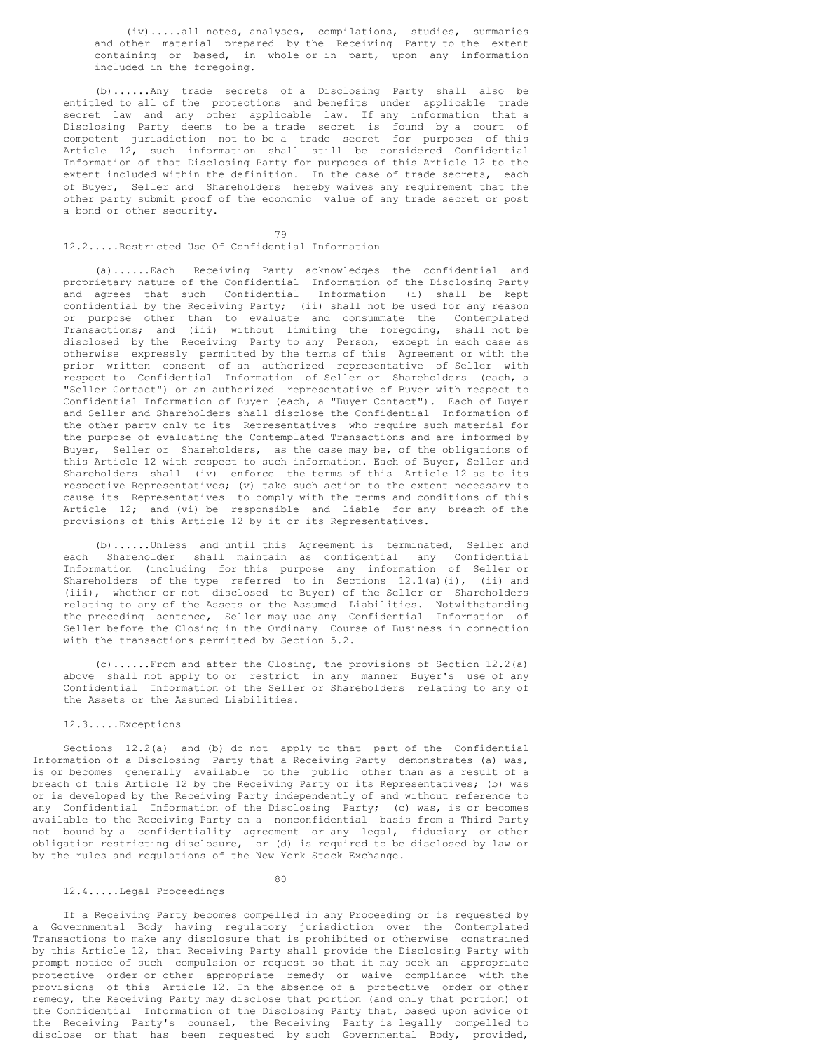(iv).....all notes, analyses, compilations, studies, summaries and other material prepared by the Receiving Party to the extent containing or based, in whole or in part, upon any information included in the foregoing.

(b)......Any trade secrets of a Disclosing Party shall also be entitled to all of the protections and benefits under applicable trade secret law and any other applicable law. If any information that a Disclosing Party deems to be a trade secret is found by a court of competent jurisdiction not to be a trade secret for purposes of this Article 12, such information shall still be considered Confidential Information of that Disclosing Party for purposes of this Article 12 to the extent included within the definition. In the case of trade secrets, each of Buyer, Seller and Shareholders hereby waives any requirement that the other party submit proof of the economic value of any trade secret or post a bond or other security.

79

## 12.2.....Restricted Use Of Confidential Information

(a)......Each Receiving Party acknowledges the confidential and proprietary nature of the Confidential Information of the Disclosing Party and agrees that such Confidential Information (i) shall be kept confidential by the Receiving Party; (ii) shall not be used for any reason or purpose other than to evaluate and consummate the Contemplated Transactions; and (iii) without limiting the foregoing, shall not be disclosed by the Receiving Party to any Person, except in each case as otherwise expressly permitted by the terms of this Agreement or with the prior written consent of an authorized representative of Seller with respect to Confidential Information of Seller or Shareholders (each, a "Seller Contact") or an authorized representative of Buyer with respect to Confidential Information of Buyer (each, a "Buyer Contact"). Each of Buyer and Seller and Shareholders shall disclose the Confidential Information of the other party only to its Representatives who require such material for the purpose of evaluating the Contemplated Transactions and are informed by Buyer, Seller or Shareholders, as the case may be, of the obligations of this Article 12 with respect to such information. Each of Buyer, Seller and Shareholders shall (iv) enforce the terms of this Article 12 as to its respective Representatives; (v) take such action to the extent necessary to cause its Representatives to comply with the terms and conditions of this Article 12; and (vi) be responsible and liable for any breach of the provisions of this Article 12 by it or its Representatives.

(b)......Unless and until this Agreement is terminated, Seller and each Shareholder shall maintain as confidential any Confidential Information (including for this purpose any information of Seller or Shareholders of the type referred to in Sections  $12.1(a)(i)$ , (ii) and (iii), whether or not disclosed to Buyer) of the Seller or Shareholders relating to any of the Assets or the Assumed Liabilities. Notwithstanding the preceding sentence, Seller may use any Confidential Information of Seller before the Closing in the Ordinary Course of Business in connection with the transactions permitted by Section 5.2.

(c)......From and after the Closing, the provisions of Section 12.2(a) above shall not apply to or restrict in any manner Buyer's use of any Confidential Information of the Seller or Shareholders relating to any of the Assets or the Assumed Liabilities.

### 12.3.....Exceptions

Sections 12.2(a) and (b) do not apply to that part of the Confidential Information of a Disclosing Party that a Receiving Party demonstrates (a) was, is or becomes generally available to the public other than as a result of a breach of this Article 12 by the Receiving Party or its Representatives; (b) was or is developed by the Receiving Party independently of and without reference to any Confidential Information of the Disclosing Party; (c) was, is or becomes available to the Receiving Party on a nonconfidential basis from a Third Party not bound by a confidentiality agreement or any legal, fiduciary or other obligation restricting disclosure, or (d) is required to be disclosed by law or by the rules and regulations of the New York Stock Exchange.

80

# 12.4.....Legal Proceedings

If a Receiving Party becomes compelled in any Proceeding or is requested by a Governmental Body having regulatory jurisdiction over the Contemplated Transactions to make any disclosure that is prohibited or otherwise constrained by this Article 12, that Receiving Party shall provide the Disclosing Party with prompt notice of such compulsion or request so that it may seek an appropriate protective order or other appropriate remedy or waive compliance with the provisions of this Article 12. In the absence of a protective order or other remedy, the Receiving Party may disclose that portion (and only that portion) of the Confidential Information of the Disclosing Party that, based upon advice of the Receiving Party's counsel, the Receiving Party is legally compelled to disclose or that has been requested by such Governmental Body, provided,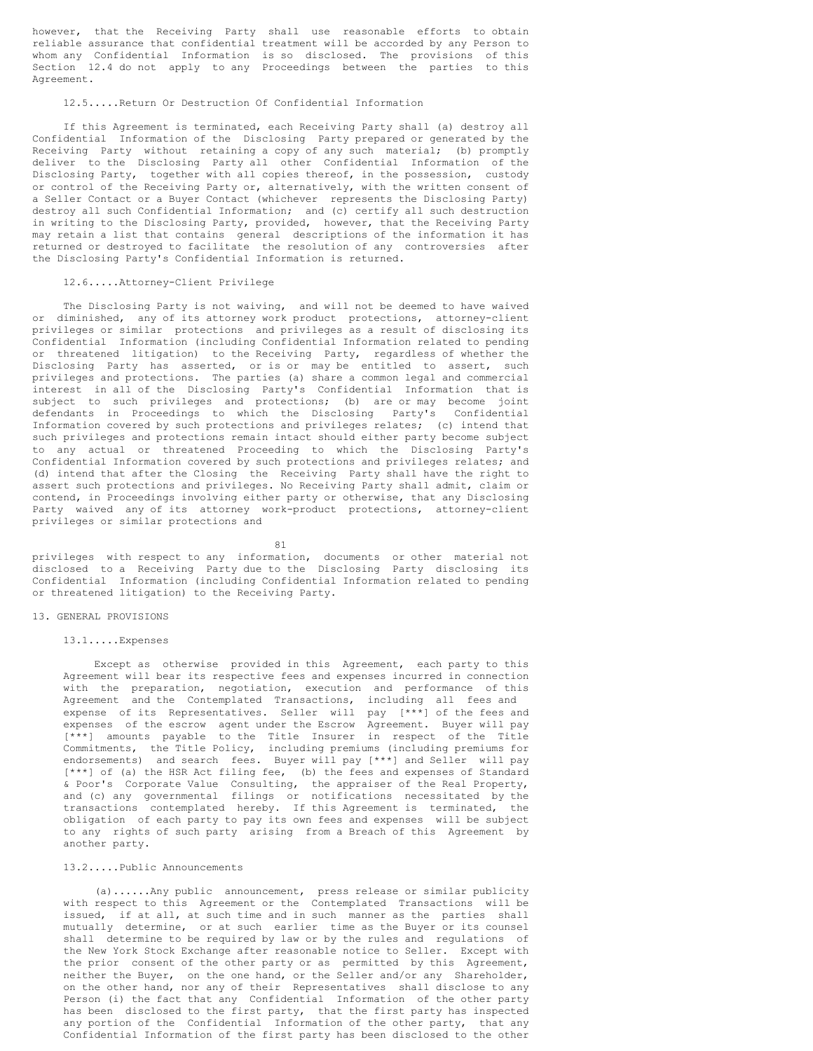however, that the Receiving Party shall use reasonable efforts to obtain reliable assurance that confidential treatment will be accorded by any Person to whom any Confidential Information is so disclosed. The provisions of this Section 12.4 do not apply to any Proceedings between the parties to this Agreement.

## 12.5.....Return Or Destruction Of Confidential Information

If this Agreement is terminated, each Receiving Party shall (a) destroy all Confidential Information of the Disclosing Party prepared or generated by the Receiving Party without retaining a copy of any such material; (b) promptly deliver to the Disclosing Party all other Confidential Information of the Disclosing Party, together with all copies thereof, in the possession, custody or control of the Receiving Party or, alternatively, with the written consent of a Seller Contact or a Buyer Contact (whichever represents the Disclosing Party) destroy all such Confidential Information; and (c) certify all such destruction in writing to the Disclosing Party, provided, however, that the Receiving Party may retain a list that contains general descriptions of the information it has returned or destroyed to facilitate the resolution of any controversies after the Disclosing Party's Confidential Information is returned.

# 12.6.....Attorney-Client Privilege

The Disclosing Party is not waiving, and will not be deemed to have waived or diminished, any of its attorney work product protections, attorney-client privileges or similar protections and privileges as a result of disclosing its Confidential Information (including Confidential Information related to pending or threatened litigation) to the Receiving Party, regardless of whether the Disclosing Party has asserted, or is or may be entitled to assert, such privileges and protections. The parties (a) share a common legal and commercial interest in all of the Disclosing Party's Confidential Information that is subject to such privileges and protections; (b) are or may become joint defendants in Proceedings to which the Disclosing Party's Confidential Information covered by such protections and privileges relates; (c) intend that such privileges and protections remain intact should either party become subject to any actual or threatened Proceeding to which the Disclosing Party's Confidential Information covered by such protections and privileges relates; and (d) intend that after the Closing the Receiving Party shall have the right to assert such protections and privileges. No Receiving Party shall admit, claim or contend, in Proceedings involving either party or otherwise, that any Disclosing Party waived any of its attorney work-product protections, attorney-client privileges or similar protections and

81

privileges with respect to any information, documents or other material not disclosed to a Receiving Party due to the Disclosing Party disclosing its Confidential Information (including Confidential Information related to pending or threatened litigation) to the Receiving Party.

### 13. GENERAL PROVISIONS

## 13.1.....Expenses

Except as otherwise provided in this Agreement, each party to this Agreement will bear its respective fees and expenses incurred in connection with the preparation, negotiation, execution and performance of this Agreement and the Contemplated Transactions, including all fees and expense of its Representatives. Seller will pay [\*\*\*] of the fees and expenses of the escrow agent under the Escrow Agreement. Buyer will pay [\*\*\*] amounts payable to the Title Insurer in respect of the Title Commitments, the Title Policy, including premiums (including premiums for endorsements) and search fees. Buyer will pay [\*\*\*] and Seller will pay [\*\*\*] of (a) the HSR Act filing fee, (b) the fees and expenses of Standard & Poor's Corporate Value Consulting, the appraiser of the Real Property, and (c) any governmental filings or notifications necessitated by the transactions contemplated hereby. If this Agreement is terminated, the obligation of each party to pay its own fees and expenses will be subject to any rights of such party arising from a Breach of this Agreement by another party.

#### 13.2.....Public Announcements

(a)......Any public announcement, press release or similar publicity with respect to this Agreement or the Contemplated Transactions will be issued, if at all, at such time and in such manner as the parties shall mutually determine, or at such earlier time as the Buyer or its counsel shall determine to be required by law or by the rules and regulations of the New York Stock Exchange after reasonable notice to Seller. Except with the prior consent of the other party or as permitted by this Agreement, neither the Buyer, on the one hand, or the Seller and/or any Shareholder, on the other hand, nor any of their Representatives shall disclose to any Person (i) the fact that any Confidential Information of the other party has been disclosed to the first party, that the first party has inspected any portion of the Confidential Information of the other party, that any Confidential Information of the first party has been disclosed to the other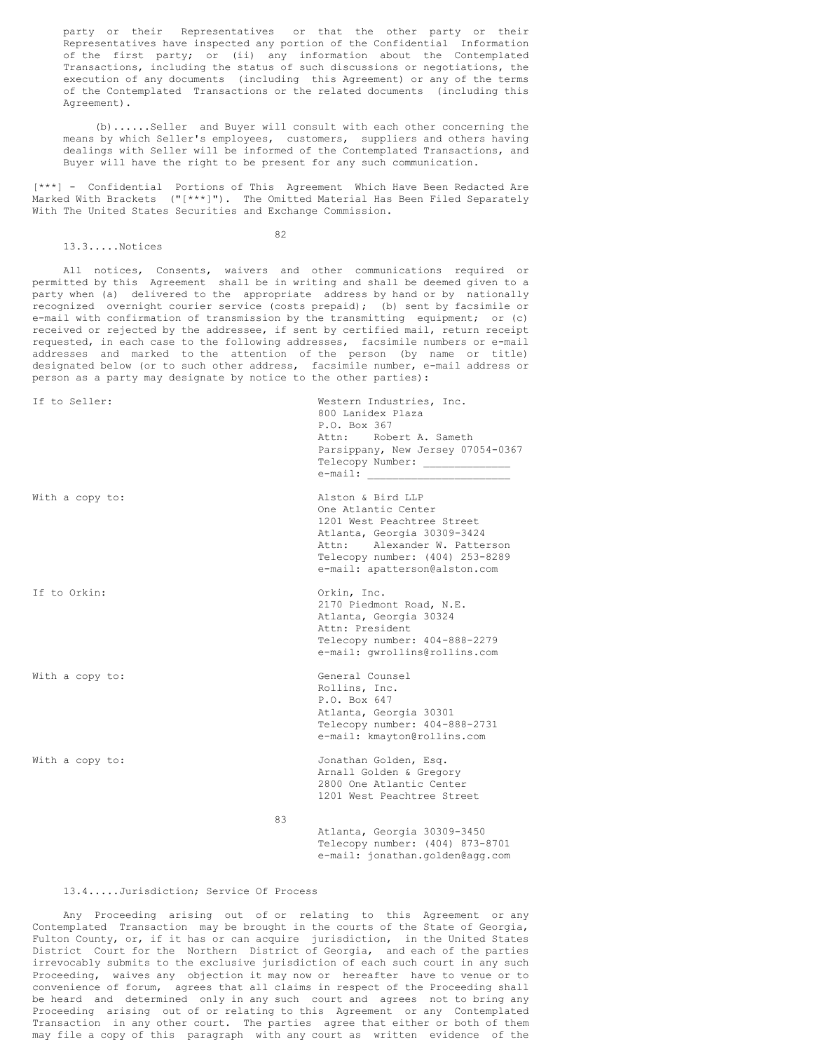party or their Representatives or that the other party or their Representatives have inspected any portion of the Confidential Information of the first party; or (ii) any information about the Contemplated Transactions, including the status of such discussions or negotiations, the execution of any documents (including this Agreement) or any of the terms of the Contemplated Transactions or the related documents (including this Agreement).

(b)......Seller and Buyer will consult with each other concerning the means by which Seller's employees, customers, suppliers and others having dealings with Seller will be informed of the Contemplated Transactions, and Buyer will have the right to be present for any such communication.

[\*\*\*] - Confidential Portions of This Agreement Which Have Been Redacted Are Marked With Brackets ("[\*\*\*]"). The Omitted Material Has Been Filed Separately With The United States Securities and Exchange Commission.

13.3.....Notices

82

All notices, Consents, waivers and other communications required or permitted by this Agreement shall be in writing and shall be deemed given to a party when (a) delivered to the appropriate address by hand or by nationally recognized overnight courier service (costs prepaid); (b) sent by facsimile or e-mail with confirmation of transmission by the transmitting equipment; or (c) received or rejected by the addressee, if sent by certified mail, return receipt requested, in each case to the following addresses, facsimile numbers or e-mail addresses and marked to the attention of the person (by name or title) designated below (or to such other address, facsimile number, e-mail address or person as a party may designate by notice to the other parties):

If to Seller: Western Industries, Inc.

800 Lanidex Plaza P.O. Box 367 Attn: Robert A. Sameth Parsippany, New Jersey 07054-0367 Telecopy Number: \_\_\_\_\_\_\_\_\_ e-mail:  $\overline{\phantom{a}}$ 

With a copy to:  $\blacksquare$ One Atlantic Center 1201 West Peachtree Street Atlanta, Georgia 30309-3424 Attn: Alexander W. Patterson Telecopy number: (404) 253-8289 e-mail: apatterson@alston.com

If to Orkin: Orkin, Inc. 2170 Piedmont Road, N.E. Atlanta, Georgia 30324 Attn: President Telecopy number: 404-888-2279 e-mail: gwrollins@rollins.com

With a copy to: General Counsel Rollins, Inc. P.O. Box 647 Atlanta, Georgia 30301 Telecopy number: 404-888-2731 e-mail: kmayton@rollins.com

With a copy to:  $Jonathan$  Golden, Esq. Arnall Golden & Gregory 2800 One Atlantic Center 1201 West Peachtree Street

> Atlanta, Georgia 30309-3450 Telecopy number: (404) 873-8701 e-mail: jonathan.golden@agg.com

### 13.4.....Jurisdiction; Service Of Process

Any Proceeding arising out of or relating to this Agreement or any Contemplated Transaction may be brought in the courts of the State of Georgia, Fulton County, or, if it has or can acquire jurisdiction, in the United States District Court for the Northern District of Georgia, and each of the parties irrevocably submits to the exclusive jurisdiction of each such court in any such Proceeding, waives any objection it may now or hereafter have to venue or to convenience of forum, agrees that all claims in respect of the Proceeding shall be heard and determined only in any such court and agrees not to bring any Proceeding arising out of or relating to this Agreement or any Contemplated Transaction in any other court. The parties agree that either or both of them may file a copy of this paragraph with any court as written evidence of the

83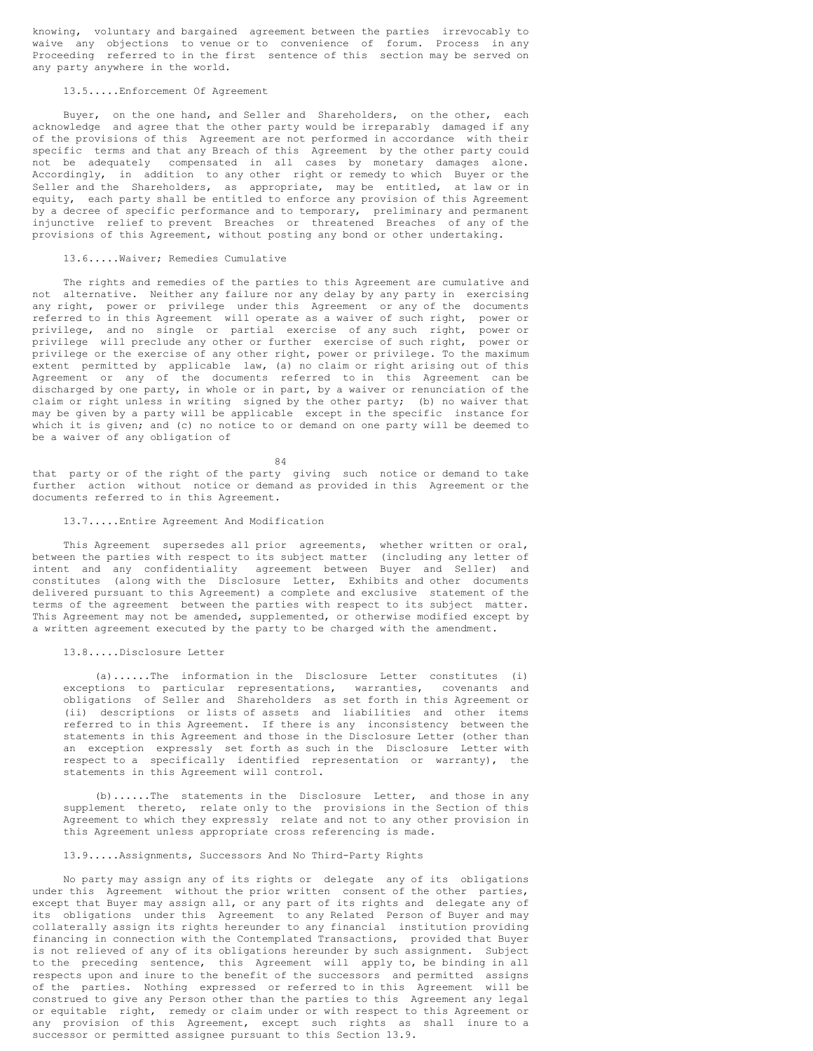knowing, voluntary and bargained agreement between the parties irrevocably to waive any objections to venue or to convenience of forum. Process in any Proceeding referred to in the first sentence of this section may be served on any party anywhere in the world.

# 13.5.....Enforcement Of Agreement

Buyer, on the one hand, and Seller and Shareholders, on the other, each acknowledge and agree that the other party would be irreparably damaged if any of the provisions of this Agreement are not performed in accordance with their specific terms and that any Breach of this Agreement by the other party could not be adequately compensated in all cases by monetary damages alone. Accordingly, in addition to any other right or remedy to which Buyer or the Seller and the Shareholders, as appropriate, may be entitled, at law or in equity, each party shall be entitled to enforce any provision of this Agreement by a decree of specific performance and to temporary, preliminary and permanent injunctive relief to prevent Breaches or threatened Breaches of any of the provisions of this Agreement, without posting any bond or other undertaking.

#### 13.6.....Waiver; Remedies Cumulative

The rights and remedies of the parties to this Agreement are cumulative and not alternative. Neither any failure nor any delay by any party in exercising any right, power or privilege under this Agreement or any of the documents referred to in this Agreement will operate as a waiver of such right, power or privilege, and no single or partial exercise of any such right, power or privilege will preclude any other or further exercise of such right, power or privilege or the exercise of any other right, power or privilege. To the maximum extent permitted by applicable law, (a) no claim or right arising out of this Agreement or any of the documents referred to in this Agreement can be discharged by one party, in whole or in part, by a waiver or renunciation of the claim or right unless in writing signed by the other party; (b) no waiver that may be given by a party will be applicable except in the specific instance for which it is given; and (c) no notice to or demand on one party will be deemed to be a waiver of any obligation of

84

that party or of the right of the party giving such notice or demand to take further action without notice or demand as provided in this Agreement or the documents referred to in this Agreement.

#### 13.7.....Entire Agreement And Modification

This Agreement supersedes all prior agreements, whether written or oral, between the parties with respect to its subject matter (including any letter of intent and any confidentiality agreement between Buyer and Seller) and constitutes (along with the Disclosure Letter, Exhibits and other documents delivered pursuant to this Agreement) a complete and exclusive statement of the terms of the agreement between the parties with respect to its subject matter. This Agreement may not be amended, supplemented, or otherwise modified except by a written agreement executed by the party to be charged with the amendment.

### 13.8.....Disclosure Letter

(a)......The information in the Disclosure Letter constitutes (i) exceptions to particular representations, warranties, covenants and obligations of Seller and Shareholders as set forth in this Agreement or (ii) descriptions or lists of assets and liabilities and other items referred to in this Agreement. If there is any inconsistency between the statements in this Agreement and those in the Disclosure Letter (other than an exception expressly set forth as such in the Disclosure Letter with respect to a specifically identified representation or warranty), the statements in this Agreement will control.

(b)......The statements in the Disclosure Letter, and those in any supplement thereto, relate only to the provisions in the Section of this Agreement to which they expressly relate and not to any other provision in this Agreement unless appropriate cross referencing is made.

# 13.9.....Assignments, Successors And No Third-Party Rights

No party may assign any of its rights or delegate any of its obligations under this Agreement without the prior written consent of the other parties, except that Buyer may assign all, or any part of its rights and delegate any of its obligations under this Agreement to any Related Person of Buyer and may collaterally assign its rights hereunder to any financial institution providing financing in connection with the Contemplated Transactions, provided that Buyer is not relieved of any of its obligations hereunder by such assignment. Subject to the preceding sentence, this Agreement will apply to, be binding in all respects upon and inure to the benefit of the successors and permitted assigns of the parties. Nothing expressed or referred to in this Agreement will be construed to give any Person other than the parties to this Agreement any legal or equitable right, remedy or claim under or with respect to this Agreement or any provision of this Agreement, except such rights as shall inure to a successor or permitted assignee pursuant to this Section 13.9.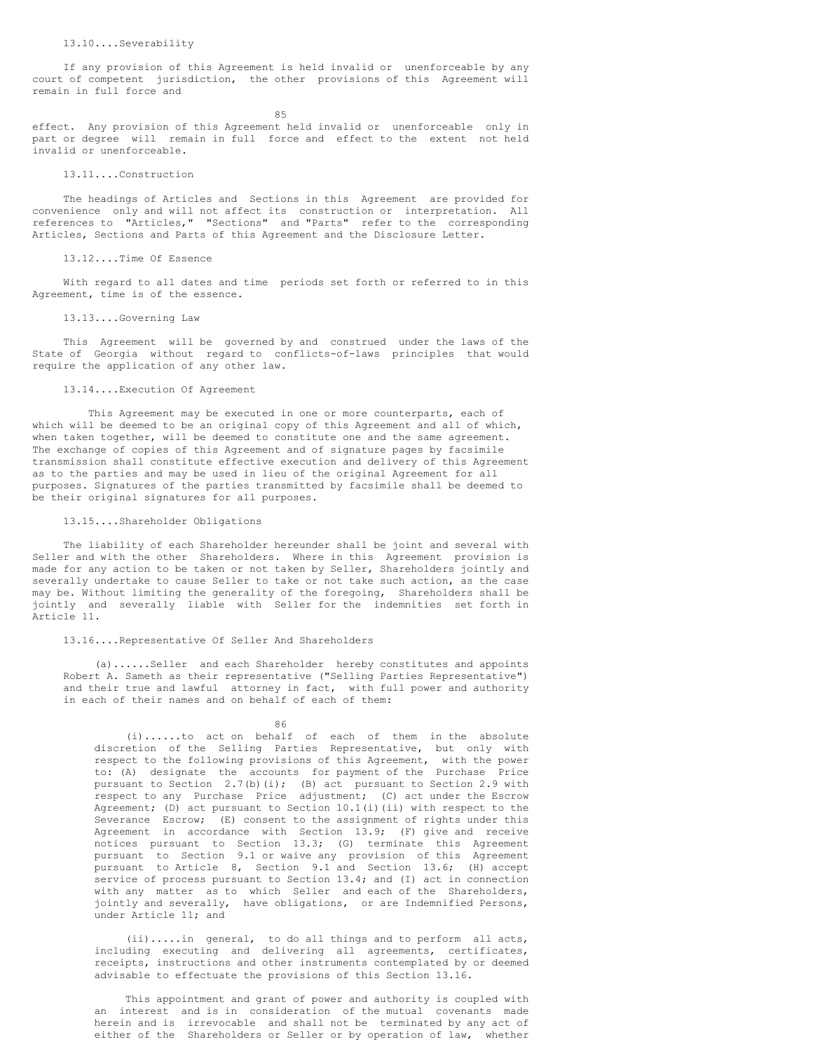#### 13.10....Severability

If any provision of this Agreement is held invalid or unenforceable by any court of competent jurisdiction, the other provisions of this Agreement will remain in full force and

85 effect. Any provision of this Agreement held invalid or unenforceable only in part or degree will remain in full force and effect to the extent not held invalid or unenforceable.

### 13.11....Construction

The headings of Articles and Sections in this Agreement are provided for convenience only and will not affect its construction or interpretation. All references to "Articles," "Sections" and "Parts" refer to the corresponding Articles, Sections and Parts of this Agreement and the Disclosure Letter.

#### 13.12....Time Of Essence

With regard to all dates and time periods set forth or referred to in this Agreement, time is of the essence.

#### 13.13....Governing Law

This Agreement will be governed by and construed under the laws of the State of Georgia without regard to conflicts-of-laws principles that would require the application of any other law.

# 13.14....Execution Of Agreement

This Agreement may be executed in one or more counterparts, each of which will be deemed to be an original copy of this Agreement and all of which, when taken together, will be deemed to constitute one and the same agreement. The exchange of copies of this Agreement and of signature pages by facsimile transmission shall constitute effective execution and delivery of this Agreement as to the parties and may be used in lieu of the original Agreement for all purposes. Signatures of the parties transmitted by facsimile shall be deemed to be their original signatures for all purposes.

#### 13.15....Shareholder Obligations

The liability of each Shareholder hereunder shall be joint and several with Seller and with the other Shareholders. Where in this Agreement provision is made for any action to be taken or not taken by Seller, Shareholders jointly and severally undertake to cause Seller to take or not take such action, as the case may be. Without limiting the generality of the foregoing, Shareholders shall be jointly and severally liable with Seller for the indemnities set forth in Article 11.

### 13.16....Representative Of Seller And Shareholders

(a)......Seller and each Shareholder hereby constitutes and appoints Robert A. Sameth as their representative ("Selling Parties Representative") and their true and lawful attorney in fact, with full power and authority in each of their names and on behalf of each of them:

86

(i)......to act on behalf of each of them in the absolute discretion of the Selling Parties Representative, but only with respect to the following provisions of this Agreement, with the power to: (A) designate the accounts for payment of the Purchase Price pursuant to Section 2.7(b)(i); (B) act pursuant to Section 2.9 with respect to any Purchase Price adjustment; (C) act under the Escrow Agreement; (D) act pursuant to Section  $10.1(i)$  (ii) with respect to the Severance Escrow; (E) consent to the assignment of rights under this Agreement in accordance with Section  $13.9$ ; (F) give and receive notices pursuant to Section 13.3; (G) terminate this Agreement pursuant to Section 9.1 or waive any provision of this Agreement pursuant to Article 8, Section 9.1 and Section 13.6; (H) accept service of process pursuant to Section 13.4; and (I) act in connection with any matter as to which Seller and each of the Shareholders, jointly and severally, have obligations, or are Indemnified Persons, under Article 11; and

(ii).....in general, to do all things and to perform all acts, including executing and delivering all agreements, certificates, receipts, instructions and other instruments contemplated by or deemed advisable to effectuate the provisions of this Section 13.16.

This appointment and grant of power and authority is coupled with an interest and is in consideration of the mutual covenants made herein and is irrevocable and shall not be terminated by any act of either of the Shareholders or Seller or by operation of law, whether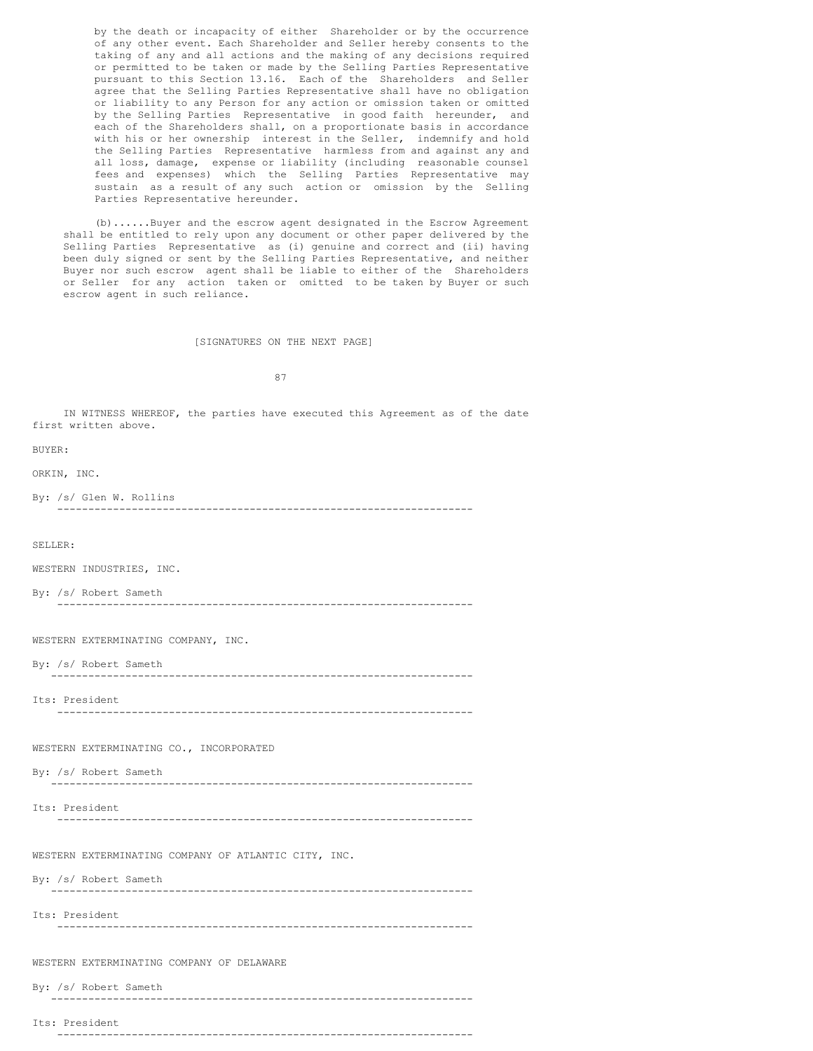by the death or incapacity of either Shareholder or by the occurrence of any other event. Each Shareholder and Seller hereby consents to the taking of any and all actions and the making of any decisions required or permitted to be taken or made by the Selling Parties Representative pursuant to this Section 13.16. Each of the Shareholders and Seller agree that the Selling Parties Representative shall have no obligation or liability to any Person for any action or omission taken or omitted by the Selling Parties Representative in good faith hereunder, and each of the Shareholders shall, on a proportionate basis in accordance with his or her ownership interest in the Seller, indemnify and hold the Selling Parties Representative harmless from and against any and all loss, damage, expense or liability (including reasonable counsel fees and expenses) which the Selling Parties Representative may sustain as a result of any such action or omission by the Selling Parties Representative hereunder.

(b)......Buyer and the escrow agent designated in the Escrow Agreement shall be entitled to rely upon any document or other paper delivered by the Selling Parties Representative as (i) genuine and correct and (ii) having been duly signed or sent by the Selling Parties Representative, and neither Buyer nor such escrow agent shall be liable to either of the Shareholders or Seller for any action taken or omitted to be taken by Buyer or such escrow agent in such reliance.

[SIGNATURES ON THE NEXT PAGE]

87

IN WITNESS WHEREOF, the parties have executed this Agreement as of the date first written above.

#### BUYER:

ORKIN, INC.

By: /s/ Glen W. Rollins -------------------------------------------------------------------

SELLER:

WESTERN INDUSTRIES, INC.

By: /s/ Robert Sameth

-------------------------------------------------------------------

WESTERN EXTERMINATING COMPANY, INC.

By: /s/ Robert Sameth

--------------------------------------------------------------------

#### Its: President -------------------------------------------------------------------

WESTERN EXTERMINATING CO., INCORPORATED

### By: /s/ Robert Sameth

--------------------------------------------------------------------

Its: President

-------------------------------------------------------------------

WESTERN EXTERMINATING COMPANY OF ATLANTIC CITY, INC.

### By: /s/ Robert Sameth

--------------------------------------------------------------------

Its: President -------------------------------------------------------------------

# WESTERN EXTERMINATING COMPANY OF DELAWARE

By: /s/ Robert Sameth

--------------------------------------------------------------------

# Its: President

-------------------------------------------------------------------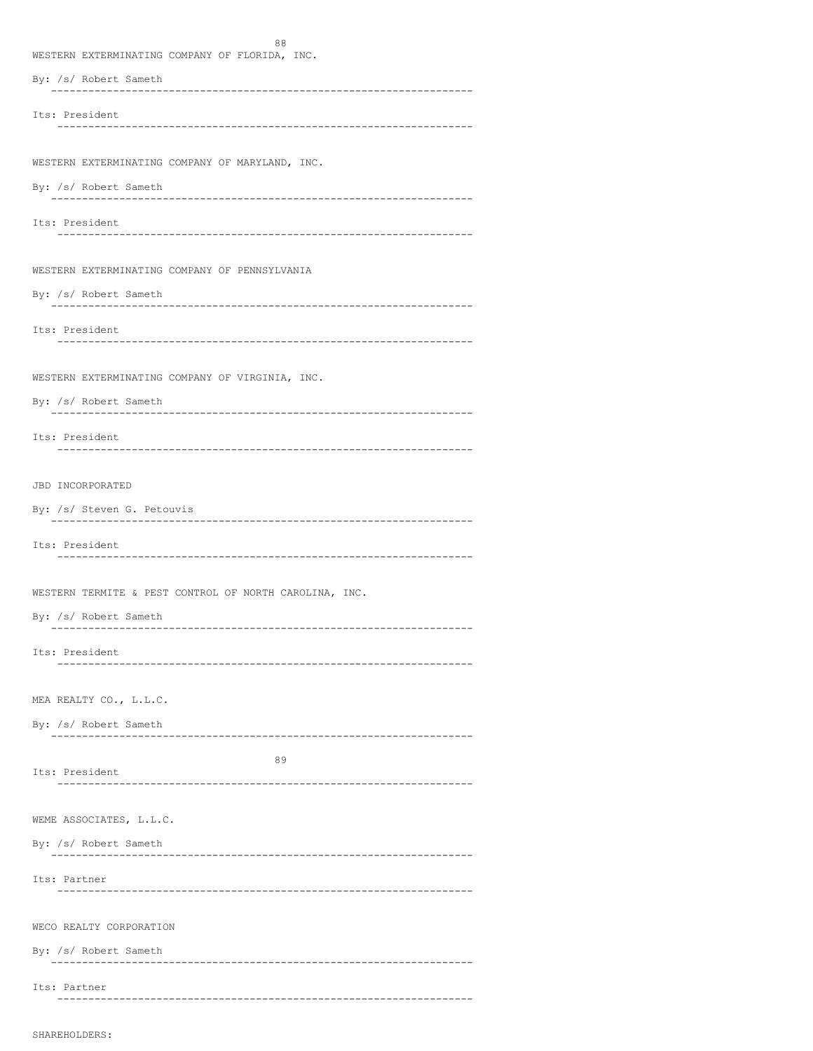| K.<br>I       |
|---------------|
| M.<br>۰,<br>٧ |

| 88<br>WESTERN EXTERMINATING COMPANY OF FLORIDA, INC.                            |
|---------------------------------------------------------------------------------|
| By: /s/ Robert Sameth                                                           |
| Its: President                                                                  |
| ---------------------------------<br>-------------                              |
| WESTERN EXTERMINATING COMPANY OF MARYLAND, INC.                                 |
| By: /s/ Robert Sameth<br>.                                                      |
| Its: President                                                                  |
| WESTERN EXTERMINATING COMPANY OF PENNSYLVANIA                                   |
| By: /s/ Robert Sameth                                                           |
|                                                                                 |
| Its: President                                                                  |
| WESTERN EXTERMINATING COMPANY OF VIRGINIA, INC.                                 |
| By: /s/ Robert Sameth<br>-------------------------------------                  |
| Its: President                                                                  |
|                                                                                 |
| JBD INCORPORATED                                                                |
| By: /s/ Steven G. Petouvis                                                      |
| Its: President                                                                  |
|                                                                                 |
| WESTERN TERMITE & PEST CONTROL OF NORTH CAROLINA, INC.<br>By: /s/ Robert Sameth |
|                                                                                 |
| Its: President                                                                  |
| MEA REALTY CO., L.L.C.                                                          |
|                                                                                 |
| By: /s/ Robert Sameth                                                           |
| ---------------------------                                                     |
| 89<br>Its: President                                                            |
|                                                                                 |
| WEME ASSOCIATES, L.L.C.                                                         |
| By: /s/ Robert Sameth                                                           |
| Its: Partner                                                                    |
| WECO REALTY CORPORATION                                                         |
| By: /s/ Robert Sameth                                                           |
| Its: Partner                                                                    |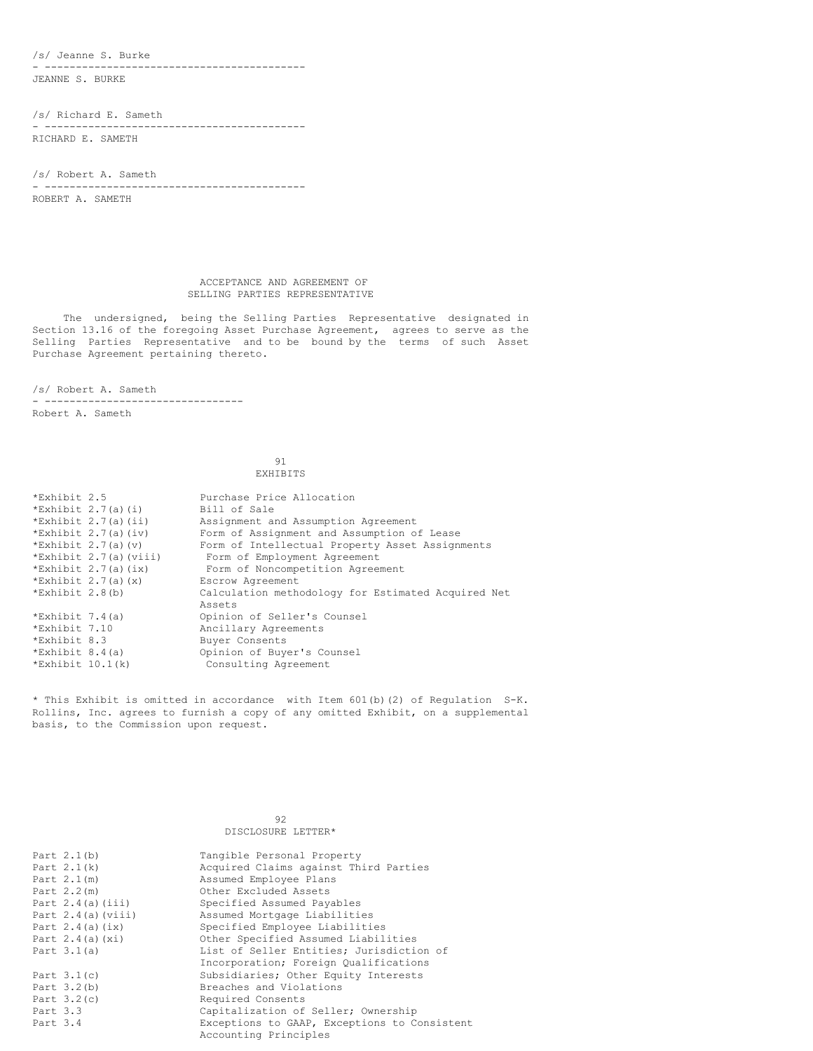/s/ Jeanne S. Burke

- ------------------------------------------ JEANNE S. BURKE

/s/ Richard E. Sameth - ------------------------------------------

RICHARD E. SAMETH

/s/ Robert A. Sameth

- ------------------------------------------ ROBERT A. SAMETH

ACCEPTANCE AND AGREEMENT OF SELLING PARTIES REPRESENTATIVE

The undersigned, being the Selling Parties Representative designated in Section 13.16 of the foregoing Asset Purchase Agreement, agrees to serve as the Selling Parties Representative and to be bound by the terms of such Asset Purchase Agreement pertaining thereto.

/s/ Robert A. Sameth

- --------------------------------

Robert A. Sameth

### 91 EXHIBITS

| *Exhibit 2.5       |                          | Purchase Price Allocation                          |
|--------------------|--------------------------|----------------------------------------------------|
|                    | *Exhibit 2.7(a)(i)       | Bill of Sale                                       |
|                    | *Exhibit $2.7(a)$ (ii)   | Assignment and Assumption Agreement                |
|                    | *Exhibit $2.7(a)$ (iv)   | Form of Assignment and Assumption of Lease         |
|                    | *Exhibit $2.7(a)(v)$     | Form of Intellectual Property Asset Assignments    |
|                    | *Exhibit $2.7(a)$ (viii) | Form of Employment Agreement                       |
|                    | *Exhibit $2.7(a)$ (ix)   | Form of Noncompetition Agreement                   |
|                    | *Exhibit $2.7(a)(x)$     | Escrow Agreement                                   |
| $*Exhibit 2.8(b)$  |                          | Calculation methodology for Estimated Acquired Net |
|                    |                          | Assets                                             |
| *Exhibit $7.4(a)$  |                          | Opinion of Seller's Counsel                        |
| *Exhibit 7.10      |                          | Ancillary Agreements                               |
| *Exhibit 8.3       |                          | Buyer Consents                                     |
| *Exhibit $8.4(a)$  |                          | Opinion of Buyer's Counsel                         |
| *Exhibit $10.1(k)$ |                          | Consulting Agreement                               |

\* This Exhibit is omitted in accordance with Item 601(b)(2) of Regulation S-K. Rollins, Inc. agrees to furnish a copy of any omitted Exhibit, on a supplemental basis, to the Commission upon request.

## 92 DISCLOSURE LETTER\*

|          | Part $2.1(b)$        | Tangible Personal Property                   |
|----------|----------------------|----------------------------------------------|
|          | Part $2.1(k)$        | Acquired Claims against Third Parties        |
|          | Part $2.1(m)$        | Assumed Employee Plans                       |
|          | Part $2.2(m)$        | Other Excluded Assets                        |
|          | Part $2.4(a)$ (iii)  | Specified Assumed Payables                   |
|          | Part $2.4(a)$ (viii) | Assumed Mortgage Liabilities                 |
|          | Part $2.4(a)$ (ix)   | Specified Employee Liabilities               |
|          | Part $2.4(a)$ (xi)   | Other Specified Assumed Liabilities          |
|          | Part $3.1(a)$        | List of Seller Entities; Jurisdiction of     |
|          |                      | Incorporation; Foreign Qualifications        |
|          | Part $3.1(c)$        | Subsidiaries; Other Equity Interests         |
|          | Part $3.2(b)$        | Breaches and Violations                      |
|          | Part $3.2(c)$        | Required Consents                            |
| Part 3.3 |                      | Capitalization of Seller; Ownership          |
| Part 3.4 |                      | Exceptions to GAAP, Exceptions to Consistent |
|          |                      | Accounting Principles                        |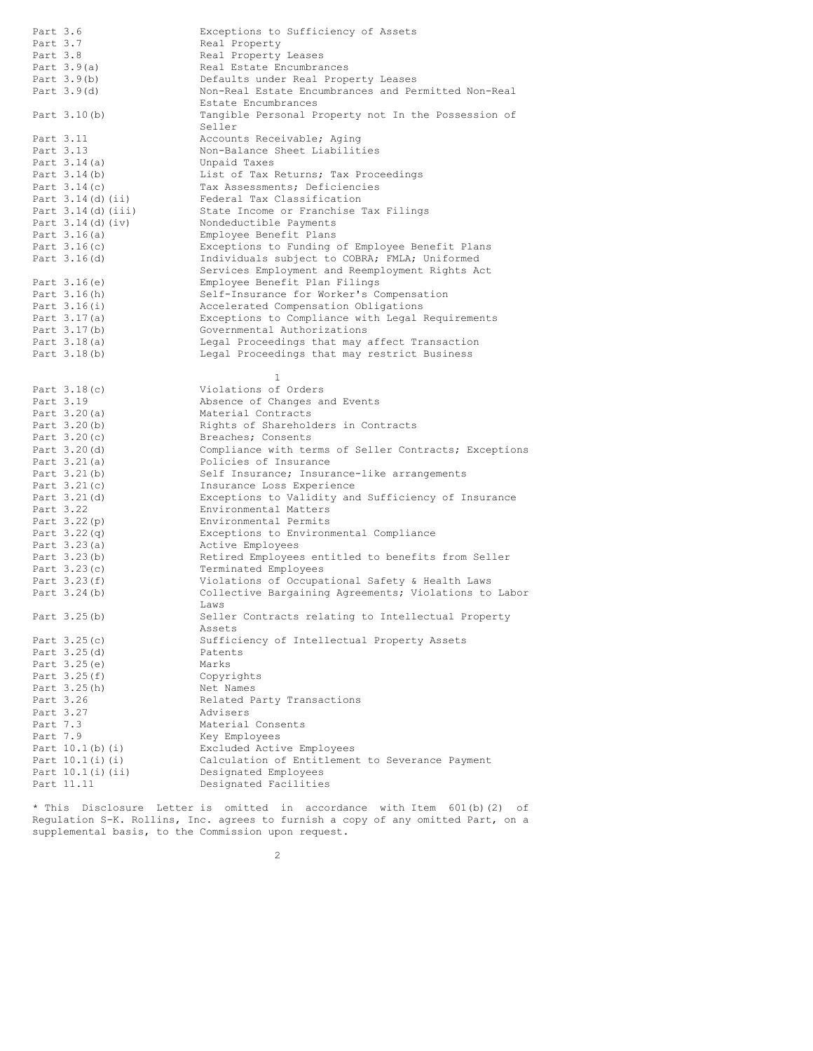| Part 3.6<br>Part 3.7<br>Part 3.8<br>Part $3.9(a)$<br>Part $3.9(b)$ | Exceptions to Sufficiency of Assets<br>Real Property<br>Real Property Leases<br>Real Estate Encumbrances<br>Defaults under Real Property Leases |
|--------------------------------------------------------------------|-------------------------------------------------------------------------------------------------------------------------------------------------|
| Part $3.9(d)$<br>Part 3.10(b)                                      | Non-Real Estate Encumbrances and Permitted Non-Real<br>Estate Encumbrances<br>Tangible Personal Property not In the Possession of               |
|                                                                    | Seller                                                                                                                                          |
| Part 3.11<br>Part 3.13                                             | Accounts Receivable; Aging<br>Non-Balance Sheet Liabilities                                                                                     |
| Part $3.14(a)$                                                     | Unpaid Taxes                                                                                                                                    |
| Part 3.14(b)                                                       | List of Tax Returns; Tax Proceedings                                                                                                            |
| Part $3.14(c)$                                                     | Tax Assessments; Deficiencies                                                                                                                   |
| Part 3.14(d)(ii)                                                   | Federal Tax Classification                                                                                                                      |
| Part 3.14(d)(iii)                                                  | State Income or Franchise Tax Filings                                                                                                           |
| Part $3.14$ (d) (iv)<br>Part 3.16(a)                               | Nondeductible Payments<br>Employee Benefit Plans                                                                                                |
| Part $3.16(c)$                                                     | Exceptions to Funding of Employee Benefit Plans                                                                                                 |
| Part 3.16(d)                                                       | Individuals subject to COBRA; FMLA; Uniformed                                                                                                   |
|                                                                    | Services Employment and Reemployment Rights Act                                                                                                 |
| Part 3.16(e)                                                       | Employee Benefit Plan Filings                                                                                                                   |
| Part 3.16(h)<br>Part $3.16(i)$                                     | Self-Insurance for Worker's Compensation<br>Accelerated Compensation Obligations                                                                |
| Part 3.17(a)                                                       | Exceptions to Compliance with Legal Requirements                                                                                                |
| Part 3.17(b)                                                       | Governmental Authorizations                                                                                                                     |
| Part 3.18(a)                                                       | Legal Proceedings that may affect Transaction                                                                                                   |
| Part 3.18(b)                                                       | Legal Proceedings that may restrict Business                                                                                                    |
|                                                                    | $\mathbf{1}$                                                                                                                                    |
| Part 3.18(c)                                                       | Violations of Orders                                                                                                                            |
| Part 3.19                                                          | Absence of Changes and Events                                                                                                                   |
| Part 3.20(a)                                                       | Material Contracts                                                                                                                              |
| Part 3.20(b)                                                       | Rights of Shareholders in Contracts<br>Breaches; Consents                                                                                       |
| Part 3.20(c)<br>Part 3.20(d)                                       | Compliance with terms of Seller Contracts; Exceptions                                                                                           |
| Part 3.21(a)                                                       | Policies of Insurance                                                                                                                           |
| Part 3.21(b)                                                       | Self Insurance; Insurance-like arrangements                                                                                                     |
| Part $3.21(c)$                                                     | Insurance Loss Experience                                                                                                                       |
| Part 3.21(d)                                                       | Exceptions to Validity and Sufficiency of Insurance                                                                                             |
| Part 3.22<br>Part 3.22(p)                                          | Environmental Matters<br>Environmental Permits                                                                                                  |
| Part $3.22$ (q)                                                    | Exceptions to Environmental Compliance                                                                                                          |
| Part 3.23(a)                                                       | Active Employees                                                                                                                                |
| Part 3.23(b)                                                       | Retired Employees entitled to benefits from Seller                                                                                              |
| Part 3.23(c)                                                       | Terminated Employees                                                                                                                            |
| Part 3.23(f)<br>Part 3.24(b)                                       | Violations of Occupational Safety & Health Laws<br>Collective Bargaining Agreements; Violations to Labor                                        |
|                                                                    | Laws                                                                                                                                            |
| Part 3.25(b)                                                       | Seller Contracts relating to Intellectual Property                                                                                              |
|                                                                    | Assets                                                                                                                                          |
| Part 3.25(c)<br>Part 3.25(d)                                       | Sufficiency of Intellectual Property Assets<br>Patents                                                                                          |
| Part 3.25(e)                                                       | Marks                                                                                                                                           |
| Part 3.25(f)                                                       | Copyrights                                                                                                                                      |
| Part 3.25(h)                                                       | Net Names                                                                                                                                       |
| Part 3.26                                                          | Related Party Transactions                                                                                                                      |
| Part 3.27                                                          | Advisers                                                                                                                                        |
| Part 7.3<br>Part 7.9                                               | Material Consents<br>Key Employees                                                                                                              |
| Part $10.1(b)$ (i)                                                 | Excluded Active Employees                                                                                                                       |
| Part $10.1(i)$ (i)                                                 | Calculation of Entitlement to Severance Payment                                                                                                 |
| Part $10.1(i)$ (ii)                                                | Designated Employees                                                                                                                            |
| Part 11.11                                                         | Designated Facilities                                                                                                                           |

\* This Disclosure Letter is omitted in accordance with Item 601(b)(2) of Regulation S-K. Rollins, Inc. agrees to furnish a copy of any omitted Part, on a supplemental basis, to the Commission upon request.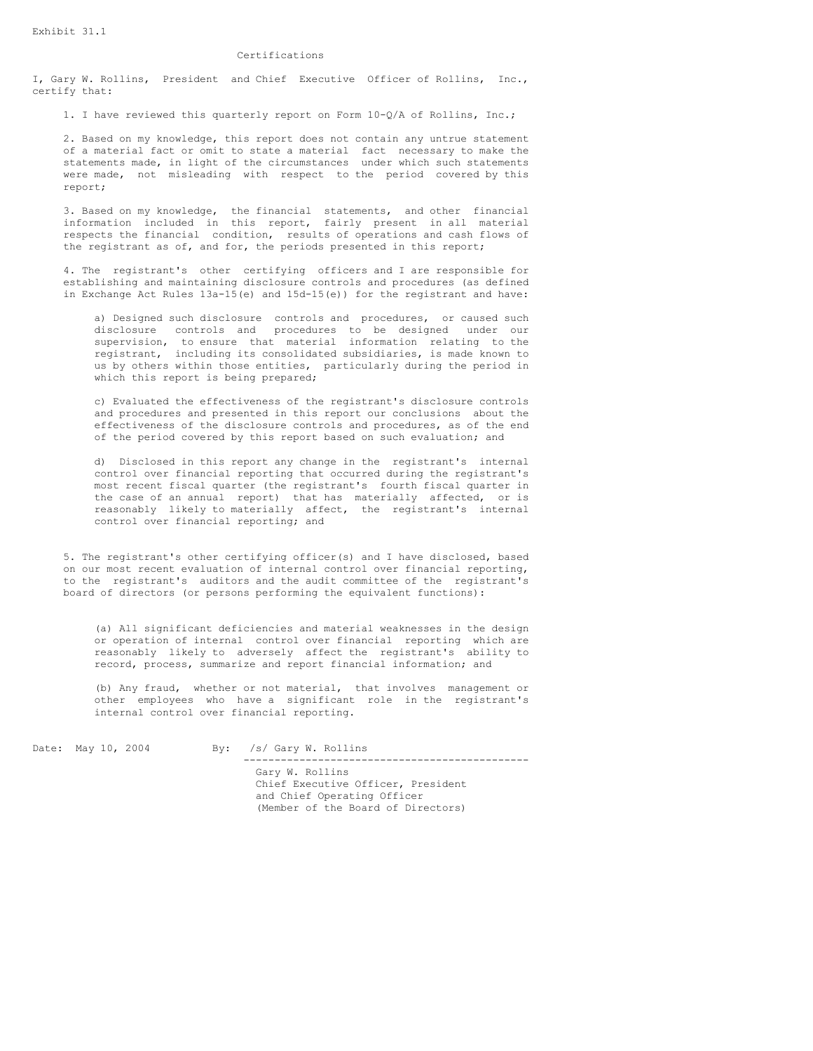### Certifications

I, Gary W. Rollins, President and Chief Executive Officer of Rollins, Inc., certify that:

1. I have reviewed this quarterly report on Form 10-Q/A of Rollins, Inc.;

2. Based on my knowledge, this report does not contain any untrue statement of a material fact or omit to state a material fact necessary to make the statements made, in light of the circumstances under which such statements were made, not misleading with respect to the period covered by this report;

3. Based on my knowledge, the financial statements, and other financial information included in this report, fairly present in all material respects the financial condition, results of operations and cash flows of the registrant as of, and for, the periods presented in this report;

4. The registrant's other certifying officers and I are responsible for establishing and maintaining disclosure controls and procedures (as defined in Exchange Act Rules 13a-15(e) and 15d-15(e)) for the registrant and have:

a) Designed such disclosure controls and procedures, or caused such disclosure controls and procedures to be designed under our supervision, to ensure that material information relating to the registrant, including its consolidated subsidiaries, is made known to us by others within those entities, particularly during the period in which this report is being prepared;

c) Evaluated the effectiveness of the registrant's disclosure controls and procedures and presented in this report our conclusions about the effectiveness of the disclosure controls and procedures, as of the end of the period covered by this report based on such evaluation; and

d) Disclosed in this report any change in the registrant's internal control over financial reporting that occurred during the registrant's most recent fiscal quarter (the registrant's fourth fiscal quarter in the case of an annual report) that has materially affected, or is reasonably likely to materially affect, the registrant's internal control over financial reporting; and

5. The registrant's other certifying officer(s) and I have disclosed, based on our most recent evaluation of internal control over financial reporting, to the registrant's auditors and the audit committee of the registrant's board of directors (or persons performing the equivalent functions):

(a) All significant deficiencies and material weaknesses in the design or operation of internal control over financial reporting which are reasonably likely to adversely affect the registrant's ability to record, process, summarize and report financial information; and

(b) Any fraud, whether or not material, that involves management or other employees who have a significant role in the registrant's internal control over financial reporting.

Date: May 10, 2004 By: /s/ Gary W. Rollins

Gary W. Rollins Chief Executive Officer, President and Chief Operating Officer (Member of the Board of Directors)

----------------------------------------------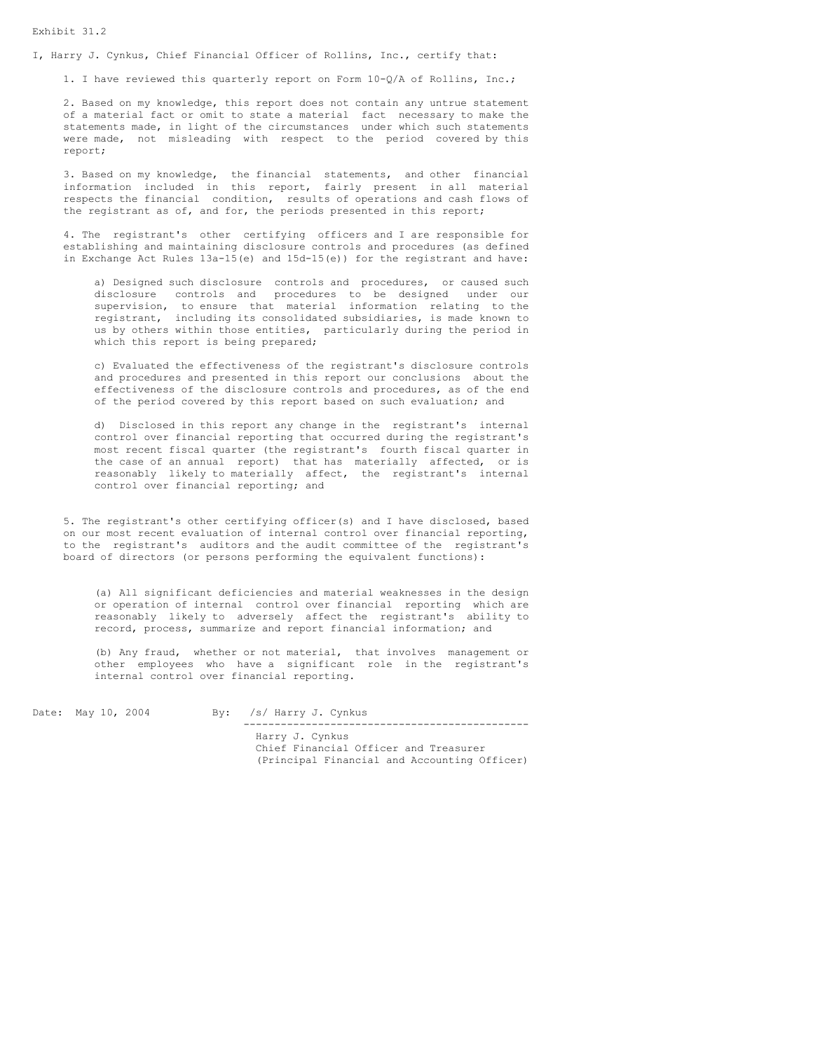Exhibit 31.2

I, Harry J. Cynkus, Chief Financial Officer of Rollins, Inc., certify that:

1. I have reviewed this quarterly report on Form 10-Q/A of Rollins, Inc.;

2. Based on my knowledge, this report does not contain any untrue statement of a material fact or omit to state a material fact necessary to make the statements made, in light of the circumstances under which such statements were made, not misleading with respect to the period covered by this report;

3. Based on my knowledge, the financial statements, and other financial information included in this report, fairly present in all material respects the financial condition, results of operations and cash flows of the registrant as of, and for, the periods presented in this report;

4. The registrant's other certifying officers and I are responsible for establishing and maintaining disclosure controls and procedures (as defined in Exchange Act Rules 13a-15(e) and 15d-15(e)) for the registrant and have:

a) Designed such disclosure controls and procedures, or caused such disclosure controls and procedures to be designed under our supervision, to ensure that material information relating to the registrant, including its consolidated subsidiaries, is made known to us by others within those entities, particularly during the period in which this report is being prepared;

c) Evaluated the effectiveness of the registrant's disclosure controls and procedures and presented in this report our conclusions about the effectiveness of the disclosure controls and procedures, as of the end of the period covered by this report based on such evaluation; and

d) Disclosed in this report any change in the registrant's internal control over financial reporting that occurred during the registrant's most recent fiscal quarter (the registrant's fourth fiscal quarter in the case of an annual report) that has materially affected, or is reasonably likely to materially affect, the registrant's internal control over financial reporting; and

5. The registrant's other certifying officer(s) and I have disclosed, based on our most recent evaluation of internal control over financial reporting, to the registrant's auditors and the audit committee of the registrant's board of directors (or persons performing the equivalent functions):

(a) All significant deficiencies and material weaknesses in the design or operation of internal control over financial reporting which are reasonably likely to adversely affect the registrant's ability to record, process, summarize and report financial information; and

(b) Any fraud, whether or not material, that involves management or other employees who have a significant role in the registrant's internal control over financial reporting.

Date: May 10, 2004 By: /s/ Harry J. Cynkus ----------------------------------------------

Harry J. Cynkus Chief Financial Officer and Treasurer (Principal Financial and Accounting Officer)